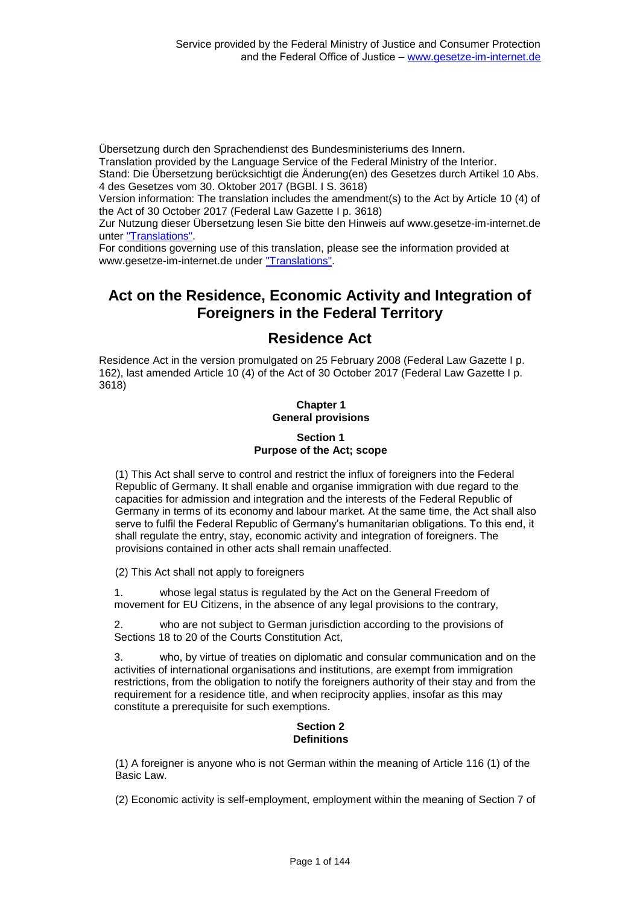Übersetzung durch den Sprachendienst des Bundesministeriums des Innern.

Translation provided by the Language Service of the Federal Ministry of the Interior.

Stand: Die Übersetzung berücksichtigt die Änderung(en) des Gesetzes durch Artikel 10 Abs. 4 des Gesetzes vom 30. Oktober 2017 (BGBl. I S. 3618)

Version information: The translation includes the amendment(s) to the Act by Article 10 (4) of the Act of 30 October 2017 (Federal Law Gazette I p. 3618)

Zur Nutzung dieser Übersetzung lesen Sie bitte den Hinweis auf www.gesetze-im-internet.de unter ["Translations".](https://www.gesetze-im-internet.de/Teilliste_translations.html)

For conditions governing use of this translation, please see the information provided at www.gesetze-im-internet.de under ["Translations".](https://www.gesetze-im-internet.de/Teilliste_translations.html)

# **Act on the Residence, Economic Activity and Integration of Foreigners in the Federal Territory**

# **Residence Act**

Residence Act in the version promulgated on 25 February 2008 (Federal Law Gazette I p. 162), last amended Article 10 (4) of the Act of 30 October 2017 (Federal Law Gazette I p. 3618)

### **Chapter 1 General provisions**

# **Section 1 Purpose of the Act; scope**

(1) This Act shall serve to control and restrict the influx of foreigners into the Federal Republic of Germany. It shall enable and organise immigration with due regard to the capacities for admission and integration and the interests of the Federal Republic of Germany in terms of its economy and labour market. At the same time, the Act shall also serve to fulfil the Federal Republic of Germany's humanitarian obligations. To this end, it shall regulate the entry, stay, economic activity and integration of foreigners. The provisions contained in other acts shall remain unaffected.

(2) This Act shall not apply to foreigners

1. whose legal status is regulated by the Act on the General Freedom of movement for EU Citizens, in the absence of any legal provisions to the contrary,

2. who are not subject to German jurisdiction according to the provisions of Sections 18 to 20 of the Courts Constitution Act,

3. who, by virtue of treaties on diplomatic and consular communication and on the activities of international organisations and institutions, are exempt from immigration restrictions, from the obligation to notify the foreigners authority of their stay and from the requirement for a residence title, and when reciprocity applies, insofar as this may constitute a prerequisite for such exemptions.

# **Section 2 Definitions**

(1) A foreigner is anyone who is not German within the meaning of Article 116 (1) of the Basic Law.

(2) Economic activity is self-employment, employment within the meaning of Section 7 of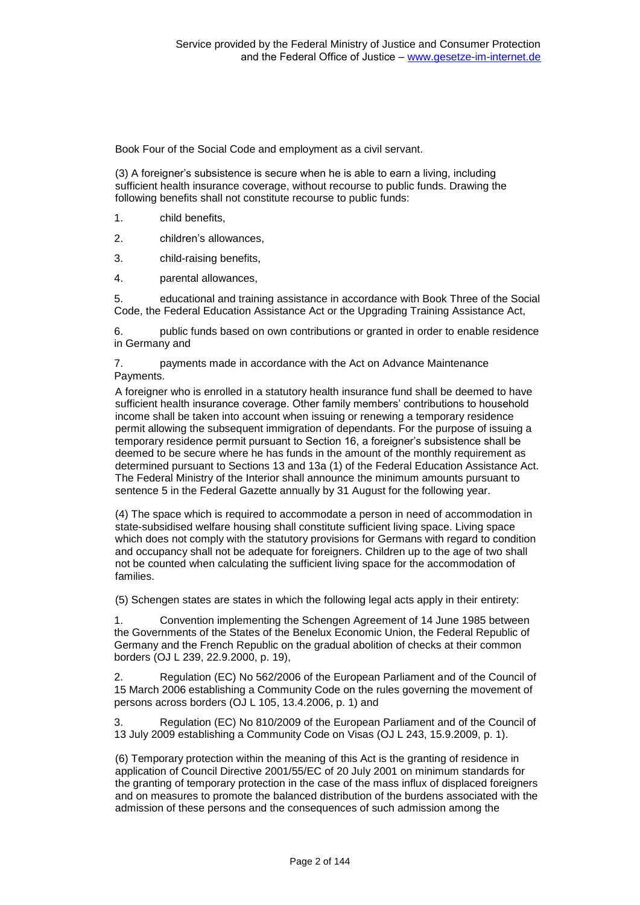Book Four of the Social Code and employment as a civil servant.

(3) A foreigner's subsistence is secure when he is able to earn a living, including sufficient health insurance coverage, without recourse to public funds. Drawing the following benefits shall not constitute recourse to public funds:

- 1. child benefits,
- 2. children's allowances,
- 3. child-raising benefits,
- 4. parental allowances,

5. educational and training assistance in accordance with Book Three of the Social Code, the Federal Education Assistance Act or the Upgrading Training Assistance Act,

6. public funds based on own contributions or granted in order to enable residence in Germany and

7. payments made in accordance with the Act on Advance Maintenance Payments.

A foreigner who is enrolled in a statutory health insurance fund shall be deemed to have sufficient health insurance coverage. Other family members' contributions to household income shall be taken into account when issuing or renewing a temporary residence permit allowing the subsequent immigration of dependants. For the purpose of issuing a temporary residence permit pursuant to Section 16, a foreigner's subsistence shall be deemed to be secure where he has funds in the amount of the monthly requirement as determined pursuant to Sections 13 and 13a (1) of the Federal Education Assistance Act. The Federal Ministry of the Interior shall announce the minimum amounts pursuant to sentence 5 in the Federal Gazette annually by 31 August for the following year.

(4) The space which is required to accommodate a person in need of accommodation in state-subsidised welfare housing shall constitute sufficient living space. Living space which does not comply with the statutory provisions for Germans with regard to condition and occupancy shall not be adequate for foreigners. Children up to the age of two shall not be counted when calculating the sufficient living space for the accommodation of families.

(5) Schengen states are states in which the following legal acts apply in their entirety:

1. Convention implementing the Schengen Agreement of 14 June 1985 between the Governments of the States of the Benelux Economic Union, the Federal Republic of Germany and the French Republic on the gradual abolition of checks at their common borders (OJ L 239, 22.9.2000, p. 19),

2. Regulation (EC) No 562/2006 of the European Parliament and of the Council of 15 March 2006 establishing a Community Code on the rules governing the movement of persons across borders (OJ L 105, 13.4.2006, p. 1) and

3. Regulation (EC) No 810/2009 of the European Parliament and of the Council of 13 July 2009 establishing a Community Code on Visas (OJ L 243, 15.9.2009, p. 1).

(6) Temporary protection within the meaning of this Act is the granting of residence in application of Council Directive 2001/55/EC of 20 July 2001 on minimum standards for the granting of temporary protection in the case of the mass influx of displaced foreigners and on measures to promote the balanced distribution of the burdens associated with the admission of these persons and the consequences of such admission among the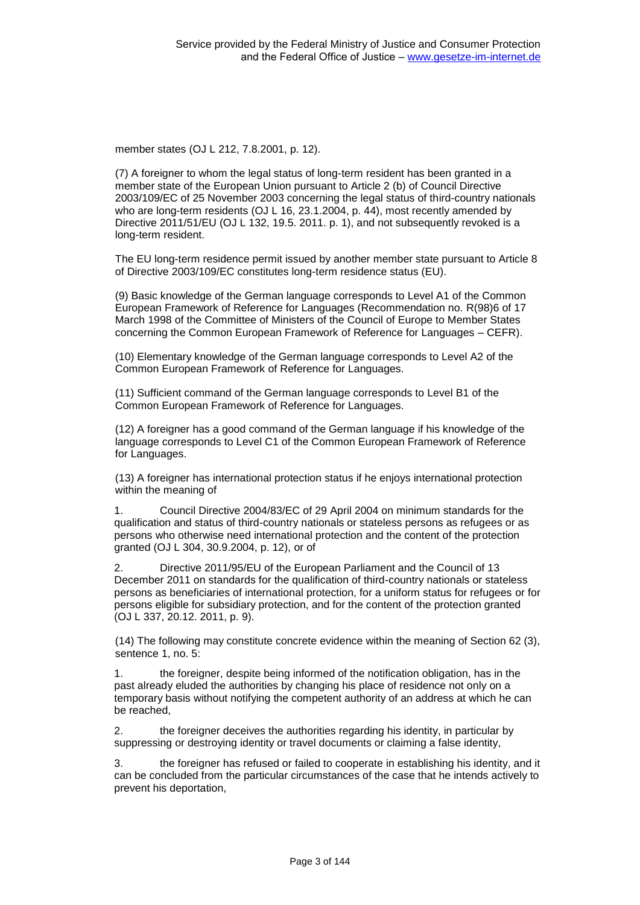member states (OJ L 212, 7.8.2001, p. 12).

(7) A foreigner to whom the legal status of long-term resident has been granted in a member state of the European Union pursuant to Article 2 (b) of Council Directive 2003/109/EC of 25 November 2003 concerning the legal status of third-country nationals who are long-term residents (OJ L 16, 23.1.2004, p. 44), most recently amended by Directive 2011/51/EU (OJ L 132, 19.5. 2011. p. 1), and not subsequently revoked is a long-term resident.

The EU long-term residence permit issued by another member state pursuant to Article 8 of Directive 2003/109/EC constitutes long-term residence status (EU).

(9) Basic knowledge of the German language corresponds to Level A1 of the Common European Framework of Reference for Languages (Recommendation no. R(98)6 of 17 March 1998 of the Committee of Ministers of the Council of Europe to Member States concerning the Common European Framework of Reference for Languages – CEFR).

(10) Elementary knowledge of the German language corresponds to Level A2 of the Common European Framework of Reference for Languages.

(11) Sufficient command of the German language corresponds to Level B1 of the Common European Framework of Reference for Languages.

(12) A foreigner has a good command of the German language if his knowledge of the language corresponds to Level C1 of the Common European Framework of Reference for Languages.

(13) A foreigner has international protection status if he enjoys international protection within the meaning of

1. Council Directive 2004/83/EC of 29 April 2004 on minimum standards for the qualification and status of third-country nationals or stateless persons as refugees or as persons who otherwise need international protection and the content of the protection granted (OJ L 304, 30.9.2004, p. 12), or of

2. Directive 2011/95/EU of the European Parliament and the Council of 13 December 2011 on standards for the qualification of third-country nationals or stateless persons as beneficiaries of international protection, for a uniform status for refugees or for persons eligible for subsidiary protection, and for the content of the protection granted (OJ L 337, 20.12. 2011, p. 9).

(14) The following may constitute concrete evidence within the meaning of Section 62 (3), sentence 1, no. 5:

1. the foreigner, despite being informed of the notification obligation, has in the past already eluded the authorities by changing his place of residence not only on a temporary basis without notifying the competent authority of an address at which he can be reached,

2. the foreigner deceives the authorities regarding his identity, in particular by suppressing or destroying identity or travel documents or claiming a false identity,

the foreigner has refused or failed to cooperate in establishing his identity, and it can be concluded from the particular circumstances of the case that he intends actively to prevent his deportation,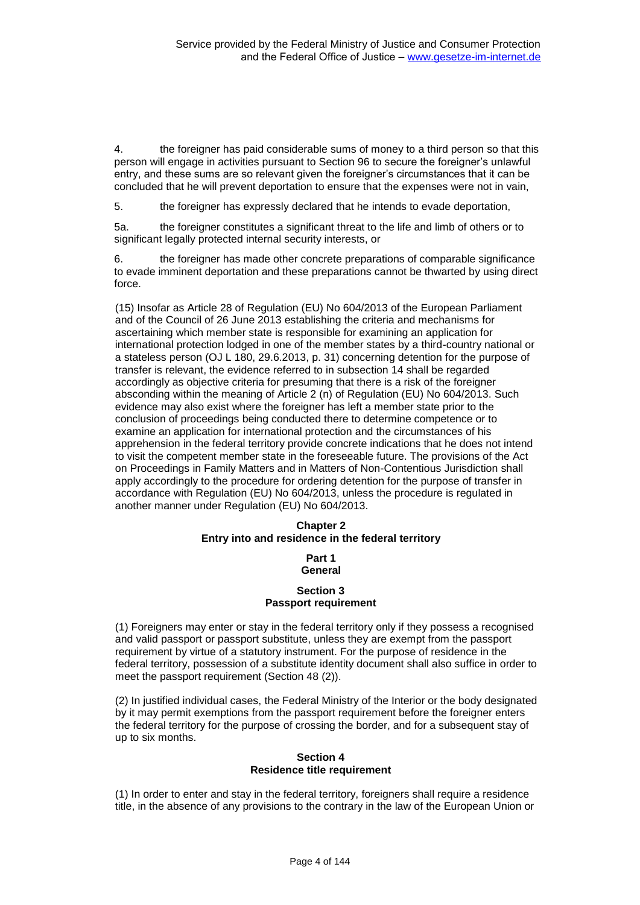4. the foreigner has paid considerable sums of money to a third person so that this person will engage in activities pursuant to Section 96 to secure the foreigner's unlawful entry, and these sums are so relevant given the foreigner's circumstances that it can be concluded that he will prevent deportation to ensure that the expenses were not in vain,

5. the foreigner has expressly declared that he intends to evade deportation,

5a. the foreigner constitutes a significant threat to the life and limb of others or to significant legally protected internal security interests, or

6. the foreigner has made other concrete preparations of comparable significance to evade imminent deportation and these preparations cannot be thwarted by using direct force.

(15) Insofar as Article 28 of Regulation (EU) No 604/2013 of the European Parliament and of the Council of 26 June 2013 establishing the criteria and mechanisms for ascertaining which member state is responsible for examining an application for international protection lodged in one of the member states by a third-country national or a stateless person (OJ L 180, 29.6.2013, p. 31) concerning detention for the purpose of transfer is relevant, the evidence referred to in subsection 14 shall be regarded accordingly as objective criteria for presuming that there is a risk of the foreigner absconding within the meaning of Article 2 (n) of Regulation (EU) No 604/2013. Such evidence may also exist where the foreigner has left a member state prior to the conclusion of proceedings being conducted there to determine competence or to examine an application for international protection and the circumstances of his apprehension in the federal territory provide concrete indications that he does not intend to visit the competent member state in the foreseeable future. The provisions of the Act on Proceedings in Family Matters and in Matters of Non-Contentious Jurisdiction shall apply accordingly to the procedure for ordering detention for the purpose of transfer in accordance with Regulation (EU) No 604/2013, unless the procedure is regulated in another manner under Regulation (EU) No 604/2013.

# **Chapter 2 Entry into and residence in the federal territory**

### **Part 1 General**

# **Section 3 Passport requirement**

(1) Foreigners may enter or stay in the federal territory only if they possess a recognised and valid passport or passport substitute, unless they are exempt from the passport requirement by virtue of a statutory instrument. For the purpose of residence in the federal territory, possession of a substitute identity document shall also suffice in order to meet the passport requirement (Section 48 (2)).

(2) In justified individual cases, the Federal Ministry of the Interior or the body designated by it may permit exemptions from the passport requirement before the foreigner enters the federal territory for the purpose of crossing the border, and for a subsequent stay of up to six months.

### **Section 4 Residence title requirement**

(1) In order to enter and stay in the federal territory, foreigners shall require a residence title, in the absence of any provisions to the contrary in the law of the European Union or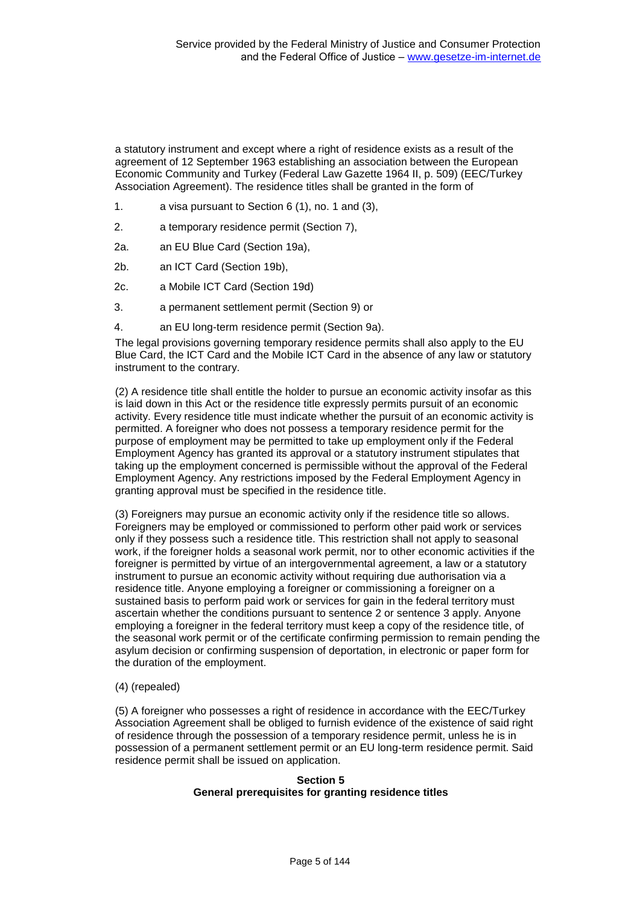a statutory instrument and except where a right of residence exists as a result of the agreement of 12 September 1963 establishing an association between the European Economic Community and Turkey (Federal Law Gazette 1964 II, p. 509) (EEC/Turkey Association Agreement). The residence titles shall be granted in the form of

- 1. a visa pursuant to Section 6 (1), no. 1 and (3),
- 2. a temporary residence permit (Section 7),
- 2a. an EU Blue Card (Section 19a),
- 2b. an ICT Card (Section 19b),
- 2c. a Mobile ICT Card (Section 19d)
- 3. a permanent settlement permit (Section 9) or
- 4. an EU long-term residence permit (Section 9a).

The legal provisions governing temporary residence permits shall also apply to the EU Blue Card, the ICT Card and the Mobile ICT Card in the absence of any law or statutory instrument to the contrary.

(2) A residence title shall entitle the holder to pursue an economic activity insofar as this is laid down in this Act or the residence title expressly permits pursuit of an economic activity. Every residence title must indicate whether the pursuit of an economic activity is permitted. A foreigner who does not possess a temporary residence permit for the purpose of employment may be permitted to take up employment only if the Federal Employment Agency has granted its approval or a statutory instrument stipulates that taking up the employment concerned is permissible without the approval of the Federal Employment Agency. Any restrictions imposed by the Federal Employment Agency in granting approval must be specified in the residence title.

(3) Foreigners may pursue an economic activity only if the residence title so allows. Foreigners may be employed or commissioned to perform other paid work or services only if they possess such a residence title. This restriction shall not apply to seasonal work, if the foreigner holds a seasonal work permit, nor to other economic activities if the foreigner is permitted by virtue of an intergovernmental agreement, a law or a statutory instrument to pursue an economic activity without requiring due authorisation via a residence title. Anyone employing a foreigner or commissioning a foreigner on a sustained basis to perform paid work or services for gain in the federal territory must ascertain whether the conditions pursuant to sentence 2 or sentence 3 apply. Anyone employing a foreigner in the federal territory must keep a copy of the residence title, of the seasonal work permit or of the certificate confirming permission to remain pending the asylum decision or confirming suspension of deportation, in electronic or paper form for the duration of the employment.

(4) (repealed)

(5) A foreigner who possesses a right of residence in accordance with the EEC/Turkey Association Agreement shall be obliged to furnish evidence of the existence of said right of residence through the possession of a temporary residence permit, unless he is in possession of a permanent settlement permit or an EU long-term residence permit. Said residence permit shall be issued on application.

### **Section 5 General prerequisites for granting residence titles**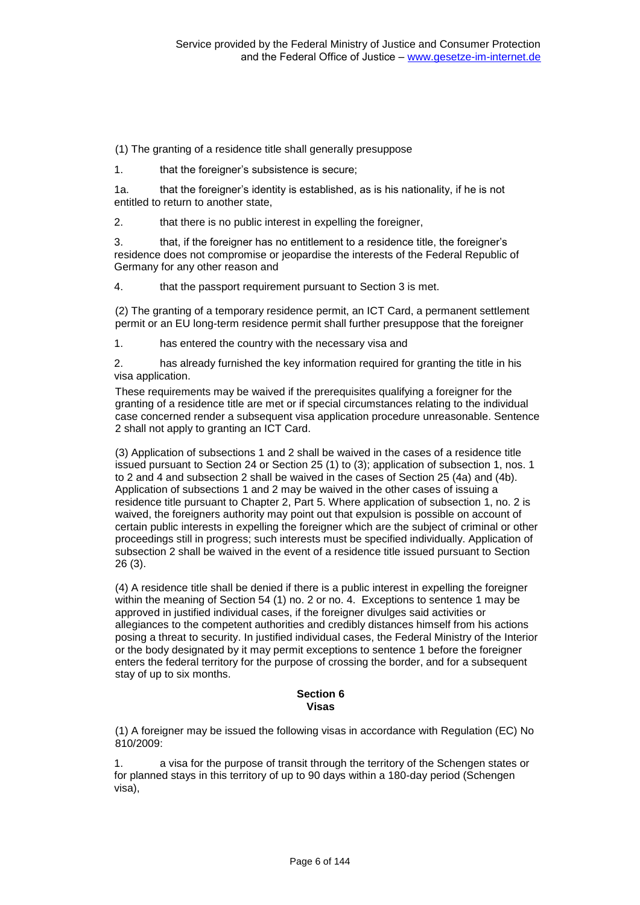(1) The granting of a residence title shall generally presuppose

1. that the foreigner's subsistence is secure;

1a. that the foreigner's identity is established, as is his nationality, if he is not entitled to return to another state,

2. that there is no public interest in expelling the foreigner,

3. that, if the foreigner has no entitlement to a residence title, the foreigner's residence does not compromise or jeopardise the interests of the Federal Republic of Germany for any other reason and

4. that the passport requirement pursuant to Section 3 is met.

(2) The granting of a temporary residence permit, an ICT Card, a permanent settlement permit or an EU long-term residence permit shall further presuppose that the foreigner

1. has entered the country with the necessary visa and

2. has already furnished the key information required for granting the title in his visa application.

These requirements may be waived if the prerequisites qualifying a foreigner for the granting of a residence title are met or if special circumstances relating to the individual case concerned render a subsequent visa application procedure unreasonable. Sentence 2 shall not apply to granting an ICT Card.

(3) Application of subsections 1 and 2 shall be waived in the cases of a residence title issued pursuant to Section 24 or Section 25 (1) to (3); application of subsection 1, nos. 1 to 2 and 4 and subsection 2 shall be waived in the cases of Section 25 (4a) and (4b). Application of subsections 1 and 2 may be waived in the other cases of issuing a residence title pursuant to Chapter 2, Part 5. Where application of subsection 1, no. 2 is waived, the foreigners authority may point out that expulsion is possible on account of certain public interests in expelling the foreigner which are the subject of criminal or other proceedings still in progress; such interests must be specified individually. Application of subsection 2 shall be waived in the event of a residence title issued pursuant to Section 26 (3).

(4) A residence title shall be denied if there is a public interest in expelling the foreigner within the meaning of Section 54 (1) no. 2 or no. 4. Exceptions to sentence 1 may be approved in justified individual cases, if the foreigner divulges said activities or allegiances to the competent authorities and credibly distances himself from his actions posing a threat to security. In justified individual cases, the Federal Ministry of the Interior or the body designated by it may permit exceptions to sentence 1 before the foreigner enters the federal territory for the purpose of crossing the border, and for a subsequent stay of up to six months.

### **Section 6 Visas**

(1) A foreigner may be issued the following visas in accordance with Regulation (EC) No 810/2009:

1. a visa for the purpose of transit through the territory of the Schengen states or for planned stays in this territory of up to 90 days within a 180-day period (Schengen visa),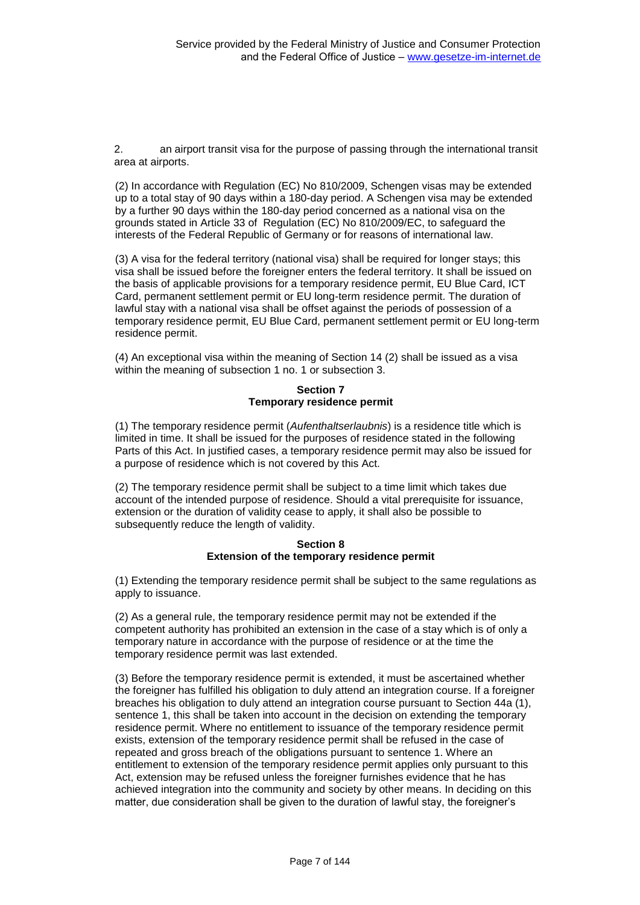2. an airport transit visa for the purpose of passing through the international transit area at airports.

(2) In accordance with Regulation (EC) No 810/2009, Schengen visas may be extended up to a total stay of 90 days within a 180-day period. A Schengen visa may be extended by a further 90 days within the 180-day period concerned as a national visa on the grounds stated in Article 33 of Regulation (EC) No 810/2009/EC, to safeguard the interests of the Federal Republic of Germany or for reasons of international law.

(3) A visa for the federal territory (national visa) shall be required for longer stays; this visa shall be issued before the foreigner enters the federal territory. It shall be issued on the basis of applicable provisions for a temporary residence permit, EU Blue Card, ICT Card, permanent settlement permit or EU long-term residence permit. The duration of lawful stay with a national visa shall be offset against the periods of possession of a temporary residence permit, EU Blue Card, permanent settlement permit or EU long-term residence permit.

(4) An exceptional visa within the meaning of Section 14 (2) shall be issued as a visa within the meaning of subsection 1 no. 1 or subsection 3.

### **Section 7 Temporary residence permit**

(1) The temporary residence permit (*Aufenthaltserlaubnis*) is a residence title which is limited in time. It shall be issued for the purposes of residence stated in the following Parts of this Act. In justified cases, a temporary residence permit may also be issued for a purpose of residence which is not covered by this Act.

(2) The temporary residence permit shall be subject to a time limit which takes due account of the intended purpose of residence. Should a vital prerequisite for issuance, extension or the duration of validity cease to apply, it shall also be possible to subsequently reduce the length of validity.

### **Section 8 Extension of the temporary residence permit**

(1) Extending the temporary residence permit shall be subject to the same regulations as apply to issuance.

(2) As a general rule, the temporary residence permit may not be extended if the competent authority has prohibited an extension in the case of a stay which is of only a temporary nature in accordance with the purpose of residence or at the time the temporary residence permit was last extended.

(3) Before the temporary residence permit is extended, it must be ascertained whether the foreigner has fulfilled his obligation to duly attend an integration course. If a foreigner breaches his obligation to duly attend an integration course pursuant to Section 44a (1), sentence 1, this shall be taken into account in the decision on extending the temporary residence permit. Where no entitlement to issuance of the temporary residence permit exists, extension of the temporary residence permit shall be refused in the case of repeated and gross breach of the obligations pursuant to sentence 1. Where an entitlement to extension of the temporary residence permit applies only pursuant to this Act, extension may be refused unless the foreigner furnishes evidence that he has achieved integration into the community and society by other means. In deciding on this matter, due consideration shall be given to the duration of lawful stay, the foreigner's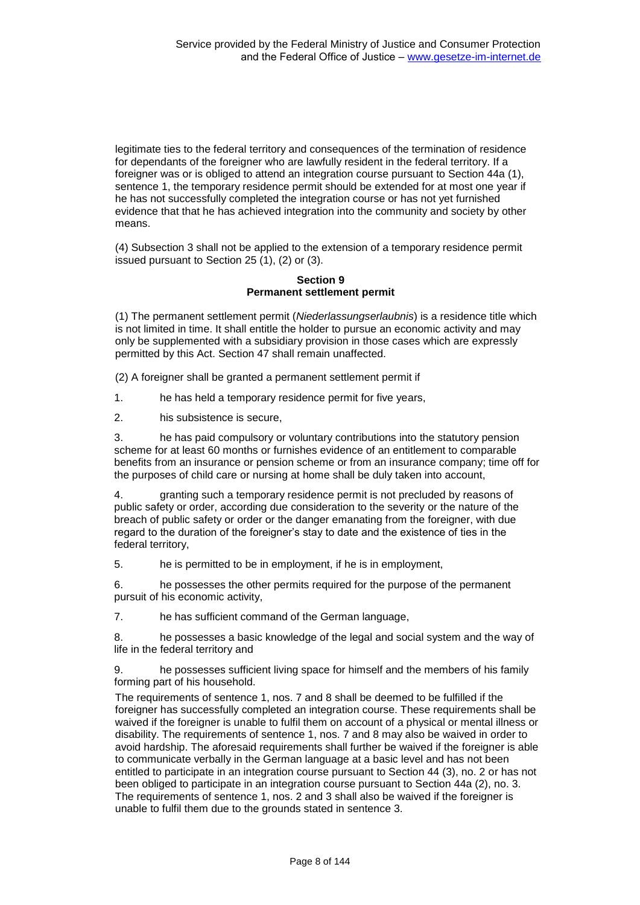legitimate ties to the federal territory and consequences of the termination of residence for dependants of the foreigner who are lawfully resident in the federal territory. If a foreigner was or is obliged to attend an integration course pursuant to Section 44a (1), sentence 1, the temporary residence permit should be extended for at most one year if he has not successfully completed the integration course or has not yet furnished evidence that that he has achieved integration into the community and society by other means.

(4) Subsection 3 shall not be applied to the extension of a temporary residence permit issued pursuant to Section 25 (1), (2) or (3).

### **Section 9 Permanent settlement permit**

(1) The permanent settlement permit (*Niederlassungserlaubnis*) is a residence title which is not limited in time. It shall entitle the holder to pursue an economic activity and may only be supplemented with a subsidiary provision in those cases which are expressly permitted by this Act. Section 47 shall remain unaffected.

(2) A foreigner shall be granted a permanent settlement permit if

1. he has held a temporary residence permit for five years,

2. his subsistence is secure,

3. he has paid compulsory or voluntary contributions into the statutory pension scheme for at least 60 months or furnishes evidence of an entitlement to comparable benefits from an insurance or pension scheme or from an insurance company; time off for the purposes of child care or nursing at home shall be duly taken into account,

4. granting such a temporary residence permit is not precluded by reasons of public safety or order, according due consideration to the severity or the nature of the breach of public safety or order or the danger emanating from the foreigner, with due regard to the duration of the foreigner's stay to date and the existence of ties in the federal territory,

5. he is permitted to be in employment, if he is in employment,

6. he possesses the other permits required for the purpose of the permanent pursuit of his economic activity,

7. he has sufficient command of the German language,

8. he possesses a basic knowledge of the legal and social system and the way of life in the federal territory and

9. he possesses sufficient living space for himself and the members of his family forming part of his household.

The requirements of sentence 1, nos. 7 and 8 shall be deemed to be fulfilled if the foreigner has successfully completed an integration course. These requirements shall be waived if the foreigner is unable to fulfil them on account of a physical or mental illness or disability. The requirements of sentence 1, nos. 7 and 8 may also be waived in order to avoid hardship. The aforesaid requirements shall further be waived if the foreigner is able to communicate verbally in the German language at a basic level and has not been entitled to participate in an integration course pursuant to Section 44 (3), no. 2 or has not been obliged to participate in an integration course pursuant to Section 44a (2), no. 3. The requirements of sentence 1, nos. 2 and 3 shall also be waived if the foreigner is unable to fulfil them due to the grounds stated in sentence 3.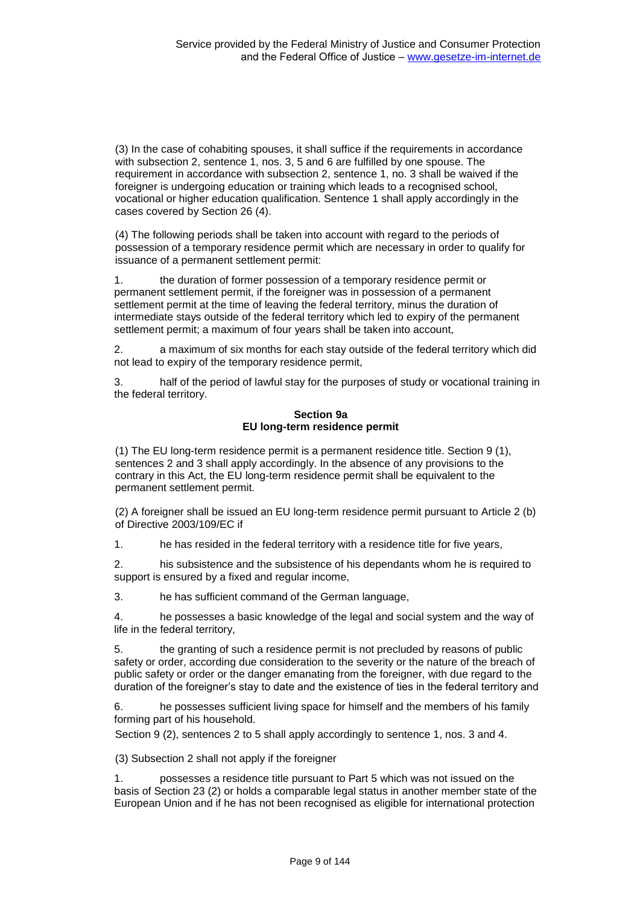(3) In the case of cohabiting spouses, it shall suffice if the requirements in accordance with subsection 2, sentence 1, nos. 3, 5 and 6 are fulfilled by one spouse. The requirement in accordance with subsection 2, sentence 1, no. 3 shall be waived if the foreigner is undergoing education or training which leads to a recognised school, vocational or higher education qualification. Sentence 1 shall apply accordingly in the cases covered by Section 26 (4).

(4) The following periods shall be taken into account with regard to the periods of possession of a temporary residence permit which are necessary in order to qualify for issuance of a permanent settlement permit:

1. the duration of former possession of a temporary residence permit or permanent settlement permit, if the foreigner was in possession of a permanent settlement permit at the time of leaving the federal territory, minus the duration of intermediate stays outside of the federal territory which led to expiry of the permanent settlement permit; a maximum of four years shall be taken into account,

2. a maximum of six months for each stay outside of the federal territory which did not lead to expiry of the temporary residence permit,

3. half of the period of lawful stay for the purposes of study or vocational training in the federal territory.

### **Section 9a EU long-term residence permit**

(1) The EU long-term residence permit is a permanent residence title. Section 9 (1), sentences 2 and 3 shall apply accordingly. In the absence of any provisions to the contrary in this Act, the EU long-term residence permit shall be equivalent to the permanent settlement permit.

(2) A foreigner shall be issued an EU long-term residence permit pursuant to Article 2 (b) of Directive 2003/109/EC if

1. he has resided in the federal territory with a residence title for five years,

2. his subsistence and the subsistence of his dependants whom he is required to support is ensured by a fixed and regular income,

3. he has sufficient command of the German language,

4. he possesses a basic knowledge of the legal and social system and the way of life in the federal territory,

5. the granting of such a residence permit is not precluded by reasons of public safety or order, according due consideration to the severity or the nature of the breach of public safety or order or the danger emanating from the foreigner, with due regard to the duration of the foreigner's stay to date and the existence of ties in the federal territory and

6. he possesses sufficient living space for himself and the members of his family forming part of his household.

Section 9 (2), sentences 2 to 5 shall apply accordingly to sentence 1, nos. 3 and 4.

(3) Subsection 2 shall not apply if the foreigner

1. possesses a residence title pursuant to Part 5 which was not issued on the basis of Section 23 (2) or holds a comparable legal status in another member state of the European Union and if he has not been recognised as eligible for international protection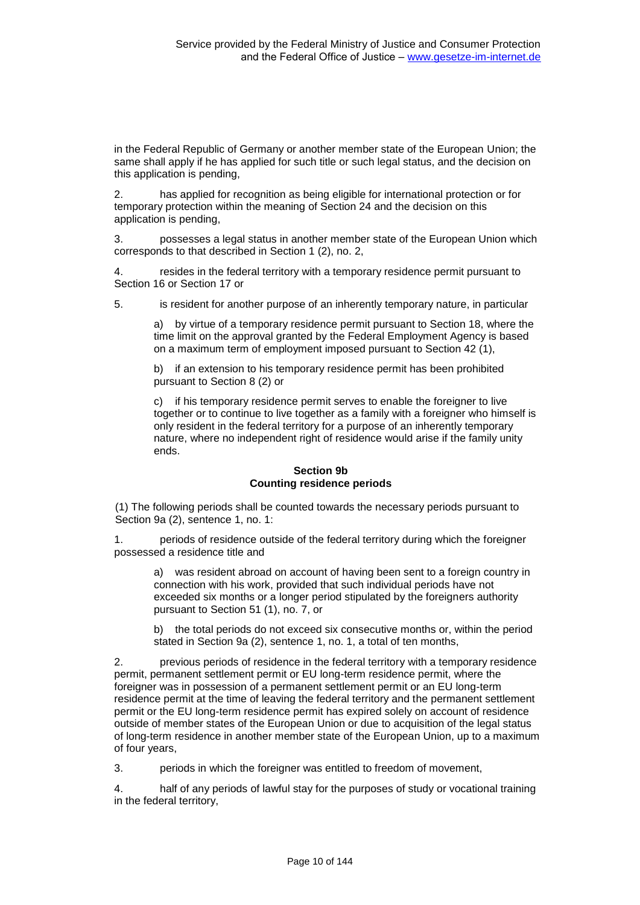in the Federal Republic of Germany or another member state of the European Union; the same shall apply if he has applied for such title or such legal status, and the decision on this application is pending,

2. has applied for recognition as being eligible for international protection or for temporary protection within the meaning of Section 24 and the decision on this application is pending,

3. possesses a legal status in another member state of the European Union which corresponds to that described in Section 1 (2), no. 2,

4. resides in the federal territory with a temporary residence permit pursuant to Section 16 or Section 17 or

5. is resident for another purpose of an inherently temporary nature, in particular

a) by virtue of a temporary residence permit pursuant to Section 18, where the time limit on the approval granted by the Federal Employment Agency is based on a maximum term of employment imposed pursuant to Section 42 (1),

b) if an extension to his temporary residence permit has been prohibited pursuant to Section 8 (2) or

c) if his temporary residence permit serves to enable the foreigner to live together or to continue to live together as a family with a foreigner who himself is only resident in the federal territory for a purpose of an inherently temporary nature, where no independent right of residence would arise if the family unity ends.

# **Section 9b Counting residence periods**

(1) The following periods shall be counted towards the necessary periods pursuant to Section 9a (2), sentence 1, no. 1:

1. periods of residence outside of the federal territory during which the foreigner possessed a residence title and

a) was resident abroad on account of having been sent to a foreign country in connection with his work, provided that such individual periods have not exceeded six months or a longer period stipulated by the foreigners authority pursuant to Section 51 (1), no. 7, or

b) the total periods do not exceed six consecutive months or, within the period stated in Section 9a (2), sentence 1, no. 1, a total of ten months,

2. previous periods of residence in the federal territory with a temporary residence permit, permanent settlement permit or EU long-term residence permit, where the foreigner was in possession of a permanent settlement permit or an EU long-term residence permit at the time of leaving the federal territory and the permanent settlement permit or the EU long-term residence permit has expired solely on account of residence outside of member states of the European Union or due to acquisition of the legal status of long-term residence in another member state of the European Union, up to a maximum of four years,

3. periods in which the foreigner was entitled to freedom of movement,

4. half of any periods of lawful stay for the purposes of study or vocational training in the federal territory,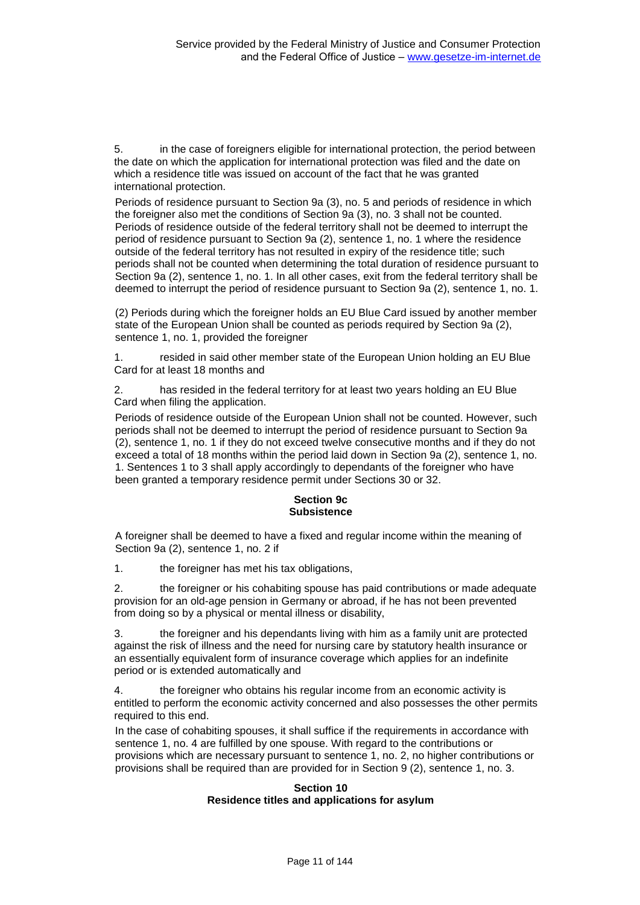5. in the case of foreigners eligible for international protection, the period between the date on which the application for international protection was filed and the date on which a residence title was issued on account of the fact that he was granted international protection.

Periods of residence pursuant to Section 9a (3), no. 5 and periods of residence in which the foreigner also met the conditions of Section 9a (3), no. 3 shall not be counted. Periods of residence outside of the federal territory shall not be deemed to interrupt the period of residence pursuant to Section 9a (2), sentence 1, no. 1 where the residence outside of the federal territory has not resulted in expiry of the residence title; such periods shall not be counted when determining the total duration of residence pursuant to Section 9a (2), sentence 1, no. 1. In all other cases, exit from the federal territory shall be deemed to interrupt the period of residence pursuant to Section 9a (2), sentence 1, no. 1.

(2) Periods during which the foreigner holds an EU Blue Card issued by another member state of the European Union shall be counted as periods required by Section 9a (2), sentence 1, no. 1, provided the foreigner

1. resided in said other member state of the European Union holding an EU Blue Card for at least 18 months and

2. has resided in the federal territory for at least two years holding an EU Blue Card when filing the application.

Periods of residence outside of the European Union shall not be counted. However, such periods shall not be deemed to interrupt the period of residence pursuant to Section 9a (2), sentence 1, no. 1 if they do not exceed twelve consecutive months and if they do not exceed a total of 18 months within the period laid down in Section 9a (2), sentence 1, no. 1. Sentences 1 to 3 shall apply accordingly to dependants of the foreigner who have been granted a temporary residence permit under Sections 30 or 32.

# **Section 9c Subsistence**

A foreigner shall be deemed to have a fixed and regular income within the meaning of Section 9a (2), sentence 1, no. 2 if

1. the foreigner has met his tax obligations,

2. the foreigner or his cohabiting spouse has paid contributions or made adequate provision for an old-age pension in Germany or abroad, if he has not been prevented from doing so by a physical or mental illness or disability,

3. the foreigner and his dependants living with him as a family unit are protected against the risk of illness and the need for nursing care by statutory health insurance or an essentially equivalent form of insurance coverage which applies for an indefinite period or is extended automatically and

the foreigner who obtains his regular income from an economic activity is entitled to perform the economic activity concerned and also possesses the other permits required to this end.

In the case of cohabiting spouses, it shall suffice if the requirements in accordance with sentence 1, no. 4 are fulfilled by one spouse. With regard to the contributions or provisions which are necessary pursuant to sentence 1, no. 2, no higher contributions or provisions shall be required than are provided for in Section 9 (2), sentence 1, no. 3.

### **Section 10 Residence titles and applications for asylum**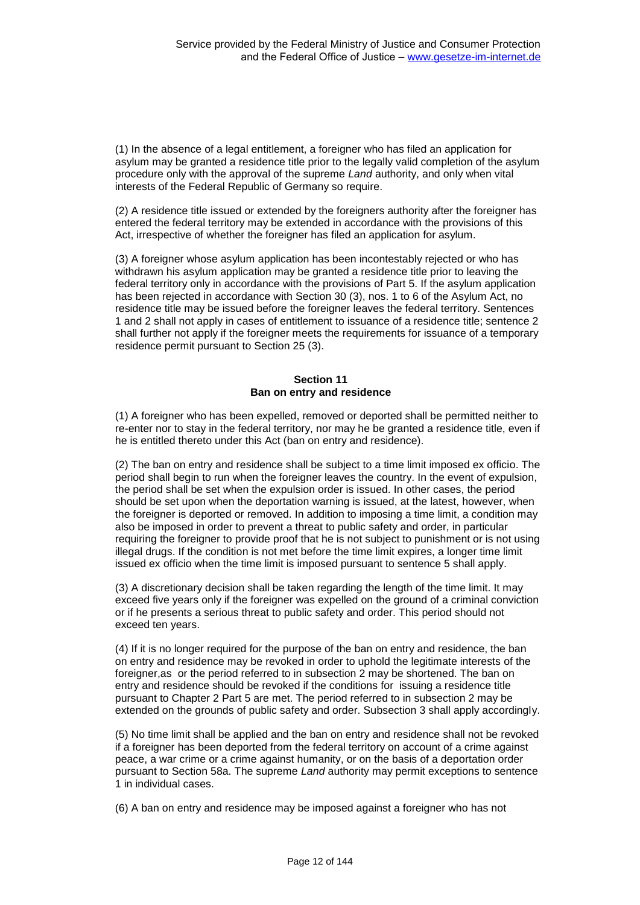(1) In the absence of a legal entitlement, a foreigner who has filed an application for asylum may be granted a residence title prior to the legally valid completion of the asylum procedure only with the approval of the supreme *Land* authority, and only when vital interests of the Federal Republic of Germany so require.

(2) A residence title issued or extended by the foreigners authority after the foreigner has entered the federal territory may be extended in accordance with the provisions of this Act, irrespective of whether the foreigner has filed an application for asylum.

(3) A foreigner whose asylum application has been incontestably rejected or who has withdrawn his asylum application may be granted a residence title prior to leaving the federal territory only in accordance with the provisions of Part 5. If the asylum application has been rejected in accordance with Section 30 (3), nos. 1 to 6 of the Asylum Act, no residence title may be issued before the foreigner leaves the federal territory. Sentences 1 and 2 shall not apply in cases of entitlement to issuance of a residence title; sentence 2 shall further not apply if the foreigner meets the requirements for issuance of a temporary residence permit pursuant to Section 25 (3).

# **Section 11 Ban on entry and residence**

(1) A foreigner who has been expelled, removed or deported shall be permitted neither to re-enter nor to stay in the federal territory, nor may he be granted a residence title, even if he is entitled thereto under this Act (ban on entry and residence).

(2) The ban on entry and residence shall be subject to a time limit imposed ex officio. The period shall begin to run when the foreigner leaves the country. In the event of expulsion, the period shall be set when the expulsion order is issued. In other cases, the period should be set upon when the deportation warning is issued, at the latest, however, when the foreigner is deported or removed. In addition to imposing a time limit, a condition may also be imposed in order to prevent a threat to public safety and order, in particular requiring the foreigner to provide proof that he is not subject to punishment or is not using illegal drugs. If the condition is not met before the time limit expires, a longer time limit issued ex officio when the time limit is imposed pursuant to sentence 5 shall apply.

(3) A discretionary decision shall be taken regarding the length of the time limit. It may exceed five years only if the foreigner was expelled on the ground of a criminal conviction or if he presents a serious threat to public safety and order. This period should not exceed ten years.

(4) If it is no longer required for the purpose of the ban on entry and residence, the ban on entry and residence may be revoked in order to uphold the legitimate interests of the foreigner,as or the period referred to in subsection 2 may be shortened. The ban on entry and residence should be revoked if the conditions for issuing a residence title pursuant to Chapter 2 Part 5 are met. The period referred to in subsection 2 may be extended on the grounds of public safety and order. Subsection 3 shall apply accordingly.

(5) No time limit shall be applied and the ban on entry and residence shall not be revoked if a foreigner has been deported from the federal territory on account of a crime against peace, a war crime or a crime against humanity, or on the basis of a deportation order pursuant to Section 58a. The supreme *Land* authority may permit exceptions to sentence 1 in individual cases.

(6) A ban on entry and residence may be imposed against a foreigner who has not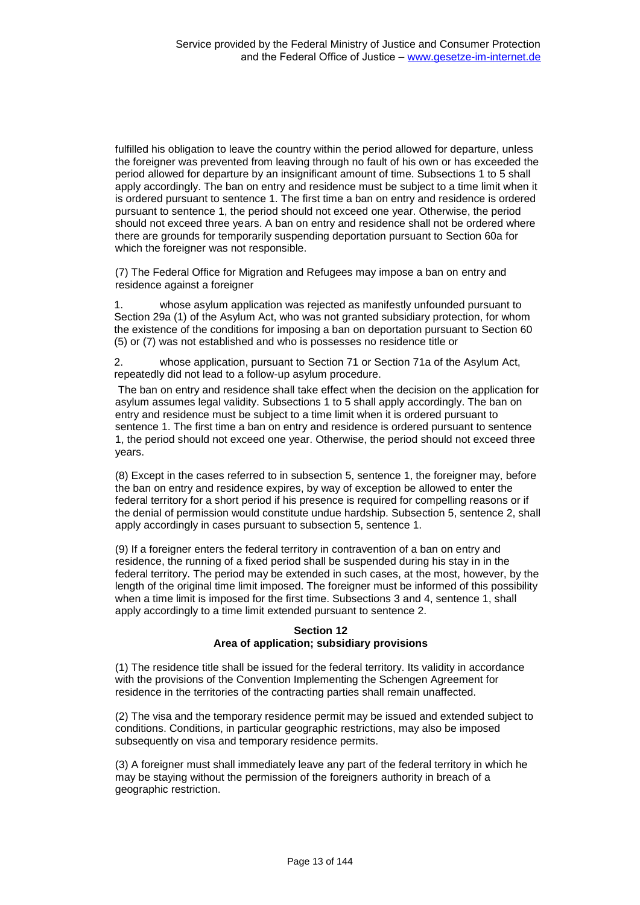fulfilled his obligation to leave the country within the period allowed for departure, unless the foreigner was prevented from leaving through no fault of his own or has exceeded the period allowed for departure by an insignificant amount of time. Subsections 1 to 5 shall apply accordingly. The ban on entry and residence must be subject to a time limit when it is ordered pursuant to sentence 1. The first time a ban on entry and residence is ordered pursuant to sentence 1, the period should not exceed one year. Otherwise, the period should not exceed three years. A ban on entry and residence shall not be ordered where there are grounds for temporarily suspending deportation pursuant to Section 60a for which the foreigner was not responsible.

(7) The Federal Office for Migration and Refugees may impose a ban on entry and residence against a foreigner

1. whose asylum application was rejected as manifestly unfounded pursuant to Section 29a (1) of the Asylum Act, who was not granted subsidiary protection, for whom the existence of the conditions for imposing a ban on deportation pursuant to Section 60 (5) or (7) was not established and who is possesses no residence title or

2. whose application, pursuant to Section 71 or Section 71a of the Asylum Act, repeatedly did not lead to a follow-up asylum procedure.

The ban on entry and residence shall take effect when the decision on the application for asylum assumes legal validity. Subsections 1 to 5 shall apply accordingly. The ban on entry and residence must be subject to a time limit when it is ordered pursuant to sentence 1. The first time a ban on entry and residence is ordered pursuant to sentence 1, the period should not exceed one year. Otherwise, the period should not exceed three years.

(8) Except in the cases referred to in subsection 5, sentence 1, the foreigner may, before the ban on entry and residence expires, by way of exception be allowed to enter the federal territory for a short period if his presence is required for compelling reasons or if the denial of permission would constitute undue hardship. Subsection 5, sentence 2, shall apply accordingly in cases pursuant to subsection 5, sentence 1.

(9) If a foreigner enters the federal territory in contravention of a ban on entry and residence, the running of a fixed period shall be suspended during his stay in in the federal territory. The period may be extended in such cases, at the most, however, by the length of the original time limit imposed. The foreigner must be informed of this possibility when a time limit is imposed for the first time. Subsections 3 and 4, sentence 1, shall apply accordingly to a time limit extended pursuant to sentence 2.

# **Section 12 Area of application; subsidiary provisions**

(1) The residence title shall be issued for the federal territory. Its validity in accordance with the provisions of the Convention Implementing the Schengen Agreement for residence in the territories of the contracting parties shall remain unaffected.

(2) The visa and the temporary residence permit may be issued and extended subject to conditions. Conditions, in particular geographic restrictions, may also be imposed subsequently on visa and temporary residence permits.

(3) A foreigner must shall immediately leave any part of the federal territory in which he may be staying without the permission of the foreigners authority in breach of a geographic restriction.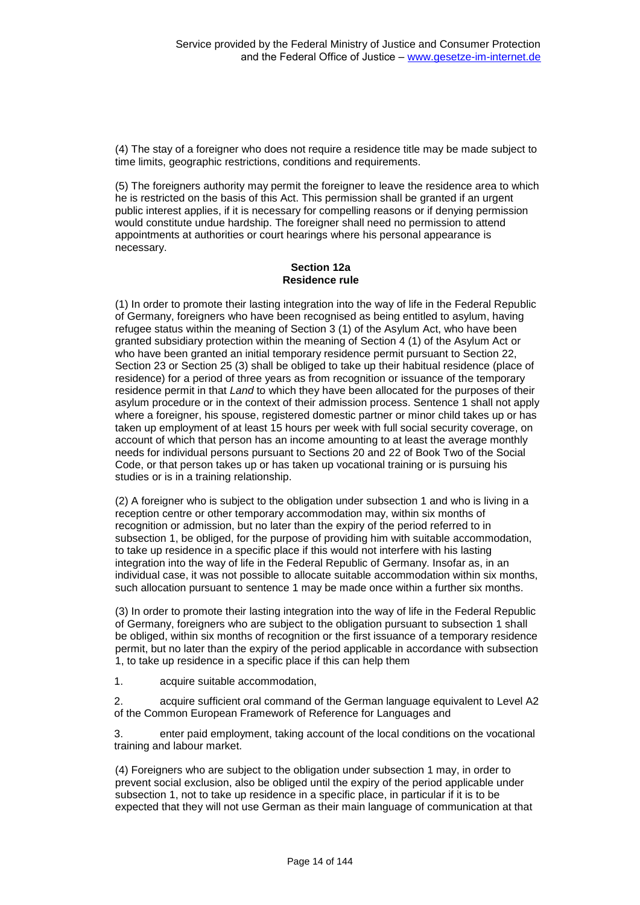(4) The stay of a foreigner who does not require a residence title may be made subject to time limits, geographic restrictions, conditions and requirements.

(5) The foreigners authority may permit the foreigner to leave the residence area to which he is restricted on the basis of this Act. This permission shall be granted if an urgent public interest applies, if it is necessary for compelling reasons or if denying permission would constitute undue hardship. The foreigner shall need no permission to attend appointments at authorities or court hearings where his personal appearance is necessary.

### **Section 12a Residence rule**

(1) In order to promote their lasting integration into the way of life in the Federal Republic of Germany, foreigners who have been recognised as being entitled to asylum, having refugee status within the meaning of Section 3 (1) of the Asylum Act, who have been granted subsidiary protection within the meaning of Section 4 (1) of the Asylum Act or who have been granted an initial temporary residence permit pursuant to Section 22, Section 23 or Section 25 (3) shall be obliged to take up their habitual residence (place of residence) for a period of three years as from recognition or issuance of the temporary residence permit in that *Land* to which they have been allocated for the purposes of their asylum procedure or in the context of their admission process. Sentence 1 shall not apply where a foreigner, his spouse, registered domestic partner or minor child takes up or has taken up employment of at least 15 hours per week with full social security coverage, on account of which that person has an income amounting to at least the average monthly needs for individual persons pursuant to Sections 20 and 22 of Book Two of the Social Code, or that person takes up or has taken up vocational training or is pursuing his studies or is in a training relationship.

(2) A foreigner who is subject to the obligation under subsection 1 and who is living in a reception centre or other temporary accommodation may, within six months of recognition or admission, but no later than the expiry of the period referred to in subsection 1, be obliged, for the purpose of providing him with suitable accommodation, to take up residence in a specific place if this would not interfere with his lasting integration into the way of life in the Federal Republic of Germany. Insofar as, in an individual case, it was not possible to allocate suitable accommodation within six months, such allocation pursuant to sentence 1 may be made once within a further six months.

(3) In order to promote their lasting integration into the way of life in the Federal Republic of Germany, foreigners who are subject to the obligation pursuant to subsection 1 shall be obliged, within six months of recognition or the first issuance of a temporary residence permit, but no later than the expiry of the period applicable in accordance with subsection 1, to take up residence in a specific place if this can help them

1. acquire suitable accommodation,

2. acquire sufficient oral command of the German language equivalent to Level A2 of the Common European Framework of Reference for Languages and

3. enter paid employment, taking account of the local conditions on the vocational training and labour market.

(4) Foreigners who are subject to the obligation under subsection 1 may, in order to prevent social exclusion, also be obliged until the expiry of the period applicable under subsection 1, not to take up residence in a specific place, in particular if it is to be expected that they will not use German as their main language of communication at that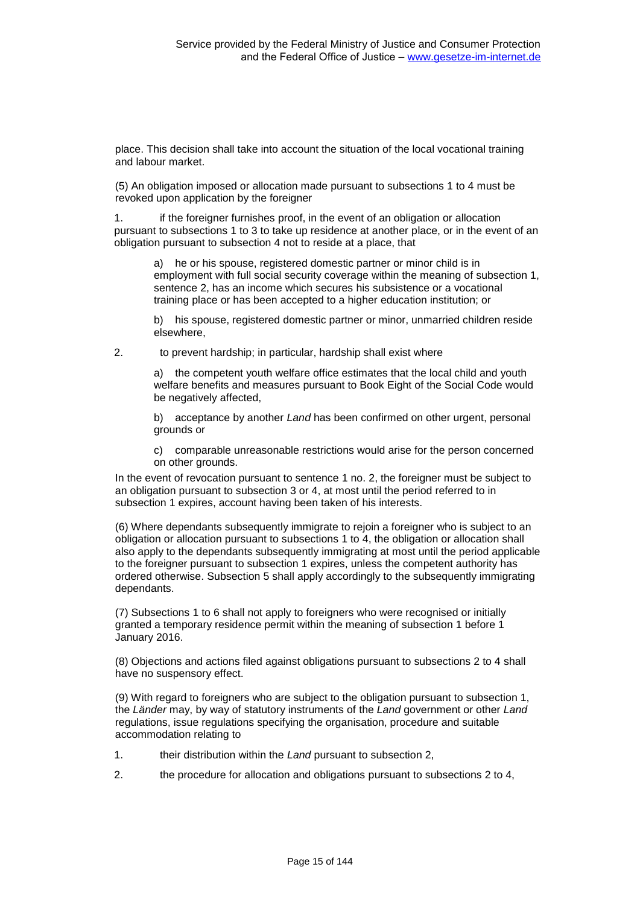place. This decision shall take into account the situation of the local vocational training and labour market.

(5) An obligation imposed or allocation made pursuant to subsections 1 to 4 must be revoked upon application by the foreigner

1. if the foreigner furnishes proof, in the event of an obligation or allocation pursuant to subsections 1 to 3 to take up residence at another place, or in the event of an obligation pursuant to subsection 4 not to reside at a place, that

a) he or his spouse, registered domestic partner or minor child is in employment with full social security coverage within the meaning of subsection 1, sentence 2, has an income which secures his subsistence or a vocational training place or has been accepted to a higher education institution; or

b) his spouse, registered domestic partner or minor, unmarried children reside elsewhere,

2. to prevent hardship; in particular, hardship shall exist where

a) the competent youth welfare office estimates that the local child and youth welfare benefits and measures pursuant to Book Eight of the Social Code would be negatively affected,

b) acceptance by another *Land* has been confirmed on other urgent, personal grounds or

c) comparable unreasonable restrictions would arise for the person concerned on other grounds.

In the event of revocation pursuant to sentence 1 no. 2, the foreigner must be subject to an obligation pursuant to subsection 3 or 4, at most until the period referred to in subsection 1 expires, account having been taken of his interests.

(6) Where dependants subsequently immigrate to rejoin a foreigner who is subject to an obligation or allocation pursuant to subsections 1 to 4, the obligation or allocation shall also apply to the dependants subsequently immigrating at most until the period applicable to the foreigner pursuant to subsection 1 expires, unless the competent authority has ordered otherwise. Subsection 5 shall apply accordingly to the subsequently immigrating dependants.

(7) Subsections 1 to 6 shall not apply to foreigners who were recognised or initially granted a temporary residence permit within the meaning of subsection 1 before 1 January 2016.

(8) Objections and actions filed against obligations pursuant to subsections 2 to 4 shall have no suspensory effect.

(9) With regard to foreigners who are subject to the obligation pursuant to subsection 1, the *Länder* may, by way of statutory instruments of the *Land* government or other *Land* regulations, issue regulations specifying the organisation, procedure and suitable accommodation relating to

- 1. their distribution within the *Land* pursuant to subsection 2,
- 2. the procedure for allocation and obligations pursuant to subsections 2 to 4,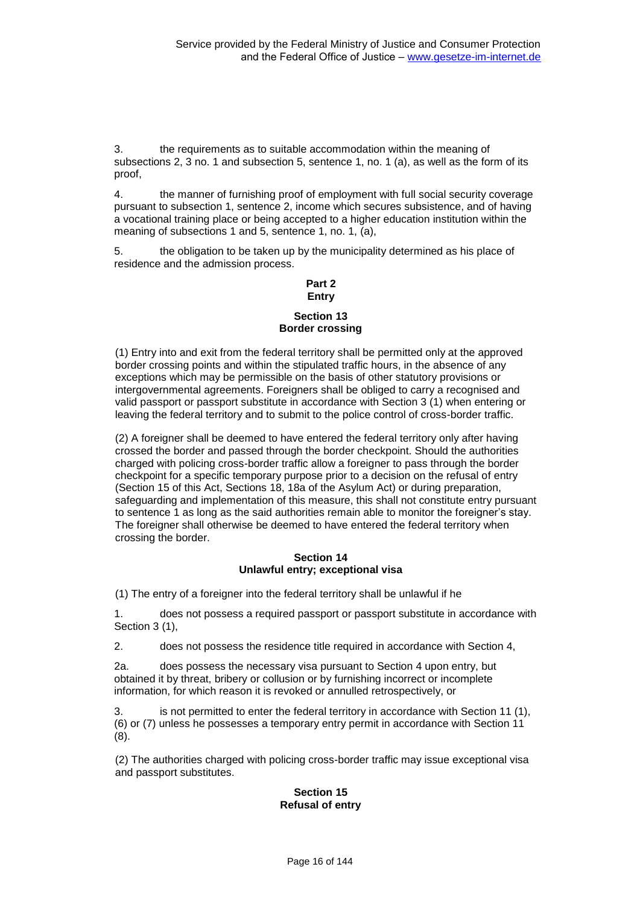3. the requirements as to suitable accommodation within the meaning of subsections 2, 3 no. 1 and subsection 5, sentence 1, no. 1 (a), as well as the form of its proof,

4. the manner of furnishing proof of employment with full social security coverage pursuant to subsection 1, sentence 2, income which secures subsistence, and of having a vocational training place or being accepted to a higher education institution within the meaning of subsections 1 and 5, sentence 1, no. 1, (a),

5. the obligation to be taken up by the municipality determined as his place of residence and the admission process.

# **Part 2 Entry**

### **Section 13 Border crossing**

(1) Entry into and exit from the federal territory shall be permitted only at the approved border crossing points and within the stipulated traffic hours, in the absence of any exceptions which may be permissible on the basis of other statutory provisions or intergovernmental agreements. Foreigners shall be obliged to carry a recognised and valid passport or passport substitute in accordance with Section 3 (1) when entering or leaving the federal territory and to submit to the police control of cross-border traffic.

(2) A foreigner shall be deemed to have entered the federal territory only after having crossed the border and passed through the border checkpoint. Should the authorities charged with policing cross-border traffic allow a foreigner to pass through the border checkpoint for a specific temporary purpose prior to a decision on the refusal of entry (Section 15 of this Act, Sections 18, 18a of the Asylum Act) or during preparation, safeguarding and implementation of this measure, this shall not constitute entry pursuant to sentence 1 as long as the said authorities remain able to monitor the foreigner's stay. The foreigner shall otherwise be deemed to have entered the federal territory when crossing the border.

# **Section 14 Unlawful entry; exceptional visa**

(1) The entry of a foreigner into the federal territory shall be unlawful if he

1. does not possess a required passport or passport substitute in accordance with Section 3 (1),

2. does not possess the residence title required in accordance with Section 4,

2a. does possess the necessary visa pursuant to Section 4 upon entry, but obtained it by threat, bribery or collusion or by furnishing incorrect or incomplete information, for which reason it is revoked or annulled retrospectively, or

3. is not permitted to enter the federal territory in accordance with Section 11 (1), (6) or (7) unless he possesses a temporary entry permit in accordance with Section 11 (8).

(2) The authorities charged with policing cross-border traffic may issue exceptional visa and passport substitutes.

# **Section 15 Refusal of entry**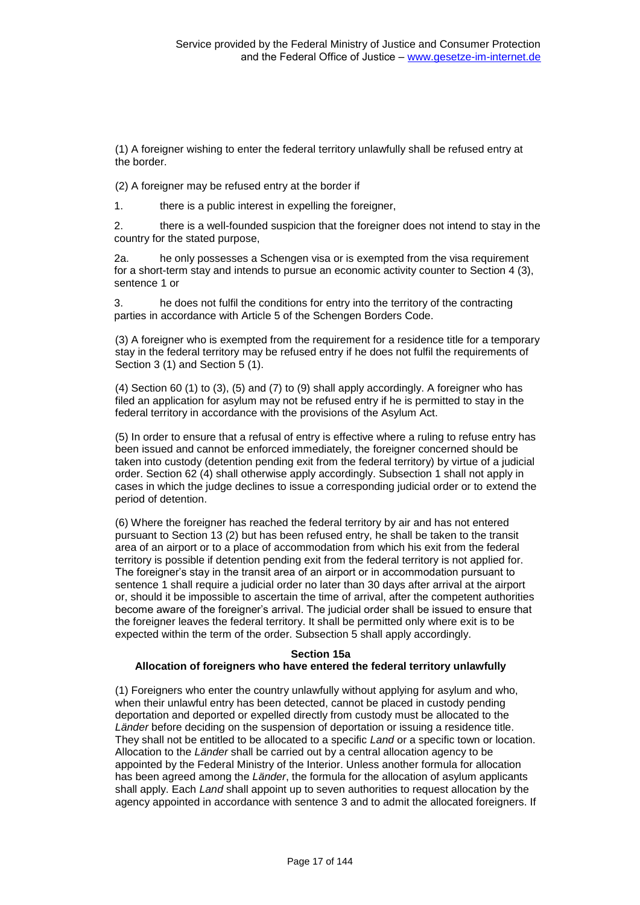(1) A foreigner wishing to enter the federal territory unlawfully shall be refused entry at the border.

(2) A foreigner may be refused entry at the border if

1. there is a public interest in expelling the foreigner,

2. there is a well-founded suspicion that the foreigner does not intend to stay in the country for the stated purpose,

2a. he only possesses a Schengen visa or is exempted from the visa requirement for a short-term stay and intends to pursue an economic activity counter to Section 4 (3), sentence 1 or

3. he does not fulfil the conditions for entry into the territory of the contracting parties in accordance with Article 5 of the Schengen Borders Code.

(3) A foreigner who is exempted from the requirement for a residence title for a temporary stay in the federal territory may be refused entry if he does not fulfil the requirements of Section 3 (1) and Section 5 (1).

(4) Section 60 (1) to (3), (5) and (7) to (9) shall apply accordingly. A foreigner who has filed an application for asylum may not be refused entry if he is permitted to stay in the federal territory in accordance with the provisions of the Asylum Act.

(5) In order to ensure that a refusal of entry is effective where a ruling to refuse entry has been issued and cannot be enforced immediately, the foreigner concerned should be taken into custody (detention pending exit from the federal territory) by virtue of a judicial order. Section 62 (4) shall otherwise apply accordingly. Subsection 1 shall not apply in cases in which the judge declines to issue a corresponding judicial order or to extend the period of detention.

(6) Where the foreigner has reached the federal territory by air and has not entered pursuant to Section 13 (2) but has been refused entry, he shall be taken to the transit area of an airport or to a place of accommodation from which his exit from the federal territory is possible if detention pending exit from the federal territory is not applied for. The foreigner's stay in the transit area of an airport or in accommodation pursuant to sentence 1 shall require a judicial order no later than 30 days after arrival at the airport or, should it be impossible to ascertain the time of arrival, after the competent authorities become aware of the foreigner's arrival. The judicial order shall be issued to ensure that the foreigner leaves the federal territory. It shall be permitted only where exit is to be expected within the term of the order. Subsection 5 shall apply accordingly.

### **Section 15a**

# **Allocation of foreigners who have entered the federal territory unlawfully**

(1) Foreigners who enter the country unlawfully without applying for asylum and who, when their unlawful entry has been detected, cannot be placed in custody pending deportation and deported or expelled directly from custody must be allocated to the *Länder* before deciding on the suspension of deportation or issuing a residence title. They shall not be entitled to be allocated to a specific *Land* or a specific town or location. Allocation to the *Länder* shall be carried out by a central allocation agency to be appointed by the Federal Ministry of the Interior. Unless another formula for allocation has been agreed among the *Länder*, the formula for the allocation of asylum applicants shall apply. Each *Land* shall appoint up to seven authorities to request allocation by the agency appointed in accordance with sentence 3 and to admit the allocated foreigners. If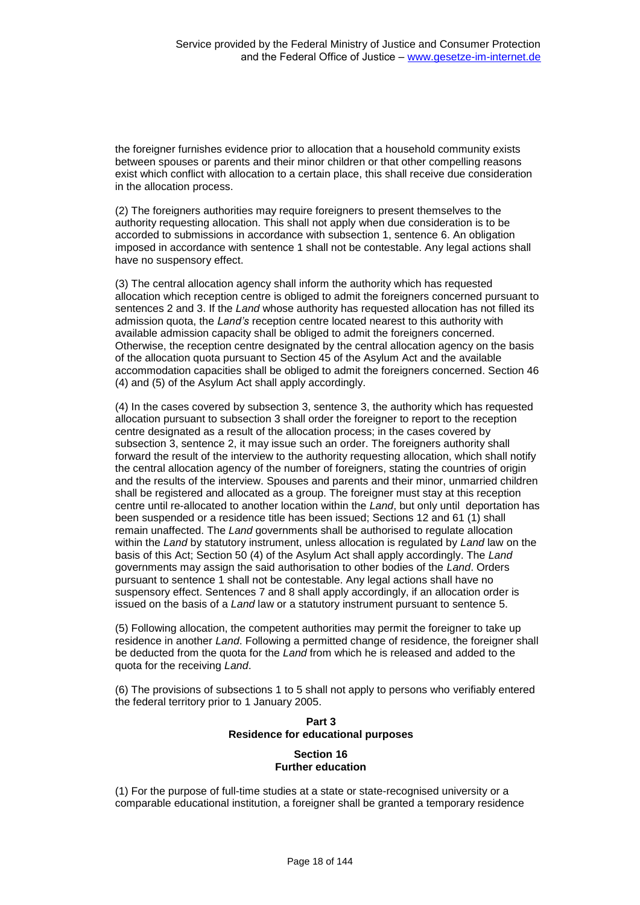the foreigner furnishes evidence prior to allocation that a household community exists between spouses or parents and their minor children or that other compelling reasons exist which conflict with allocation to a certain place, this shall receive due consideration in the allocation process.

(2) The foreigners authorities may require foreigners to present themselves to the authority requesting allocation. This shall not apply when due consideration is to be accorded to submissions in accordance with subsection 1, sentence 6. An obligation imposed in accordance with sentence 1 shall not be contestable. Any legal actions shall have no suspensory effect.

(3) The central allocation agency shall inform the authority which has requested allocation which reception centre is obliged to admit the foreigners concerned pursuant to sentences 2 and 3. If the *Land* whose authority has requested allocation has not filled its admission quota, the *Land's* reception centre located nearest to this authority with available admission capacity shall be obliged to admit the foreigners concerned. Otherwise, the reception centre designated by the central allocation agency on the basis of the allocation quota pursuant to Section 45 of the Asylum Act and the available accommodation capacities shall be obliged to admit the foreigners concerned. Section 46 (4) and (5) of the Asylum Act shall apply accordingly.

(4) In the cases covered by subsection 3, sentence 3, the authority which has requested allocation pursuant to subsection 3 shall order the foreigner to report to the reception centre designated as a result of the allocation process; in the cases covered by subsection 3, sentence 2, it may issue such an order. The foreigners authority shall forward the result of the interview to the authority requesting allocation, which shall notify the central allocation agency of the number of foreigners, stating the countries of origin and the results of the interview. Spouses and parents and their minor, unmarried children shall be registered and allocated as a group. The foreigner must stay at this reception centre until re-allocated to another location within the *Land*, but only until deportation has been suspended or a residence title has been issued; Sections 12 and 61 (1) shall remain unaffected. The *Land* governments shall be authorised to regulate allocation within the *Land* by statutory instrument, unless allocation is regulated by *Land* law on the basis of this Act; Section 50 (4) of the Asylum Act shall apply accordingly. The *Land* governments may assign the said authorisation to other bodies of the *Land*. Orders pursuant to sentence 1 shall not be contestable. Any legal actions shall have no suspensory effect. Sentences 7 and 8 shall apply accordingly, if an allocation order is issued on the basis of a *Land* law or a statutory instrument pursuant to sentence 5.

(5) Following allocation, the competent authorities may permit the foreigner to take up residence in another *Land*. Following a permitted change of residence, the foreigner shall be deducted from the quota for the *Land* from which he is released and added to the quota for the receiving *Land*.

(6) The provisions of subsections 1 to 5 shall not apply to persons who verifiably entered the federal territory prior to 1 January 2005.

# **Part 3 Residence for educational purposes**

### **Section 16 Further education**

(1) For the purpose of full-time studies at a state or state-recognised university or a comparable educational institution, a foreigner shall be granted a temporary residence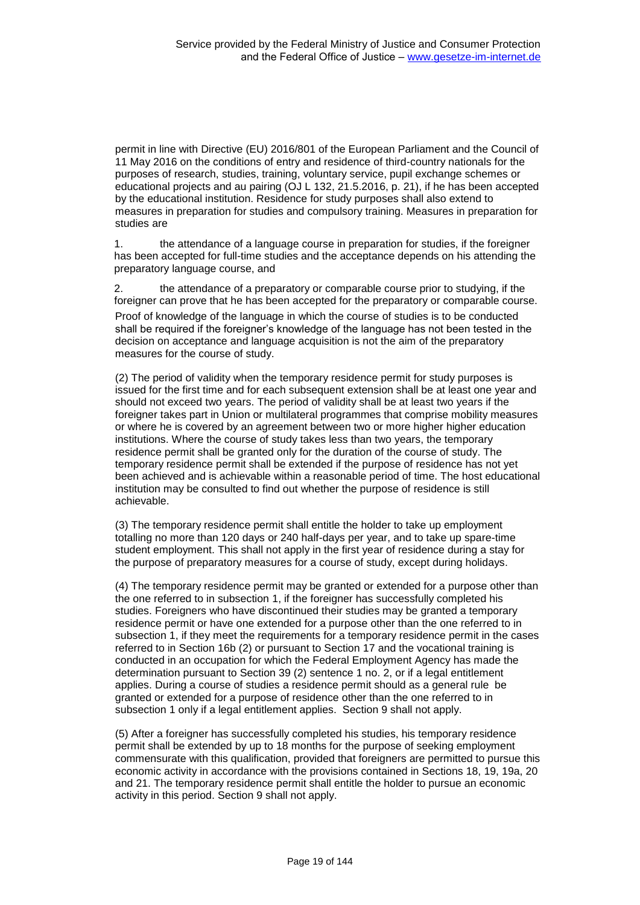permit in line with Directive (EU) 2016/801 of the European Parliament and the Council of 11 May 2016 on the conditions of entry and residence of third-country nationals for the purposes of research, studies, training, voluntary service, pupil exchange schemes or educational projects and au pairing (OJ L 132, 21.5.2016, p. 21), if he has been accepted by the educational institution. Residence for study purposes shall also extend to measures in preparation for studies and compulsory training. Measures in preparation for studies are

1. the attendance of a language course in preparation for studies, if the foreigner has been accepted for full-time studies and the acceptance depends on his attending the preparatory language course, and

2. the attendance of a preparatory or comparable course prior to studying, if the foreigner can prove that he has been accepted for the preparatory or comparable course. Proof of knowledge of the language in which the course of studies is to be conducted shall be required if the foreigner's knowledge of the language has not been tested in the decision on acceptance and language acquisition is not the aim of the preparatory measures for the course of study.

(2) The period of validity when the temporary residence permit for study purposes is issued for the first time and for each subsequent extension shall be at least one year and should not exceed two years. The period of validity shall be at least two years if the foreigner takes part in Union or multilateral programmes that comprise mobility measures or where he is covered by an agreement between two or more higher higher education institutions. Where the course of study takes less than two years, the temporary residence permit shall be granted only for the duration of the course of study. The temporary residence permit shall be extended if the purpose of residence has not yet been achieved and is achievable within a reasonable period of time. The host educational institution may be consulted to find out whether the purpose of residence is still achievable.

(3) The temporary residence permit shall entitle the holder to take up employment totalling no more than 120 days or 240 half-days per year, and to take up spare-time student employment. This shall not apply in the first year of residence during a stay for the purpose of preparatory measures for a course of study, except during holidays.

(4) The temporary residence permit may be granted or extended for a purpose other than the one referred to in subsection 1, if the foreigner has successfully completed his studies. Foreigners who have discontinued their studies may be granted a temporary residence permit or have one extended for a purpose other than the one referred to in subsection 1, if they meet the requirements for a temporary residence permit in the cases referred to in Section 16b (2) or pursuant to Section 17 and the vocational training is conducted in an occupation for which the Federal Employment Agency has made the determination pursuant to Section 39 (2) sentence 1 no. 2, or if a legal entitlement applies. During a course of studies a residence permit should as a general rule be granted or extended for a purpose of residence other than the one referred to in subsection 1 only if a legal entitlement applies. Section 9 shall not apply.

(5) After a foreigner has successfully completed his studies, his temporary residence permit shall be extended by up to 18 months for the purpose of seeking employment commensurate with this qualification, provided that foreigners are permitted to pursue this economic activity in accordance with the provisions contained in Sections 18, 19, 19a, 20 and 21. The temporary residence permit shall entitle the holder to pursue an economic activity in this period. Section 9 shall not apply.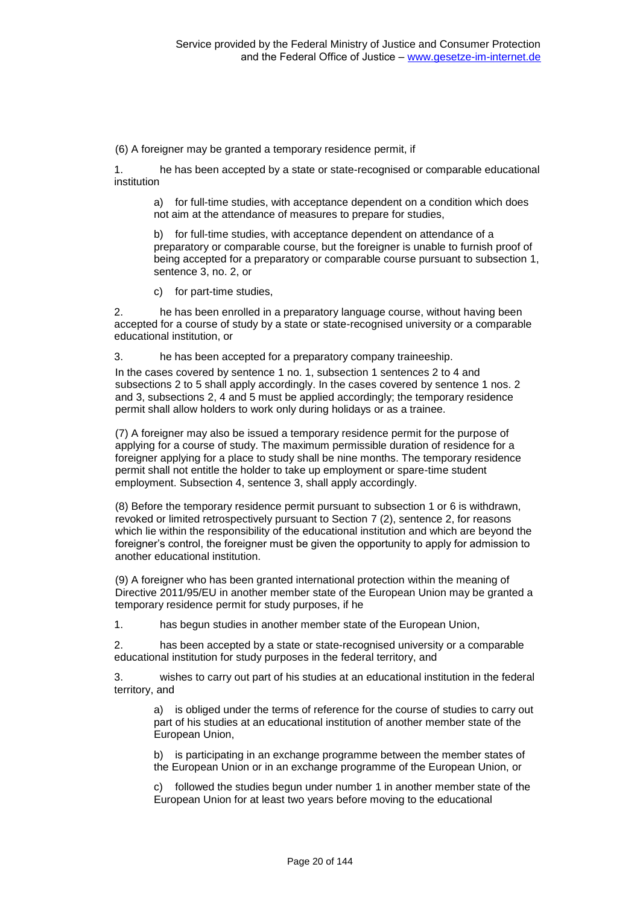(6) A foreigner may be granted a temporary residence permit, if

1. he has been accepted by a state or state-recognised or comparable educational institution

a) for full-time studies, with acceptance dependent on a condition which does not aim at the attendance of measures to prepare for studies,

b) for full-time studies, with acceptance dependent on attendance of a preparatory or comparable course, but the foreigner is unable to furnish proof of being accepted for a preparatory or comparable course pursuant to subsection 1, sentence 3, no. 2, or

c) for part-time studies,

2. he has been enrolled in a preparatory language course, without having been accepted for a course of study by a state or state-recognised university or a comparable educational institution, or

3. he has been accepted for a preparatory company traineeship.

In the cases covered by sentence 1 no. 1, subsection 1 sentences 2 to 4 and subsections 2 to 5 shall apply accordingly. In the cases covered by sentence 1 nos. 2 and 3, subsections 2, 4 and 5 must be applied accordingly; the temporary residence permit shall allow holders to work only during holidays or as a trainee.

(7) A foreigner may also be issued a temporary residence permit for the purpose of applying for a course of study. The maximum permissible duration of residence for a foreigner applying for a place to study shall be nine months. The temporary residence permit shall not entitle the holder to take up employment or spare-time student employment. Subsection 4, sentence 3, shall apply accordingly.

(8) Before the temporary residence permit pursuant to subsection 1 or 6 is withdrawn, revoked or limited retrospectively pursuant to Section 7 (2), sentence 2, for reasons which lie within the responsibility of the educational institution and which are beyond the foreigner's control, the foreigner must be given the opportunity to apply for admission to another educational institution.

(9) A foreigner who has been granted international protection within the meaning of Directive 2011/95/EU in another member state of the European Union may be granted a temporary residence permit for study purposes, if he

1. has begun studies in another member state of the European Union,

2. has been accepted by a state or state-recognised university or a comparable educational institution for study purposes in the federal territory, and

3. wishes to carry out part of his studies at an educational institution in the federal territory, and

a) is obliged under the terms of reference for the course of studies to carry out part of his studies at an educational institution of another member state of the European Union,

b) is participating in an exchange programme between the member states of the European Union or in an exchange programme of the European Union, or

c) followed the studies begun under number 1 in another member state of the European Union for at least two years before moving to the educational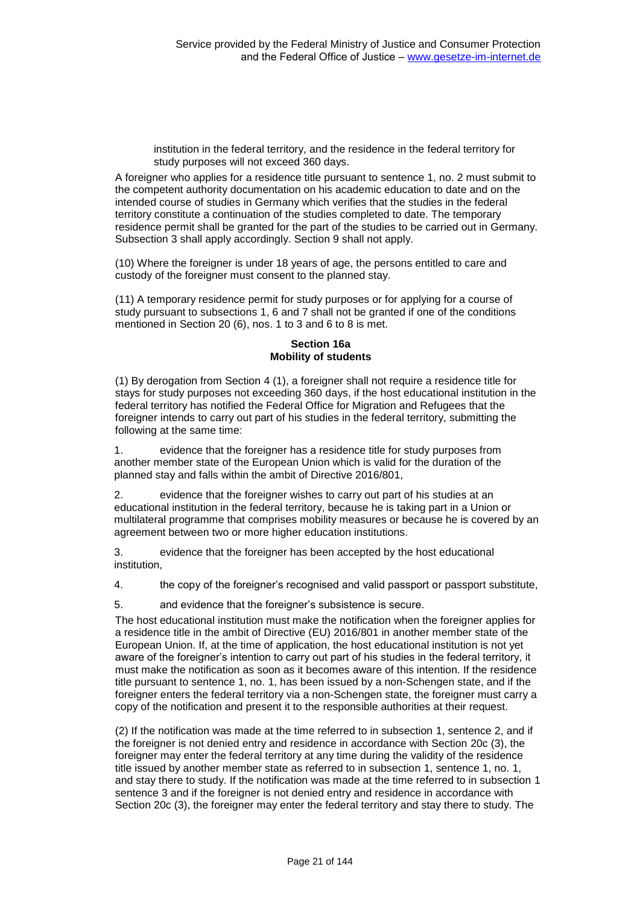institution in the federal territory, and the residence in the federal territory for study purposes will not exceed 360 days.

A foreigner who applies for a residence title pursuant to sentence 1, no. 2 must submit to the competent authority documentation on his academic education to date and on the intended course of studies in Germany which verifies that the studies in the federal territory constitute a continuation of the studies completed to date. The temporary residence permit shall be granted for the part of the studies to be carried out in Germany. Subsection 3 shall apply accordingly. Section 9 shall not apply.

(10) Where the foreigner is under 18 years of age, the persons entitled to care and custody of the foreigner must consent to the planned stay.

(11) A temporary residence permit for study purposes or for applying for a course of study pursuant to subsections 1, 6 and 7 shall not be granted if one of the conditions mentioned in Section 20 (6), nos. 1 to 3 and 6 to 8 is met.

### **Section 16a Mobility of students**

(1) By derogation from Section 4 (1), a foreigner shall not require a residence title for stays for study purposes not exceeding 360 days, if the host educational institution in the federal territory has notified the Federal Office for Migration and Refugees that the foreigner intends to carry out part of his studies in the federal territory, submitting the following at the same time:

1. evidence that the foreigner has a residence title for study purposes from another member state of the European Union which is valid for the duration of the planned stay and falls within the ambit of Directive 2016/801,

2. evidence that the foreigner wishes to carry out part of his studies at an educational institution in the federal territory, because he is taking part in a Union or multilateral programme that comprises mobility measures or because he is covered by an agreement between two or more higher education institutions.

3. evidence that the foreigner has been accepted by the host educational institution,

4. the copy of the foreigner's recognised and valid passport or passport substitute,

5. and evidence that the foreigner's subsistence is secure.

The host educational institution must make the notification when the foreigner applies for a residence title in the ambit of Directive (EU) 2016/801 in another member state of the European Union. If, at the time of application, the host educational institution is not yet aware of the foreigner's intention to carry out part of his studies in the federal territory, it must make the notification as soon as it becomes aware of this intention. If the residence title pursuant to sentence 1, no. 1, has been issued by a non-Schengen state, and if the foreigner enters the federal territory via a non-Schengen state, the foreigner must carry a copy of the notification and present it to the responsible authorities at their request.

(2) If the notification was made at the time referred to in subsection 1, sentence 2, and if the foreigner is not denied entry and residence in accordance with Section 20c (3), the foreigner may enter the federal territory at any time during the validity of the residence title issued by another member state as referred to in subsection 1, sentence 1, no. 1, and stay there to study. If the notification was made at the time referred to in subsection 1 sentence 3 and if the foreigner is not denied entry and residence in accordance with Section 20c (3), the foreigner may enter the federal territory and stay there to study. The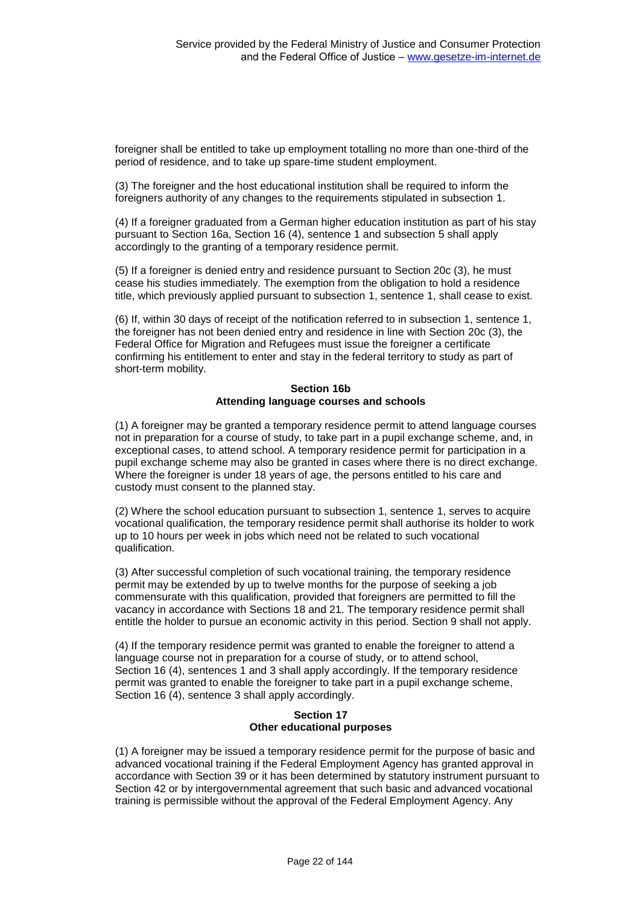foreigner shall be entitled to take up employment totalling no more than one-third of the period of residence, and to take up spare-time student employment.

(3) The foreigner and the host educational institution shall be required to inform the foreigners authority of any changes to the requirements stipulated in subsection 1.

(4) If a foreigner graduated from a German higher education institution as part of his stay pursuant to Section 16a, Section 16 (4), sentence 1 and subsection 5 shall apply accordingly to the granting of a temporary residence permit.

(5) If a foreigner is denied entry and residence pursuant to Section 20c (3), he must cease his studies immediately. The exemption from the obligation to hold a residence title, which previously applied pursuant to subsection 1, sentence 1, shall cease to exist.

(6) If, within 30 days of receipt of the notification referred to in subsection 1, sentence 1, the foreigner has not been denied entry and residence in line with Section 20c (3), the Federal Office for Migration and Refugees must issue the foreigner a certificate confirming his entitlement to enter and stay in the federal territory to study as part of short-term mobility.

### **Section 16b Attending language courses and schools**

(1) A foreigner may be granted a temporary residence permit to attend language courses not in preparation for a course of study, to take part in a pupil exchange scheme, and, in exceptional cases, to attend school. A temporary residence permit for participation in a pupil exchange scheme may also be granted in cases where there is no direct exchange. Where the foreigner is under 18 years of age, the persons entitled to his care and custody must consent to the planned stay.

(2) Where the school education pursuant to subsection 1, sentence 1, serves to acquire vocational qualification, the temporary residence permit shall authorise its holder to work up to 10 hours per week in jobs which need not be related to such vocational qualification.

(3) After successful completion of such vocational training, the temporary residence permit may be extended by up to twelve months for the purpose of seeking a job commensurate with this qualification, provided that foreigners are permitted to fill the vacancy in accordance with Sections 18 and 21. The temporary residence permit shall entitle the holder to pursue an economic activity in this period. Section 9 shall not apply.

(4) If the temporary residence permit was granted to enable the foreigner to attend a language course not in preparation for a course of study, or to attend school, Section 16 (4), sentences 1 and 3 shall apply accordingly. If the temporary residence permit was granted to enable the foreigner to take part in a pupil exchange scheme, Section 16 (4), sentence 3 shall apply accordingly.

### **Section 17 Other educational purposes**

(1) A foreigner may be issued a temporary residence permit for the purpose of basic and advanced vocational training if the Federal Employment Agency has granted approval in accordance with Section 39 or it has been determined by statutory instrument pursuant to Section 42 or by intergovernmental agreement that such basic and advanced vocational training is permissible without the approval of the Federal Employment Agency. Any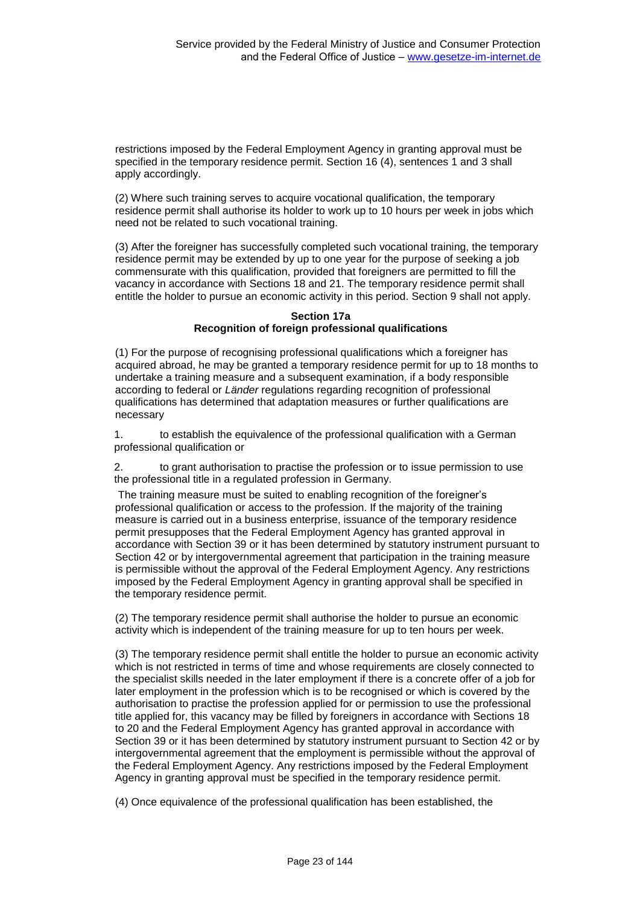restrictions imposed by the Federal Employment Agency in granting approval must be specified in the temporary residence permit. Section 16 (4), sentences 1 and 3 shall apply accordingly.

(2) Where such training serves to acquire vocational qualification, the temporary residence permit shall authorise its holder to work up to 10 hours per week in jobs which need not be related to such vocational training.

(3) After the foreigner has successfully completed such vocational training, the temporary residence permit may be extended by up to one year for the purpose of seeking a job commensurate with this qualification, provided that foreigners are permitted to fill the vacancy in accordance with Sections 18 and 21. The temporary residence permit shall entitle the holder to pursue an economic activity in this period. Section 9 shall not apply.

### **Section 17a Recognition of foreign professional qualifications**

(1) For the purpose of recognising professional qualifications which a foreigner has acquired abroad, he may be granted a temporary residence permit for up to 18 months to undertake a training measure and a subsequent examination, if a body responsible according to federal or *Länder* regulations regarding recognition of professional qualifications has determined that adaptation measures or further qualifications are necessary

1. to establish the equivalence of the professional qualification with a German professional qualification or

2. to grant authorisation to practise the profession or to issue permission to use the professional title in a regulated profession in Germany.

The training measure must be suited to enabling recognition of the foreigner's professional qualification or access to the profession. If the majority of the training measure is carried out in a business enterprise, issuance of the temporary residence permit presupposes that the Federal Employment Agency has granted approval in accordance with Section 39 or it has been determined by statutory instrument pursuant to Section 42 or by intergovernmental agreement that participation in the training measure is permissible without the approval of the Federal Employment Agency. Any restrictions imposed by the Federal Employment Agency in granting approval shall be specified in the temporary residence permit.

(2) The temporary residence permit shall authorise the holder to pursue an economic activity which is independent of the training measure for up to ten hours per week.

(3) The temporary residence permit shall entitle the holder to pursue an economic activity which is not restricted in terms of time and whose requirements are closely connected to the specialist skills needed in the later employment if there is a concrete offer of a job for later employment in the profession which is to be recognised or which is covered by the authorisation to practise the profession applied for or permission to use the professional title applied for, this vacancy may be filled by foreigners in accordance with Sections 18 to 20 and the Federal Employment Agency has granted approval in accordance with Section 39 or it has been determined by statutory instrument pursuant to Section 42 or by intergovernmental agreement that the employment is permissible without the approval of the Federal Employment Agency. Any restrictions imposed by the Federal Employment Agency in granting approval must be specified in the temporary residence permit.

(4) Once equivalence of the professional qualification has been established, the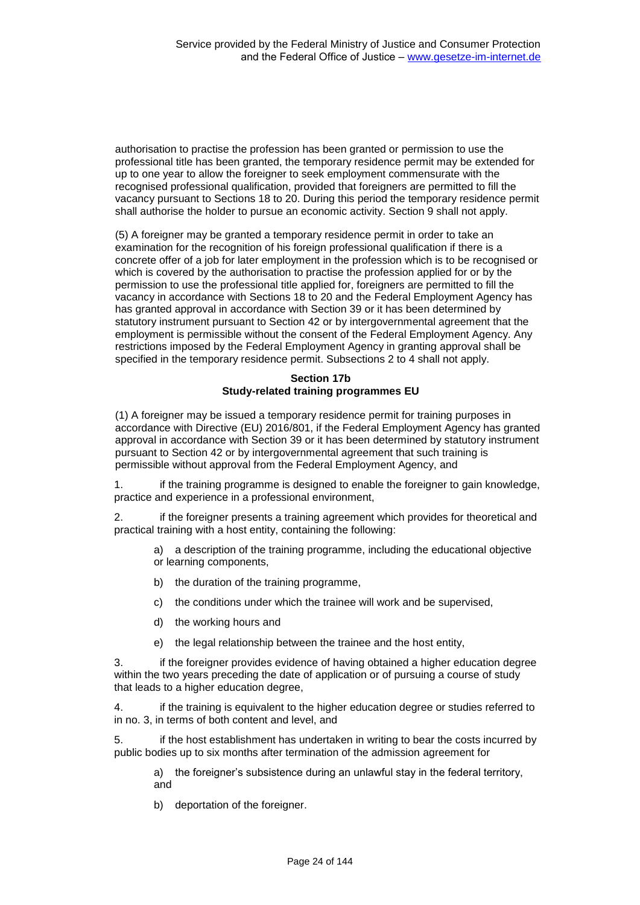authorisation to practise the profession has been granted or permission to use the professional title has been granted, the temporary residence permit may be extended for up to one year to allow the foreigner to seek employment commensurate with the recognised professional qualification, provided that foreigners are permitted to fill the vacancy pursuant to Sections 18 to 20. During this period the temporary residence permit shall authorise the holder to pursue an economic activity. Section 9 shall not apply.

(5) A foreigner may be granted a temporary residence permit in order to take an examination for the recognition of his foreign professional qualification if there is a concrete offer of a job for later employment in the profession which is to be recognised or which is covered by the authorisation to practise the profession applied for or by the permission to use the professional title applied for, foreigners are permitted to fill the vacancy in accordance with Sections 18 to 20 and the Federal Employment Agency has has granted approval in accordance with Section 39 or it has been determined by statutory instrument pursuant to Section 42 or by intergovernmental agreement that the employment is permissible without the consent of the Federal Employment Agency. Any restrictions imposed by the Federal Employment Agency in granting approval shall be specified in the temporary residence permit. Subsections 2 to 4 shall not apply.

### **Section 17b Study-related training programmes EU**

(1) A foreigner may be issued a temporary residence permit for training purposes in accordance with Directive (EU) 2016/801, if the Federal Employment Agency has granted approval in accordance with Section 39 or it has been determined by statutory instrument pursuant to Section 42 or by intergovernmental agreement that such training is permissible without approval from the Federal Employment Agency, and

1. if the training programme is designed to enable the foreigner to gain knowledge, practice and experience in a professional environment,

2. if the foreigner presents a training agreement which provides for theoretical and practical training with a host entity, containing the following:

a) a description of the training programme, including the educational objective or learning components,

- b) the duration of the training programme,
- c) the conditions under which the trainee will work and be supervised,
- d) the working hours and
- e) the legal relationship between the trainee and the host entity,

3. if the foreigner provides evidence of having obtained a higher education degree within the two years preceding the date of application or of pursuing a course of study that leads to a higher education degree,

4. if the training is equivalent to the higher education degree or studies referred to in no. 3, in terms of both content and level, and

5. if the host establishment has undertaken in writing to bear the costs incurred by public bodies up to six months after termination of the admission agreement for

a) the foreigner's subsistence during an unlawful stay in the federal territory, and

b) deportation of the foreigner.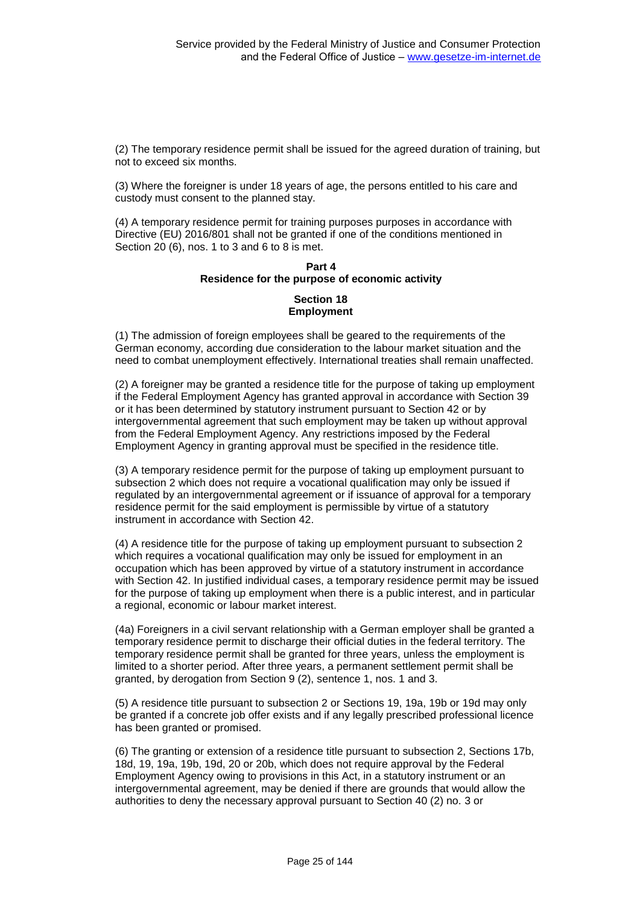(2) The temporary residence permit shall be issued for the agreed duration of training, but not to exceed six months.

(3) Where the foreigner is under 18 years of age, the persons entitled to his care and custody must consent to the planned stay.

(4) A temporary residence permit for training purposes purposes in accordance with Directive (EU) 2016/801 shall not be granted if one of the conditions mentioned in Section 20 (6), nos. 1 to 3 and 6 to 8 is met.

# **Part 4 Residence for the purpose of economic activity**

# **Section 18 Employment**

(1) The admission of foreign employees shall be geared to the requirements of the German economy, according due consideration to the labour market situation and the need to combat unemployment effectively. International treaties shall remain unaffected.

(2) A foreigner may be granted a residence title for the purpose of taking up employment if the Federal Employment Agency has granted approval in accordance with Section 39 or it has been determined by statutory instrument pursuant to Section 42 or by intergovernmental agreement that such employment may be taken up without approval from the Federal Employment Agency. Any restrictions imposed by the Federal Employment Agency in granting approval must be specified in the residence title.

(3) A temporary residence permit for the purpose of taking up employment pursuant to subsection 2 which does not require a vocational qualification may only be issued if regulated by an intergovernmental agreement or if issuance of approval for a temporary residence permit for the said employment is permissible by virtue of a statutory instrument in accordance with Section 42.

(4) A residence title for the purpose of taking up employment pursuant to subsection 2 which requires a vocational qualification may only be issued for employment in an occupation which has been approved by virtue of a statutory instrument in accordance with Section 42. In justified individual cases, a temporary residence permit may be issued for the purpose of taking up employment when there is a public interest, and in particular a regional, economic or labour market interest.

(4a) Foreigners in a civil servant relationship with a German employer shall be granted a temporary residence permit to discharge their official duties in the federal territory. The temporary residence permit shall be granted for three years, unless the employment is limited to a shorter period. After three years, a permanent settlement permit shall be granted, by derogation from Section 9 (2), sentence 1, nos. 1 and 3.

(5) A residence title pursuant to subsection 2 or Sections 19, 19a, 19b or 19d may only be granted if a concrete job offer exists and if any legally prescribed professional licence has been granted or promised.

(6) The granting or extension of a residence title pursuant to subsection 2, Sections 17b, 18d, 19, 19a, 19b, 19d, 20 or 20b, which does not require approval by the Federal Employment Agency owing to provisions in this Act, in a statutory instrument or an intergovernmental agreement, may be denied if there are grounds that would allow the authorities to deny the necessary approval pursuant to Section 40 (2) no. 3 or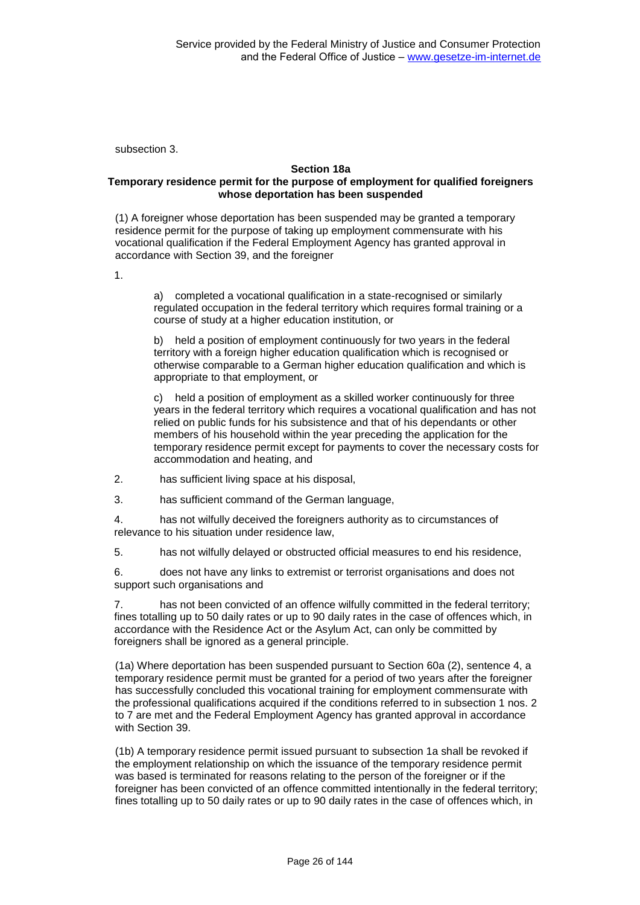subsection 3.

### **Section 18a**

# **Temporary residence permit for the purpose of employment for qualified foreigners whose deportation has been suspended**

(1) A foreigner whose deportation has been suspended may be granted a temporary residence permit for the purpose of taking up employment commensurate with his vocational qualification if the Federal Employment Agency has granted approval in accordance with Section 39, and the foreigner

1.

a) completed a vocational qualification in a state-recognised or similarly regulated occupation in the federal territory which requires formal training or a course of study at a higher education institution, or

b) held a position of employment continuously for two years in the federal territory with a foreign higher education qualification which is recognised or otherwise comparable to a German higher education qualification and which is appropriate to that employment, or

c) held a position of employment as a skilled worker continuously for three years in the federal territory which requires a vocational qualification and has not relied on public funds for his subsistence and that of his dependants or other members of his household within the year preceding the application for the temporary residence permit except for payments to cover the necessary costs for accommodation and heating, and

- 2. has sufficient living space at his disposal,
- 3. has sufficient command of the German language,

4. has not wilfully deceived the foreigners authority as to circumstances of relevance to his situation under residence law,

5. has not wilfully delayed or obstructed official measures to end his residence,

6. does not have any links to extremist or terrorist organisations and does not support such organisations and

7. has not been convicted of an offence wilfully committed in the federal territory; fines totalling up to 50 daily rates or up to 90 daily rates in the case of offences which, in accordance with the Residence Act or the Asylum Act, can only be committed by foreigners shall be ignored as a general principle.

(1a) Where deportation has been suspended pursuant to Section 60a (2), sentence 4, a temporary residence permit must be granted for a period of two years after the foreigner has successfully concluded this vocational training for employment commensurate with the professional qualifications acquired if the conditions referred to in subsection 1 nos. 2 to 7 are met and the Federal Employment Agency has granted approval in accordance with Section 39.

(1b) A temporary residence permit issued pursuant to subsection 1a shall be revoked if the employment relationship on which the issuance of the temporary residence permit was based is terminated for reasons relating to the person of the foreigner or if the foreigner has been convicted of an offence committed intentionally in the federal territory; fines totalling up to 50 daily rates or up to 90 daily rates in the case of offences which, in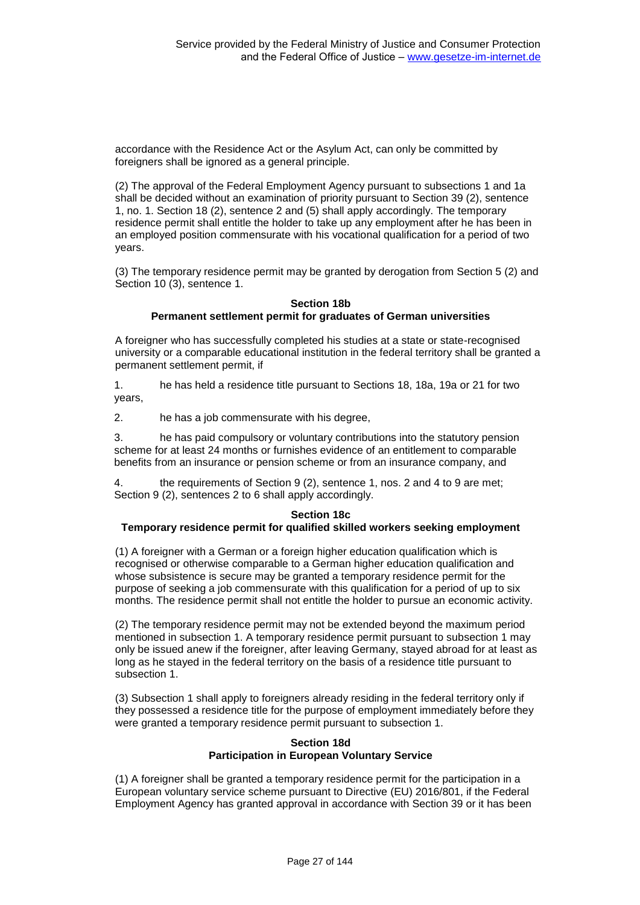accordance with the Residence Act or the Asylum Act, can only be committed by foreigners shall be ignored as a general principle.

(2) The approval of the Federal Employment Agency pursuant to subsections 1 and 1a shall be decided without an examination of priority pursuant to Section 39 (2), sentence 1, no. 1. Section 18 (2), sentence 2 and (5) shall apply accordingly. The temporary residence permit shall entitle the holder to take up any employment after he has been in an employed position commensurate with his vocational qualification for a period of two years.

(3) The temporary residence permit may be granted by derogation from Section 5 (2) and Section 10 (3), sentence 1.

#### **Section 18b Permanent settlement permit for graduates of German universities**

A foreigner who has successfully completed his studies at a state or state-recognised university or a comparable educational institution in the federal territory shall be granted a permanent settlement permit, if

1. he has held a residence title pursuant to Sections 18, 18a, 19a or 21 for two years,

2. he has a job commensurate with his degree,

3. he has paid compulsory or voluntary contributions into the statutory pension scheme for at least 24 months or furnishes evidence of an entitlement to comparable benefits from an insurance or pension scheme or from an insurance company, and

4. the requirements of Section 9 (2), sentence 1, nos. 2 and 4 to 9 are met; Section 9 (2), sentences 2 to 6 shall apply accordingly.

### **Section 18c**

### **Temporary residence permit for qualified skilled workers seeking employment**

(1) A foreigner with a German or a foreign higher education qualification which is recognised or otherwise comparable to a German higher education qualification and whose subsistence is secure may be granted a temporary residence permit for the purpose of seeking a job commensurate with this qualification for a period of up to six months. The residence permit shall not entitle the holder to pursue an economic activity.

(2) The temporary residence permit may not be extended beyond the maximum period mentioned in subsection 1. A temporary residence permit pursuant to subsection 1 may only be issued anew if the foreigner, after leaving Germany, stayed abroad for at least as long as he stayed in the federal territory on the basis of a residence title pursuant to subsection 1.

(3) Subsection 1 shall apply to foreigners already residing in the federal territory only if they possessed a residence title for the purpose of employment immediately before they were granted a temporary residence permit pursuant to subsection 1.

### **Section 18d Participation in European Voluntary Service**

(1) A foreigner shall be granted a temporary residence permit for the participation in a European voluntary service scheme pursuant to Directive (EU) 2016/801, if the Federal Employment Agency has granted approval in accordance with Section 39 or it has been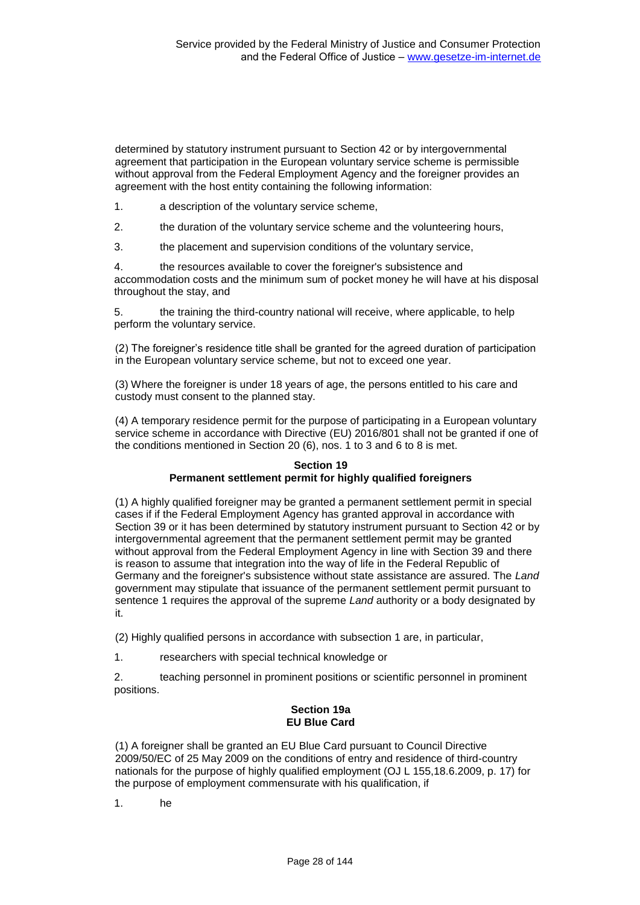determined by statutory instrument pursuant to Section 42 or by intergovernmental agreement that participation in the European voluntary service scheme is permissible without approval from the Federal Employment Agency and the foreigner provides an agreement with the host entity containing the following information:

- 1. a description of the voluntary service scheme,
- 2. the duration of the voluntary service scheme and the volunteering hours,
- 3. the placement and supervision conditions of the voluntary service,

4. the resources available to cover the foreigner's subsistence and accommodation costs and the minimum sum of pocket money he will have at his disposal throughout the stay, and

5. the training the third-country national will receive, where applicable, to help perform the voluntary service.

(2) The foreigner's residence title shall be granted for the agreed duration of participation in the European voluntary service scheme, but not to exceed one year.

(3) Where the foreigner is under 18 years of age, the persons entitled to his care and custody must consent to the planned stay.

(4) A temporary residence permit for the purpose of participating in a European voluntary service scheme in accordance with Directive (EU) 2016/801 shall not be granted if one of the conditions mentioned in Section 20 (6), nos. 1 to 3 and 6 to 8 is met.

#### **Section 19**

# **Permanent settlement permit for highly qualified foreigners**

(1) A highly qualified foreigner may be granted a permanent settlement permit in special cases if if the Federal Employment Agency has granted approval in accordance with Section 39 or it has been determined by statutory instrument pursuant to Section 42 or by intergovernmental agreement that the permanent settlement permit may be granted without approval from the Federal Employment Agency in line with Section 39 and there is reason to assume that integration into the way of life in the Federal Republic of Germany and the foreigner's subsistence without state assistance are assured. The *Land* government may stipulate that issuance of the permanent settlement permit pursuant to sentence 1 requires the approval of the supreme *Land* authority or a body designated by it.

(2) Highly qualified persons in accordance with subsection 1 are, in particular,

1. researchers with special technical knowledge or

2. teaching personnel in prominent positions or scientific personnel in prominent positions.

### **Section 19a EU Blue Card**

(1) A foreigner shall be granted an EU Blue Card pursuant to Council Directive 2009/50/EC of 25 May 2009 on the conditions of entry and residence of third-country nationals for the purpose of highly qualified employment (OJ L 155,18.6.2009, p. 17) for the purpose of employment commensurate with his qualification, if

1. he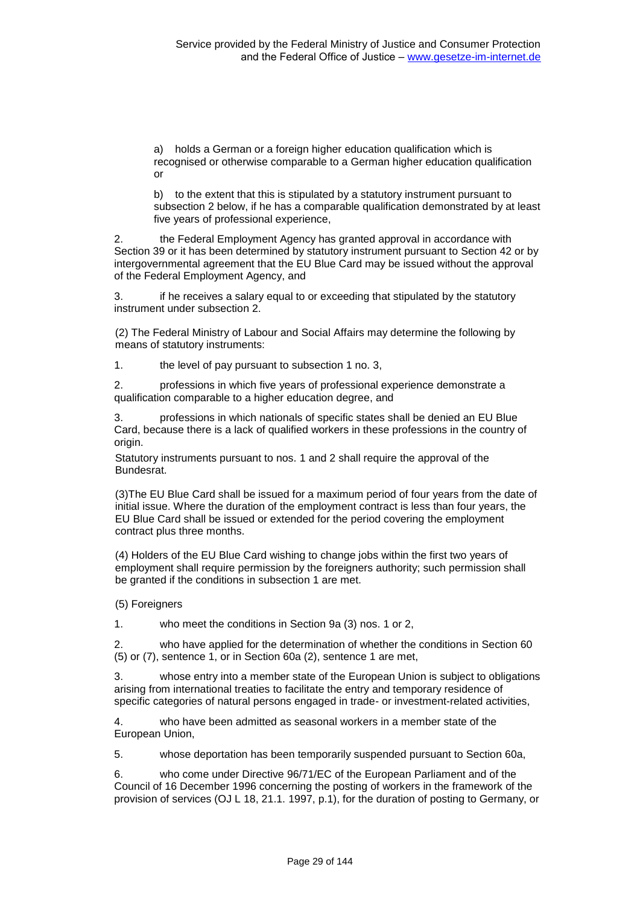a) holds a German or a foreign higher education qualification which is recognised or otherwise comparable to a German higher education qualification or

b) to the extent that this is stipulated by a statutory instrument pursuant to subsection 2 below, if he has a comparable qualification demonstrated by at least five years of professional experience,

2. the Federal Employment Agency has granted approval in accordance with Section 39 or it has been determined by statutory instrument pursuant to Section 42 or by intergovernmental agreement that the EU Blue Card may be issued without the approval of the Federal Employment Agency, and

3. if he receives a salary equal to or exceeding that stipulated by the statutory instrument under subsection 2.

(2) The Federal Ministry of Labour and Social Affairs may determine the following by means of statutory instruments:

1. the level of pay pursuant to subsection 1 no. 3,

2. professions in which five years of professional experience demonstrate a qualification comparable to a higher education degree, and

3. professions in which nationals of specific states shall be denied an EU Blue Card, because there is a lack of qualified workers in these professions in the country of origin.

Statutory instruments pursuant to nos. 1 and 2 shall require the approval of the Bundesrat.

(3)The EU Blue Card shall be issued for a maximum period of four years from the date of initial issue. Where the duration of the employment contract is less than four years, the EU Blue Card shall be issued or extended for the period covering the employment contract plus three months.

(4) Holders of the EU Blue Card wishing to change jobs within the first two years of employment shall require permission by the foreigners authority; such permission shall be granted if the conditions in subsection 1 are met.

(5) Foreigners

1. who meet the conditions in Section 9a (3) nos. 1 or 2,

2. who have applied for the determination of whether the conditions in Section 60 (5) or (7), sentence 1, or in Section 60a (2), sentence 1 are met,

3. whose entry into a member state of the European Union is subject to obligations arising from international treaties to facilitate the entry and temporary residence of specific categories of natural persons engaged in trade- or investment-related activities,

4. who have been admitted as seasonal workers in a member state of the European Union,

5. whose deportation has been temporarily suspended pursuant to Section 60a,

6. who come under Directive 96/71/EC of the European Parliament and of the Council of 16 December 1996 concerning the posting of workers in the framework of the provision of services (OJ L 18, 21.1. 1997, p.1), for the duration of posting to Germany, or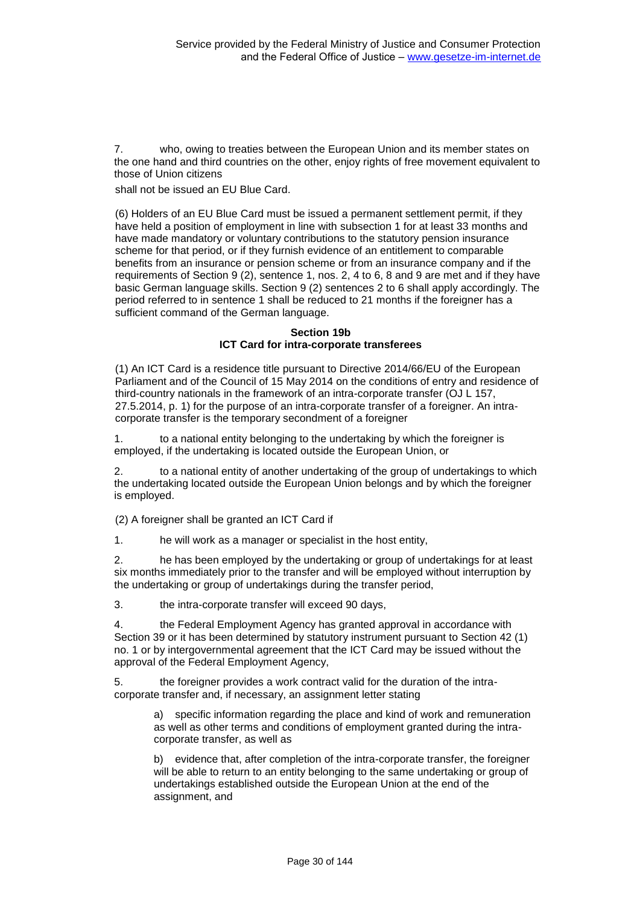7. who, owing to treaties between the European Union and its member states on the one hand and third countries on the other, enjoy rights of free movement equivalent to those of Union citizens

shall not be issued an EU Blue Card.

(6) Holders of an EU Blue Card must be issued a permanent settlement permit, if they have held a position of employment in line with subsection 1 for at least 33 months and have made mandatory or voluntary contributions to the statutory pension insurance scheme for that period, or if they furnish evidence of an entitlement to comparable benefits from an insurance or pension scheme or from an insurance company and if the requirements of Section 9 (2), sentence 1, nos. 2, 4 to 6, 8 and 9 are met and if they have basic German language skills. Section 9 (2) sentences 2 to 6 shall apply accordingly. The period referred to in sentence 1 shall be reduced to 21 months if the foreigner has a sufficient command of the German language.

### **Section 19b ICT Card for intra-corporate transferees**

(1) An ICT Card is a residence title pursuant to Directive 2014/66/EU of the European Parliament and of the Council of 15 May 2014 on the conditions of entry and residence of third-country nationals in the framework of an intra-corporate transfer (OJ L 157, 27.5.2014, p. 1) for the purpose of an intra-corporate transfer of a foreigner. An intracorporate transfer is the temporary secondment of a foreigner

1. to a national entity belonging to the undertaking by which the foreigner is employed, if the undertaking is located outside the European Union, or

2. to a national entity of another undertaking of the group of undertakings to which the undertaking located outside the European Union belongs and by which the foreigner is employed.

(2) A foreigner shall be granted an ICT Card if

1. he will work as a manager or specialist in the host entity,

2. he has been employed by the undertaking or group of undertakings for at least six months immediately prior to the transfer and will be employed without interruption by the undertaking or group of undertakings during the transfer period,

3. the intra-corporate transfer will exceed 90 days,

4. the Federal Employment Agency has granted approval in accordance with Section 39 or it has been determined by statutory instrument pursuant to Section 42 (1) no. 1 or by intergovernmental agreement that the ICT Card may be issued without the approval of the Federal Employment Agency,

5. the foreigner provides a work contract valid for the duration of the intracorporate transfer and, if necessary, an assignment letter stating

> a) specific information regarding the place and kind of work and remuneration as well as other terms and conditions of employment granted during the intracorporate transfer, as well as

> b) evidence that, after completion of the intra-corporate transfer, the foreigner will be able to return to an entity belonging to the same undertaking or group of undertakings established outside the European Union at the end of the assignment, and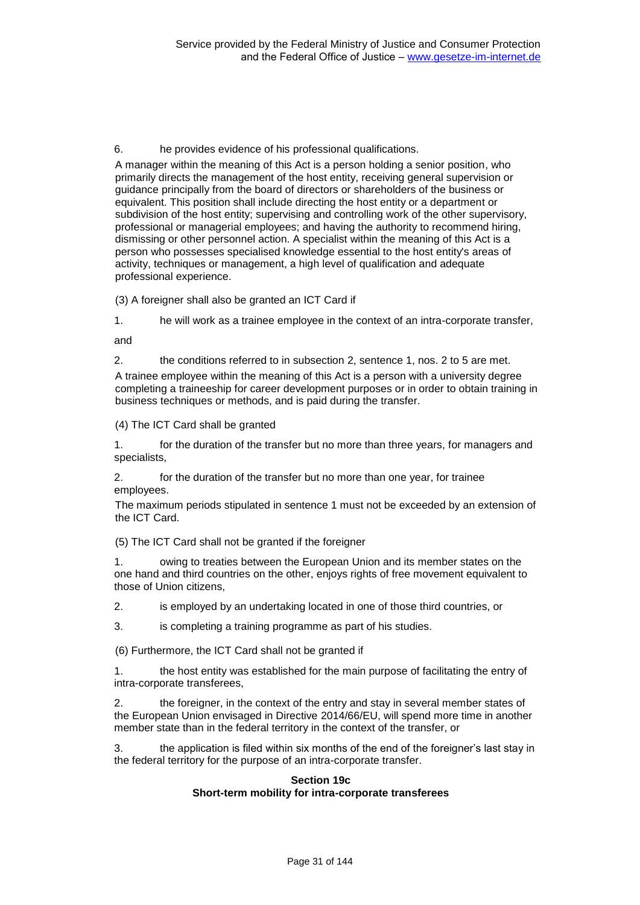6. he provides evidence of his professional qualifications.

A manager within the meaning of this Act is a person holding a senior position, who primarily directs the management of the host entity, receiving general supervision or guidance principally from the board of directors or shareholders of the business or equivalent. This position shall include directing the host entity or a department or subdivision of the host entity; supervising and controlling work of the other supervisory, professional or managerial employees; and having the authority to recommend hiring, dismissing or other personnel action. A specialist within the meaning of this Act is a person who possesses specialised knowledge essential to the host entity's areas of activity, techniques or management, a high level of qualification and adequate professional experience.

(3) A foreigner shall also be granted an ICT Card if

1. he will work as a trainee employee in the context of an intra-corporate transfer,

and

2. the conditions referred to in subsection 2, sentence 1, nos. 2 to 5 are met.

A trainee employee within the meaning of this Act is a person with a university degree completing a traineeship for career development purposes or in order to obtain training in business techniques or methods, and is paid during the transfer.

(4) The ICT Card shall be granted

1. for the duration of the transfer but no more than three years, for managers and specialists,

2. for the duration of the transfer but no more than one year, for trainee employees.

The maximum periods stipulated in sentence 1 must not be exceeded by an extension of the ICT Card.

(5) The ICT Card shall not be granted if the foreigner

1. owing to treaties between the European Union and its member states on the one hand and third countries on the other, enjoys rights of free movement equivalent to those of Union citizens,

2. is employed by an undertaking located in one of those third countries, or

3. is completing a training programme as part of his studies.

(6) Furthermore, the ICT Card shall not be granted if

1. the host entity was established for the main purpose of facilitating the entry of intra-corporate transferees,

2. the foreigner, in the context of the entry and stay in several member states of the European Union envisaged in Directive 2014/66/EU, will spend more time in another member state than in the federal territory in the context of the transfer, or

3. the application is filed within six months of the end of the foreigner's last stay in the federal territory for the purpose of an intra-corporate transfer.

# **Section 19c Short-term mobility for intra-corporate transferees**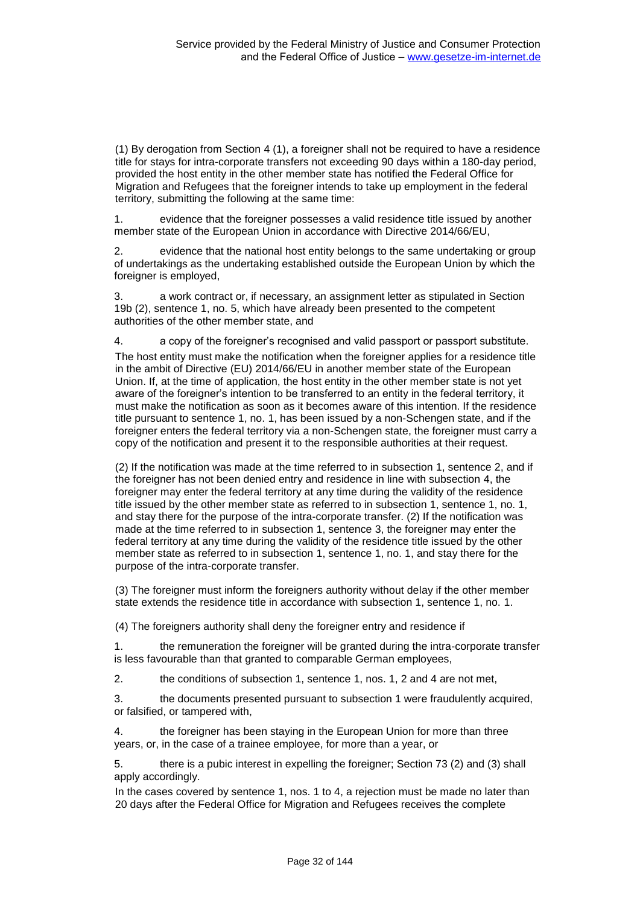(1) By derogation from Section 4 (1), a foreigner shall not be required to have a residence title for stays for intra-corporate transfers not exceeding 90 days within a 180-day period, provided the host entity in the other member state has notified the Federal Office for Migration and Refugees that the foreigner intends to take up employment in the federal territory, submitting the following at the same time:

1. evidence that the foreigner possesses a valid residence title issued by another member state of the European Union in accordance with Directive 2014/66/EU,

2. evidence that the national host entity belongs to the same undertaking or group of undertakings as the undertaking established outside the European Union by which the foreigner is employed,

3. a work contract or, if necessary, an assignment letter as stipulated in Section 19b (2), sentence 1, no. 5, which have already been presented to the competent authorities of the other member state, and

4. a copy of the foreigner's recognised and valid passport or passport substitute. The host entity must make the notification when the foreigner applies for a residence title in the ambit of Directive (EU) 2014/66/EU in another member state of the European Union. If, at the time of application, the host entity in the other member state is not yet aware of the foreigner's intention to be transferred to an entity in the federal territory, it must make the notification as soon as it becomes aware of this intention. If the residence title pursuant to sentence 1, no. 1, has been issued by a non-Schengen state, and if the foreigner enters the federal territory via a non-Schengen state, the foreigner must carry a copy of the notification and present it to the responsible authorities at their request.

(2) If the notification was made at the time referred to in subsection 1, sentence 2, and if the foreigner has not been denied entry and residence in line with subsection 4, the foreigner may enter the federal territory at any time during the validity of the residence title issued by the other member state as referred to in subsection 1, sentence 1, no. 1, and stay there for the purpose of the intra-corporate transfer. (2) If the notification was made at the time referred to in subsection 1, sentence 3, the foreigner may enter the federal territory at any time during the validity of the residence title issued by the other member state as referred to in subsection 1, sentence 1, no. 1, and stay there for the purpose of the intra-corporate transfer.

(3) The foreigner must inform the foreigners authority without delay if the other member state extends the residence title in accordance with subsection 1, sentence 1, no. 1.

(4) The foreigners authority shall deny the foreigner entry and residence if

1. the remuneration the foreigner will be granted during the intra-corporate transfer is less favourable than that granted to comparable German employees,

2. the conditions of subsection 1, sentence 1, nos. 1, 2 and 4 are not met,

3. the documents presented pursuant to subsection 1 were fraudulently acquired, or falsified, or tampered with,

4. the foreigner has been staying in the European Union for more than three years, or, in the case of a trainee employee, for more than a year, or

5. there is a pubic interest in expelling the foreigner; Section 73 (2) and (3) shall apply accordingly.

In the cases covered by sentence 1, nos. 1 to 4, a rejection must be made no later than 20 days after the Federal Office for Migration and Refugees receives the complete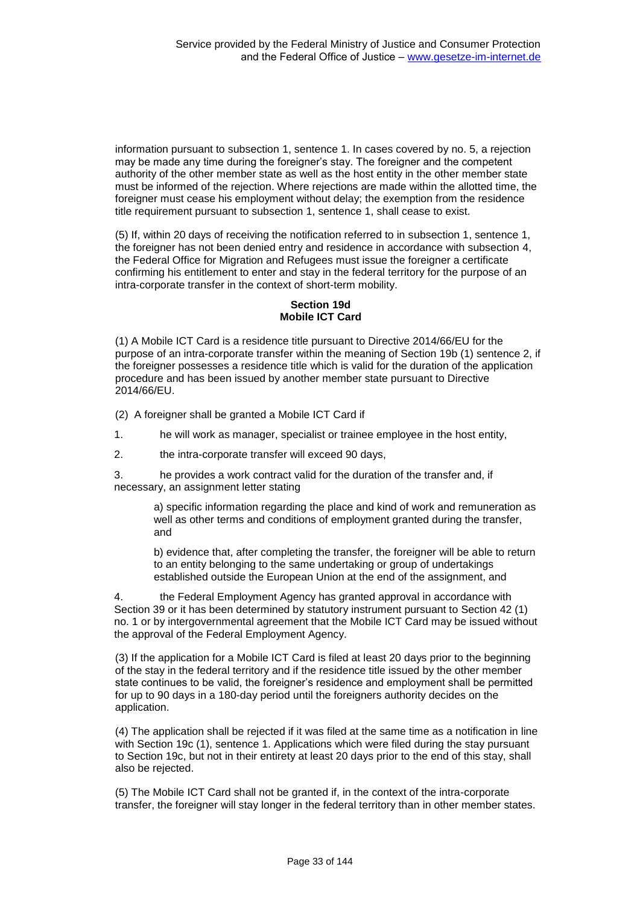information pursuant to subsection 1, sentence 1. In cases covered by no. 5, a rejection may be made any time during the foreigner's stay. The foreigner and the competent authority of the other member state as well as the host entity in the other member state must be informed of the rejection. Where rejections are made within the allotted time, the foreigner must cease his employment without delay; the exemption from the residence title requirement pursuant to subsection 1, sentence 1, shall cease to exist.

(5) If, within 20 days of receiving the notification referred to in subsection 1, sentence 1, the foreigner has not been denied entry and residence in accordance with subsection 4, the Federal Office for Migration and Refugees must issue the foreigner a certificate confirming his entitlement to enter and stay in the federal territory for the purpose of an intra-corporate transfer in the context of short-term mobility.

### **Section 19d Mobile ICT Card**

(1) A Mobile ICT Card is a residence title pursuant to Directive 2014/66/EU for the purpose of an intra-corporate transfer within the meaning of Section 19b (1) sentence 2, if the foreigner possesses a residence title which is valid for the duration of the application procedure and has been issued by another member state pursuant to Directive 2014/66/EU.

(2) A foreigner shall be granted a Mobile ICT Card if

- 1. he will work as manager, specialist or trainee employee in the host entity,
- 2. the intra-corporate transfer will exceed 90 days,

3. he provides a work contract valid for the duration of the transfer and, if necessary, an assignment letter stating

> a) specific information regarding the place and kind of work and remuneration as well as other terms and conditions of employment granted during the transfer, and

> b) evidence that, after completing the transfer, the foreigner will be able to return to an entity belonging to the same undertaking or group of undertakings established outside the European Union at the end of the assignment, and

4. the Federal Employment Agency has granted approval in accordance with Section 39 or it has been determined by statutory instrument pursuant to Section 42 (1) no. 1 or by intergovernmental agreement that the Mobile ICT Card may be issued without the approval of the Federal Employment Agency.

(3) If the application for a Mobile ICT Card is filed at least 20 days prior to the beginning of the stay in the federal territory and if the residence title issued by the other member state continues to be valid, the foreigner's residence and employment shall be permitted for up to 90 days in a 180-day period until the foreigners authority decides on the application.

(4) The application shall be rejected if it was filed at the same time as a notification in line with Section 19c (1), sentence 1. Applications which were filed during the stay pursuant to Section 19c, but not in their entirety at least 20 days prior to the end of this stay, shall also be rejected.

(5) The Mobile ICT Card shall not be granted if, in the context of the intra-corporate transfer, the foreigner will stay longer in the federal territory than in other member states.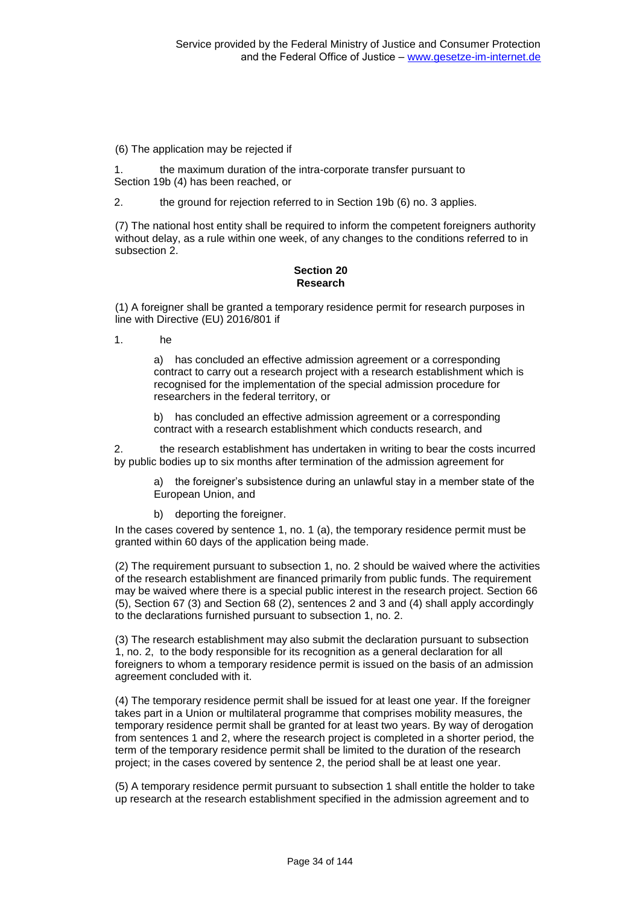(6) The application may be rejected if

1. the maximum duration of the intra-corporate transfer pursuant to Section 19b (4) has been reached, or

2. the ground for rejection referred to in Section 19b (6) no. 3 applies.

(7) The national host entity shall be required to inform the competent foreigners authority without delay, as a rule within one week, of any changes to the conditions referred to in subsection 2.

# **Section 20 Research**

(1) A foreigner shall be granted a temporary residence permit for research purposes in line with Directive (EU) 2016/801 if

1. he

a) has concluded an effective admission agreement or a corresponding contract to carry out a research project with a research establishment which is recognised for the implementation of the special admission procedure for researchers in the federal territory, or

b) has concluded an effective admission agreement or a corresponding contract with a research establishment which conducts research, and

2. the research establishment has undertaken in writing to bear the costs incurred by public bodies up to six months after termination of the admission agreement for

a) the foreigner's subsistence during an unlawful stay in a member state of the European Union, and

b) deporting the foreigner.

In the cases covered by sentence 1, no. 1 (a), the temporary residence permit must be granted within 60 days of the application being made.

(2) The requirement pursuant to subsection 1, no. 2 should be waived where the activities of the research establishment are financed primarily from public funds. The requirement may be waived where there is a special public interest in the research project. Section 66 (5), Section 67 (3) and Section 68 (2), sentences 2 and 3 and (4) shall apply accordingly to the declarations furnished pursuant to subsection 1, no. 2.

(3) The research establishment may also submit the declaration pursuant to subsection 1, no. 2, to the body responsible for its recognition as a general declaration for all foreigners to whom a temporary residence permit is issued on the basis of an admission agreement concluded with it.

(4) The temporary residence permit shall be issued for at least one year. If the foreigner takes part in a Union or multilateral programme that comprises mobility measures, the temporary residence permit shall be granted for at least two years. By way of derogation from sentences 1 and 2, where the research project is completed in a shorter period, the term of the temporary residence permit shall be limited to the duration of the research project; in the cases covered by sentence 2, the period shall be at least one year.

(5) A temporary residence permit pursuant to subsection 1 shall entitle the holder to take up research at the research establishment specified in the admission agreement and to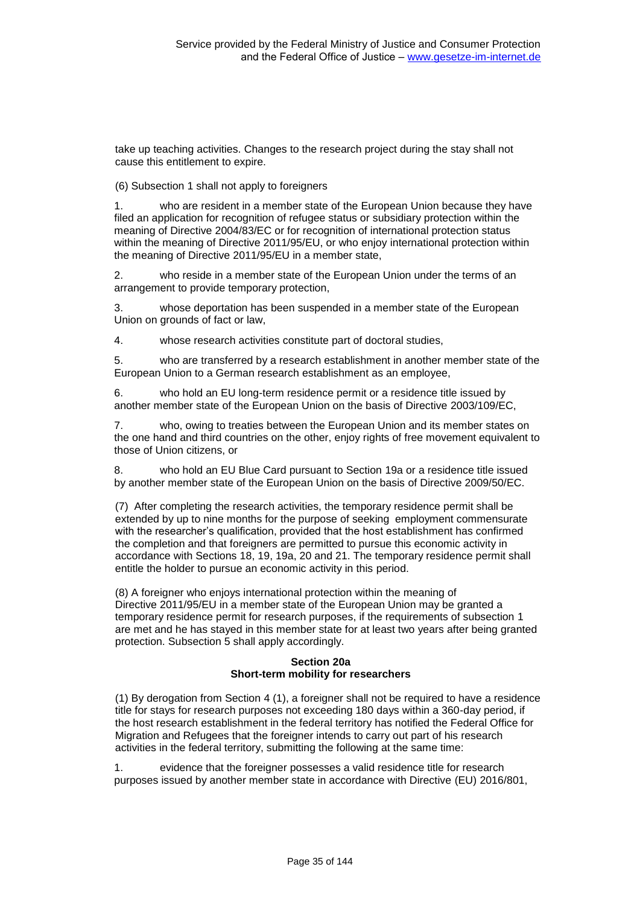take up teaching activities. Changes to the research project during the stay shall not cause this entitlement to expire.

(6) Subsection 1 shall not apply to foreigners

1. who are resident in a member state of the European Union because they have filed an application for recognition of refugee status or subsidiary protection within the meaning of Directive 2004/83/EC or for recognition of international protection status within the meaning of Directive 2011/95/EU, or who enjoy international protection within the meaning of Directive 2011/95/EU in a member state,

2. who reside in a member state of the European Union under the terms of an arrangement to provide temporary protection,

3. whose deportation has been suspended in a member state of the European Union on grounds of fact or law,

4. whose research activities constitute part of doctoral studies,

5. who are transferred by a research establishment in another member state of the European Union to a German research establishment as an employee,

6. who hold an EU long-term residence permit or a residence title issued by another member state of the European Union on the basis of Directive 2003/109/EC,

7. who, owing to treaties between the European Union and its member states on the one hand and third countries on the other, enjoy rights of free movement equivalent to those of Union citizens, or

8. who hold an EU Blue Card pursuant to Section 19a or a residence title issued by another member state of the European Union on the basis of Directive 2009/50/EC.

(7) After completing the research activities, the temporary residence permit shall be extended by up to nine months for the purpose of seeking employment commensurate with the researcher's qualification, provided that the host establishment has confirmed the completion and that foreigners are permitted to pursue this economic activity in accordance with Sections 18, 19, 19a, 20 and 21. The temporary residence permit shall entitle the holder to pursue an economic activity in this period.

(8) A foreigner who enjoys international protection within the meaning of Directive 2011/95/EU in a member state of the European Union may be granted a temporary residence permit for research purposes, if the requirements of subsection 1 are met and he has stayed in this member state for at least two years after being granted protection. Subsection 5 shall apply accordingly.

# **Section 20a Short-term mobility for researchers**

(1) By derogation from Section 4 (1), a foreigner shall not be required to have a residence title for stays for research purposes not exceeding 180 days within a 360-day period, if the host research establishment in the federal territory has notified the Federal Office for Migration and Refugees that the foreigner intends to carry out part of his research activities in the federal territory, submitting the following at the same time:

1. evidence that the foreigner possesses a valid residence title for research purposes issued by another member state in accordance with Directive (EU) 2016/801,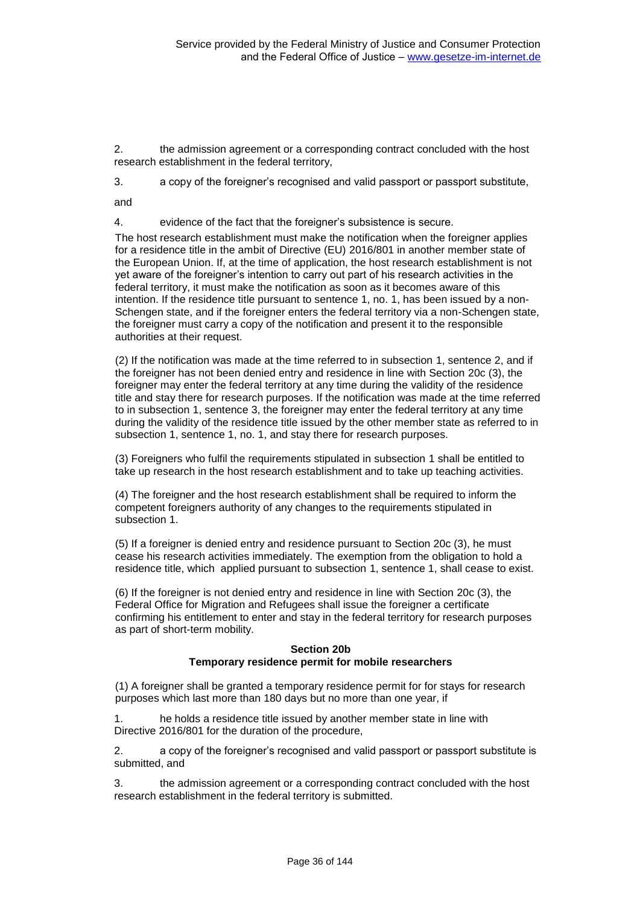2. the admission agreement or a corresponding contract concluded with the host research establishment in the federal territory,

3. a copy of the foreigner's recognised and valid passport or passport substitute,

and

4. evidence of the fact that the foreigner's subsistence is secure.

The host research establishment must make the notification when the foreigner applies for a residence title in the ambit of Directive (EU) 2016/801 in another member state of the European Union. If, at the time of application, the host research establishment is not yet aware of the foreigner's intention to carry out part of his research activities in the federal territory, it must make the notification as soon as it becomes aware of this intention. If the residence title pursuant to sentence 1, no. 1, has been issued by a non-Schengen state, and if the foreigner enters the federal territory via a non-Schengen state, the foreigner must carry a copy of the notification and present it to the responsible authorities at their request.

(2) If the notification was made at the time referred to in subsection 1, sentence 2, and if the foreigner has not been denied entry and residence in line with Section 20c (3), the foreigner may enter the federal territory at any time during the validity of the residence title and stay there for research purposes. If the notification was made at the time referred to in subsection 1, sentence 3, the foreigner may enter the federal territory at any time during the validity of the residence title issued by the other member state as referred to in subsection 1, sentence 1, no. 1, and stay there for research purposes.

(3) Foreigners who fulfil the requirements stipulated in subsection 1 shall be entitled to take up research in the host research establishment and to take up teaching activities.

(4) The foreigner and the host research establishment shall be required to inform the competent foreigners authority of any changes to the requirements stipulated in subsection 1.

(5) If a foreigner is denied entry and residence pursuant to Section 20c (3), he must cease his research activities immediately. The exemption from the obligation to hold a residence title, which applied pursuant to subsection 1, sentence 1, shall cease to exist.

(6) If the foreigner is not denied entry and residence in line with Section 20c (3), the Federal Office for Migration and Refugees shall issue the foreigner a certificate confirming his entitlement to enter and stay in the federal territory for research purposes as part of short-term mobility.

### **Section 20b Temporary residence permit for mobile researchers**

(1) A foreigner shall be granted a temporary residence permit for for stays for research purposes which last more than 180 days but no more than one year, if

1. he holds a residence title issued by another member state in line with Directive 2016/801 for the duration of the procedure,

2. a copy of the foreigner's recognised and valid passport or passport substitute is submitted, and

3. the admission agreement or a corresponding contract concluded with the host research establishment in the federal territory is submitted.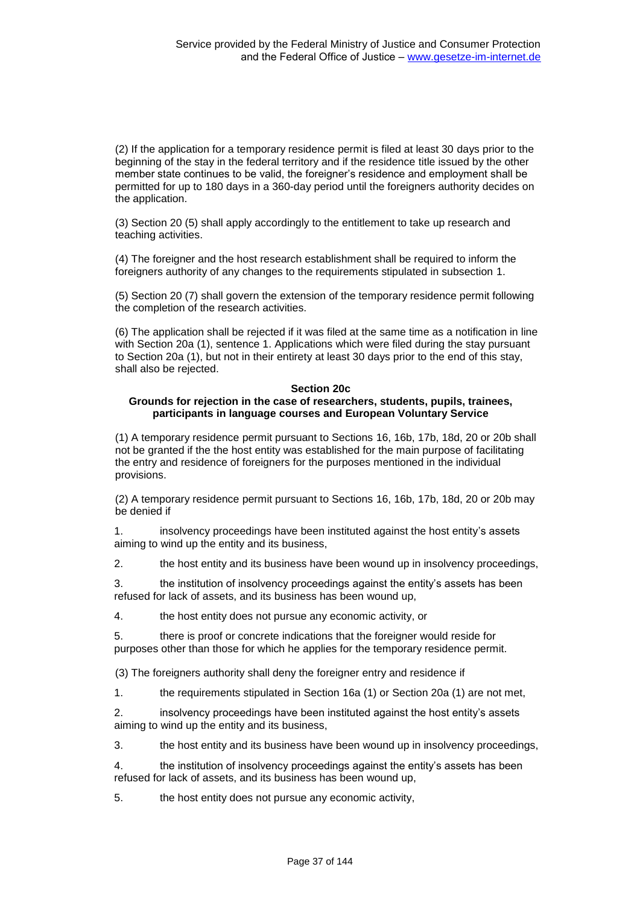(2) If the application for a temporary residence permit is filed at least 30 days prior to the beginning of the stay in the federal territory and if the residence title issued by the other member state continues to be valid, the foreigner's residence and employment shall be permitted for up to 180 days in a 360-day period until the foreigners authority decides on the application.

(3) Section 20 (5) shall apply accordingly to the entitlement to take up research and teaching activities.

(4) The foreigner and the host research establishment shall be required to inform the foreigners authority of any changes to the requirements stipulated in subsection 1.

(5) Section 20 (7) shall govern the extension of the temporary residence permit following the completion of the research activities.

(6) The application shall be rejected if it was filed at the same time as a notification in line with Section 20a (1), sentence 1. Applications which were filed during the stay pursuant to Section 20a (1), but not in their entirety at least 30 days prior to the end of this stay, shall also be rejected.

#### **Section 20c**

### **Grounds for rejection in the case of researchers, students, pupils, trainees, participants in language courses and European Voluntary Service**

(1) A temporary residence permit pursuant to Sections 16, 16b, 17b, 18d, 20 or 20b shall not be granted if the the host entity was established for the main purpose of facilitating the entry and residence of foreigners for the purposes mentioned in the individual provisions.

(2) A temporary residence permit pursuant to Sections 16, 16b, 17b, 18d, 20 or 20b may be denied if

1. insolvency proceedings have been instituted against the host entity's assets aiming to wind up the entity and its business,

2. the host entity and its business have been wound up in insolvency proceedings,

3. the institution of insolvency proceedings against the entity's assets has been refused for lack of assets, and its business has been wound up,

4. the host entity does not pursue any economic activity, or

5. there is proof or concrete indications that the foreigner would reside for purposes other than those for which he applies for the temporary residence permit.

(3) The foreigners authority shall deny the foreigner entry and residence if

1. the requirements stipulated in Section 16a (1) or Section 20a (1) are not met,

2. insolvency proceedings have been instituted against the host entity's assets aiming to wind up the entity and its business,

3. the host entity and its business have been wound up in insolvency proceedings,

4. the institution of insolvency proceedings against the entity's assets has been refused for lack of assets, and its business has been wound up,

5. the host entity does not pursue any economic activity,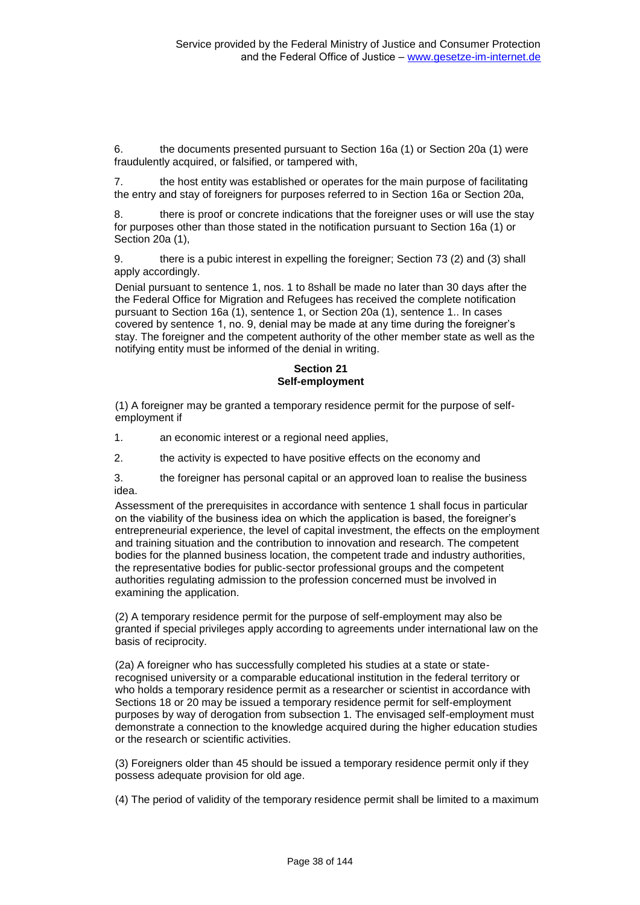6. the documents presented pursuant to Section 16a (1) or Section 20a (1) were fraudulently acquired, or falsified, or tampered with,

7. the host entity was established or operates for the main purpose of facilitating the entry and stay of foreigners for purposes referred to in Section 16a or Section 20a,

8. there is proof or concrete indications that the foreigner uses or will use the stay for purposes other than those stated in the notification pursuant to Section 16a (1) or Section 20a (1),

9. there is a pubic interest in expelling the foreigner; Section 73 (2) and (3) shall apply accordingly.

Denial pursuant to sentence 1, nos. 1 to 8shall be made no later than 30 days after the the Federal Office for Migration and Refugees has received the complete notification pursuant to Section 16a (1), sentence 1, or Section 20a (1), sentence 1.. In cases covered by sentence 1, no. 9, denial may be made at any time during the foreigner's stay. The foreigner and the competent authority of the other member state as well as the notifying entity must be informed of the denial in writing.

#### **Section 21 Self-employment**

(1) A foreigner may be granted a temporary residence permit for the purpose of selfemployment if

1. an economic interest or a regional need applies,

2. the activity is expected to have positive effects on the economy and

3. the foreigner has personal capital or an approved loan to realise the business idea.

Assessment of the prerequisites in accordance with sentence 1 shall focus in particular on the viability of the business idea on which the application is based, the foreigner's entrepreneurial experience, the level of capital investment, the effects on the employment and training situation and the contribution to innovation and research. The competent bodies for the planned business location, the competent trade and industry authorities, the representative bodies for public-sector professional groups and the competent authorities regulating admission to the profession concerned must be involved in examining the application.

(2) A temporary residence permit for the purpose of self-employment may also be granted if special privileges apply according to agreements under international law on the basis of reciprocity.

(2a) A foreigner who has successfully completed his studies at a state or staterecognised university or a comparable educational institution in the federal territory or who holds a temporary residence permit as a researcher or scientist in accordance with Sections 18 or 20 may be issued a temporary residence permit for self-employment purposes by way of derogation from subsection 1. The envisaged self-employment must demonstrate a connection to the knowledge acquired during the higher education studies or the research or scientific activities.

(3) Foreigners older than 45 should be issued a temporary residence permit only if they possess adequate provision for old age.

(4) The period of validity of the temporary residence permit shall be limited to a maximum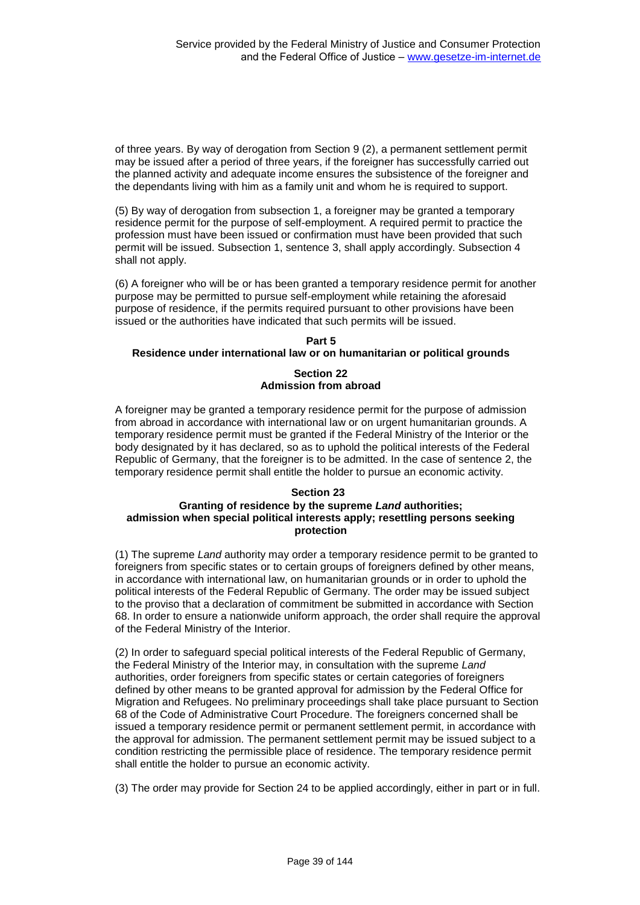of three years. By way of derogation from Section 9 (2), a permanent settlement permit may be issued after a period of three years, if the foreigner has successfully carried out the planned activity and adequate income ensures the subsistence of the foreigner and the dependants living with him as a family unit and whom he is required to support.

(5) By way of derogation from subsection 1, a foreigner may be granted a temporary residence permit for the purpose of self-employment. A required permit to practice the profession must have been issued or confirmation must have been provided that such permit will be issued. Subsection 1, sentence 3, shall apply accordingly. Subsection 4 shall not apply.

(6) A foreigner who will be or has been granted a temporary residence permit for another purpose may be permitted to pursue self-employment while retaining the aforesaid purpose of residence, if the permits required pursuant to other provisions have been issued or the authorities have indicated that such permits will be issued.

# **Part 5 Residence under international law or on humanitarian or political grounds**

#### **Section 22 Admission from abroad**

A foreigner may be granted a temporary residence permit for the purpose of admission from abroad in accordance with international law or on urgent humanitarian grounds. A temporary residence permit must be granted if the Federal Ministry of the Interior or the body designated by it has declared, so as to uphold the political interests of the Federal Republic of Germany, that the foreigner is to be admitted. In the case of sentence 2, the temporary residence permit shall entitle the holder to pursue an economic activity.

# **Section 23 Granting of residence by the supreme** *Land* **authorities; admission when special political interests apply; resettling persons seeking protection**

(1) The supreme *Land* authority may order a temporary residence permit to be granted to foreigners from specific states or to certain groups of foreigners defined by other means, in accordance with international law, on humanitarian grounds or in order to uphold the political interests of the Federal Republic of Germany. The order may be issued subject to the proviso that a declaration of commitment be submitted in accordance with Section 68. In order to ensure a nationwide uniform approach, the order shall require the approval of the Federal Ministry of the Interior.

(2) In order to safeguard special political interests of the Federal Republic of Germany, the Federal Ministry of the Interior may, in consultation with the supreme *Land* authorities, order foreigners from specific states or certain categories of foreigners defined by other means to be granted approval for admission by the Federal Office for Migration and Refugees. No preliminary proceedings shall take place pursuant to Section 68 of the Code of Administrative Court Procedure. The foreigners concerned shall be issued a temporary residence permit or permanent settlement permit, in accordance with the approval for admission. The permanent settlement permit may be issued subject to a condition restricting the permissible place of residence. The temporary residence permit shall entitle the holder to pursue an economic activity.

(3) The order may provide for Section 24 to be applied accordingly, either in part or in full.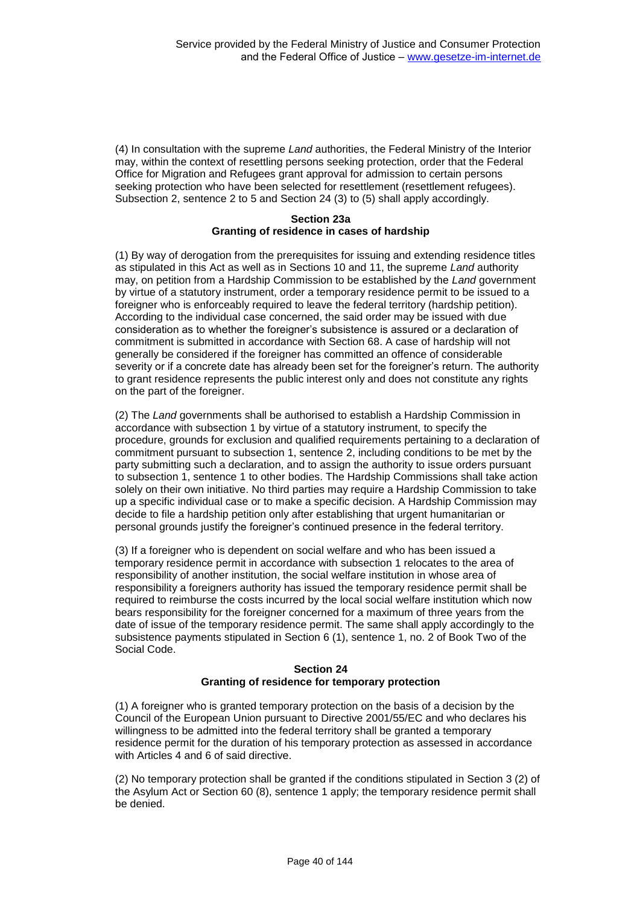(4) In consultation with the supreme *Land* authorities, the Federal Ministry of the Interior may, within the context of resettling persons seeking protection, order that the Federal Office for Migration and Refugees grant approval for admission to certain persons seeking protection who have been selected for resettlement (resettlement refugees). Subsection 2, sentence 2 to 5 and Section 24 (3) to (5) shall apply accordingly.

# **Section 23a Granting of residence in cases of hardship**

(1) By way of derogation from the prerequisites for issuing and extending residence titles as stipulated in this Act as well as in Sections 10 and 11, the supreme *Land* authority may, on petition from a Hardship Commission to be established by the *Land* government by virtue of a statutory instrument, order a temporary residence permit to be issued to a foreigner who is enforceably required to leave the federal territory (hardship petition). According to the individual case concerned, the said order may be issued with due consideration as to whether the foreigner's subsistence is assured or a declaration of commitment is submitted in accordance with Section 68. A case of hardship will not generally be considered if the foreigner has committed an offence of considerable severity or if a concrete date has already been set for the foreigner's return. The authority to grant residence represents the public interest only and does not constitute any rights on the part of the foreigner.

(2) The *Land* governments shall be authorised to establish a Hardship Commission in accordance with subsection 1 by virtue of a statutory instrument, to specify the procedure, grounds for exclusion and qualified requirements pertaining to a declaration of commitment pursuant to subsection 1, sentence 2, including conditions to be met by the party submitting such a declaration, and to assign the authority to issue orders pursuant to subsection 1, sentence 1 to other bodies. The Hardship Commissions shall take action solely on their own initiative. No third parties may require a Hardship Commission to take up a specific individual case or to make a specific decision. A Hardship Commission may decide to file a hardship petition only after establishing that urgent humanitarian or personal grounds justify the foreigner's continued presence in the federal territory.

(3) If a foreigner who is dependent on social welfare and who has been issued a temporary residence permit in accordance with subsection 1 relocates to the area of responsibility of another institution, the social welfare institution in whose area of responsibility a foreigners authority has issued the temporary residence permit shall be required to reimburse the costs incurred by the local social welfare institution which now bears responsibility for the foreigner concerned for a maximum of three years from the date of issue of the temporary residence permit. The same shall apply accordingly to the subsistence payments stipulated in Section 6 (1), sentence 1, no. 2 of Book Two of the Social Code.

# **Section 24 Granting of residence for temporary protection**

(1) A foreigner who is granted temporary protection on the basis of a decision by the Council of the European Union pursuant to Directive 2001/55/EC and who declares his willingness to be admitted into the federal territory shall be granted a temporary residence permit for the duration of his temporary protection as assessed in accordance with Articles 4 and 6 of said directive.

(2) No temporary protection shall be granted if the conditions stipulated in Section 3 (2) of the Asylum Act or Section 60 (8), sentence 1 apply; the temporary residence permit shall be denied.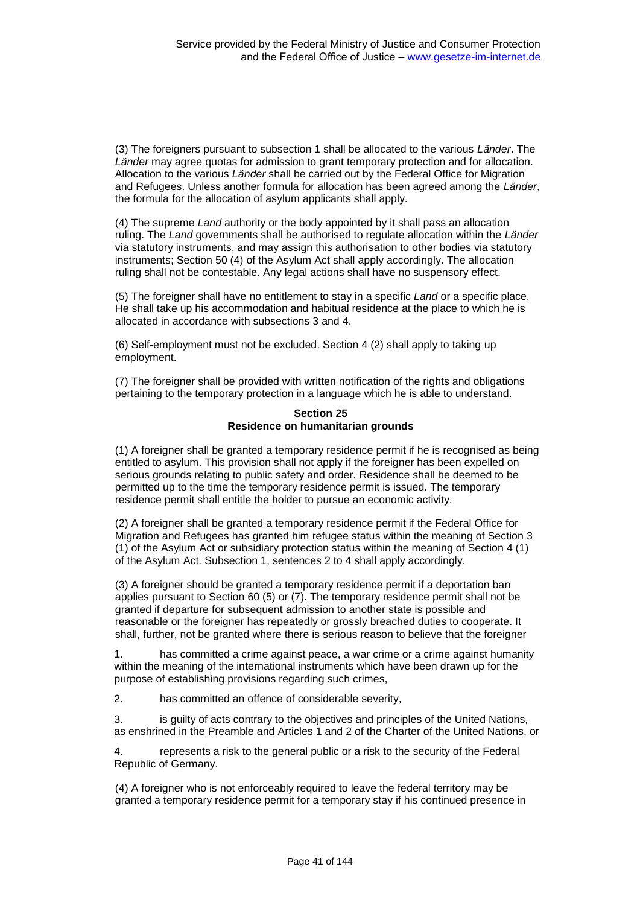(3) The foreigners pursuant to subsection 1 shall be allocated to the various *Länder*. The *Länder* may agree quotas for admission to grant temporary protection and for allocation. Allocation to the various *Länder* shall be carried out by the Federal Office for Migration and Refugees. Unless another formula for allocation has been agreed among the *Länder*, the formula for the allocation of asylum applicants shall apply.

(4) The supreme *Land* authority or the body appointed by it shall pass an allocation ruling. The *Land* governments shall be authorised to regulate allocation within the *Länder* via statutory instruments, and may assign this authorisation to other bodies via statutory instruments; Section 50 (4) of the Asylum Act shall apply accordingly. The allocation ruling shall not be contestable. Any legal actions shall have no suspensory effect.

(5) The foreigner shall have no entitlement to stay in a specific *Land* or a specific place. He shall take up his accommodation and habitual residence at the place to which he is allocated in accordance with subsections 3 and 4.

(6) Self-employment must not be excluded. Section 4 (2) shall apply to taking up employment.

(7) The foreigner shall be provided with written notification of the rights and obligations pertaining to the temporary protection in a language which he is able to understand.

### **Section 25 Residence on humanitarian grounds**

(1) A foreigner shall be granted a temporary residence permit if he is recognised as being entitled to asylum. This provision shall not apply if the foreigner has been expelled on serious grounds relating to public safety and order. Residence shall be deemed to be permitted up to the time the temporary residence permit is issued. The temporary residence permit shall entitle the holder to pursue an economic activity.

(2) A foreigner shall be granted a temporary residence permit if the Federal Office for Migration and Refugees has granted him refugee status within the meaning of Section 3 (1) of the Asylum Act or subsidiary protection status within the meaning of Section 4 (1) of the Asylum Act. Subsection 1, sentences 2 to 4 shall apply accordingly.

(3) A foreigner should be granted a temporary residence permit if a deportation ban applies pursuant to Section 60 (5) or (7). The temporary residence permit shall not be granted if departure for subsequent admission to another state is possible and reasonable or the foreigner has repeatedly or grossly breached duties to cooperate. It shall, further, not be granted where there is serious reason to believe that the foreigner

1. has committed a crime against peace, a war crime or a crime against humanity within the meaning of the international instruments which have been drawn up for the purpose of establishing provisions regarding such crimes,

2. has committed an offence of considerable severity,

3. is guilty of acts contrary to the objectives and principles of the United Nations, as enshrined in the Preamble and Articles 1 and 2 of the Charter of the United Nations, or

4. represents a risk to the general public or a risk to the security of the Federal Republic of Germany.

(4) A foreigner who is not enforceably required to leave the federal territory may be granted a temporary residence permit for a temporary stay if his continued presence in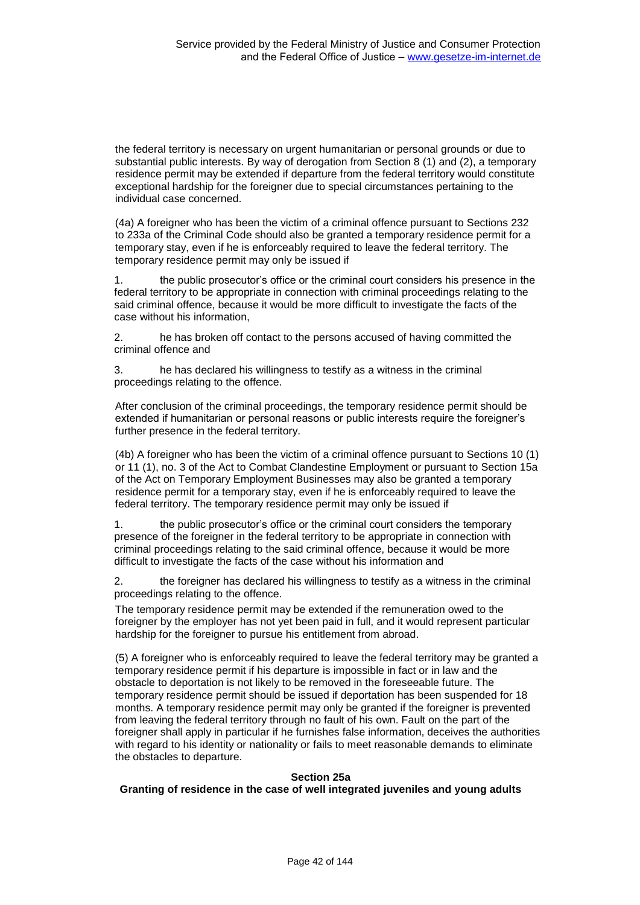the federal territory is necessary on urgent humanitarian or personal grounds or due to substantial public interests. By way of derogation from Section 8 (1) and (2), a temporary residence permit may be extended if departure from the federal territory would constitute exceptional hardship for the foreigner due to special circumstances pertaining to the individual case concerned.

(4a) A foreigner who has been the victim of a criminal offence pursuant to Sections 232 to 233a of the Criminal Code should also be granted a temporary residence permit for a temporary stay, even if he is enforceably required to leave the federal territory. The temporary residence permit may only be issued if

1. the public prosecutor's office or the criminal court considers his presence in the federal territory to be appropriate in connection with criminal proceedings relating to the said criminal offence, because it would be more difficult to investigate the facts of the case without his information,

2. he has broken off contact to the persons accused of having committed the criminal offence and

3. he has declared his willingness to testify as a witness in the criminal proceedings relating to the offence.

After conclusion of the criminal proceedings, the temporary residence permit should be extended if humanitarian or personal reasons or public interests require the foreigner's further presence in the federal territory.

(4b) A foreigner who has been the victim of a criminal offence pursuant to Sections 10 (1) or 11 (1), no. 3 of the Act to Combat Clandestine Employment or pursuant to Section 15a of the Act on Temporary Employment Businesses may also be granted a temporary residence permit for a temporary stay, even if he is enforceably required to leave the federal territory. The temporary residence permit may only be issued if

1. the public prosecutor's office or the criminal court considers the temporary presence of the foreigner in the federal territory to be appropriate in connection with criminal proceedings relating to the said criminal offence, because it would be more difficult to investigate the facts of the case without his information and

2. the foreigner has declared his willingness to testify as a witness in the criminal proceedings relating to the offence.

The temporary residence permit may be extended if the remuneration owed to the foreigner by the employer has not yet been paid in full, and it would represent particular hardship for the foreigner to pursue his entitlement from abroad.

(5) A foreigner who is enforceably required to leave the federal territory may be granted a temporary residence permit if his departure is impossible in fact or in law and the obstacle to deportation is not likely to be removed in the foreseeable future. The temporary residence permit should be issued if deportation has been suspended for 18 months. A temporary residence permit may only be granted if the foreigner is prevented from leaving the federal territory through no fault of his own. Fault on the part of the foreigner shall apply in particular if he furnishes false information, deceives the authorities with regard to his identity or nationality or fails to meet reasonable demands to eliminate the obstacles to departure.

### **Section 25a**

**Granting of residence in the case of well integrated juveniles and young adults**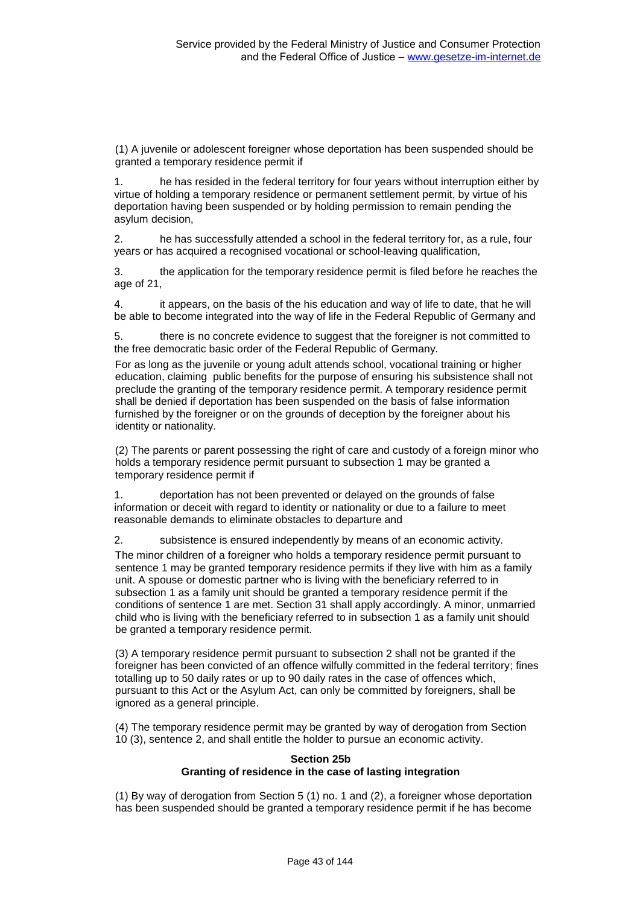(1) A juvenile or adolescent foreigner whose deportation has been suspended should be granted a temporary residence permit if

1. he has resided in the federal territory for four years without interruption either by virtue of holding a temporary residence or permanent settlement permit, by virtue of his deportation having been suspended or by holding permission to remain pending the asylum decision,

2. he has successfully attended a school in the federal territory for, as a rule, four years or has acquired a recognised vocational or school-leaving qualification,

3. the application for the temporary residence permit is filed before he reaches the age of 21,

4. it appears, on the basis of the his education and way of life to date, that he will be able to become integrated into the way of life in the Federal Republic of Germany and

5. there is no concrete evidence to suggest that the foreigner is not committed to the free democratic basic order of the Federal Republic of Germany.

For as long as the juvenile or young adult attends school, vocational training or higher education, claiming public benefits for the purpose of ensuring his subsistence shall not preclude the granting of the temporary residence permit. A temporary residence permit shall be denied if deportation has been suspended on the basis of false information furnished by the foreigner or on the grounds of deception by the foreigner about his identity or nationality.

(2) The parents or parent possessing the right of care and custody of a foreign minor who holds a temporary residence permit pursuant to subsection 1 may be granted a temporary residence permit if

1. deportation has not been prevented or delayed on the grounds of false information or deceit with regard to identity or nationality or due to a failure to meet reasonable demands to eliminate obstacles to departure and

2. subsistence is ensured independently by means of an economic activity.

The minor children of a foreigner who holds a temporary residence permit pursuant to sentence 1 may be granted temporary residence permits if they live with him as a family unit. A spouse or domestic partner who is living with the beneficiary referred to in subsection 1 as a family unit should be granted a temporary residence permit if the conditions of sentence 1 are met. Section 31 shall apply accordingly. A minor, unmarried child who is living with the beneficiary referred to in subsection 1 as a family unit should be granted a temporary residence permit.

(3) A temporary residence permit pursuant to subsection 2 shall not be granted if the foreigner has been convicted of an offence wilfully committed in the federal territory; fines totalling up to 50 daily rates or up to 90 daily rates in the case of offences which, pursuant to this Act or the Asylum Act, can only be committed by foreigners, shall be ignored as a general principle.

(4) The temporary residence permit may be granted by way of derogation from Section 10 (3), sentence 2, and shall entitle the holder to pursue an economic activity.

### **Section 25b Granting of residence in the case of lasting integration**

(1) By way of derogation from Section 5 (1) no. 1 and (2), a foreigner whose deportation has been suspended should be granted a temporary residence permit if he has become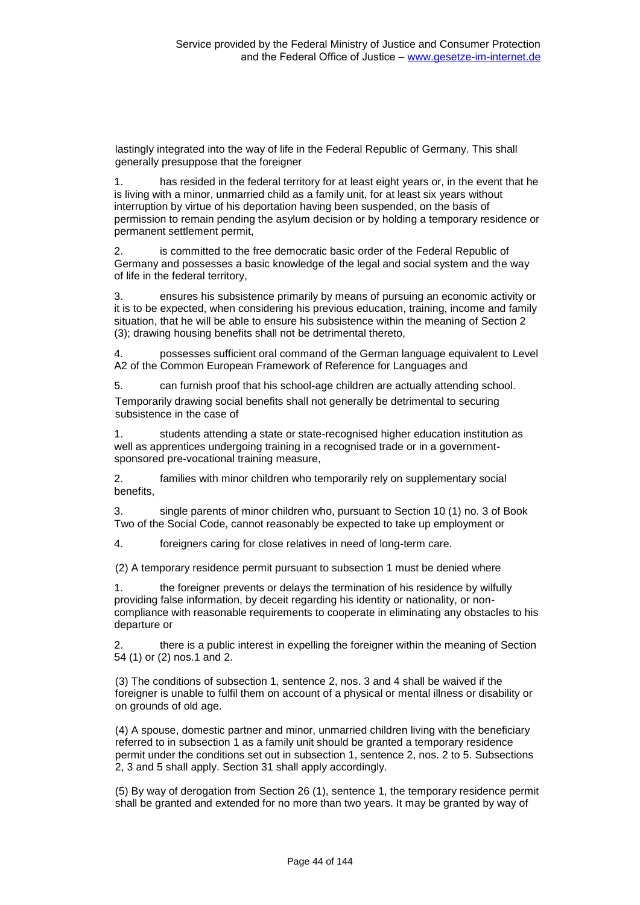lastingly integrated into the way of life in the Federal Republic of Germany. This shall generally presuppose that the foreigner

1. has resided in the federal territory for at least eight years or, in the event that he is living with a minor, unmarried child as a family unit, for at least six years without interruption by virtue of his deportation having been suspended, on the basis of permission to remain pending the asylum decision or by holding a temporary residence or permanent settlement permit,

2. is committed to the free democratic basic order of the Federal Republic of Germany and possesses a basic knowledge of the legal and social system and the way of life in the federal territory,

3. ensures his subsistence primarily by means of pursuing an economic activity or it is to be expected, when considering his previous education, training, income and family situation, that he will be able to ensure his subsistence within the meaning of Section 2 (3); drawing housing benefits shall not be detrimental thereto,

4. possesses sufficient oral command of the German language equivalent to Level A2 of the Common European Framework of Reference for Languages and

5. can furnish proof that his school-age children are actually attending school. Temporarily drawing social benefits shall not generally be detrimental to securing subsistence in the case of

1. students attending a state or state-recognised higher education institution as well as apprentices undergoing training in a recognised trade or in a governmentsponsored pre-vocational training measure,

2. families with minor children who temporarily rely on supplementary social benefits,

3. single parents of minor children who, pursuant to Section 10 (1) no. 3 of Book Two of the Social Code, cannot reasonably be expected to take up employment or

4. foreigners caring for close relatives in need of long-term care.

(2) A temporary residence permit pursuant to subsection 1 must be denied where

1. the foreigner prevents or delays the termination of his residence by wilfully providing false information, by deceit regarding his identity or nationality, or noncompliance with reasonable requirements to cooperate in eliminating any obstacles to his departure or

2. there is a public interest in expelling the foreigner within the meaning of Section 54 (1) or (2) nos.1 and 2.

(3) The conditions of subsection 1, sentence 2, nos. 3 and 4 shall be waived if the foreigner is unable to fulfil them on account of a physical or mental illness or disability or on grounds of old age.

(4) A spouse, domestic partner and minor, unmarried children living with the beneficiary referred to in subsection 1 as a family unit should be granted a temporary residence permit under the conditions set out in subsection 1, sentence 2, nos. 2 to 5. Subsections 2, 3 and 5 shall apply. Section 31 shall apply accordingly.

(5) By way of derogation from Section 26 (1), sentence 1, the temporary residence permit shall be granted and extended for no more than two years. It may be granted by way of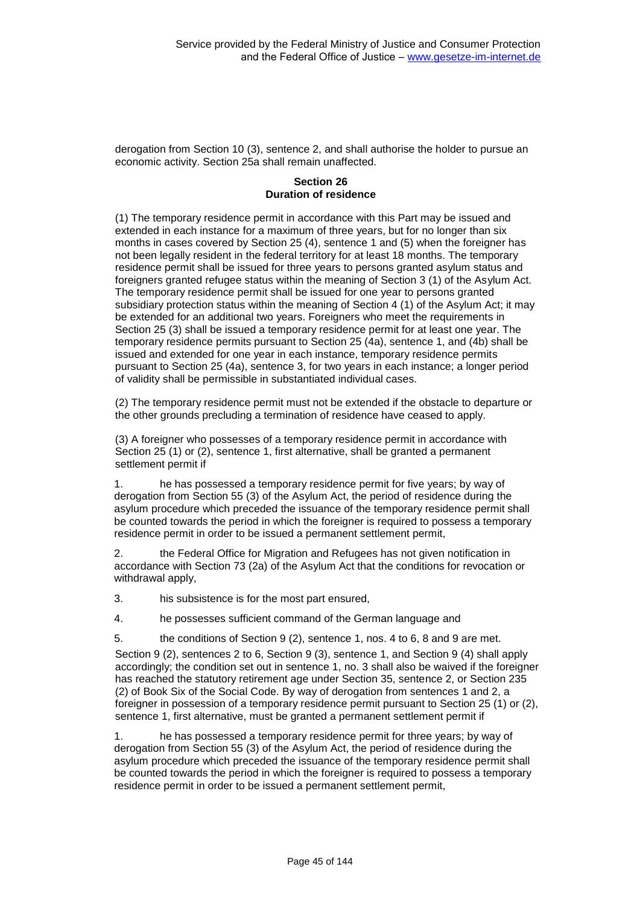derogation from Section 10 (3), sentence 2, and shall authorise the holder to pursue an economic activity. Section 25a shall remain unaffected.

# **Section 26 Duration of residence**

(1) The temporary residence permit in accordance with this Part may be issued and extended in each instance for a maximum of three years, but for no longer than six months in cases covered by Section 25 (4), sentence 1 and (5) when the foreigner has not been legally resident in the federal territory for at least 18 months. The temporary residence permit shall be issued for three years to persons granted asylum status and foreigners granted refugee status within the meaning of Section 3 (1) of the Asylum Act. The temporary residence permit shall be issued for one year to persons granted subsidiary protection status within the meaning of Section 4 (1) of the Asylum Act; it may be extended for an additional two years. Foreigners who meet the requirements in Section 25 (3) shall be issued a temporary residence permit for at least one year. The temporary residence permits pursuant to Section 25 (4a), sentence 1, and (4b) shall be issued and extended for one year in each instance, temporary residence permits pursuant to Section 25 (4a), sentence 3, for two years in each instance; a longer period of validity shall be permissible in substantiated individual cases.

(2) The temporary residence permit must not be extended if the obstacle to departure or the other grounds precluding a termination of residence have ceased to apply.

(3) A foreigner who possesses of a temporary residence permit in accordance with Section 25 (1) or (2), sentence 1, first alternative, shall be granted a permanent settlement permit if

1. he has possessed a temporary residence permit for five years; by way of derogation from Section 55 (3) of the Asylum Act, the period of residence during the asylum procedure which preceded the issuance of the temporary residence permit shall be counted towards the period in which the foreigner is required to possess a temporary residence permit in order to be issued a permanent settlement permit,

2. the Federal Office for Migration and Refugees has not given notification in accordance with Section 73 (2a) of the Asylum Act that the conditions for revocation or withdrawal apply,

3. his subsistence is for the most part ensured,

4. he possesses sufficient command of the German language and

5. the conditions of Section 9 (2), sentence 1, nos. 4 to 6, 8 and 9 are met.

Section 9 (2), sentences 2 to 6, Section 9 (3), sentence 1, and Section 9 (4) shall apply accordingly; the condition set out in sentence 1, no. 3 shall also be waived if the foreigner has reached the statutory retirement age under Section 35, sentence 2, or Section 235 (2) of Book Six of the Social Code. By way of derogation from sentences 1 and 2, a foreigner in possession of a temporary residence permit pursuant to Section 25 (1) or (2), sentence 1, first alternative, must be granted a permanent settlement permit if

1. he has possessed a temporary residence permit for three years; by way of derogation from Section 55 (3) of the Asylum Act, the period of residence during the asylum procedure which preceded the issuance of the temporary residence permit shall be counted towards the period in which the foreigner is required to possess a temporary residence permit in order to be issued a permanent settlement permit,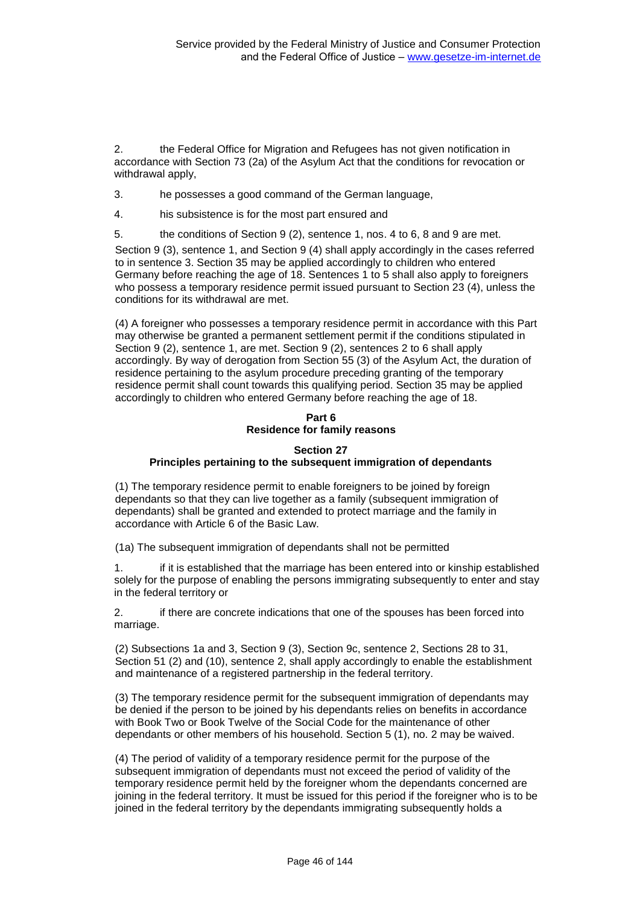2. the Federal Office for Migration and Refugees has not given notification in accordance with Section 73 (2a) of the Asylum Act that the conditions for revocation or withdrawal apply,

3. he possesses a good command of the German language,

4. his subsistence is for the most part ensured and

5. the conditions of Section 9 (2), sentence 1, nos. 4 to 6, 8 and 9 are met.

Section 9 (3), sentence 1, and Section 9 (4) shall apply accordingly in the cases referred to in sentence 3. Section 35 may be applied accordingly to children who entered Germany before reaching the age of 18. Sentences 1 to 5 shall also apply to foreigners who possess a temporary residence permit issued pursuant to Section 23 (4), unless the conditions for its withdrawal are met.

(4) A foreigner who possesses a temporary residence permit in accordance with this Part may otherwise be granted a permanent settlement permit if the conditions stipulated in Section 9 (2), sentence 1, are met. Section 9 (2), sentences 2 to 6 shall apply accordingly. By way of derogation from Section 55 (3) of the Asylum Act, the duration of residence pertaining to the asylum procedure preceding granting of the temporary residence permit shall count towards this qualifying period. Section 35 may be applied accordingly to children who entered Germany before reaching the age of 18.

# **Part 6 Residence for family reasons**

# **Section 27 Principles pertaining to the subsequent immigration of dependants**

(1) The temporary residence permit to enable foreigners to be joined by foreign dependants so that they can live together as a family (subsequent immigration of dependants) shall be granted and extended to protect marriage and the family in accordance with Article 6 of the Basic Law.

(1a) The subsequent immigration of dependants shall not be permitted

1. if it is established that the marriage has been entered into or kinship established solely for the purpose of enabling the persons immigrating subsequently to enter and stay in the federal territory or

2. if there are concrete indications that one of the spouses has been forced into marriage.

(2) Subsections 1a and 3, Section 9 (3), Section 9c, sentence 2, Sections 28 to 31, Section 51 (2) and (10), sentence 2, shall apply accordingly to enable the establishment and maintenance of a registered partnership in the federal territory.

(3) The temporary residence permit for the subsequent immigration of dependants may be denied if the person to be joined by his dependants relies on benefits in accordance with Book Two or Book Twelve of the Social Code for the maintenance of other dependants or other members of his household. Section 5 (1), no. 2 may be waived.

(4) The period of validity of a temporary residence permit for the purpose of the subsequent immigration of dependants must not exceed the period of validity of the temporary residence permit held by the foreigner whom the dependants concerned are joining in the federal territory. It must be issued for this period if the foreigner who is to be joined in the federal territory by the dependants immigrating subsequently holds a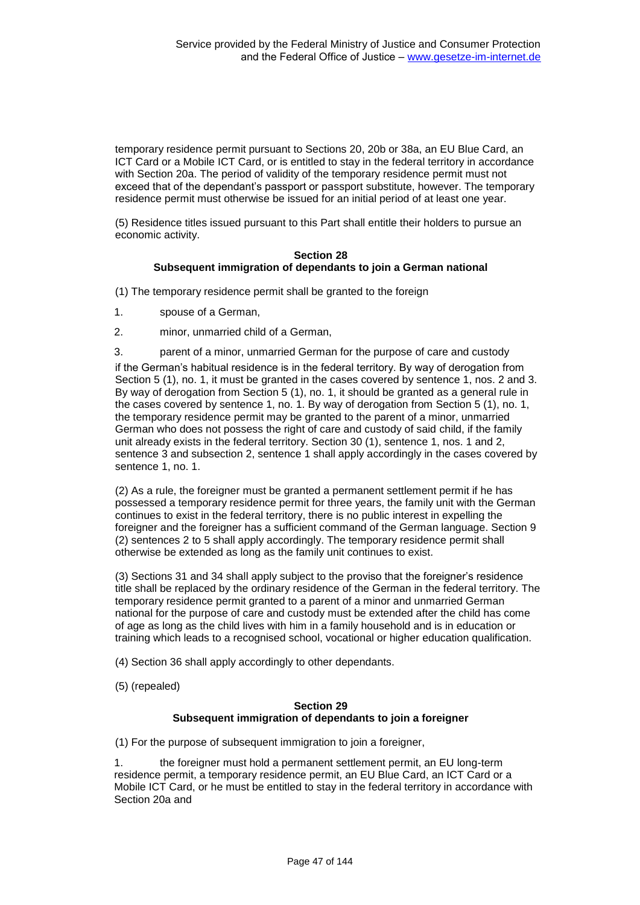temporary residence permit pursuant to Sections 20, 20b or 38a, an EU Blue Card, an ICT Card or a Mobile ICT Card, or is entitled to stay in the federal territory in accordance with Section 20a. The period of validity of the temporary residence permit must not exceed that of the dependant's passport or passport substitute, however. The temporary residence permit must otherwise be issued for an initial period of at least one year.

(5) Residence titles issued pursuant to this Part shall entitle their holders to pursue an economic activity.

### **Section 28 Subsequent immigration of dependants to join a German national**

(1) The temporary residence permit shall be granted to the foreign

- 1. spouse of a German,
- 2. minor, unmarried child of a German,

3. parent of a minor, unmarried German for the purpose of care and custody

if the German's habitual residence is in the federal territory. By way of derogation from Section 5 (1), no. 1, it must be granted in the cases covered by sentence 1, nos. 2 and 3. By way of derogation from Section 5 (1), no. 1, it should be granted as a general rule in the cases covered by sentence 1, no. 1. By way of derogation from Section 5 (1), no. 1, the temporary residence permit may be granted to the parent of a minor, unmarried German who does not possess the right of care and custody of said child, if the family unit already exists in the federal territory. Section 30 (1), sentence 1, nos. 1 and 2, sentence 3 and subsection 2, sentence 1 shall apply accordingly in the cases covered by sentence 1, no. 1.

(2) As a rule, the foreigner must be granted a permanent settlement permit if he has possessed a temporary residence permit for three years, the family unit with the German continues to exist in the federal territory, there is no public interest in expelling the foreigner and the foreigner has a sufficient command of the German language. Section 9 (2) sentences 2 to 5 shall apply accordingly. The temporary residence permit shall otherwise be extended as long as the family unit continues to exist.

(3) Sections 31 and 34 shall apply subject to the proviso that the foreigner's residence title shall be replaced by the ordinary residence of the German in the federal territory. The temporary residence permit granted to a parent of a minor and unmarried German national for the purpose of care and custody must be extended after the child has come of age as long as the child lives with him in a family household and is in education or training which leads to a recognised school, vocational or higher education qualification.

(4) Section 36 shall apply accordingly to other dependants.

(5) (repealed)

# **Section 29 Subsequent immigration of dependants to join a foreigner**

(1) For the purpose of subsequent immigration to join a foreigner,

the foreigner must hold a permanent settlement permit, an EU long-term residence permit, a temporary residence permit, an EU Blue Card, an ICT Card or a Mobile ICT Card, or he must be entitled to stay in the federal territory in accordance with Section 20a and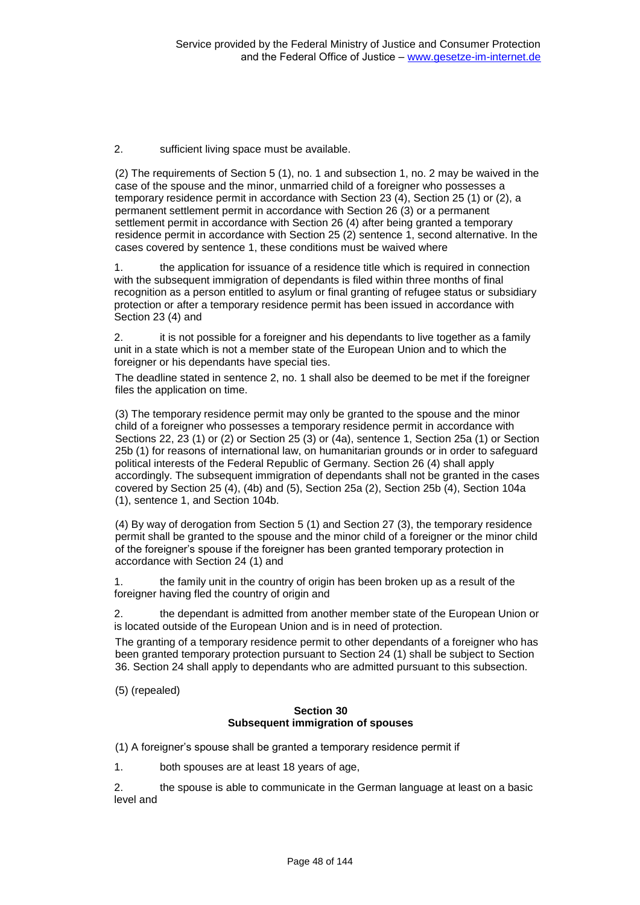2. sufficient living space must be available.

(2) The requirements of Section 5 (1), no. 1 and subsection 1, no. 2 may be waived in the case of the spouse and the minor, unmarried child of a foreigner who possesses a temporary residence permit in accordance with Section 23 (4), Section 25 (1) or (2), a permanent settlement permit in accordance with Section 26 (3) or a permanent settlement permit in accordance with Section 26 (4) after being granted a temporary residence permit in accordance with Section 25 (2) sentence 1, second alternative. In the cases covered by sentence 1, these conditions must be waived where

1. the application for issuance of a residence title which is required in connection with the subsequent immigration of dependants is filed within three months of final recognition as a person entitled to asylum or final granting of refugee status or subsidiary protection or after a temporary residence permit has been issued in accordance with Section 23 (4) and

2. it is not possible for a foreigner and his dependants to live together as a family unit in a state which is not a member state of the European Union and to which the foreigner or his dependants have special ties.

The deadline stated in sentence 2, no. 1 shall also be deemed to be met if the foreigner files the application on time.

(3) The temporary residence permit may only be granted to the spouse and the minor child of a foreigner who possesses a temporary residence permit in accordance with Sections 22, 23 (1) or (2) or Section 25 (3) or (4a), sentence 1, Section 25a (1) or Section 25b (1) for reasons of international law, on humanitarian grounds or in order to safeguard political interests of the Federal Republic of Germany. Section 26 (4) shall apply accordingly. The subsequent immigration of dependants shall not be granted in the cases covered by Section 25 (4), (4b) and (5), Section 25a (2), Section 25b (4), Section 104a (1), sentence 1, and Section 104b.

(4) By way of derogation from Section 5 (1) and Section 27 (3), the temporary residence permit shall be granted to the spouse and the minor child of a foreigner or the minor child of the foreigner's spouse if the foreigner has been granted temporary protection in accordance with Section 24 (1) and

1. the family unit in the country of origin has been broken up as a result of the foreigner having fled the country of origin and

2. the dependant is admitted from another member state of the European Union or is located outside of the European Union and is in need of protection.

The granting of a temporary residence permit to other dependants of a foreigner who has been granted temporary protection pursuant to Section 24 (1) shall be subject to Section 36. Section 24 shall apply to dependants who are admitted pursuant to this subsection.

(5) (repealed)

### **Section 30 Subsequent immigration of spouses**

(1) A foreigner's spouse shall be granted a temporary residence permit if

1. both spouses are at least 18 years of age,

2. the spouse is able to communicate in the German language at least on a basic level and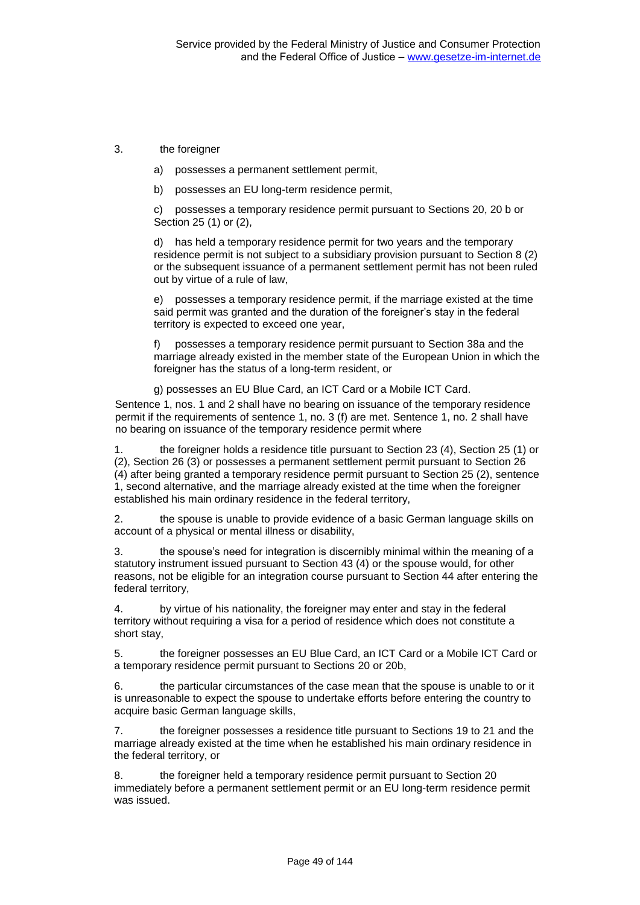- 3. the foreigner
	- a) possesses a permanent settlement permit,
	- b) possesses an EU long-term residence permit,

c) possesses a temporary residence permit pursuant to Sections 20, 20 b or Section 25 (1) or (2),

d) has held a temporary residence permit for two years and the temporary residence permit is not subject to a subsidiary provision pursuant to Section 8 (2) or the subsequent issuance of a permanent settlement permit has not been ruled out by virtue of a rule of law,

e) possesses a temporary residence permit, if the marriage existed at the time said permit was granted and the duration of the foreigner's stay in the federal territory is expected to exceed one year,

f) possesses a temporary residence permit pursuant to Section 38a and the marriage already existed in the member state of the European Union in which the foreigner has the status of a long-term resident, or

g) possesses an EU Blue Card, an ICT Card or a Mobile ICT Card.

Sentence 1, nos. 1 and 2 shall have no bearing on issuance of the temporary residence permit if the requirements of sentence 1, no.  $3(1)$  are met. Sentence 1, no. 2 shall have no bearing on issuance of the temporary residence permit where

the foreigner holds a residence title pursuant to Section 23 (4), Section 25 (1) or (2), Section 26 (3) or possesses a permanent settlement permit pursuant to Section 26 (4) after being granted a temporary residence permit pursuant to Section 25 (2), sentence 1, second alternative, and the marriage already existed at the time when the foreigner established his main ordinary residence in the federal territory,

2. the spouse is unable to provide evidence of a basic German language skills on account of a physical or mental illness or disability,

3. the spouse's need for integration is discernibly minimal within the meaning of a statutory instrument issued pursuant to Section 43 (4) or the spouse would, for other reasons, not be eligible for an integration course pursuant to Section 44 after entering the federal territory,

4. by virtue of his nationality, the foreigner may enter and stay in the federal territory without requiring a visa for a period of residence which does not constitute a short stay,

5. the foreigner possesses an EU Blue Card, an ICT Card or a Mobile ICT Card or a temporary residence permit pursuant to Sections 20 or 20b,

6. the particular circumstances of the case mean that the spouse is unable to or it is unreasonable to expect the spouse to undertake efforts before entering the country to acquire basic German language skills,

7. the foreigner possesses a residence title pursuant to Sections 19 to 21 and the marriage already existed at the time when he established his main ordinary residence in the federal territory, or

8. the foreigner held a temporary residence permit pursuant to Section 20 immediately before a permanent settlement permit or an EU long-term residence permit was issued.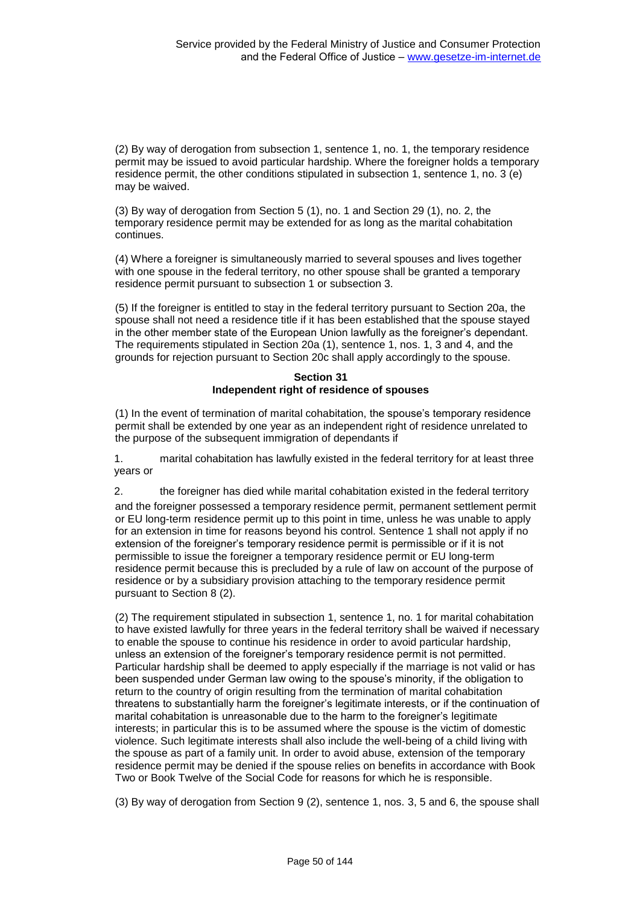(2) By way of derogation from subsection 1, sentence 1, no. 1, the temporary residence permit may be issued to avoid particular hardship. Where the foreigner holds a temporary residence permit, the other conditions stipulated in subsection 1, sentence 1, no. 3 (e) may be waived.

(3) By way of derogation from Section 5 (1), no. 1 and Section 29 (1), no. 2, the temporary residence permit may be extended for as long as the marital cohabitation continues.

(4) Where a foreigner is simultaneously married to several spouses and lives together with one spouse in the federal territory, no other spouse shall be granted a temporary residence permit pursuant to subsection 1 or subsection 3.

(5) If the foreigner is entitled to stay in the federal territory pursuant to Section 20a, the spouse shall not need a residence title if it has been established that the spouse stayed in the other member state of the European Union lawfully as the foreigner's dependant. The requirements stipulated in Section 20a (1), sentence 1, nos. 1, 3 and 4, and the grounds for rejection pursuant to Section 20c shall apply accordingly to the spouse.

# **Section 31 Independent right of residence of spouses**

(1) In the event of termination of marital cohabitation, the spouse's temporary residence permit shall be extended by one year as an independent right of residence unrelated to the purpose of the subsequent immigration of dependants if

1. marital cohabitation has lawfully existed in the federal territory for at least three years or

2. the foreigner has died while marital cohabitation existed in the federal territory and the foreigner possessed a temporary residence permit, permanent settlement permit or EU long-term residence permit up to this point in time, unless he was unable to apply for an extension in time for reasons beyond his control. Sentence 1 shall not apply if no extension of the foreigner's temporary residence permit is permissible or if it is not permissible to issue the foreigner a temporary residence permit or EU long-term residence permit because this is precluded by a rule of law on account of the purpose of residence or by a subsidiary provision attaching to the temporary residence permit pursuant to Section 8 (2).

(2) The requirement stipulated in subsection 1, sentence 1, no. 1 for marital cohabitation to have existed lawfully for three years in the federal territory shall be waived if necessary to enable the spouse to continue his residence in order to avoid particular hardship, unless an extension of the foreigner's temporary residence permit is not permitted. Particular hardship shall be deemed to apply especially if the marriage is not valid or has been suspended under German law owing to the spouse's minority, if the obligation to return to the country of origin resulting from the termination of marital cohabitation threatens to substantially harm the foreigner's legitimate interests, or if the continuation of marital cohabitation is unreasonable due to the harm to the foreigner's legitimate interests; in particular this is to be assumed where the spouse is the victim of domestic violence. Such legitimate interests shall also include the well-being of a child living with the spouse as part of a family unit. In order to avoid abuse, extension of the temporary residence permit may be denied if the spouse relies on benefits in accordance with Book Two or Book Twelve of the Social Code for reasons for which he is responsible.

(3) By way of derogation from Section 9 (2), sentence 1, nos. 3, 5 and 6, the spouse shall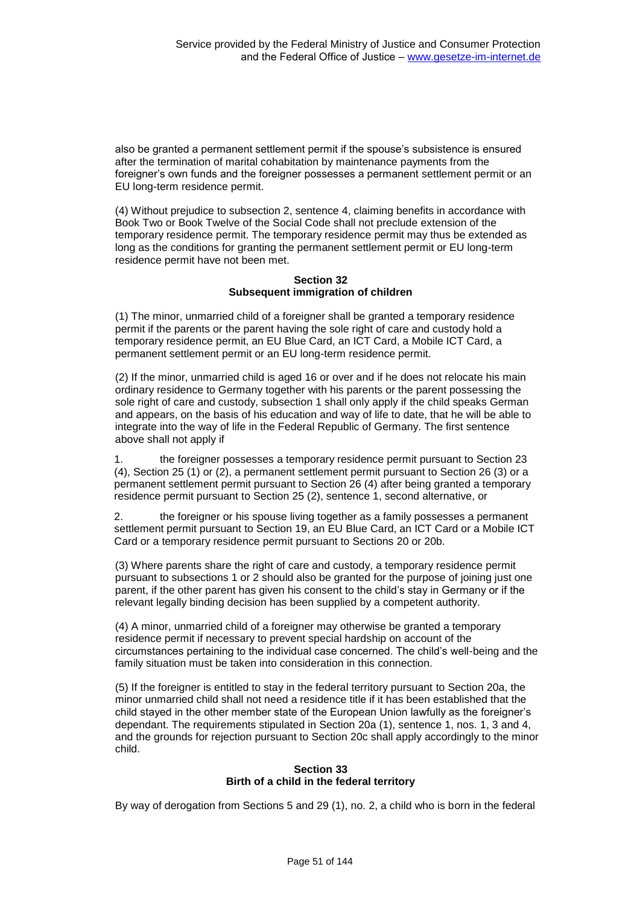also be granted a permanent settlement permit if the spouse's subsistence is ensured after the termination of marital cohabitation by maintenance payments from the foreigner's own funds and the foreigner possesses a permanent settlement permit or an EU long-term residence permit.

(4) Without prejudice to subsection 2, sentence 4, claiming benefits in accordance with Book Two or Book Twelve of the Social Code shall not preclude extension of the temporary residence permit. The temporary residence permit may thus be extended as long as the conditions for granting the permanent settlement permit or EU long-term residence permit have not been met.

#### **Section 32 Subsequent immigration of children**

(1) The minor, unmarried child of a foreigner shall be granted a temporary residence permit if the parents or the parent having the sole right of care and custody hold a temporary residence permit, an EU Blue Card, an ICT Card, a Mobile ICT Card, a permanent settlement permit or an EU long-term residence permit.

(2) If the minor, unmarried child is aged 16 or over and if he does not relocate his main ordinary residence to Germany together with his parents or the parent possessing the sole right of care and custody, subsection 1 shall only apply if the child speaks German and appears, on the basis of his education and way of life to date, that he will be able to integrate into the way of life in the Federal Republic of Germany. The first sentence above shall not apply if

1. the foreigner possesses a temporary residence permit pursuant to Section 23 (4), Section 25 (1) or (2), a permanent settlement permit pursuant to Section 26 (3) or a permanent settlement permit pursuant to Section 26 (4) after being granted a temporary residence permit pursuant to Section 25 (2), sentence 1, second alternative, or

2. the foreigner or his spouse living together as a family possesses a permanent settlement permit pursuant to Section 19, an EU Blue Card, an ICT Card or a Mobile ICT Card or a temporary residence permit pursuant to Sections 20 or 20b.

(3) Where parents share the right of care and custody, a temporary residence permit pursuant to subsections 1 or 2 should also be granted for the purpose of joining just one parent, if the other parent has given his consent to the child's stay in Germany or if the relevant legally binding decision has been supplied by a competent authority.

(4) A minor, unmarried child of a foreigner may otherwise be granted a temporary residence permit if necessary to prevent special hardship on account of the circumstances pertaining to the individual case concerned. The child's well-being and the family situation must be taken into consideration in this connection.

(5) If the foreigner is entitled to stay in the federal territory pursuant to Section 20a, the minor unmarried child shall not need a residence title if it has been established that the child stayed in the other member state of the European Union lawfully as the foreigner's dependant. The requirements stipulated in Section 20a (1), sentence 1, nos. 1, 3 and 4, and the grounds for rejection pursuant to Section 20c shall apply accordingly to the minor child.

### **Section 33 Birth of a child in the federal territory**

By way of derogation from Sections 5 and 29 (1), no. 2, a child who is born in the federal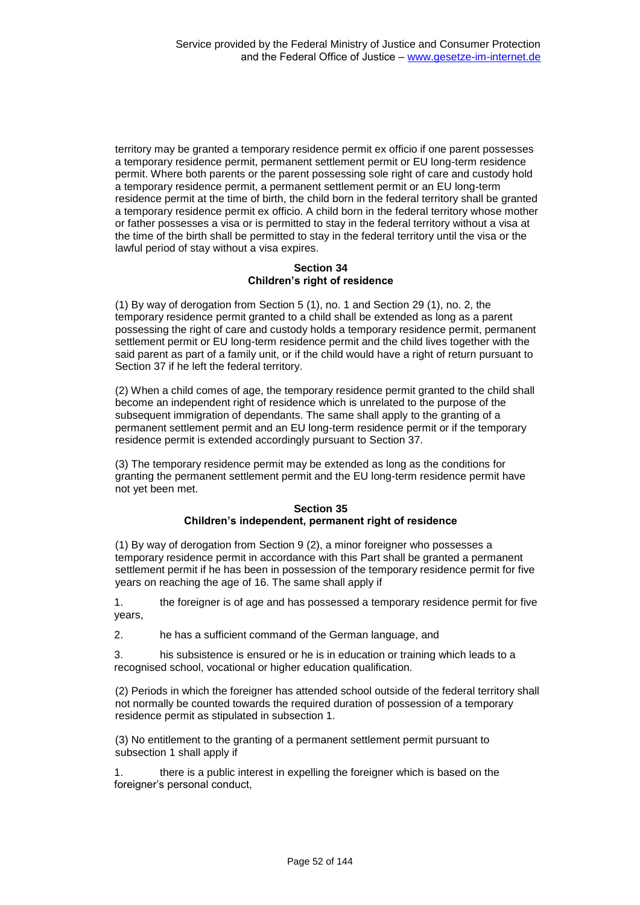territory may be granted a temporary residence permit ex officio if one parent possesses a temporary residence permit, permanent settlement permit or EU long-term residence permit. Where both parents or the parent possessing sole right of care and custody hold a temporary residence permit, a permanent settlement permit or an EU long-term residence permit at the time of birth, the child born in the federal territory shall be granted a temporary residence permit ex officio. A child born in the federal territory whose mother or father possesses a visa or is permitted to stay in the federal territory without a visa at the time of the birth shall be permitted to stay in the federal territory until the visa or the lawful period of stay without a visa expires.

#### **Section 34 Children's right of residence**

(1) By way of derogation from Section 5 (1), no. 1 and Section 29 (1), no. 2, the temporary residence permit granted to a child shall be extended as long as a parent possessing the right of care and custody holds a temporary residence permit, permanent settlement permit or EU long-term residence permit and the child lives together with the said parent as part of a family unit, or if the child would have a right of return pursuant to Section 37 if he left the federal territory.

(2) When a child comes of age, the temporary residence permit granted to the child shall become an independent right of residence which is unrelated to the purpose of the subsequent immigration of dependants. The same shall apply to the granting of a permanent settlement permit and an EU long-term residence permit or if the temporary residence permit is extended accordingly pursuant to Section 37.

(3) The temporary residence permit may be extended as long as the conditions for granting the permanent settlement permit and the EU long-term residence permit have not yet been met.

# **Section 35 Children's independent, permanent right of residence**

(1) By way of derogation from Section 9 (2), a minor foreigner who possesses a temporary residence permit in accordance with this Part shall be granted a permanent settlement permit if he has been in possession of the temporary residence permit for five years on reaching the age of 16. The same shall apply if

1. the foreigner is of age and has possessed a temporary residence permit for five years,

2. he has a sufficient command of the German language, and

3. his subsistence is ensured or he is in education or training which leads to a recognised school, vocational or higher education qualification.

(2) Periods in which the foreigner has attended school outside of the federal territory shall not normally be counted towards the required duration of possession of a temporary residence permit as stipulated in subsection 1.

(3) No entitlement to the granting of a permanent settlement permit pursuant to subsection 1 shall apply if

1. there is a public interest in expelling the foreigner which is based on the foreigner's personal conduct.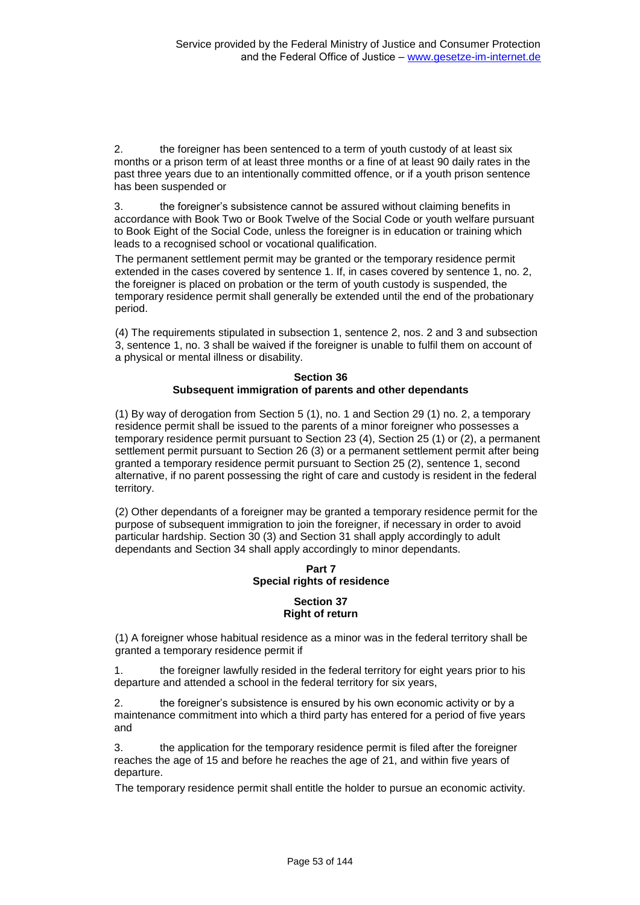2. the foreigner has been sentenced to a term of youth custody of at least six months or a prison term of at least three months or a fine of at least 90 daily rates in the past three years due to an intentionally committed offence, or if a youth prison sentence has been suspended or

3. the foreigner's subsistence cannot be assured without claiming benefits in accordance with Book Two or Book Twelve of the Social Code or youth welfare pursuant to Book Eight of the Social Code, unless the foreigner is in education or training which leads to a recognised school or vocational qualification.

The permanent settlement permit may be granted or the temporary residence permit extended in the cases covered by sentence 1. If, in cases covered by sentence 1, no. 2, the foreigner is placed on probation or the term of youth custody is suspended, the temporary residence permit shall generally be extended until the end of the probationary period.

(4) The requirements stipulated in subsection 1, sentence 2, nos. 2 and 3 and subsection 3, sentence 1, no. 3 shall be waived if the foreigner is unable to fulfil them on account of a physical or mental illness or disability.

# **Section 36 Subsequent immigration of parents and other dependants**

(1) By way of derogation from Section 5 (1), no. 1 and Section 29 (1) no. 2, a temporary residence permit shall be issued to the parents of a minor foreigner who possesses a temporary residence permit pursuant to Section 23 (4), Section 25 (1) or (2), a permanent settlement permit pursuant to Section 26 (3) or a permanent settlement permit after being granted a temporary residence permit pursuant to Section 25 (2), sentence 1, second alternative, if no parent possessing the right of care and custody is resident in the federal territory.

(2) Other dependants of a foreigner may be granted a temporary residence permit for the purpose of subsequent immigration to join the foreigner, if necessary in order to avoid particular hardship. Section 30 (3) and Section 31 shall apply accordingly to adult dependants and Section 34 shall apply accordingly to minor dependants.

# **Part 7 Special rights of residence**

# **Section 37 Right of return**

(1) A foreigner whose habitual residence as a minor was in the federal territory shall be granted a temporary residence permit if

1. the foreigner lawfully resided in the federal territory for eight years prior to his departure and attended a school in the federal territory for six years,

2. the foreigner's subsistence is ensured by his own economic activity or by a maintenance commitment into which a third party has entered for a period of five years and

the application for the temporary residence permit is filed after the foreigner reaches the age of 15 and before he reaches the age of 21, and within five years of departure.

The temporary residence permit shall entitle the holder to pursue an economic activity.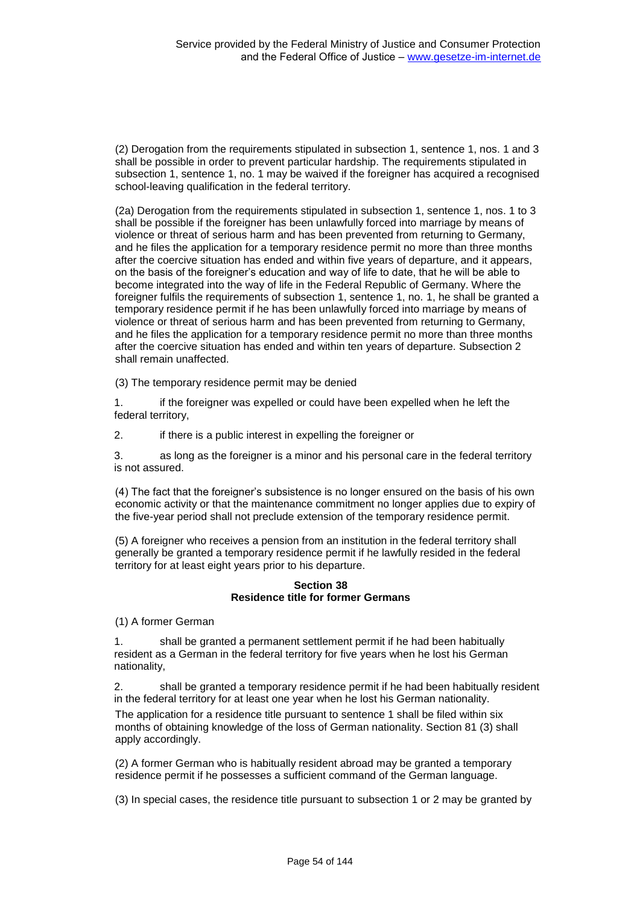(2) Derogation from the requirements stipulated in subsection 1, sentence 1, nos. 1 and 3 shall be possible in order to prevent particular hardship. The requirements stipulated in subsection 1, sentence 1, no. 1 may be waived if the foreigner has acquired a recognised school-leaving qualification in the federal territory.

(2a) Derogation from the requirements stipulated in subsection 1, sentence 1, nos. 1 to 3 shall be possible if the foreigner has been unlawfully forced into marriage by means of violence or threat of serious harm and has been prevented from returning to Germany, and he files the application for a temporary residence permit no more than three months after the coercive situation has ended and within five years of departure, and it appears, on the basis of the foreigner's education and way of life to date, that he will be able to become integrated into the way of life in the Federal Republic of Germany. Where the foreigner fulfils the requirements of subsection 1, sentence 1, no. 1, he shall be granted a temporary residence permit if he has been unlawfully forced into marriage by means of violence or threat of serious harm and has been prevented from returning to Germany, and he files the application for a temporary residence permit no more than three months after the coercive situation has ended and within ten years of departure. Subsection 2 shall remain unaffected.

(3) The temporary residence permit may be denied

1. if the foreigner was expelled or could have been expelled when he left the federal territory,

2. if there is a public interest in expelling the foreigner or

3. as long as the foreigner is a minor and his personal care in the federal territory is not assured.

(4) The fact that the foreigner's subsistence is no longer ensured on the basis of his own economic activity or that the maintenance commitment no longer applies due to expiry of the five-year period shall not preclude extension of the temporary residence permit.

(5) A foreigner who receives a pension from an institution in the federal territory shall generally be granted a temporary residence permit if he lawfully resided in the federal territory for at least eight years prior to his departure.

### **Section 38 Residence title for former Germans**

(1) A former German

1. shall be granted a permanent settlement permit if he had been habitually resident as a German in the federal territory for five years when he lost his German nationality,

2. shall be granted a temporary residence permit if he had been habitually resident in the federal territory for at least one year when he lost his German nationality.

The application for a residence title pursuant to sentence 1 shall be filed within six months of obtaining knowledge of the loss of German nationality. Section 81 (3) shall apply accordingly.

(2) A former German who is habitually resident abroad may be granted a temporary residence permit if he possesses a sufficient command of the German language.

(3) In special cases, the residence title pursuant to subsection 1 or 2 may be granted by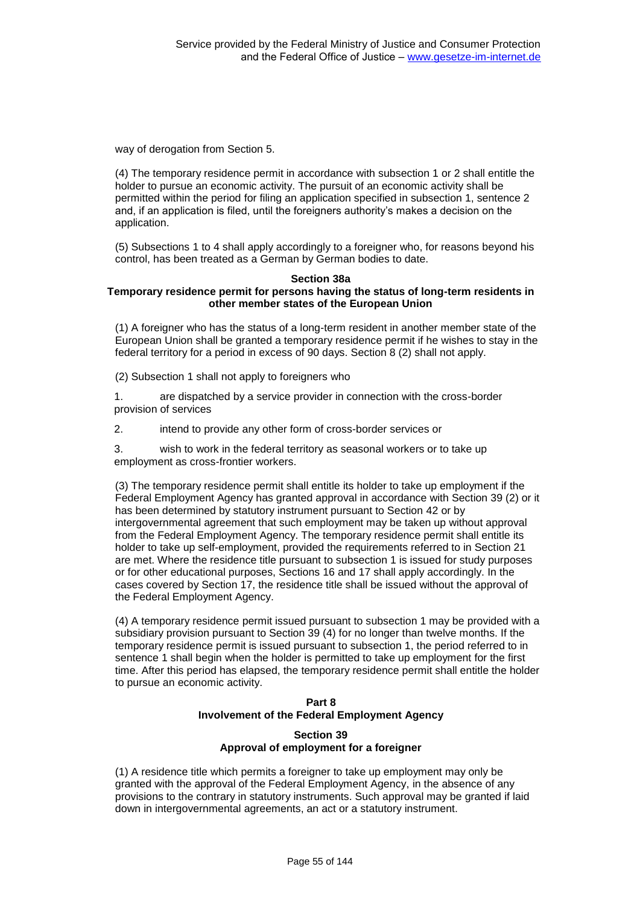way of derogation from Section 5.

(4) The temporary residence permit in accordance with subsection 1 or 2 shall entitle the holder to pursue an economic activity. The pursuit of an economic activity shall be permitted within the period for filing an application specified in subsection 1, sentence 2 and, if an application is filed, until the foreigners authority's makes a decision on the application.

(5) Subsections 1 to 4 shall apply accordingly to a foreigner who, for reasons beyond his control, has been treated as a German by German bodies to date.

#### **Section 38a**

# **Temporary residence permit for persons having the status of long-term residents in other member states of the European Union**

(1) A foreigner who has the status of a long-term resident in another member state of the European Union shall be granted a temporary residence permit if he wishes to stay in the federal territory for a period in excess of 90 days. Section 8 (2) shall not apply.

(2) Subsection 1 shall not apply to foreigners who

1. are dispatched by a service provider in connection with the cross-border provision of services

2. intend to provide any other form of cross-border services or

3. wish to work in the federal territory as seasonal workers or to take up employment as cross-frontier workers.

(3) The temporary residence permit shall entitle its holder to take up employment if the Federal Employment Agency has granted approval in accordance with Section 39 (2) or it has been determined by statutory instrument pursuant to Section 42 or by intergovernmental agreement that such employment may be taken up without approval from the Federal Employment Agency. The temporary residence permit shall entitle its holder to take up self-employment, provided the requirements referred to in Section 21 are met. Where the residence title pursuant to subsection 1 is issued for study purposes or for other educational purposes, Sections 16 and 17 shall apply accordingly. In the cases covered by Section 17, the residence title shall be issued without the approval of the Federal Employment Agency.

(4) A temporary residence permit issued pursuant to subsection 1 may be provided with a subsidiary provision pursuant to Section 39 (4) for no longer than twelve months. If the temporary residence permit is issued pursuant to subsection 1, the period referred to in sentence 1 shall begin when the holder is permitted to take up employment for the first time. After this period has elapsed, the temporary residence permit shall entitle the holder to pursue an economic activity.

# **Part 8 Involvement of the Federal Employment Agency**

# **Section 39 Approval of employment for a foreigner**

(1) A residence title which permits a foreigner to take up employment may only be granted with the approval of the Federal Employment Agency, in the absence of any provisions to the contrary in statutory instruments. Such approval may be granted if laid down in intergovernmental agreements, an act or a statutory instrument.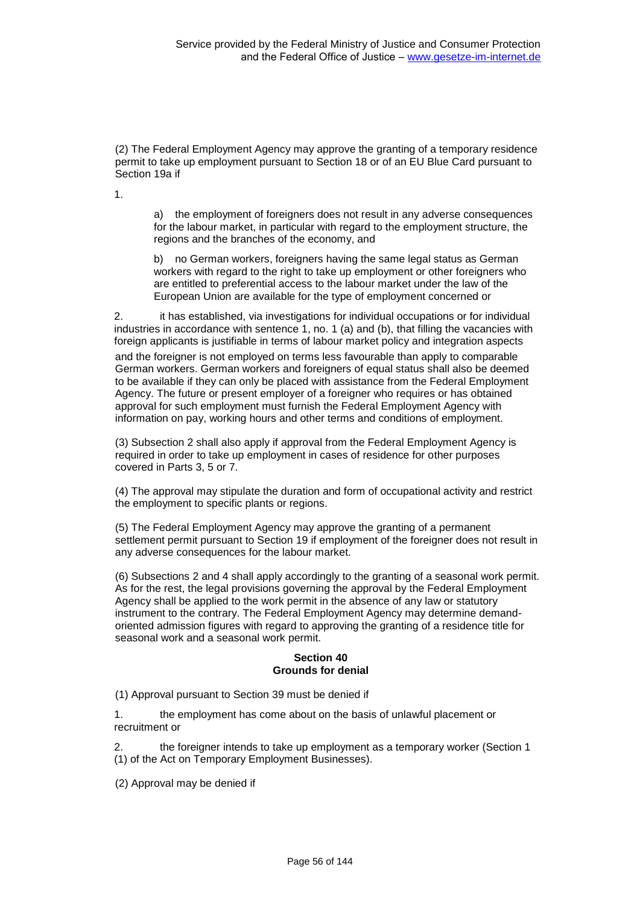(2) The Federal Employment Agency may approve the granting of a temporary residence permit to take up employment pursuant to Section 18 or of an EU Blue Card pursuant to Section 19a if

1.

a) the employment of foreigners does not result in any adverse consequences for the labour market, in particular with regard to the employment structure, the regions and the branches of the economy, and

b) no German workers, foreigners having the same legal status as German workers with regard to the right to take up employment or other foreigners who are entitled to preferential access to the labour market under the law of the European Union are available for the type of employment concerned or

2. it has established, via investigations for individual occupations or for individual industries in accordance with sentence 1, no. 1 (a) and (b), that filling the vacancies with foreign applicants is justifiable in terms of labour market policy and integration aspects and the foreigner is not employed on terms less favourable than apply to comparable German workers. German workers and foreigners of equal status shall also be deemed to be available if they can only be placed with assistance from the Federal Employment Agency. The future or present employer of a foreigner who requires or has obtained approval for such employment must furnish the Federal Employment Agency with information on pay, working hours and other terms and conditions of employment.

(3) Subsection 2 shall also apply if approval from the Federal Employment Agency is required in order to take up employment in cases of residence for other purposes covered in Parts 3, 5 or 7.

(4) The approval may stipulate the duration and form of occupational activity and restrict the employment to specific plants or regions.

(5) The Federal Employment Agency may approve the granting of a permanent settlement permit pursuant to Section 19 if employment of the foreigner does not result in any adverse consequences for the labour market.

(6) Subsections 2 and 4 shall apply accordingly to the granting of a seasonal work permit. As for the rest, the legal provisions governing the approval by the Federal Employment Agency shall be applied to the work permit in the absence of any law or statutory instrument to the contrary. The Federal Employment Agency may determine demandoriented admission figures with regard to approving the granting of a residence title for seasonal work and a seasonal work permit.

#### **Section 40 Grounds for denial**

(1) Approval pursuant to Section 39 must be denied if

1. the employment has come about on the basis of unlawful placement or recruitment or

the foreigner intends to take up employment as a temporary worker (Section 1 (1) of the Act on Temporary Employment Businesses).

(2) Approval may be denied if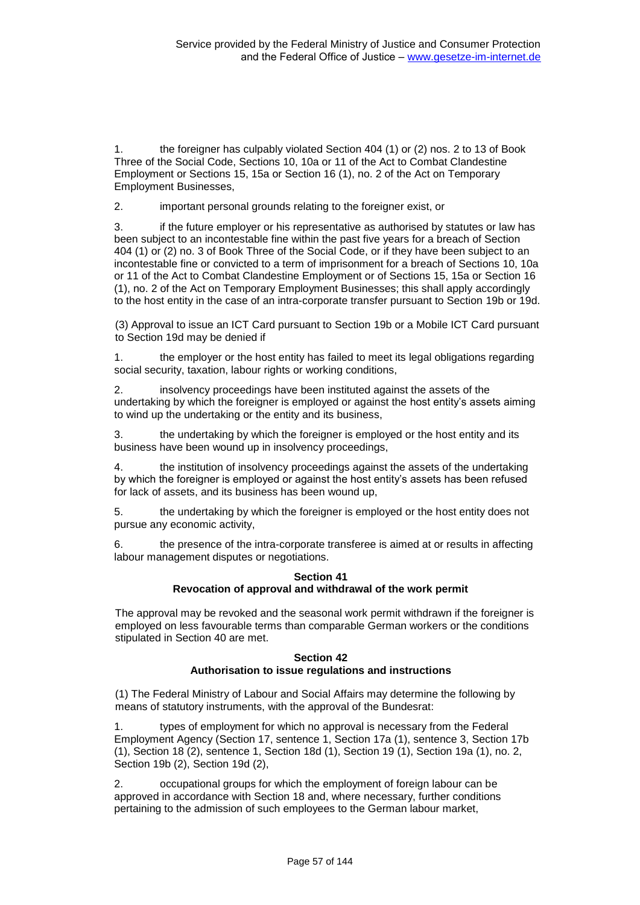1. the foreigner has culpably violated Section 404 (1) or (2) nos. 2 to 13 of Book Three of the Social Code, Sections 10, 10a or 11 of the Act to Combat Clandestine Employment or Sections 15, 15a or Section 16 (1), no. 2 of the Act on Temporary Employment Businesses,

2. important personal grounds relating to the foreigner exist, or

3. if the future employer or his representative as authorised by statutes or law has been subject to an incontestable fine within the past five years for a breach of Section 404 (1) or (2) no. 3 of Book Three of the Social Code, or if they have been subject to an incontestable fine or convicted to a term of imprisonment for a breach of Sections 10, 10a or 11 of the Act to Combat Clandestine Employment or of Sections 15, 15a or Section 16 (1), no. 2 of the Act on Temporary Employment Businesses; this shall apply accordingly to the host entity in the case of an intra-corporate transfer pursuant to Section 19b or 19d.

(3) Approval to issue an ICT Card pursuant to Section 19b or a Mobile ICT Card pursuant to Section 19d may be denied if

1. the employer or the host entity has failed to meet its legal obligations regarding social security, taxation, labour rights or working conditions,

2. insolvency proceedings have been instituted against the assets of the undertaking by which the foreigner is employed or against the host entity's assets aiming to wind up the undertaking or the entity and its business,

3. the undertaking by which the foreigner is employed or the host entity and its business have been wound up in insolvency proceedings,

4. the institution of insolvency proceedings against the assets of the undertaking by which the foreigner is employed or against the host entity's assets has been refused for lack of assets, and its business has been wound up,

5. the undertaking by which the foreigner is employed or the host entity does not pursue any economic activity,

6. the presence of the intra-corporate transferee is aimed at or results in affecting labour management disputes or negotiations.

# **Section 41 Revocation of approval and withdrawal of the work permit**

The approval may be revoked and the seasonal work permit withdrawn if the foreigner is employed on less favourable terms than comparable German workers or the conditions stipulated in Section 40 are met.

# **Section 42 Authorisation to issue regulations and instructions**

(1) The Federal Ministry of Labour and Social Affairs may determine the following by means of statutory instruments, with the approval of the Bundesrat:

1. types of employment for which no approval is necessary from the Federal Employment Agency (Section 17, sentence 1, Section 17a (1), sentence 3, Section 17b (1), Section 18 (2), sentence 1, Section 18d (1), Section 19 (1), Section 19a (1), no. 2, Section 19b (2), Section 19d (2),

2. occupational groups for which the employment of foreign labour can be approved in accordance with Section 18 and, where necessary, further conditions pertaining to the admission of such employees to the German labour market,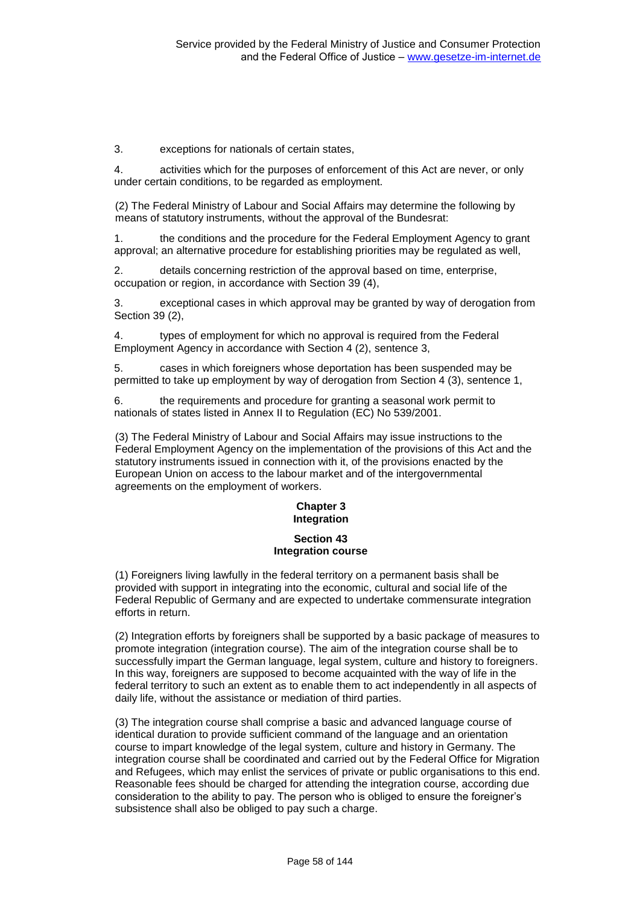3. exceptions for nationals of certain states,

4. activities which for the purposes of enforcement of this Act are never, or only under certain conditions, to be regarded as employment.

(2) The Federal Ministry of Labour and Social Affairs may determine the following by means of statutory instruments, without the approval of the Bundesrat:

1. the conditions and the procedure for the Federal Employment Agency to grant approval; an alternative procedure for establishing priorities may be regulated as well,

2. details concerning restriction of the approval based on time, enterprise, occupation or region, in accordance with Section 39 (4),

3. exceptional cases in which approval may be granted by way of derogation from Section 39 (2),

4. types of employment for which no approval is required from the Federal Employment Agency in accordance with Section 4 (2), sentence 3,

5. cases in which foreigners whose deportation has been suspended may be permitted to take up employment by way of derogation from Section 4 (3), sentence 1,

the requirements and procedure for granting a seasonal work permit to nationals of states listed in Annex II to Regulation (EC) No 539/2001.

(3) The Federal Ministry of Labour and Social Affairs may issue instructions to the Federal Employment Agency on the implementation of the provisions of this Act and the statutory instruments issued in connection with it, of the provisions enacted by the European Union on access to the labour market and of the intergovernmental agreements on the employment of workers.

# **Chapter 3 Integration**

### **Section 43 Integration course**

(1) Foreigners living lawfully in the federal territory on a permanent basis shall be provided with support in integrating into the economic, cultural and social life of the Federal Republic of Germany and are expected to undertake commensurate integration efforts in return.

(2) Integration efforts by foreigners shall be supported by a basic package of measures to promote integration (integration course). The aim of the integration course shall be to successfully impart the German language, legal system, culture and history to foreigners. In this way, foreigners are supposed to become acquainted with the way of life in the federal territory to such an extent as to enable them to act independently in all aspects of daily life, without the assistance or mediation of third parties.

(3) The integration course shall comprise a basic and advanced language course of identical duration to provide sufficient command of the language and an orientation course to impart knowledge of the legal system, culture and history in Germany. The integration course shall be coordinated and carried out by the Federal Office for Migration and Refugees, which may enlist the services of private or public organisations to this end. Reasonable fees should be charged for attending the integration course, according due consideration to the ability to pay. The person who is obliged to ensure the foreigner's subsistence shall also be obliged to pay such a charge.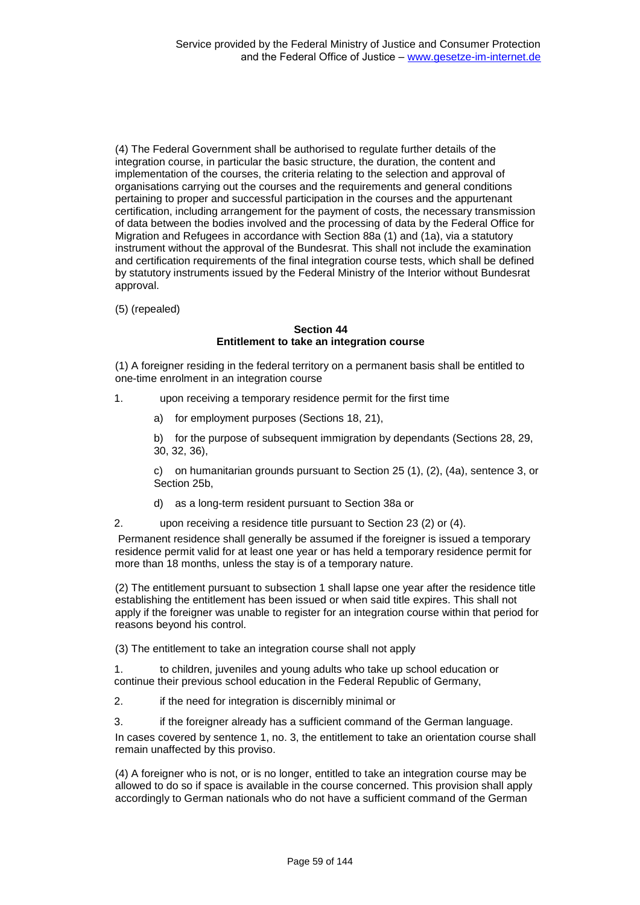(4) The Federal Government shall be authorised to regulate further details of the integration course, in particular the basic structure, the duration, the content and implementation of the courses, the criteria relating to the selection and approval of organisations carrying out the courses and the requirements and general conditions pertaining to proper and successful participation in the courses and the appurtenant certification, including arrangement for the payment of costs, the necessary transmission of data between the bodies involved and the processing of data by the Federal Office for Migration and Refugees in accordance with Section 88a (1) and (1a), via a statutory instrument without the approval of the Bundesrat. This shall not include the examination and certification requirements of the final integration course tests, which shall be defined by statutory instruments issued by the Federal Ministry of the Interior without Bundesrat approval.

(5) (repealed)

### **Section 44 Entitlement to take an integration course**

(1) A foreigner residing in the federal territory on a permanent basis shall be entitled to one-time enrolment in an integration course

1. upon receiving a temporary residence permit for the first time

- a) for employment purposes (Sections 18, 21),
- b) for the purpose of subsequent immigration by dependants (Sections 28, 29, 30, 32, 36),

c) on humanitarian grounds pursuant to Section 25 (1), (2), (4a), sentence 3, or Section 25b,

- d) as a long-term resident pursuant to Section 38a or
- 2. upon receiving a residence title pursuant to Section 23 (2) or (4).

Permanent residence shall generally be assumed if the foreigner is issued a temporary residence permit valid for at least one year or has held a temporary residence permit for more than 18 months, unless the stay is of a temporary nature.

(2) The entitlement pursuant to subsection 1 shall lapse one year after the residence title establishing the entitlement has been issued or when said title expires. This shall not apply if the foreigner was unable to register for an integration course within that period for reasons beyond his control.

(3) The entitlement to take an integration course shall not apply

1. to children, juveniles and young adults who take up school education or continue their previous school education in the Federal Republic of Germany,

2. if the need for integration is discernibly minimal or

3. if the foreigner already has a sufficient command of the German language.

In cases covered by sentence 1, no. 3, the entitlement to take an orientation course shall remain unaffected by this proviso.

(4) A foreigner who is not, or is no longer, entitled to take an integration course may be allowed to do so if space is available in the course concerned. This provision shall apply accordingly to German nationals who do not have a sufficient command of the German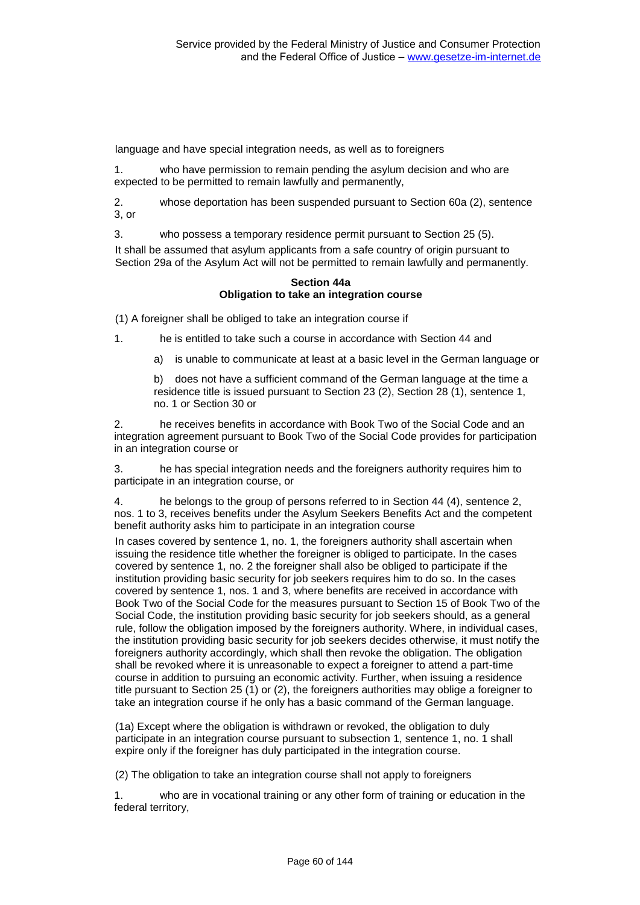language and have special integration needs, as well as to foreigners

1. who have permission to remain pending the asylum decision and who are expected to be permitted to remain lawfully and permanently,

2. whose deportation has been suspended pursuant to Section 60a (2), sentence 3, or

3. who possess a temporary residence permit pursuant to Section 25 (5).

It shall be assumed that asylum applicants from a safe country of origin pursuant to Section 29a of the Asylum Act will not be permitted to remain lawfully and permanently.

# **Section 44a Obligation to take an integration course**

(1) A foreigner shall be obliged to take an integration course if

1. he is entitled to take such a course in accordance with Section 44 and

a) is unable to communicate at least at a basic level in the German language or

b) does not have a sufficient command of the German language at the time a residence title is issued pursuant to Section 23 (2), Section 28 (1), sentence 1, no. 1 or Section 30 or

2. he receives benefits in accordance with Book Two of the Social Code and an integration agreement pursuant to Book Two of the Social Code provides for participation in an integration course or

3. he has special integration needs and the foreigners authority requires him to participate in an integration course, or

4. he belongs to the group of persons referred to in Section 44 (4), sentence 2, nos. 1 to 3, receives benefits under the Asylum Seekers Benefits Act and the competent benefit authority asks him to participate in an integration course

In cases covered by sentence 1, no. 1, the foreigners authority shall ascertain when issuing the residence title whether the foreigner is obliged to participate. In the cases covered by sentence 1, no. 2 the foreigner shall also be obliged to participate if the institution providing basic security for job seekers requires him to do so. In the cases covered by sentence 1, nos. 1 and 3, where benefits are received in accordance with Book Two of the Social Code for the measures pursuant to Section 15 of Book Two of the Social Code, the institution providing basic security for job seekers should, as a general rule, follow the obligation imposed by the foreigners authority. Where, in individual cases, the institution providing basic security for job seekers decides otherwise, it must notify the foreigners authority accordingly, which shall then revoke the obligation. The obligation shall be revoked where it is unreasonable to expect a foreigner to attend a part-time course in addition to pursuing an economic activity. Further, when issuing a residence title pursuant to Section 25 (1) or (2), the foreigners authorities may oblige a foreigner to take an integration course if he only has a basic command of the German language.

(1a) Except where the obligation is withdrawn or revoked, the obligation to duly participate in an integration course pursuant to subsection 1, sentence 1, no. 1 shall expire only if the foreigner has duly participated in the integration course.

(2) The obligation to take an integration course shall not apply to foreigners

1. who are in vocational training or any other form of training or education in the federal territory,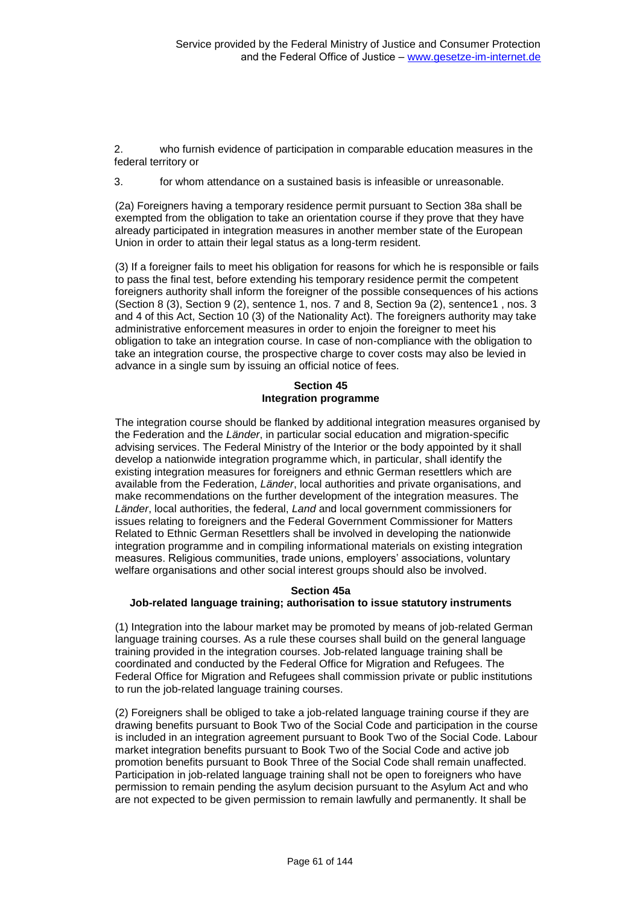2. who furnish evidence of participation in comparable education measures in the federal territory or

3. for whom attendance on a sustained basis is infeasible or unreasonable.

(2a) Foreigners having a temporary residence permit pursuant to Section 38a shall be exempted from the obligation to take an orientation course if they prove that they have already participated in integration measures in another member state of the European Union in order to attain their legal status as a long-term resident.

(3) If a foreigner fails to meet his obligation for reasons for which he is responsible or fails to pass the final test, before extending his temporary residence permit the competent foreigners authority shall inform the foreigner of the possible consequences of his actions (Section 8 (3), Section 9 (2), sentence 1, nos. 7 and 8, Section 9a (2), sentence1 , nos. 3 and 4 of this Act, Section 10 (3) of the Nationality Act). The foreigners authority may take administrative enforcement measures in order to enjoin the foreigner to meet his obligation to take an integration course. In case of non-compliance with the obligation to take an integration course, the prospective charge to cover costs may also be levied in advance in a single sum by issuing an official notice of fees.

# **Section 45 Integration programme**

The integration course should be flanked by additional integration measures organised by the Federation and the *Länder*, in particular social education and migration-specific advising services. The Federal Ministry of the Interior or the body appointed by it shall develop a nationwide integration programme which, in particular, shall identify the existing integration measures for foreigners and ethnic German resettlers which are available from the Federation, *Länder*, local authorities and private organisations, and make recommendations on the further development of the integration measures. The *Länder*, local authorities, the federal, *Land* and local government commissioners for issues relating to foreigners and the Federal Government Commissioner for Matters Related to Ethnic German Resettlers shall be involved in developing the nationwide integration programme and in compiling informational materials on existing integration measures. Religious communities, trade unions, employers' associations, voluntary welfare organisations and other social interest groups should also be involved.

#### **Section 45a Job-related language training; authorisation to issue statutory instruments**

(1) Integration into the labour market may be promoted by means of job-related German language training courses. As a rule these courses shall build on the general language training provided in the integration courses. Job-related language training shall be coordinated and conducted by the Federal Office for Migration and Refugees. The Federal Office for Migration and Refugees shall commission private or public institutions to run the job-related language training courses.

(2) Foreigners shall be obliged to take a job-related language training course if they are drawing benefits pursuant to Book Two of the Social Code and participation in the course is included in an integration agreement pursuant to Book Two of the Social Code. Labour market integration benefits pursuant to Book Two of the Social Code and active job promotion benefits pursuant to Book Three of the Social Code shall remain unaffected. Participation in job-related language training shall not be open to foreigners who have permission to remain pending the asylum decision pursuant to the Asylum Act and who are not expected to be given permission to remain lawfully and permanently. It shall be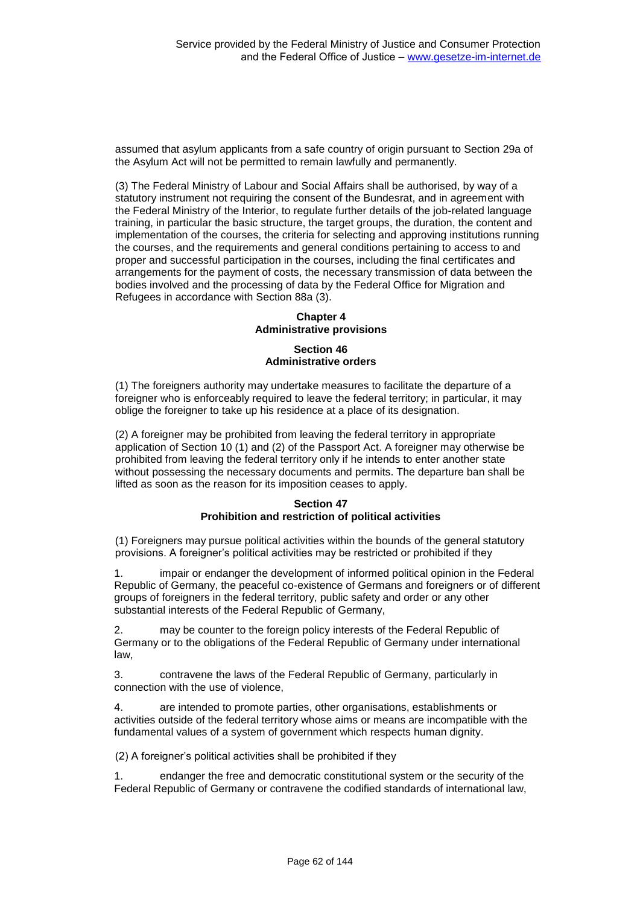assumed that asylum applicants from a safe country of origin pursuant to Section 29a of the Asylum Act will not be permitted to remain lawfully and permanently.

(3) The Federal Ministry of Labour and Social Affairs shall be authorised, by way of a statutory instrument not requiring the consent of the Bundesrat, and in agreement with the Federal Ministry of the Interior, to regulate further details of the job-related language training, in particular the basic structure, the target groups, the duration, the content and implementation of the courses, the criteria for selecting and approving institutions running the courses, and the requirements and general conditions pertaining to access to and proper and successful participation in the courses, including the final certificates and arrangements for the payment of costs, the necessary transmission of data between the bodies involved and the processing of data by the Federal Office for Migration and Refugees in accordance with Section 88a (3).

# **Chapter 4 Administrative provisions**

# **Section 46 Administrative orders**

(1) The foreigners authority may undertake measures to facilitate the departure of a foreigner who is enforceably required to leave the federal territory; in particular, it may oblige the foreigner to take up his residence at a place of its designation.

(2) A foreigner may be prohibited from leaving the federal territory in appropriate application of Section 10 (1) and (2) of the Passport Act. A foreigner may otherwise be prohibited from leaving the federal territory only if he intends to enter another state without possessing the necessary documents and permits. The departure ban shall be lifted as soon as the reason for its imposition ceases to apply.

### **Section 47 Prohibition and restriction of political activities**

(1) Foreigners may pursue political activities within the bounds of the general statutory provisions. A foreigner's political activities may be restricted or prohibited if they

1. impair or endanger the development of informed political opinion in the Federal Republic of Germany, the peaceful co-existence of Germans and foreigners or of different groups of foreigners in the federal territory, public safety and order or any other substantial interests of the Federal Republic of Germany,

may be counter to the foreign policy interests of the Federal Republic of Germany or to the obligations of the Federal Republic of Germany under international law,

3. contravene the laws of the Federal Republic of Germany, particularly in connection with the use of violence,

4. are intended to promote parties, other organisations, establishments or activities outside of the federal territory whose aims or means are incompatible with the fundamental values of a system of government which respects human dignity.

(2) A foreigner's political activities shall be prohibited if they

1. endanger the free and democratic constitutional system or the security of the Federal Republic of Germany or contravene the codified standards of international law,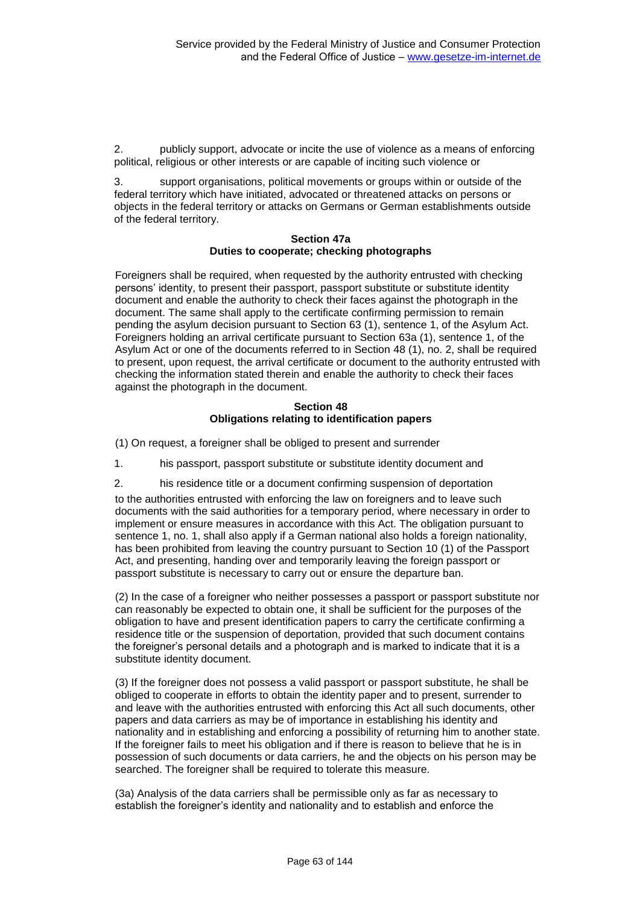2. publicly support, advocate or incite the use of violence as a means of enforcing political, religious or other interests or are capable of inciting such violence or

3. support organisations, political movements or groups within or outside of the federal territory which have initiated, advocated or threatened attacks on persons or objects in the federal territory or attacks on Germans or German establishments outside of the federal territory.

#### **Section 47a Duties to cooperate; checking photographs**

Foreigners shall be required, when requested by the authority entrusted with checking persons' identity, to present their passport, passport substitute or substitute identity document and enable the authority to check their faces against the photograph in the document. The same shall apply to the certificate confirming permission to remain pending the asylum decision pursuant to Section 63 (1), sentence 1, of the Asylum Act. Foreigners holding an arrival certificate pursuant to Section 63a (1), sentence 1, of the Asylum Act or one of the documents referred to in Section 48 (1), no. 2, shall be required to present, upon request, the arrival certificate or document to the authority entrusted with checking the information stated therein and enable the authority to check their faces against the photograph in the document.

# **Section 48 Obligations relating to identification papers**

- (1) On request, a foreigner shall be obliged to present and surrender
- 1. his passport, passport substitute or substitute identity document and
- 2. his residence title or a document confirming suspension of deportation

to the authorities entrusted with enforcing the law on foreigners and to leave such documents with the said authorities for a temporary period, where necessary in order to implement or ensure measures in accordance with this Act. The obligation pursuant to sentence 1, no. 1, shall also apply if a German national also holds a foreign nationality, has been prohibited from leaving the country pursuant to Section 10 (1) of the Passport Act, and presenting, handing over and temporarily leaving the foreign passport or passport substitute is necessary to carry out or ensure the departure ban.

(2) In the case of a foreigner who neither possesses a passport or passport substitute nor can reasonably be expected to obtain one, it shall be sufficient for the purposes of the obligation to have and present identification papers to carry the certificate confirming a residence title or the suspension of deportation, provided that such document contains the foreigner's personal details and a photograph and is marked to indicate that it is a substitute identity document.

(3) If the foreigner does not possess a valid passport or passport substitute, he shall be obliged to cooperate in efforts to obtain the identity paper and to present, surrender to and leave with the authorities entrusted with enforcing this Act all such documents, other papers and data carriers as may be of importance in establishing his identity and nationality and in establishing and enforcing a possibility of returning him to another state. If the foreigner fails to meet his obligation and if there is reason to believe that he is in possession of such documents or data carriers, he and the objects on his person may be searched. The foreigner shall be required to tolerate this measure.

(3a) Analysis of the data carriers shall be permissible only as far as necessary to establish the foreigner's identity and nationality and to establish and enforce the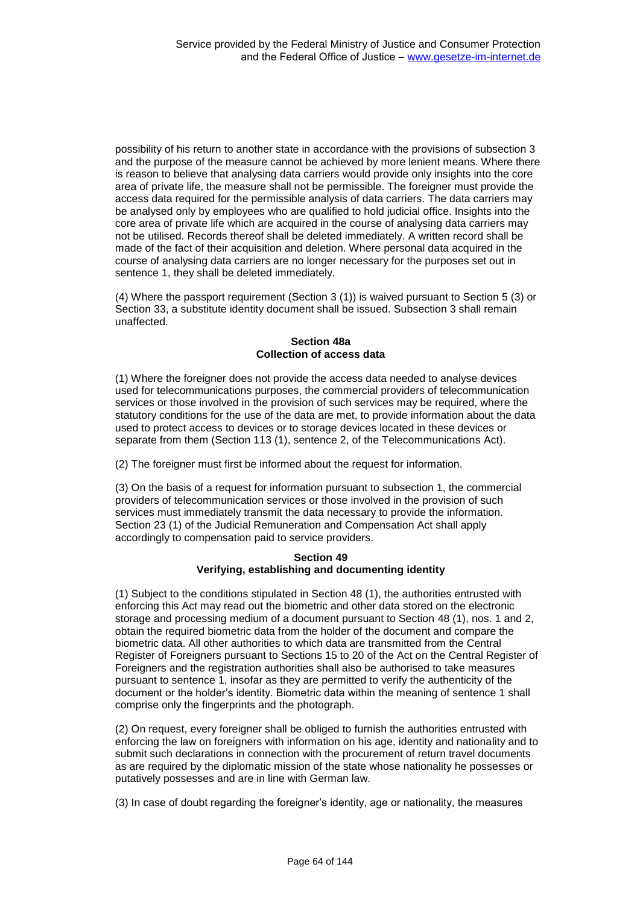possibility of his return to another state in accordance with the provisions of subsection 3 and the purpose of the measure cannot be achieved by more lenient means. Where there is reason to believe that analysing data carriers would provide only insights into the core area of private life, the measure shall not be permissible. The foreigner must provide the access data required for the permissible analysis of data carriers. The data carriers may be analysed only by employees who are qualified to hold judicial office. Insights into the core area of private life which are acquired in the course of analysing data carriers may not be utilised. Records thereof shall be deleted immediately. A written record shall be made of the fact of their acquisition and deletion. Where personal data acquired in the course of analysing data carriers are no longer necessary for the purposes set out in sentence 1, they shall be deleted immediately.

(4) Where the passport requirement (Section 3 (1)) is waived pursuant to Section 5 (3) or Section 33, a substitute identity document shall be issued. Subsection 3 shall remain unaffected.

# **Section 48a Collection of access data**

(1) Where the foreigner does not provide the access data needed to analyse devices used for telecommunications purposes, the commercial providers of telecommunication services or those involved in the provision of such services may be required, where the statutory conditions for the use of the data are met, to provide information about the data used to protect access to devices or to storage devices located in these devices or separate from them (Section 113 (1), sentence 2, of the Telecommunications Act).

(2) The foreigner must first be informed about the request for information.

(3) On the basis of a request for information pursuant to subsection 1, the commercial providers of telecommunication services or those involved in the provision of such services must immediately transmit the data necessary to provide the information. Section 23 (1) of the Judicial Remuneration and Compensation Act shall apply accordingly to compensation paid to service providers.

# **Section 49 Verifying, establishing and documenting identity**

(1) Subject to the conditions stipulated in Section 48 (1), the authorities entrusted with enforcing this Act may read out the biometric and other data stored on the electronic storage and processing medium of a document pursuant to Section 48 (1), nos. 1 and 2, obtain the required biometric data from the holder of the document and compare the biometric data. All other authorities to which data are transmitted from the Central Register of Foreigners pursuant to Sections 15 to 20 of the Act on the Central Register of Foreigners and the registration authorities shall also be authorised to take measures pursuant to sentence 1, insofar as they are permitted to verify the authenticity of the document or the holder's identity. Biometric data within the meaning of sentence 1 shall comprise only the fingerprints and the photograph.

(2) On request, every foreigner shall be obliged to furnish the authorities entrusted with enforcing the law on foreigners with information on his age, identity and nationality and to submit such declarations in connection with the procurement of return travel documents as are required by the diplomatic mission of the state whose nationality he possesses or putatively possesses and are in line with German law.

(3) In case of doubt regarding the foreigner's identity, age or nationality, the measures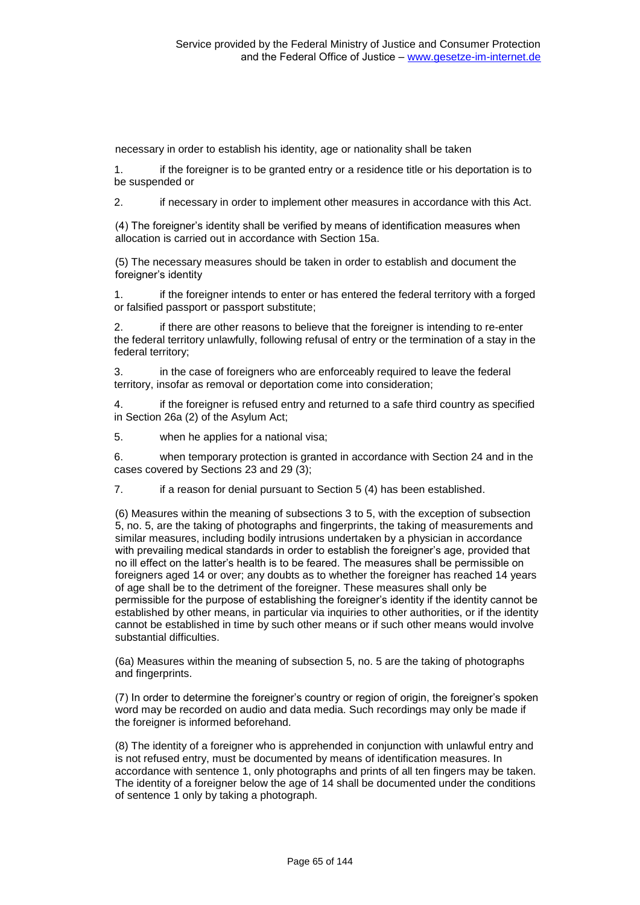necessary in order to establish his identity, age or nationality shall be taken

1. if the foreigner is to be granted entry or a residence title or his deportation is to be suspended or

2. if necessary in order to implement other measures in accordance with this Act.

(4) The foreigner's identity shall be verified by means of identification measures when allocation is carried out in accordance with Section 15a.

(5) The necessary measures should be taken in order to establish and document the foreigner's identity

1. if the foreigner intends to enter or has entered the federal territory with a forged or falsified passport or passport substitute;

2. if there are other reasons to believe that the foreigner is intending to re-enter the federal territory unlawfully, following refusal of entry or the termination of a stay in the federal territory;

3. in the case of foreigners who are enforceably required to leave the federal territory, insofar as removal or deportation come into consideration;

4. if the foreigner is refused entry and returned to a safe third country as specified in Section 26a (2) of the Asylum Act;

5. when he applies for a national visa;

6. when temporary protection is granted in accordance with Section 24 and in the cases covered by Sections 23 and 29 (3);

7. if a reason for denial pursuant to Section 5 (4) has been established.

(6) Measures within the meaning of subsections 3 to 5, with the exception of subsection 5, no. 5, are the taking of photographs and fingerprints, the taking of measurements and similar measures, including bodily intrusions undertaken by a physician in accordance with prevailing medical standards in order to establish the foreigner's age, provided that no ill effect on the latter's health is to be feared. The measures shall be permissible on foreigners aged 14 or over; any doubts as to whether the foreigner has reached 14 years of age shall be to the detriment of the foreigner. These measures shall only be permissible for the purpose of establishing the foreigner's identity if the identity cannot be established by other means, in particular via inquiries to other authorities, or if the identity cannot be established in time by such other means or if such other means would involve substantial difficulties.

(6a) Measures within the meaning of subsection 5, no. 5 are the taking of photographs and fingerprints.

(7) In order to determine the foreigner's country or region of origin, the foreigner's spoken word may be recorded on audio and data media. Such recordings may only be made if the foreigner is informed beforehand.

(8) The identity of a foreigner who is apprehended in conjunction with unlawful entry and is not refused entry, must be documented by means of identification measures. In accordance with sentence 1, only photographs and prints of all ten fingers may be taken. The identity of a foreigner below the age of 14 shall be documented under the conditions of sentence 1 only by taking a photograph.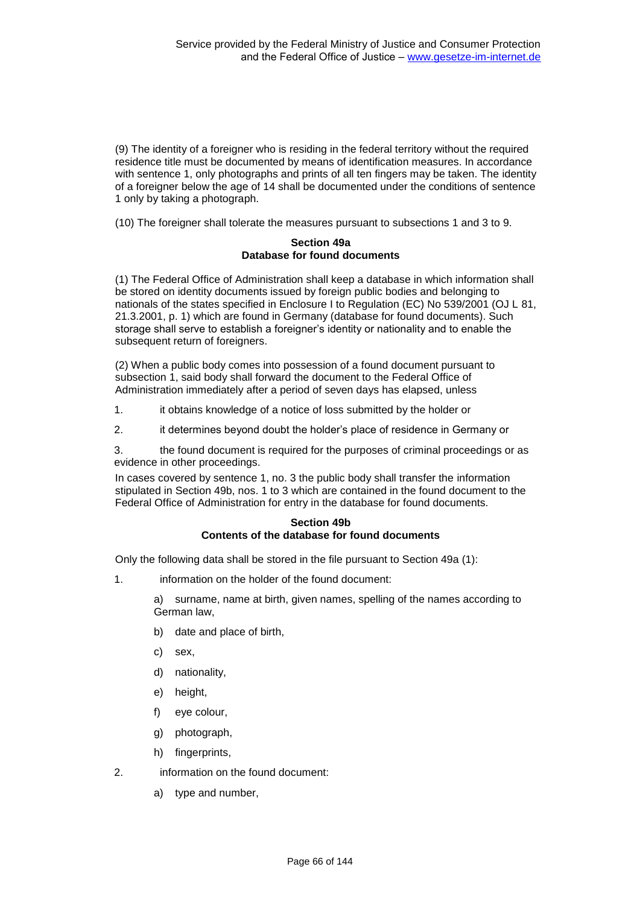(9) The identity of a foreigner who is residing in the federal territory without the required residence title must be documented by means of identification measures. In accordance with sentence 1, only photographs and prints of all ten fingers may be taken. The identity of a foreigner below the age of 14 shall be documented under the conditions of sentence 1 only by taking a photograph.

(10) The foreigner shall tolerate the measures pursuant to subsections 1 and 3 to 9.

# **Section 49a Database for found documents**

(1) The Federal Office of Administration shall keep a database in which information shall be stored on identity documents issued by foreign public bodies and belonging to nationals of the states specified in Enclosure I to Regulation (EC) No 539/2001 (OJ L 81, 21.3.2001, p. 1) which are found in Germany (database for found documents). Such storage shall serve to establish a foreigner's identity or nationality and to enable the subsequent return of foreigners.

(2) When a public body comes into possession of a found document pursuant to subsection 1, said body shall forward the document to the Federal Office of Administration immediately after a period of seven days has elapsed, unless

- 1. it obtains knowledge of a notice of loss submitted by the holder or
- 2. it determines beyond doubt the holder's place of residence in Germany or

3. the found document is required for the purposes of criminal proceedings or as evidence in other proceedings.

In cases covered by sentence 1, no. 3 the public body shall transfer the information stipulated in Section 49b, nos. 1 to 3 which are contained in the found document to the Federal Office of Administration for entry in the database for found documents.

### **Section 49b Contents of the database for found documents**

Only the following data shall be stored in the file pursuant to Section 49a (1):

1. information on the holder of the found document:

a) surname, name at birth, given names, spelling of the names according to German law,

- b) date and place of birth,
- c) sex,
- d) nationality,
- e) height,
- f) eye colour,
- g) photograph,
- h) fingerprints,
- 2. information on the found document:
	- a) type and number,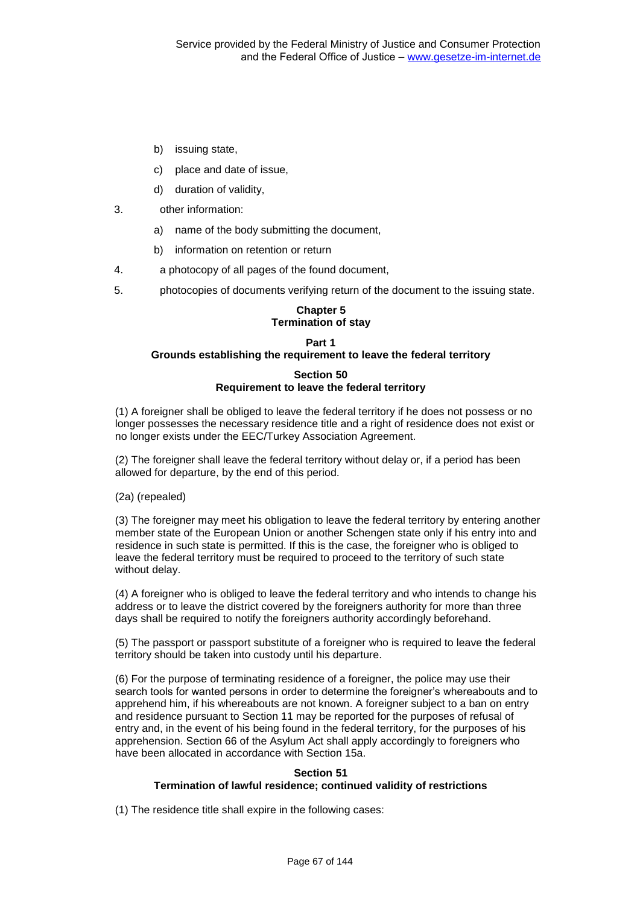- b) issuing state,
- c) place and date of issue,
- d) duration of validity,
- 3. other information:
	- a) name of the body submitting the document,
	- b) information on retention or return
- 4. a photocopy of all pages of the found document,
- 5. photocopies of documents verifying return of the document to the issuing state.

# **Chapter 5 Termination of stay**

# **Part 1 Grounds establishing the requirement to leave the federal territory**

# **Section 50 Requirement to leave the federal territory**

(1) A foreigner shall be obliged to leave the federal territory if he does not possess or no longer possesses the necessary residence title and a right of residence does not exist or no longer exists under the EEC/Turkey Association Agreement.

(2) The foreigner shall leave the federal territory without delay or, if a period has been allowed for departure, by the end of this period.

(2a) (repealed)

(3) The foreigner may meet his obligation to leave the federal territory by entering another member state of the European Union or another Schengen state only if his entry into and residence in such state is permitted. If this is the case, the foreigner who is obliged to leave the federal territory must be required to proceed to the territory of such state without delay.

(4) A foreigner who is obliged to leave the federal territory and who intends to change his address or to leave the district covered by the foreigners authority for more than three days shall be required to notify the foreigners authority accordingly beforehand.

(5) The passport or passport substitute of a foreigner who is required to leave the federal territory should be taken into custody until his departure.

(6) For the purpose of terminating residence of a foreigner, the police may use their search tools for wanted persons in order to determine the foreigner's whereabouts and to apprehend him, if his whereabouts are not known. A foreigner subject to a ban on entry and residence pursuant to Section 11 may be reported for the purposes of refusal of entry and, in the event of his being found in the federal territory, for the purposes of his apprehension. Section 66 of the Asylum Act shall apply accordingly to foreigners who have been allocated in accordance with Section 15a.

### **Section 51**

### **Termination of lawful residence; continued validity of restrictions**

(1) The residence title shall expire in the following cases: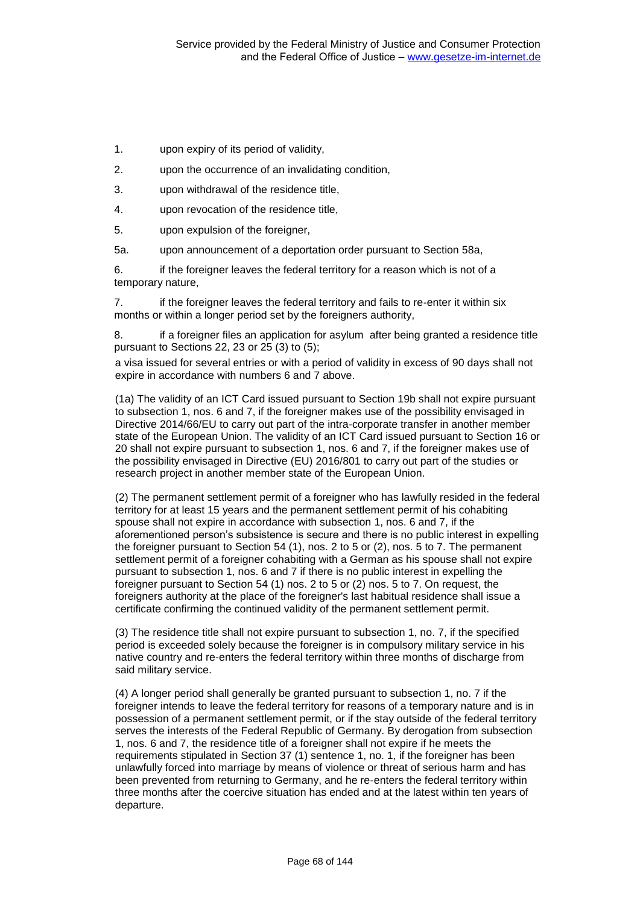- 1. upon expiry of its period of validity,
- 2. upon the occurrence of an invalidating condition,
- 3. upon withdrawal of the residence title,
- 4. upon revocation of the residence title,
- 5. upon expulsion of the foreigner,
- 5a. upon announcement of a deportation order pursuant to Section 58a,

6. if the foreigner leaves the federal territory for a reason which is not of a temporary nature,

7. if the foreigner leaves the federal territory and fails to re-enter it within six months or within a longer period set by the foreigners authority,

8. if a foreigner files an application for asylum after being granted a residence title pursuant to Sections 22, 23 or 25 (3) to (5);

a visa issued for several entries or with a period of validity in excess of 90 days shall not expire in accordance with numbers 6 and 7 above.

(1a) The validity of an ICT Card issued pursuant to Section 19b shall not expire pursuant to subsection 1, nos. 6 and 7, if the foreigner makes use of the possibility envisaged in Directive 2014/66/EU to carry out part of the intra-corporate transfer in another member state of the European Union. The validity of an ICT Card issued pursuant to Section 16 or 20 shall not expire pursuant to subsection 1, nos. 6 and 7, if the foreigner makes use of the possibility envisaged in Directive (EU) 2016/801 to carry out part of the studies or research project in another member state of the European Union.

(2) The permanent settlement permit of a foreigner who has lawfully resided in the federal territory for at least 15 years and the permanent settlement permit of his cohabiting spouse shall not expire in accordance with subsection 1, nos. 6 and 7, if the aforementioned person's subsistence is secure and there is no public interest in expelling the foreigner pursuant to Section 54 (1), nos. 2 to 5 or (2), nos. 5 to 7. The permanent settlement permit of a foreigner cohabiting with a German as his spouse shall not expire pursuant to subsection 1, nos. 6 and 7 if there is no public interest in expelling the foreigner pursuant to Section 54 (1) nos. 2 to 5 or (2) nos. 5 to 7. On request, the foreigners authority at the place of the foreigner's last habitual residence shall issue a certificate confirming the continued validity of the permanent settlement permit.

(3) The residence title shall not expire pursuant to subsection 1, no. 7, if the specified period is exceeded solely because the foreigner is in compulsory military service in his native country and re-enters the federal territory within three months of discharge from said military service.

(4) A longer period shall generally be granted pursuant to subsection 1, no. 7 if the foreigner intends to leave the federal territory for reasons of a temporary nature and is in possession of a permanent settlement permit, or if the stay outside of the federal territory serves the interests of the Federal Republic of Germany. By derogation from subsection 1, nos. 6 and 7, the residence title of a foreigner shall not expire if he meets the requirements stipulated in Section 37 (1) sentence 1, no. 1, if the foreigner has been unlawfully forced into marriage by means of violence or threat of serious harm and has been prevented from returning to Germany, and he re-enters the federal territory within three months after the coercive situation has ended and at the latest within ten years of departure.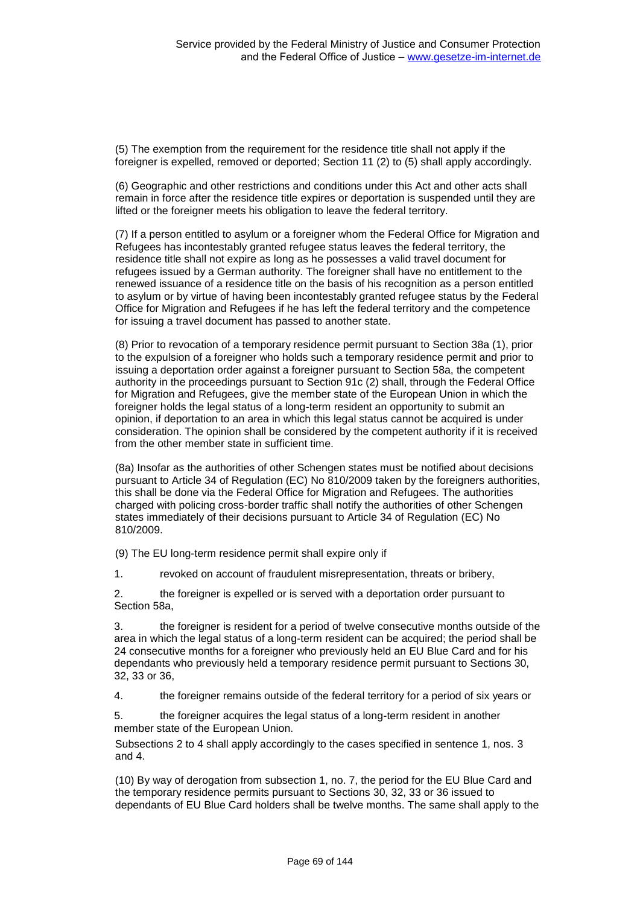(5) The exemption from the requirement for the residence title shall not apply if the foreigner is expelled, removed or deported; Section 11 (2) to (5) shall apply accordingly.

(6) Geographic and other restrictions and conditions under this Act and other acts shall remain in force after the residence title expires or deportation is suspended until they are lifted or the foreigner meets his obligation to leave the federal territory.

(7) If a person entitled to asylum or a foreigner whom the Federal Office for Migration and Refugees has incontestably granted refugee status leaves the federal territory, the residence title shall not expire as long as he possesses a valid travel document for refugees issued by a German authority. The foreigner shall have no entitlement to the renewed issuance of a residence title on the basis of his recognition as a person entitled to asylum or by virtue of having been incontestably granted refugee status by the Federal Office for Migration and Refugees if he has left the federal territory and the competence for issuing a travel document has passed to another state.

(8) Prior to revocation of a temporary residence permit pursuant to Section 38a (1), prior to the expulsion of a foreigner who holds such a temporary residence permit and prior to issuing a deportation order against a foreigner pursuant to Section 58a, the competent authority in the proceedings pursuant to Section 91c (2) shall, through the Federal Office for Migration and Refugees, give the member state of the European Union in which the foreigner holds the legal status of a long-term resident an opportunity to submit an opinion, if deportation to an area in which this legal status cannot be acquired is under consideration. The opinion shall be considered by the competent authority if it is received from the other member state in sufficient time.

(8a) Insofar as the authorities of other Schengen states must be notified about decisions pursuant to Article 34 of Regulation (EC) No 810/2009 taken by the foreigners authorities, this shall be done via the Federal Office for Migration and Refugees. The authorities charged with policing cross-border traffic shall notify the authorities of other Schengen states immediately of their decisions pursuant to Article 34 of Regulation (EC) No 810/2009.

(9) The EU long-term residence permit shall expire only if

1. revoked on account of fraudulent misrepresentation, threats or bribery,

2. the foreigner is expelled or is served with a deportation order pursuant to Section 58a,

3. the foreigner is resident for a period of twelve consecutive months outside of the area in which the legal status of a long-term resident can be acquired; the period shall be 24 consecutive months for a foreigner who previously held an EU Blue Card and for his dependants who previously held a temporary residence permit pursuant to Sections 30, 32, 33 or 36,

4. the foreigner remains outside of the federal territory for a period of six years or

5. the foreigner acquires the legal status of a long-term resident in another member state of the European Union.

Subsections 2 to 4 shall apply accordingly to the cases specified in sentence 1, nos. 3 and 4.

(10) By way of derogation from subsection 1, no. 7, the period for the EU Blue Card and the temporary residence permits pursuant to Sections 30, 32, 33 or 36 issued to dependants of EU Blue Card holders shall be twelve months. The same shall apply to the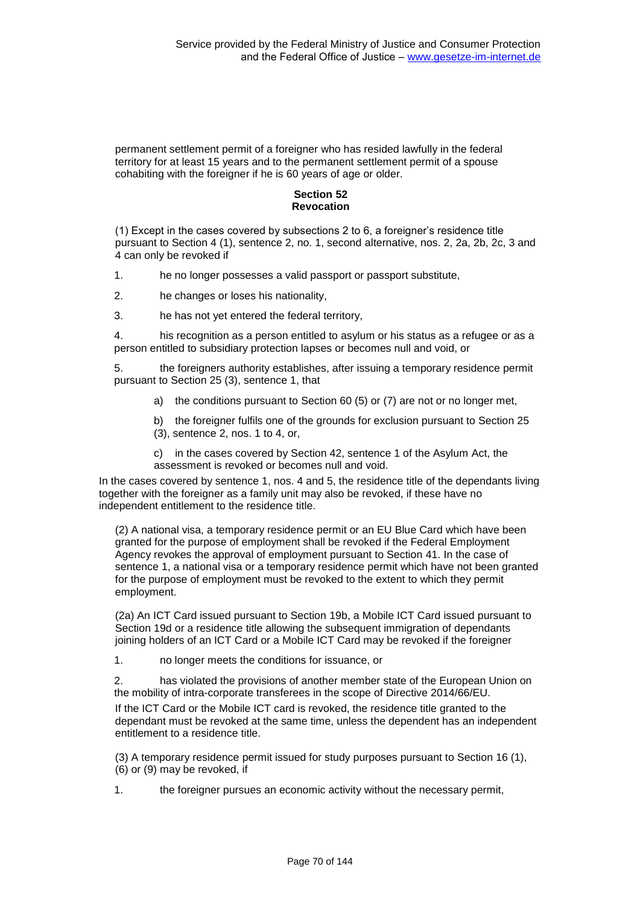permanent settlement permit of a foreigner who has resided lawfully in the federal territory for at least 15 years and to the permanent settlement permit of a spouse cohabiting with the foreigner if he is 60 years of age or older.

# **Section 52 Revocation**

(1) Except in the cases covered by subsections 2 to 6, a foreigner's residence title pursuant to Section 4 (1), sentence 2, no. 1, second alternative, nos. 2, 2a, 2b, 2c, 3 and 4 can only be revoked if

1. he no longer possesses a valid passport or passport substitute,

2. he changes or loses his nationality,

3. he has not yet entered the federal territory,

4. his recognition as a person entitled to asylum or his status as a refugee or as a person entitled to subsidiary protection lapses or becomes null and void, or

5. the foreigners authority establishes, after issuing a temporary residence permit pursuant to Section 25 (3), sentence 1, that

a) the conditions pursuant to Section 60 (5) or (7) are not or no longer met,

b) the foreigner fulfils one of the grounds for exclusion pursuant to Section 25 (3), sentence 2, nos. 1 to 4, or,

c) in the cases covered by Section 42, sentence 1 of the Asylum Act, the assessment is revoked or becomes null and void.

In the cases covered by sentence 1, nos. 4 and 5, the residence title of the dependants living together with the foreigner as a family unit may also be revoked, if these have no independent entitlement to the residence title.

(2) A national visa, a temporary residence permit or an EU Blue Card which have been granted for the purpose of employment shall be revoked if the Federal Employment Agency revokes the approval of employment pursuant to Section 41. In the case of sentence 1, a national visa or a temporary residence permit which have not been granted for the purpose of employment must be revoked to the extent to which they permit employment.

(2a) An ICT Card issued pursuant to Section 19b, a Mobile ICT Card issued pursuant to Section 19d or a residence title allowing the subsequent immigration of dependants joining holders of an ICT Card or a Mobile ICT Card may be revoked if the foreigner

1. no longer meets the conditions for issuance, or

2. has violated the provisions of another member state of the European Union on the mobility of intra-corporate transferees in the scope of Directive 2014/66/EU.

If the ICT Card or the Mobile ICT card is revoked, the residence title granted to the dependant must be revoked at the same time, unless the dependent has an independent entitlement to a residence title.

(3) A temporary residence permit issued for study purposes pursuant to Section 16 (1), (6) or (9) may be revoked, if

1. the foreigner pursues an economic activity without the necessary permit,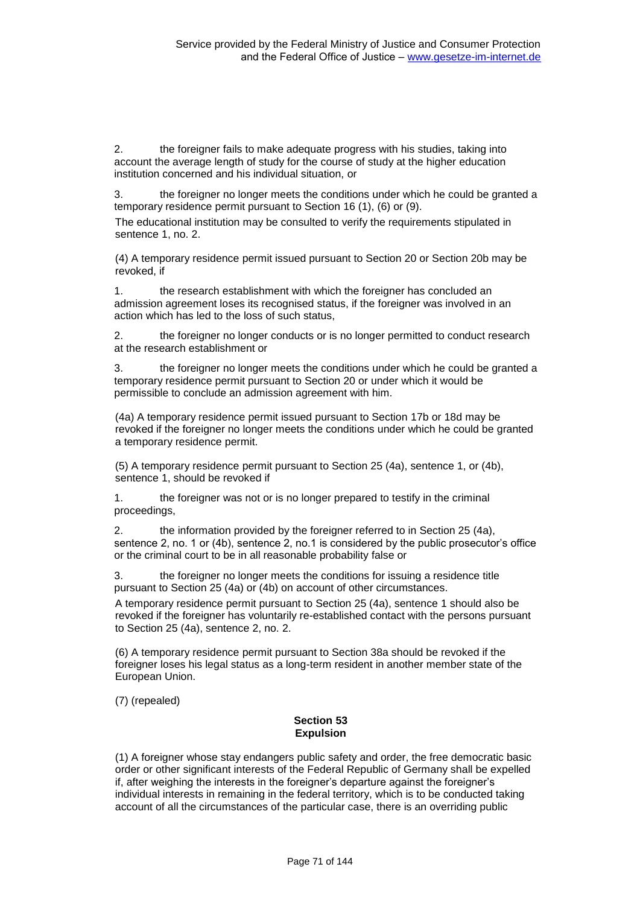2. the foreigner fails to make adequate progress with his studies, taking into account the average length of study for the course of study at the higher education institution concerned and his individual situation, or

3. the foreigner no longer meets the conditions under which he could be granted a temporary residence permit pursuant to Section 16 (1), (6) or (9).

The educational institution may be consulted to verify the requirements stipulated in sentence 1, no. 2.

(4) A temporary residence permit issued pursuant to Section 20 or Section 20b may be revoked, if

1. the research establishment with which the foreigner has concluded an admission agreement loses its recognised status, if the foreigner was involved in an action which has led to the loss of such status,

2. the foreigner no longer conducts or is no longer permitted to conduct research at the research establishment or

3. the foreigner no longer meets the conditions under which he could be granted a temporary residence permit pursuant to Section 20 or under which it would be permissible to conclude an admission agreement with him.

(4a) A temporary residence permit issued pursuant to Section 17b or 18d may be revoked if the foreigner no longer meets the conditions under which he could be granted a temporary residence permit.

(5) A temporary residence permit pursuant to Section 25 (4a), sentence 1, or (4b), sentence 1, should be revoked if

1. the foreigner was not or is no longer prepared to testify in the criminal proceedings,

2. the information provided by the foreigner referred to in Section 25 (4a), sentence 2, no. 1 or (4b), sentence 2, no.1 is considered by the public prosecutor's office or the criminal court to be in all reasonable probability false or

3. the foreigner no longer meets the conditions for issuing a residence title pursuant to Section 25 (4a) or (4b) on account of other circumstances.

A temporary residence permit pursuant to Section 25 (4a), sentence 1 should also be revoked if the foreigner has voluntarily re-established contact with the persons pursuant to Section 25 (4a), sentence 2, no. 2.

(6) A temporary residence permit pursuant to Section 38a should be revoked if the foreigner loses his legal status as a long-term resident in another member state of the European Union.

(7) (repealed)

### **Section 53 Expulsion**

(1) A foreigner whose stay endangers public safety and order, the free democratic basic order or other significant interests of the Federal Republic of Germany shall be expelled if, after weighing the interests in the foreigner's departure against the foreigner's individual interests in remaining in the federal territory, which is to be conducted taking account of all the circumstances of the particular case, there is an overriding public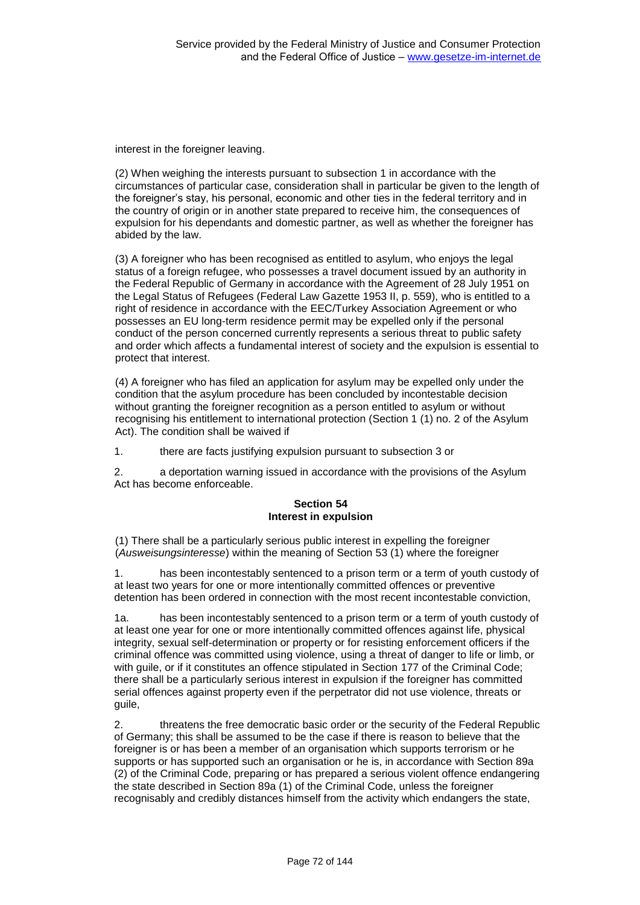interest in the foreigner leaving.

(2) When weighing the interests pursuant to subsection 1 in accordance with the circumstances of particular case, consideration shall in particular be given to the length of the foreigner's stay, his personal, economic and other ties in the federal territory and in the country of origin or in another state prepared to receive him, the consequences of expulsion for his dependants and domestic partner, as well as whether the foreigner has abided by the law.

(3) A foreigner who has been recognised as entitled to asylum, who enjoys the legal status of a foreign refugee, who possesses a travel document issued by an authority in the Federal Republic of Germany in accordance with the Agreement of 28 July 1951 on the Legal Status of Refugees (Federal Law Gazette 1953 II, p. 559), who is entitled to a right of residence in accordance with the EEC/Turkey Association Agreement or who possesses an EU long-term residence permit may be expelled only if the personal conduct of the person concerned currently represents a serious threat to public safety and order which affects a fundamental interest of society and the expulsion is essential to protect that interest.

(4) A foreigner who has filed an application for asylum may be expelled only under the condition that the asylum procedure has been concluded by incontestable decision without granting the foreigner recognition as a person entitled to asylum or without recognising his entitlement to international protection (Section 1 (1) no. 2 of the Asylum Act). The condition shall be waived if

1. there are facts justifying expulsion pursuant to subsection 3 or

2. a deportation warning issued in accordance with the provisions of the Asylum Act has become enforceable.

### **Section 54 Interest in expulsion**

(1) There shall be a particularly serious public interest in expelling the foreigner (*Ausweisungsinteresse*) within the meaning of Section 53 (1) where the foreigner

1. has been incontestably sentenced to a prison term or a term of youth custody of at least two years for one or more intentionally committed offences or preventive detention has been ordered in connection with the most recent incontestable conviction,

1a. has been incontestably sentenced to a prison term or a term of youth custody of at least one year for one or more intentionally committed offences against life, physical integrity, sexual self-determination or property or for resisting enforcement officers if the criminal offence was committed using violence, using a threat of danger to life or limb, or with guile, or if it constitutes an offence stipulated in Section 177 of the Criminal Code; there shall be a particularly serious interest in expulsion if the foreigner has committed serial offences against property even if the perpetrator did not use violence, threats or guile,

2. threatens the free democratic basic order or the security of the Federal Republic of Germany; this shall be assumed to be the case if there is reason to believe that the foreigner is or has been a member of an organisation which supports terrorism or he supports or has supported such an organisation or he is, in accordance with Section 89a (2) of the Criminal Code, preparing or has prepared a serious violent offence endangering the state described in Section 89a (1) of the Criminal Code, unless the foreigner recognisably and credibly distances himself from the activity which endangers the state,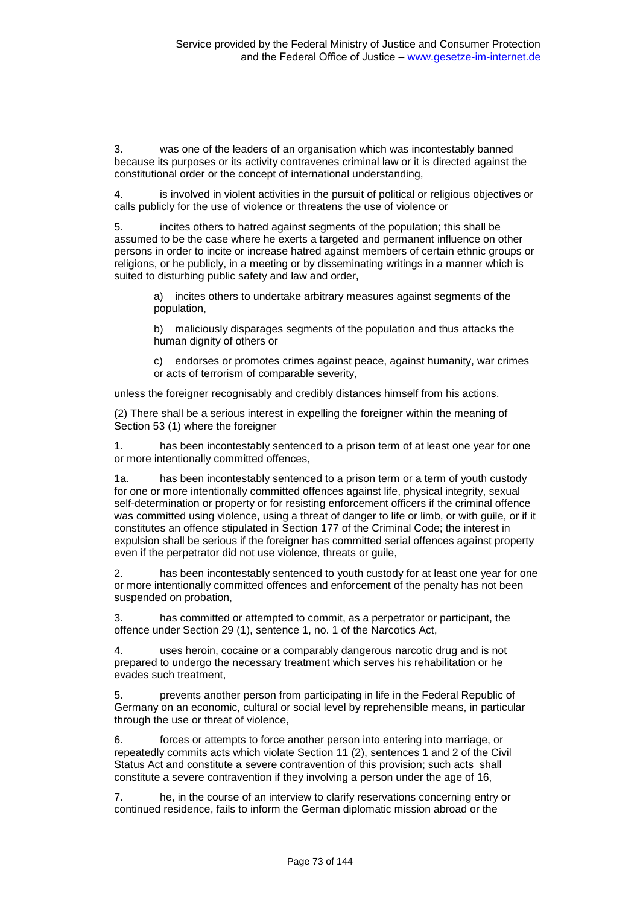3. was one of the leaders of an organisation which was incontestably banned because its purposes or its activity contravenes criminal law or it is directed against the constitutional order or the concept of international understanding,

4. is involved in violent activities in the pursuit of political or religious objectives or calls publicly for the use of violence or threatens the use of violence or

5. incites others to hatred against segments of the population; this shall be assumed to be the case where he exerts a targeted and permanent influence on other persons in order to incite or increase hatred against members of certain ethnic groups or religions, or he publicly, in a meeting or by disseminating writings in a manner which is suited to disturbing public safety and law and order,

a) incites others to undertake arbitrary measures against segments of the population,

b) maliciously disparages segments of the population and thus attacks the human dignity of others or

c) endorses or promotes crimes against peace, against humanity, war crimes or acts of terrorism of comparable severity,

unless the foreigner recognisably and credibly distances himself from his actions.

(2) There shall be a serious interest in expelling the foreigner within the meaning of Section 53 (1) where the foreigner

1. has been incontestably sentenced to a prison term of at least one year for one or more intentionally committed offences,

1a. has been incontestably sentenced to a prison term or a term of youth custody for one or more intentionally committed offences against life, physical integrity, sexual self-determination or property or for resisting enforcement officers if the criminal offence was committed using violence, using a threat of danger to life or limb, or with guile, or if it constitutes an offence stipulated in Section 177 of the Criminal Code; the interest in expulsion shall be serious if the foreigner has committed serial offences against property even if the perpetrator did not use violence, threats or guile,

2. has been incontestably sentenced to youth custody for at least one year for one or more intentionally committed offences and enforcement of the penalty has not been suspended on probation,

3. has committed or attempted to commit, as a perpetrator or participant, the offence under Section 29 (1), sentence 1, no. 1 of the Narcotics Act,

4. uses heroin, cocaine or a comparably dangerous narcotic drug and is not prepared to undergo the necessary treatment which serves his rehabilitation or he evades such treatment,

5. prevents another person from participating in life in the Federal Republic of Germany on an economic, cultural or social level by reprehensible means, in particular through the use or threat of violence,

6. forces or attempts to force another person into entering into marriage, or repeatedly commits acts which violate Section 11 (2), sentences 1 and 2 of the Civil Status Act and constitute a severe contravention of this provision; such acts shall constitute a severe contravention if they involving a person under the age of 16,

7. he, in the course of an interview to clarify reservations concerning entry or continued residence, fails to inform the German diplomatic mission abroad or the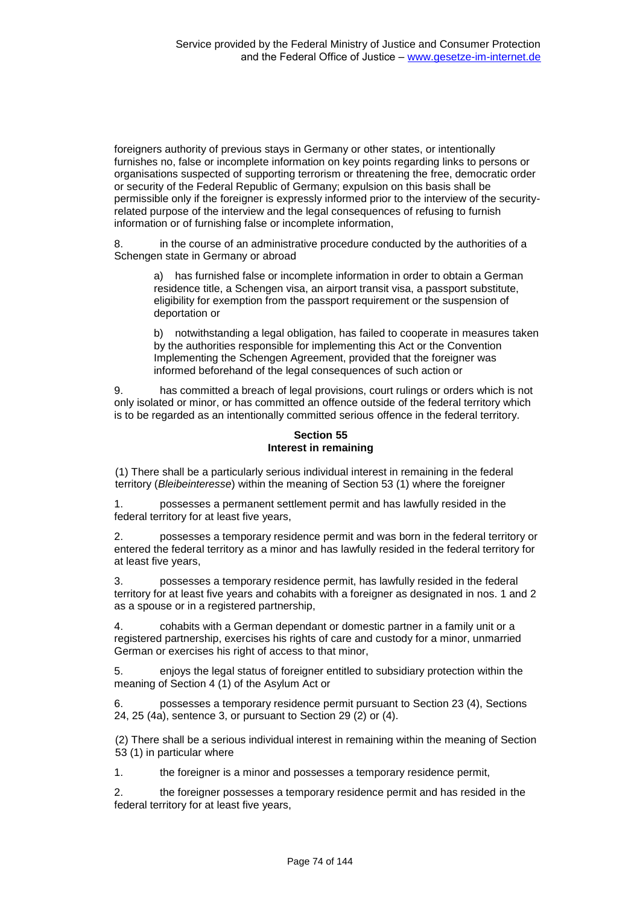foreigners authority of previous stays in Germany or other states, or intentionally furnishes no, false or incomplete information on key points regarding links to persons or organisations suspected of supporting terrorism or threatening the free, democratic order or security of the Federal Republic of Germany; expulsion on this basis shall be permissible only if the foreigner is expressly informed prior to the interview of the securityrelated purpose of the interview and the legal consequences of refusing to furnish information or of furnishing false or incomplete information,

8. in the course of an administrative procedure conducted by the authorities of a Schengen state in Germany or abroad

a) has furnished false or incomplete information in order to obtain a German residence title, a Schengen visa, an airport transit visa, a passport substitute, eligibility for exemption from the passport requirement or the suspension of deportation or

b) notwithstanding a legal obligation, has failed to cooperate in measures taken by the authorities responsible for implementing this Act or the Convention Implementing the Schengen Agreement, provided that the foreigner was informed beforehand of the legal consequences of such action or

9. has committed a breach of legal provisions, court rulings or orders which is not only isolated or minor, or has committed an offence outside of the federal territory which is to be regarded as an intentionally committed serious offence in the federal territory.

# **Section 55 Interest in remaining**

(1) There shall be a particularly serious individual interest in remaining in the federal territory (*Bleibeinteresse*) within the meaning of Section 53 (1) where the foreigner

1. possesses a permanent settlement permit and has lawfully resided in the federal territory for at least five years,

2. possesses a temporary residence permit and was born in the federal territory or entered the federal territory as a minor and has lawfully resided in the federal territory for at least five years,

3. possesses a temporary residence permit, has lawfully resided in the federal territory for at least five years and cohabits with a foreigner as designated in nos. 1 and 2 as a spouse or in a registered partnership,

cohabits with a German dependant or domestic partner in a family unit or a registered partnership, exercises his rights of care and custody for a minor, unmarried German or exercises his right of access to that minor,

5. enjoys the legal status of foreigner entitled to subsidiary protection within the meaning of Section 4 (1) of the Asylum Act or

6. possesses a temporary residence permit pursuant to Section 23 (4), Sections 24, 25 (4a), sentence 3, or pursuant to Section 29 (2) or (4).

(2) There shall be a serious individual interest in remaining within the meaning of Section 53 (1) in particular where

1. the foreigner is a minor and possesses a temporary residence permit,

2. the foreigner possesses a temporary residence permit and has resided in the federal territory for at least five years,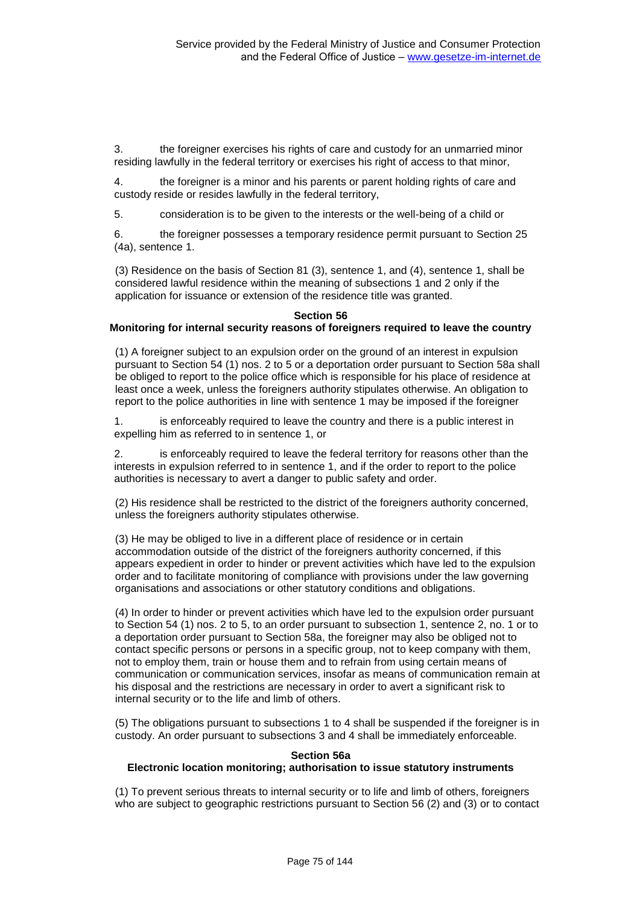3. the foreigner exercises his rights of care and custody for an unmarried minor residing lawfully in the federal territory or exercises his right of access to that minor,

4. the foreigner is a minor and his parents or parent holding rights of care and custody reside or resides lawfully in the federal territory,

5. consideration is to be given to the interests or the well-being of a child or

6. the foreigner possesses a temporary residence permit pursuant to Section 25 (4a), sentence 1.

(3) Residence on the basis of Section 81 (3), sentence 1, and (4), sentence 1, shall be considered lawful residence within the meaning of subsections 1 and 2 only if the application for issuance or extension of the residence title was granted.

#### **Section 56**

#### **Monitoring for internal security reasons of foreigners required to leave the country**

(1) A foreigner subject to an expulsion order on the ground of an interest in expulsion pursuant to Section 54 (1) nos. 2 to 5 or a deportation order pursuant to Section 58a shall be obliged to report to the police office which is responsible for his place of residence at least once a week, unless the foreigners authority stipulates otherwise. An obligation to report to the police authorities in line with sentence 1 may be imposed if the foreigner

1. is enforceably required to leave the country and there is a public interest in expelling him as referred to in sentence 1, or

2. is enforceably required to leave the federal territory for reasons other than the interests in expulsion referred to in sentence 1, and if the order to report to the police authorities is necessary to avert a danger to public safety and order.

(2) His residence shall be restricted to the district of the foreigners authority concerned, unless the foreigners authority stipulates otherwise.

(3) He may be obliged to live in a different place of residence or in certain accommodation outside of the district of the foreigners authority concerned, if this appears expedient in order to hinder or prevent activities which have led to the expulsion order and to facilitate monitoring of compliance with provisions under the law governing organisations and associations or other statutory conditions and obligations.

(4) In order to hinder or prevent activities which have led to the expulsion order pursuant to Section 54 (1) nos. 2 to 5, to an order pursuant to subsection 1, sentence 2, no. 1 or to a deportation order pursuant to Section 58a, the foreigner may also be obliged not to contact specific persons or persons in a specific group, not to keep company with them, not to employ them, train or house them and to refrain from using certain means of communication or communication services, insofar as means of communication remain at his disposal and the restrictions are necessary in order to avert a significant risk to internal security or to the life and limb of others.

(5) The obligations pursuant to subsections 1 to 4 shall be suspended if the foreigner is in custody. An order pursuant to subsections 3 and 4 shall be immediately enforceable.

#### **Section 56a Electronic location monitoring; authorisation to issue statutory instruments**

(1) To prevent serious threats to internal security or to life and limb of others, foreigners who are subject to geographic restrictions pursuant to Section 56 (2) and (3) or to contact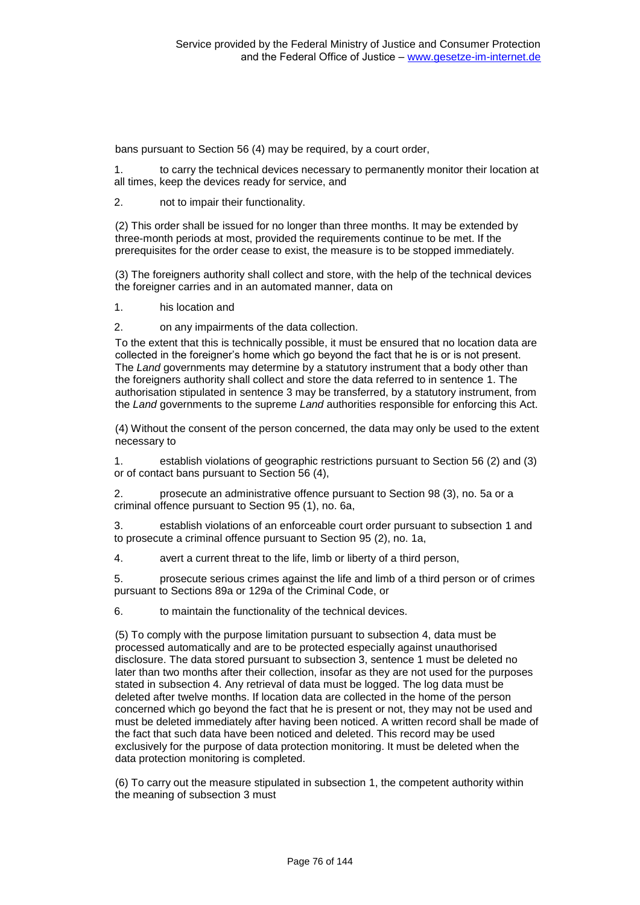bans pursuant to Section 56 (4) may be required, by a court order,

1. to carry the technical devices necessary to permanently monitor their location at all times, keep the devices ready for service, and

2. not to impair their functionality.

(2) This order shall be issued for no longer than three months. It may be extended by three-month periods at most, provided the requirements continue to be met. If the prerequisites for the order cease to exist, the measure is to be stopped immediately.

(3) The foreigners authority shall collect and store, with the help of the technical devices the foreigner carries and in an automated manner, data on

1. his location and

2. on any impairments of the data collection.

To the extent that this is technically possible, it must be ensured that no location data are collected in the foreigner's home which go beyond the fact that he is or is not present. The *Land* governments may determine by a statutory instrument that a body other than the foreigners authority shall collect and store the data referred to in sentence 1. The authorisation stipulated in sentence 3 may be transferred, by a statutory instrument, from the *Land* governments to the supreme *Land* authorities responsible for enforcing this Act.

(4) Without the consent of the person concerned, the data may only be used to the extent necessary to

1. establish violations of geographic restrictions pursuant to Section 56 (2) and (3) or of contact bans pursuant to Section 56 (4),

2. prosecute an administrative offence pursuant to Section 98 (3), no. 5a or a criminal offence pursuant to Section 95 (1), no. 6a,

3. establish violations of an enforceable court order pursuant to subsection 1 and to prosecute a criminal offence pursuant to Section 95 (2), no. 1a,

4. avert a current threat to the life, limb or liberty of a third person,

5. prosecute serious crimes against the life and limb of a third person or of crimes pursuant to Sections 89a or 129a of the Criminal Code, or

6. to maintain the functionality of the technical devices.

(5) To comply with the purpose limitation pursuant to subsection 4, data must be processed automatically and are to be protected especially against unauthorised disclosure. The data stored pursuant to subsection 3, sentence 1 must be deleted no later than two months after their collection, insofar as they are not used for the purposes stated in subsection 4. Any retrieval of data must be logged. The log data must be deleted after twelve months. If location data are collected in the home of the person concerned which go beyond the fact that he is present or not, they may not be used and must be deleted immediately after having been noticed. A written record shall be made of the fact that such data have been noticed and deleted. This record may be used exclusively for the purpose of data protection monitoring. It must be deleted when the data protection monitoring is completed.

(6) To carry out the measure stipulated in subsection 1, the competent authority within the meaning of subsection 3 must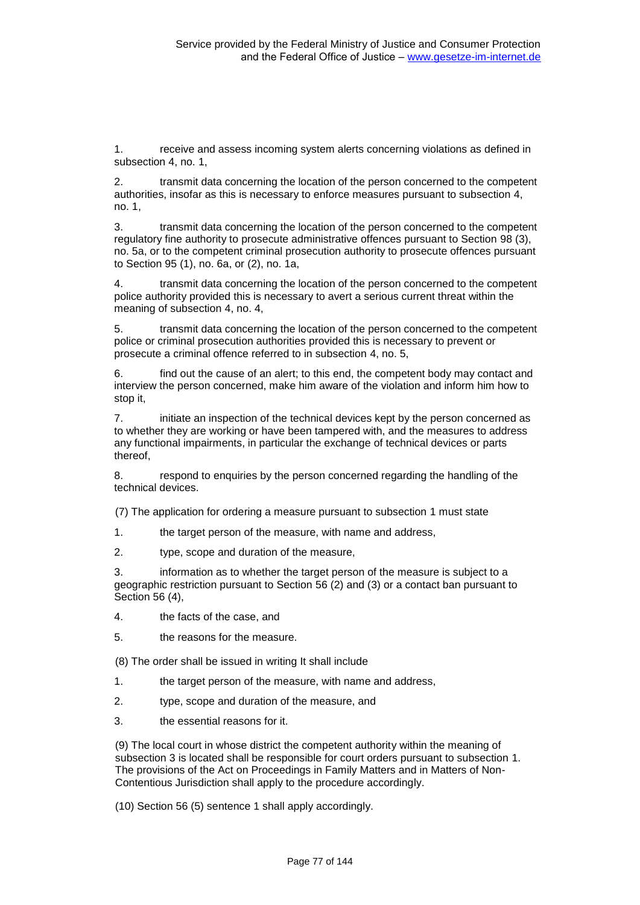1. receive and assess incoming system alerts concerning violations as defined in subsection 4, no. 1,

2. transmit data concerning the location of the person concerned to the competent authorities, insofar as this is necessary to enforce measures pursuant to subsection 4, no. 1,

3. transmit data concerning the location of the person concerned to the competent regulatory fine authority to prosecute administrative offences pursuant to Section 98 (3), no. 5a, or to the competent criminal prosecution authority to prosecute offences pursuant to Section 95 (1), no. 6a, or (2), no. 1a,

4. transmit data concerning the location of the person concerned to the competent police authority provided this is necessary to avert a serious current threat within the meaning of subsection 4, no. 4,

5. transmit data concerning the location of the person concerned to the competent police or criminal prosecution authorities provided this is necessary to prevent or prosecute a criminal offence referred to in subsection 4, no. 5,

6. find out the cause of an alert; to this end, the competent body may contact and interview the person concerned, make him aware of the violation and inform him how to stop it,

7. initiate an inspection of the technical devices kept by the person concerned as to whether they are working or have been tampered with, and the measures to address any functional impairments, in particular the exchange of technical devices or parts thereof,

8. respond to enquiries by the person concerned regarding the handling of the technical devices.

(7) The application for ordering a measure pursuant to subsection 1 must state

- 1. the target person of the measure, with name and address,
- 2. type, scope and duration of the measure,

3. information as to whether the target person of the measure is subject to a geographic restriction pursuant to Section 56 (2) and (3) or a contact ban pursuant to Section 56 (4),

4. the facts of the case, and

5. the reasons for the measure.

(8) The order shall be issued in writing It shall include

- 1. the target person of the measure, with name and address,
- 2. type, scope and duration of the measure, and
- 3. the essential reasons for it.

(9) The local court in whose district the competent authority within the meaning of subsection 3 is located shall be responsible for court orders pursuant to subsection 1. The provisions of the Act on Proceedings in Family Matters and in Matters of Non-Contentious Jurisdiction shall apply to the procedure accordingly.

(10) Section 56 (5) sentence 1 shall apply accordingly.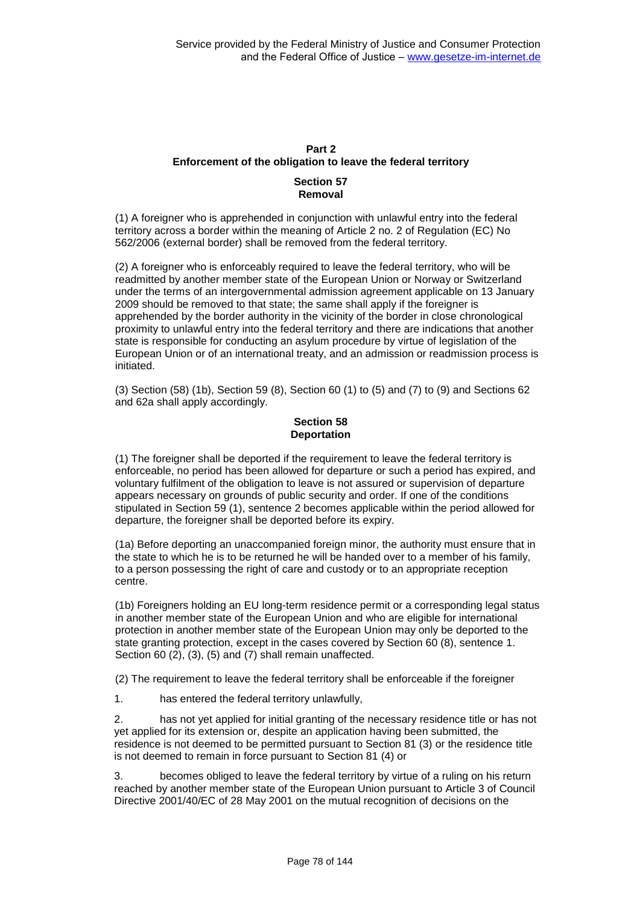# **Part 2 Enforcement of the obligation to leave the federal territory**

# **Section 57 Removal**

(1) A foreigner who is apprehended in conjunction with unlawful entry into the federal territory across a border within the meaning of Article 2 no. 2 of Regulation (EC) No 562/2006 (external border) shall be removed from the federal territory.

(2) A foreigner who is enforceably required to leave the federal territory, who will be readmitted by another member state of the European Union or Norway or Switzerland under the terms of an intergovernmental admission agreement applicable on 13 January 2009 should be removed to that state; the same shall apply if the foreigner is apprehended by the border authority in the vicinity of the border in close chronological proximity to unlawful entry into the federal territory and there are indications that another state is responsible for conducting an asylum procedure by virtue of legislation of the European Union or of an international treaty, and an admission or readmission process is initiated.

(3) Section (58) (1b), Section 59 (8), Section 60 (1) to (5) and (7) to (9) and Sections 62 and 62a shall apply accordingly.

## **Section 58 Deportation**

(1) The foreigner shall be deported if the requirement to leave the federal territory is enforceable, no period has been allowed for departure or such a period has expired, and voluntary fulfilment of the obligation to leave is not assured or supervision of departure appears necessary on grounds of public security and order. If one of the conditions stipulated in Section 59 (1), sentence 2 becomes applicable within the period allowed for departure, the foreigner shall be deported before its expiry.

(1a) Before deporting an unaccompanied foreign minor, the authority must ensure that in the state to which he is to be returned he will be handed over to a member of his family, to a person possessing the right of care and custody or to an appropriate reception centre.

(1b) Foreigners holding an EU long-term residence permit or a corresponding legal status in another member state of the European Union and who are eligible for international protection in another member state of the European Union may only be deported to the state granting protection, except in the cases covered by Section 60 (8), sentence 1. Section 60 (2), (3), (5) and (7) shall remain unaffected.

(2) The requirement to leave the federal territory shall be enforceable if the foreigner

1. has entered the federal territory unlawfully,

2. has not yet applied for initial granting of the necessary residence title or has not yet applied for its extension or, despite an application having been submitted, the residence is not deemed to be permitted pursuant to Section 81 (3) or the residence title is not deemed to remain in force pursuant to Section 81 (4) or

3. becomes obliged to leave the federal territory by virtue of a ruling on his return reached by another member state of the European Union pursuant to Article 3 of Council Directive 2001/40/EC of 28 May 2001 on the mutual recognition of decisions on the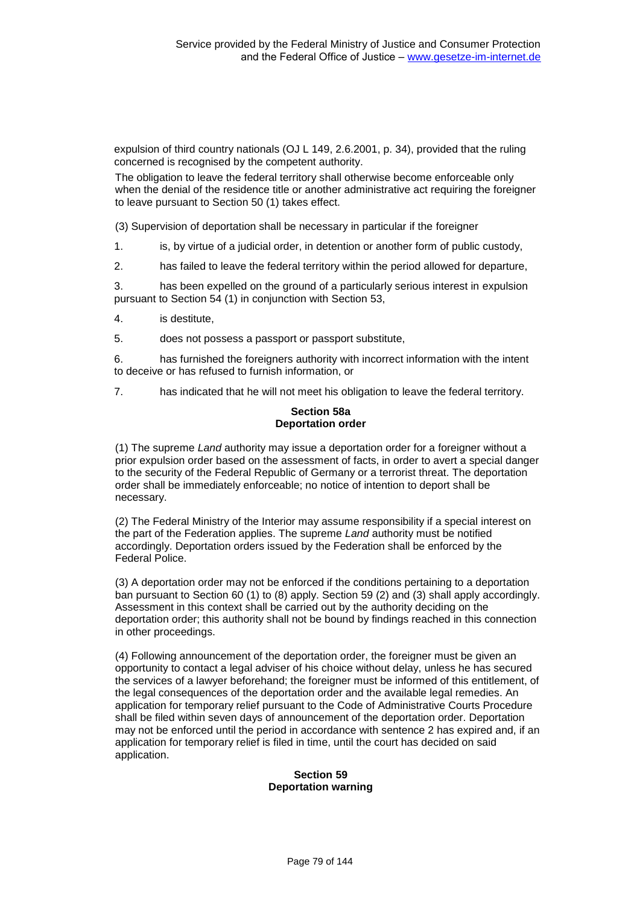expulsion of third country nationals (OJ L 149, 2.6.2001, p. 34), provided that the ruling concerned is recognised by the competent authority.

The obligation to leave the federal territory shall otherwise become enforceable only when the denial of the residence title or another administrative act requiring the foreigner to leave pursuant to Section 50 (1) takes effect.

(3) Supervision of deportation shall be necessary in particular if the foreigner

1. is, by virtue of a judicial order, in detention or another form of public custody,

2. has failed to leave the federal territory within the period allowed for departure,

3. has been expelled on the ground of a particularly serious interest in expulsion pursuant to Section 54 (1) in conjunction with Section 53,

- 4. is destitute,
- 5. does not possess a passport or passport substitute,

6. has furnished the foreigners authority with incorrect information with the intent to deceive or has refused to furnish information, or

7. has indicated that he will not meet his obligation to leave the federal territory.

### **Section 58a Deportation order**

(1) The supreme *Land* authority may issue a deportation order for a foreigner without a prior expulsion order based on the assessment of facts, in order to avert a special danger to the security of the Federal Republic of Germany or a terrorist threat. The deportation order shall be immediately enforceable; no notice of intention to deport shall be necessary.

(2) The Federal Ministry of the Interior may assume responsibility if a special interest on the part of the Federation applies. The supreme *Land* authority must be notified accordingly. Deportation orders issued by the Federation shall be enforced by the Federal Police.

(3) A deportation order may not be enforced if the conditions pertaining to a deportation ban pursuant to Section 60 (1) to (8) apply. Section 59 (2) and (3) shall apply accordingly. Assessment in this context shall be carried out by the authority deciding on the deportation order; this authority shall not be bound by findings reached in this connection in other proceedings.

(4) Following announcement of the deportation order, the foreigner must be given an opportunity to contact a legal adviser of his choice without delay, unless he has secured the services of a lawyer beforehand; the foreigner must be informed of this entitlement, of the legal consequences of the deportation order and the available legal remedies. An application for temporary relief pursuant to the Code of Administrative Courts Procedure shall be filed within seven days of announcement of the deportation order. Deportation may not be enforced until the period in accordance with sentence 2 has expired and, if an application for temporary relief is filed in time, until the court has decided on said application.

#### **Section 59 Deportation warning**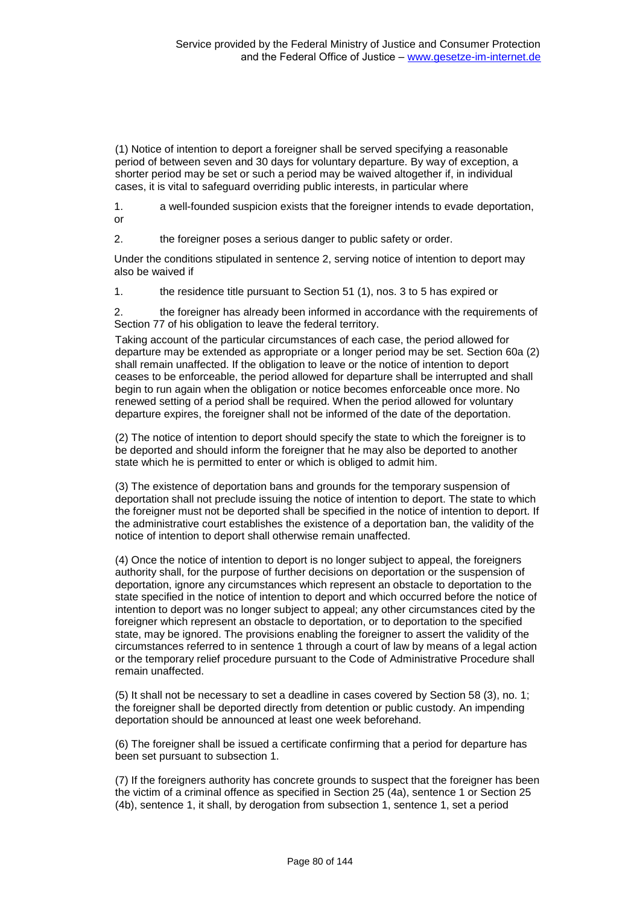(1) Notice of intention to deport a foreigner shall be served specifying a reasonable period of between seven and 30 days for voluntary departure. By way of exception, a shorter period may be set or such a period may be waived altogether if, in individual cases, it is vital to safeguard overriding public interests, in particular where

1. a well-founded suspicion exists that the foreigner intends to evade deportation, or

2. the foreigner poses a serious danger to public safety or order.

Under the conditions stipulated in sentence 2, serving notice of intention to deport may also be waived if

1. the residence title pursuant to Section 51 (1), nos. 3 to 5 has expired or

2. the foreigner has already been informed in accordance with the requirements of Section 77 of his obligation to leave the federal territory.

Taking account of the particular circumstances of each case, the period allowed for departure may be extended as appropriate or a longer period may be set. Section 60a (2) shall remain unaffected. If the obligation to leave or the notice of intention to deport ceases to be enforceable, the period allowed for departure shall be interrupted and shall begin to run again when the obligation or notice becomes enforceable once more. No renewed setting of a period shall be required. When the period allowed for voluntary departure expires, the foreigner shall not be informed of the date of the deportation.

(2) The notice of intention to deport should specify the state to which the foreigner is to be deported and should inform the foreigner that he may also be deported to another state which he is permitted to enter or which is obliged to admit him.

(3) The existence of deportation bans and grounds for the temporary suspension of deportation shall not preclude issuing the notice of intention to deport. The state to which the foreigner must not be deported shall be specified in the notice of intention to deport. If the administrative court establishes the existence of a deportation ban, the validity of the notice of intention to deport shall otherwise remain unaffected.

(4) Once the notice of intention to deport is no longer subject to appeal, the foreigners authority shall, for the purpose of further decisions on deportation or the suspension of deportation, ignore any circumstances which represent an obstacle to deportation to the state specified in the notice of intention to deport and which occurred before the notice of intention to deport was no longer subject to appeal; any other circumstances cited by the foreigner which represent an obstacle to deportation, or to deportation to the specified state, may be ignored. The provisions enabling the foreigner to assert the validity of the circumstances referred to in sentence 1 through a court of law by means of a legal action or the temporary relief procedure pursuant to the Code of Administrative Procedure shall remain unaffected.

(5) It shall not be necessary to set a deadline in cases covered by Section 58 (3), no. 1; the foreigner shall be deported directly from detention or public custody. An impending deportation should be announced at least one week beforehand.

(6) The foreigner shall be issued a certificate confirming that a period for departure has been set pursuant to subsection 1.

(7) If the foreigners authority has concrete grounds to suspect that the foreigner has been the victim of a criminal offence as specified in Section 25 (4a), sentence 1 or Section 25 (4b), sentence 1, it shall, by derogation from subsection 1, sentence 1, set a period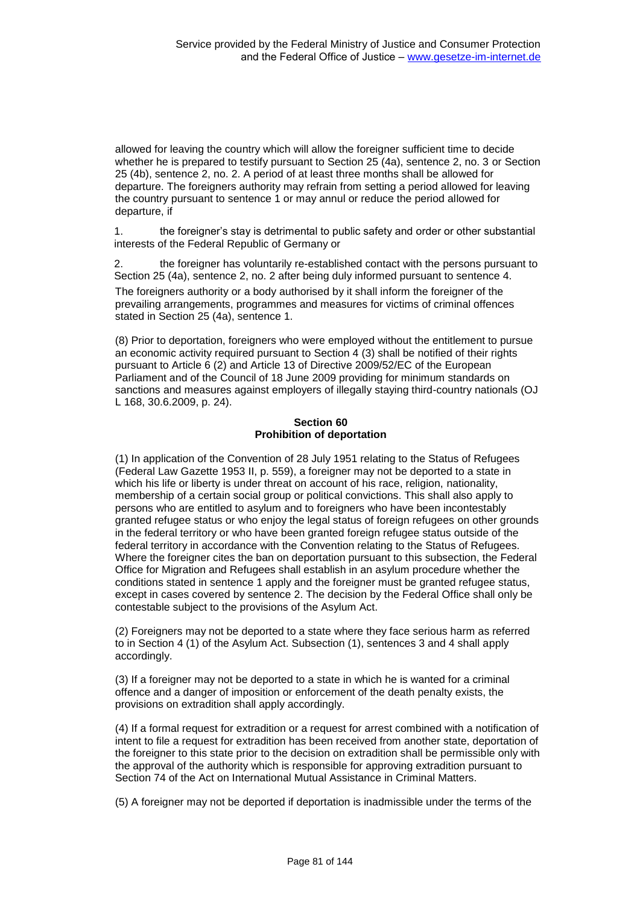allowed for leaving the country which will allow the foreigner sufficient time to decide whether he is prepared to testify pursuant to Section 25 (4a), sentence 2, no. 3 or Section 25 (4b), sentence 2, no. 2. A period of at least three months shall be allowed for departure. The foreigners authority may refrain from setting a period allowed for leaving the country pursuant to sentence 1 or may annul or reduce the period allowed for departure, if

1. the foreigner's stay is detrimental to public safety and order or other substantial interests of the Federal Republic of Germany or

2. the foreigner has voluntarily re-established contact with the persons pursuant to Section 25 (4a), sentence 2, no. 2 after being duly informed pursuant to sentence 4.

The foreigners authority or a body authorised by it shall inform the foreigner of the prevailing arrangements, programmes and measures for victims of criminal offences stated in Section 25 (4a), sentence 1.

(8) Prior to deportation, foreigners who were employed without the entitlement to pursue an economic activity required pursuant to Section 4 (3) shall be notified of their rights pursuant to Article 6 (2) and Article 13 of Directive 2009/52/EC of the European Parliament and of the Council of 18 June 2009 providing for minimum standards on sanctions and measures against employers of illegally staying third-country nationals (OJ L 168, 30.6.2009, p. 24).

#### **Section 60 Prohibition of deportation**

(1) In application of the Convention of 28 July 1951 relating to the Status of Refugees (Federal Law Gazette 1953 II, p. 559), a foreigner may not be deported to a state in which his life or liberty is under threat on account of his race, religion, nationality, membership of a certain social group or political convictions. This shall also apply to persons who are entitled to asylum and to foreigners who have been incontestably granted refugee status or who enjoy the legal status of foreign refugees on other grounds in the federal territory or who have been granted foreign refugee status outside of the federal territory in accordance with the Convention relating to the Status of Refugees. Where the foreigner cites the ban on deportation pursuant to this subsection, the Federal Office for Migration and Refugees shall establish in an asylum procedure whether the conditions stated in sentence 1 apply and the foreigner must be granted refugee status, except in cases covered by sentence 2. The decision by the Federal Office shall only be contestable subject to the provisions of the Asylum Act.

(2) Foreigners may not be deported to a state where they face serious harm as referred to in Section 4 (1) of the Asylum Act. Subsection (1), sentences 3 and 4 shall apply accordingly.

(3) If a foreigner may not be deported to a state in which he is wanted for a criminal offence and a danger of imposition or enforcement of the death penalty exists, the provisions on extradition shall apply accordingly.

(4) If a formal request for extradition or a request for arrest combined with a notification of intent to file a request for extradition has been received from another state, deportation of the foreigner to this state prior to the decision on extradition shall be permissible only with the approval of the authority which is responsible for approving extradition pursuant to Section 74 of the Act on International Mutual Assistance in Criminal Matters.

(5) A foreigner may not be deported if deportation is inadmissible under the terms of the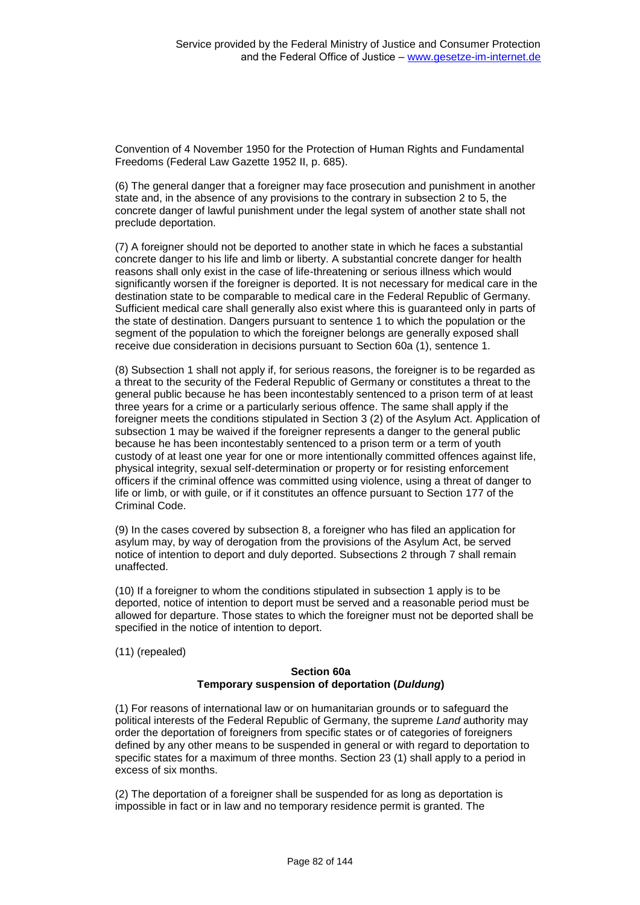Convention of 4 November 1950 for the Protection of Human Rights and Fundamental Freedoms (Federal Law Gazette 1952 II, p. 685).

(6) The general danger that a foreigner may face prosecution and punishment in another state and, in the absence of any provisions to the contrary in subsection 2 to 5, the concrete danger of lawful punishment under the legal system of another state shall not preclude deportation.

(7) A foreigner should not be deported to another state in which he faces a substantial concrete danger to his life and limb or liberty. A substantial concrete danger for health reasons shall only exist in the case of life-threatening or serious illness which would significantly worsen if the foreigner is deported. It is not necessary for medical care in the destination state to be comparable to medical care in the Federal Republic of Germany. Sufficient medical care shall generally also exist where this is guaranteed only in parts of the state of destination. Dangers pursuant to sentence 1 to which the population or the segment of the population to which the foreigner belongs are generally exposed shall receive due consideration in decisions pursuant to Section 60a (1), sentence 1.

(8) Subsection 1 shall not apply if, for serious reasons, the foreigner is to be regarded as a threat to the security of the Federal Republic of Germany or constitutes a threat to the general public because he has been incontestably sentenced to a prison term of at least three years for a crime or a particularly serious offence. The same shall apply if the foreigner meets the conditions stipulated in Section 3 (2) of the Asylum Act. Application of subsection 1 may be waived if the foreigner represents a danger to the general public because he has been incontestably sentenced to a prison term or a term of youth custody of at least one year for one or more intentionally committed offences against life, physical integrity, sexual self-determination or property or for resisting enforcement officers if the criminal offence was committed using violence, using a threat of danger to life or limb, or with guile, or if it constitutes an offence pursuant to Section 177 of the Criminal Code.

(9) In the cases covered by subsection 8, a foreigner who has filed an application for asylum may, by way of derogation from the provisions of the Asylum Act, be served notice of intention to deport and duly deported. Subsections 2 through 7 shall remain unaffected.

(10) If a foreigner to whom the conditions stipulated in subsection 1 apply is to be deported, notice of intention to deport must be served and a reasonable period must be allowed for departure. Those states to which the foreigner must not be deported shall be specified in the notice of intention to deport.

(11) (repealed)

#### **Section 60a Temporary suspension of deportation (***Duldung***)**

(1) For reasons of international law or on humanitarian grounds or to safeguard the political interests of the Federal Republic of Germany, the supreme *Land* authority may order the deportation of foreigners from specific states or of categories of foreigners defined by any other means to be suspended in general or with regard to deportation to specific states for a maximum of three months. Section 23 (1) shall apply to a period in excess of six months.

(2) The deportation of a foreigner shall be suspended for as long as deportation is impossible in fact or in law and no temporary residence permit is granted. The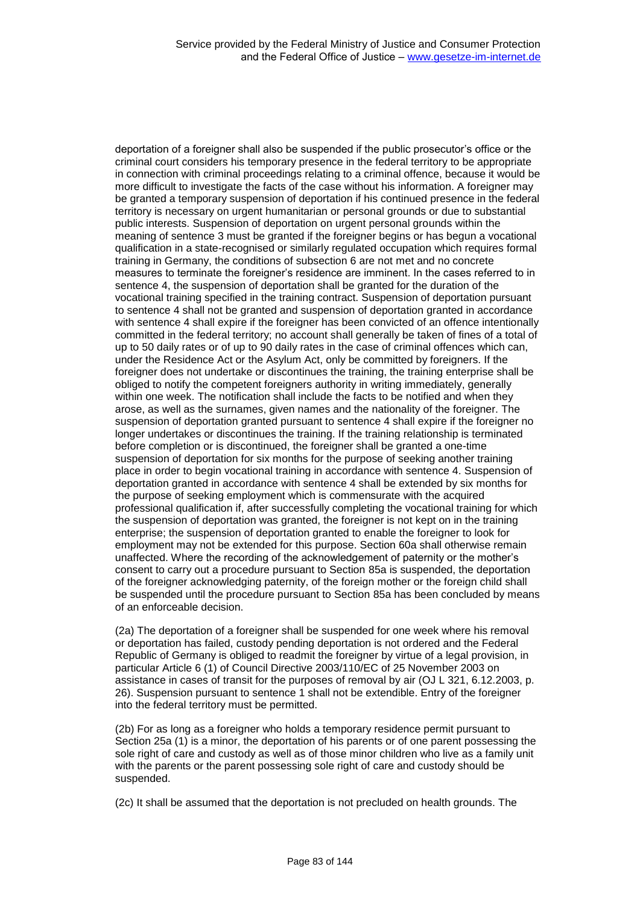deportation of a foreigner shall also be suspended if the public prosecutor's office or the criminal court considers his temporary presence in the federal territory to be appropriate in connection with criminal proceedings relating to a criminal offence, because it would be more difficult to investigate the facts of the case without his information. A foreigner may be granted a temporary suspension of deportation if his continued presence in the federal territory is necessary on urgent humanitarian or personal grounds or due to substantial public interests. Suspension of deportation on urgent personal grounds within the meaning of sentence 3 must be granted if the foreigner begins or has begun a vocational qualification in a state-recognised or similarly regulated occupation which requires formal training in Germany, the conditions of subsection 6 are not met and no concrete measures to terminate the foreigner's residence are imminent. In the cases referred to in sentence 4, the suspension of deportation shall be granted for the duration of the vocational training specified in the training contract. Suspension of deportation pursuant to sentence 4 shall not be granted and suspension of deportation granted in accordance with sentence 4 shall expire if the foreigner has been convicted of an offence intentionally committed in the federal territory; no account shall generally be taken of fines of a total of up to 50 daily rates or of up to 90 daily rates in the case of criminal offences which can, under the Residence Act or the Asylum Act, only be committed by foreigners. If the foreigner does not undertake or discontinues the training, the training enterprise shall be obliged to notify the competent foreigners authority in writing immediately, generally within one week. The notification shall include the facts to be notified and when they arose, as well as the surnames, given names and the nationality of the foreigner. The suspension of deportation granted pursuant to sentence 4 shall expire if the foreigner no longer undertakes or discontinues the training. If the training relationship is terminated before completion or is discontinued, the foreigner shall be granted a one-time suspension of deportation for six months for the purpose of seeking another training place in order to begin vocational training in accordance with sentence 4. Suspension of deportation granted in accordance with sentence 4 shall be extended by six months for the purpose of seeking employment which is commensurate with the acquired professional qualification if, after successfully completing the vocational training for which the suspension of deportation was granted, the foreigner is not kept on in the training enterprise; the suspension of deportation granted to enable the foreigner to look for employment may not be extended for this purpose. Section 60a shall otherwise remain unaffected. Where the recording of the acknowledgement of paternity or the mother's consent to carry out a procedure pursuant to Section 85a is suspended, the deportation of the foreigner acknowledging paternity, of the foreign mother or the foreign child shall be suspended until the procedure pursuant to Section 85a has been concluded by means of an enforceable decision.

(2a) The deportation of a foreigner shall be suspended for one week where his removal or deportation has failed, custody pending deportation is not ordered and the Federal Republic of Germany is obliged to readmit the foreigner by virtue of a legal provision, in particular Article 6 (1) of Council Directive 2003/110/EC of 25 November 2003 on assistance in cases of transit for the purposes of removal by air (OJ L 321, 6.12.2003, p. 26). Suspension pursuant to sentence 1 shall not be extendible. Entry of the foreigner into the federal territory must be permitted.

(2b) For as long as a foreigner who holds a temporary residence permit pursuant to Section 25a (1) is a minor, the deportation of his parents or of one parent possessing the sole right of care and custody as well as of those minor children who live as a family unit with the parents or the parent possessing sole right of care and custody should be suspended.

(2c) It shall be assumed that the deportation is not precluded on health grounds. The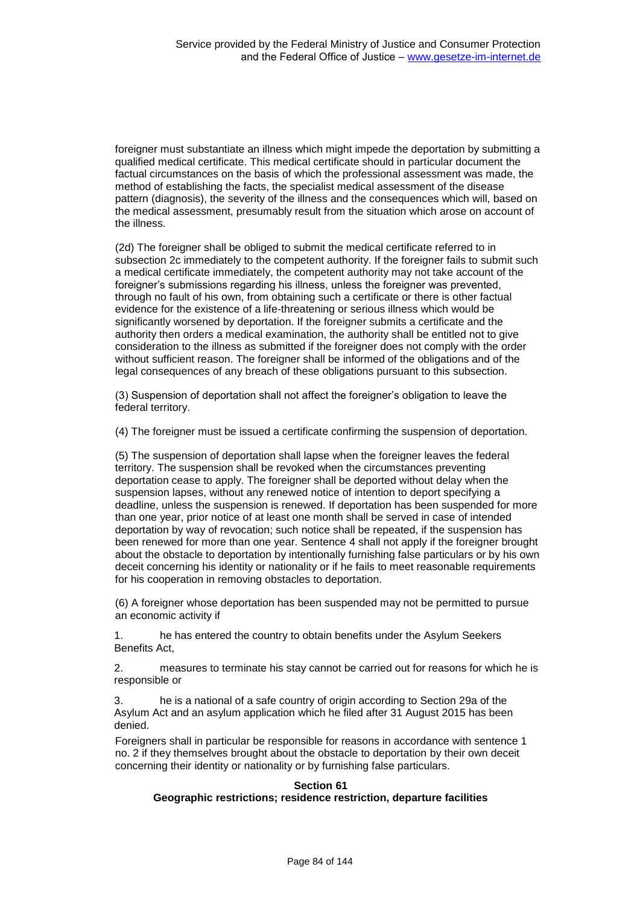foreigner must substantiate an illness which might impede the deportation by submitting a qualified medical certificate. This medical certificate should in particular document the factual circumstances on the basis of which the professional assessment was made, the method of establishing the facts, the specialist medical assessment of the disease pattern (diagnosis), the severity of the illness and the consequences which will, based on the medical assessment, presumably result from the situation which arose on account of the illness.

(2d) The foreigner shall be obliged to submit the medical certificate referred to in subsection 2c immediately to the competent authority. If the foreigner fails to submit such a medical certificate immediately, the competent authority may not take account of the foreigner's submissions regarding his illness, unless the foreigner was prevented, through no fault of his own, from obtaining such a certificate or there is other factual evidence for the existence of a life-threatening or serious illness which would be significantly worsened by deportation. If the foreigner submits a certificate and the authority then orders a medical examination, the authority shall be entitled not to give consideration to the illness as submitted if the foreigner does not comply with the order without sufficient reason. The foreigner shall be informed of the obligations and of the legal consequences of any breach of these obligations pursuant to this subsection.

(3) Suspension of deportation shall not affect the foreigner's obligation to leave the federal territory.

(4) The foreigner must be issued a certificate confirming the suspension of deportation.

(5) The suspension of deportation shall lapse when the foreigner leaves the federal territory. The suspension shall be revoked when the circumstances preventing deportation cease to apply. The foreigner shall be deported without delay when the suspension lapses, without any renewed notice of intention to deport specifying a deadline, unless the suspension is renewed. If deportation has been suspended for more than one year, prior notice of at least one month shall be served in case of intended deportation by way of revocation; such notice shall be repeated, if the suspension has been renewed for more than one year. Sentence 4 shall not apply if the foreigner brought about the obstacle to deportation by intentionally furnishing false particulars or by his own deceit concerning his identity or nationality or if he fails to meet reasonable requirements for his cooperation in removing obstacles to deportation.

(6) A foreigner whose deportation has been suspended may not be permitted to pursue an economic activity if

1. he has entered the country to obtain benefits under the Asylum Seekers Benefits Act,

2. measures to terminate his stay cannot be carried out for reasons for which he is responsible or

3. he is a national of a safe country of origin according to Section 29a of the Asylum Act and an asylum application which he filed after 31 August 2015 has been denied.

Foreigners shall in particular be responsible for reasons in accordance with sentence 1 no. 2 if they themselves brought about the obstacle to deportation by their own deceit concerning their identity or nationality or by furnishing false particulars.

#### **Section 61**

#### **Geographic restrictions; residence restriction, departure facilities**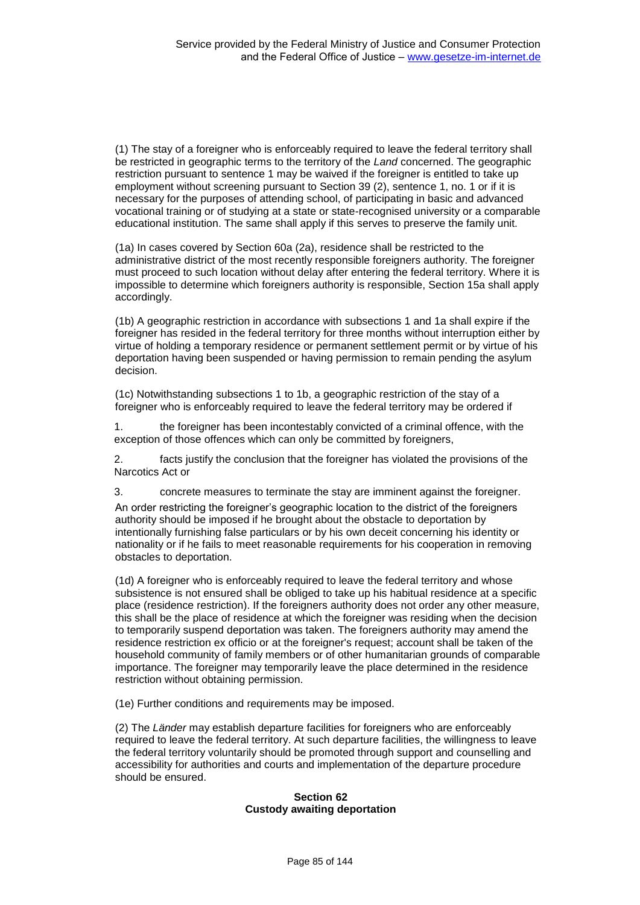(1) The stay of a foreigner who is enforceably required to leave the federal territory shall be restricted in geographic terms to the territory of the *Land* concerned. The geographic restriction pursuant to sentence 1 may be waived if the foreigner is entitled to take up employment without screening pursuant to Section 39 (2), sentence 1, no. 1 or if it is necessary for the purposes of attending school, of participating in basic and advanced vocational training or of studying at a state or state-recognised university or a comparable educational institution. The same shall apply if this serves to preserve the family unit.

(1a) In cases covered by Section 60a (2a), residence shall be restricted to the administrative district of the most recently responsible foreigners authority. The foreigner must proceed to such location without delay after entering the federal territory. Where it is impossible to determine which foreigners authority is responsible, Section 15a shall apply accordingly.

(1b) A geographic restriction in accordance with subsections 1 and 1a shall expire if the foreigner has resided in the federal territory for three months without interruption either by virtue of holding a temporary residence or permanent settlement permit or by virtue of his deportation having been suspended or having permission to remain pending the asylum decision.

(1c) Notwithstanding subsections 1 to 1b, a geographic restriction of the stay of a foreigner who is enforceably required to leave the federal territory may be ordered if

1. the foreigner has been incontestably convicted of a criminal offence, with the exception of those offences which can only be committed by foreigners,

2. facts justify the conclusion that the foreigner has violated the provisions of the Narcotics Act or

3. concrete measures to terminate the stay are imminent against the foreigner. An order restricting the foreigner's geographic location to the district of the foreigners authority should be imposed if he brought about the obstacle to deportation by intentionally furnishing false particulars or by his own deceit concerning his identity or nationality or if he fails to meet reasonable requirements for his cooperation in removing obstacles to deportation.

(1d) A foreigner who is enforceably required to leave the federal territory and whose subsistence is not ensured shall be obliged to take up his habitual residence at a specific place (residence restriction). If the foreigners authority does not order any other measure, this shall be the place of residence at which the foreigner was residing when the decision to temporarily suspend deportation was taken. The foreigners authority may amend the residence restriction ex officio or at the foreigner's request; account shall be taken of the household community of family members or of other humanitarian grounds of comparable importance. The foreigner may temporarily leave the place determined in the residence restriction without obtaining permission.

(1e) Further conditions and requirements may be imposed.

(2) The *Länder* may establish departure facilities for foreigners who are enforceably required to leave the federal territory. At such departure facilities, the willingness to leave the federal territory voluntarily should be promoted through support and counselling and accessibility for authorities and courts and implementation of the departure procedure should be ensured.

#### **Section 62 Custody awaiting deportation**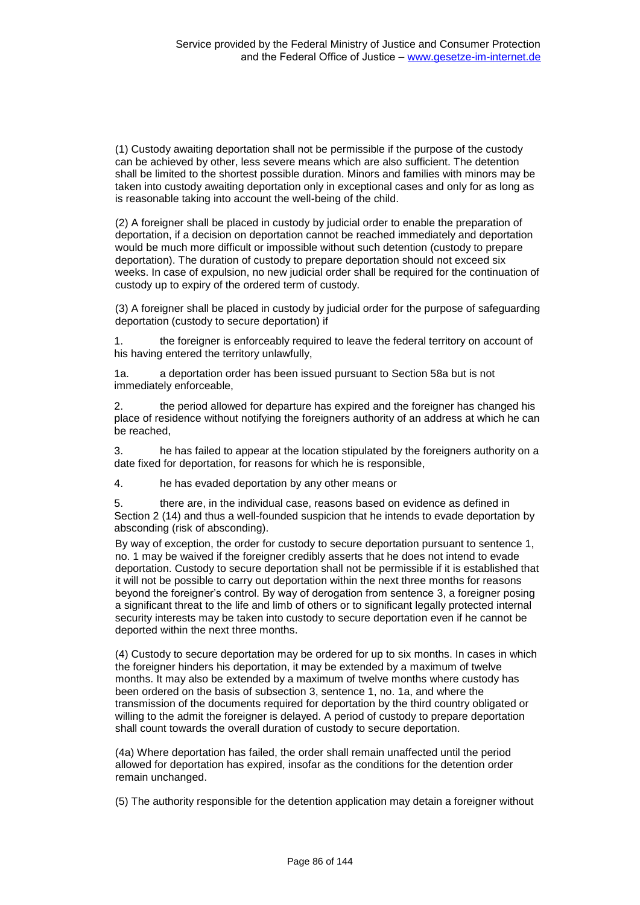(1) Custody awaiting deportation shall not be permissible if the purpose of the custody can be achieved by other, less severe means which are also sufficient. The detention shall be limited to the shortest possible duration. Minors and families with minors may be taken into custody awaiting deportation only in exceptional cases and only for as long as is reasonable taking into account the well-being of the child.

(2) A foreigner shall be placed in custody by judicial order to enable the preparation of deportation, if a decision on deportation cannot be reached immediately and deportation would be much more difficult or impossible without such detention (custody to prepare deportation). The duration of custody to prepare deportation should not exceed six weeks. In case of expulsion, no new judicial order shall be required for the continuation of custody up to expiry of the ordered term of custody.

(3) A foreigner shall be placed in custody by judicial order for the purpose of safeguarding deportation (custody to secure deportation) if

1. the foreigner is enforceably required to leave the federal territory on account of his having entered the territory unlawfully,

1a. a deportation order has been issued pursuant to Section 58a but is not immediately enforceable,

2. the period allowed for departure has expired and the foreigner has changed his place of residence without notifying the foreigners authority of an address at which he can be reached,

3. he has failed to appear at the location stipulated by the foreigners authority on a date fixed for deportation, for reasons for which he is responsible,

4. he has evaded deportation by any other means or

5. there are, in the individual case, reasons based on evidence as defined in Section 2 (14) and thus a well-founded suspicion that he intends to evade deportation by absconding (risk of absconding).

By way of exception, the order for custody to secure deportation pursuant to sentence 1, no. 1 may be waived if the foreigner credibly asserts that he does not intend to evade deportation. Custody to secure deportation shall not be permissible if it is established that it will not be possible to carry out deportation within the next three months for reasons beyond the foreigner's control. By way of derogation from sentence 3, a foreigner posing a significant threat to the life and limb of others or to significant legally protected internal security interests may be taken into custody to secure deportation even if he cannot be deported within the next three months.

(4) Custody to secure deportation may be ordered for up to six months. In cases in which the foreigner hinders his deportation, it may be extended by a maximum of twelve months. It may also be extended by a maximum of twelve months where custody has been ordered on the basis of subsection 3, sentence 1, no. 1a, and where the transmission of the documents required for deportation by the third country obligated or willing to the admit the foreigner is delayed. A period of custody to prepare deportation shall count towards the overall duration of custody to secure deportation.

(4a) Where deportation has failed, the order shall remain unaffected until the period allowed for deportation has expired, insofar as the conditions for the detention order remain unchanged.

(5) The authority responsible for the detention application may detain a foreigner without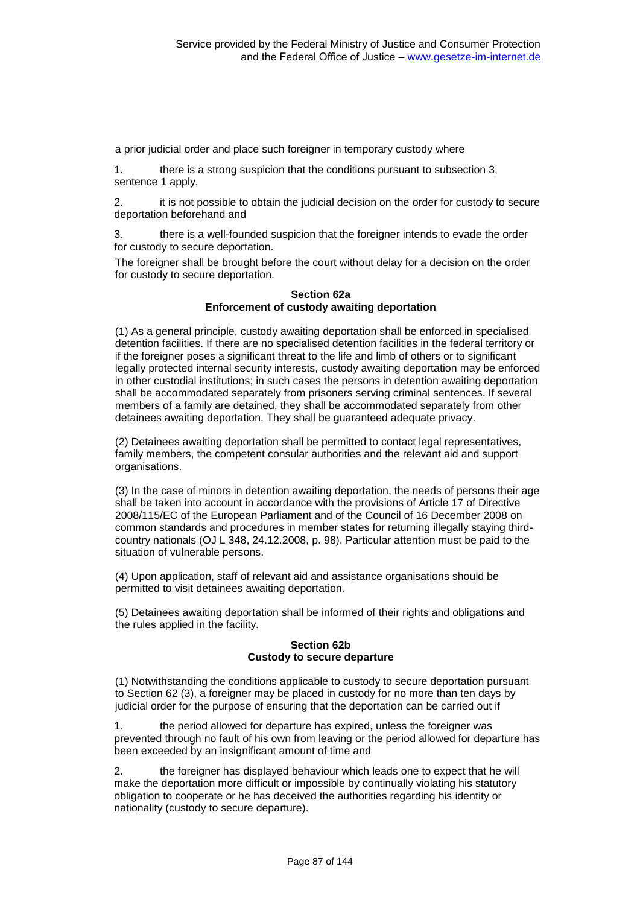a prior judicial order and place such foreigner in temporary custody where

1. there is a strong suspicion that the conditions pursuant to subsection 3, sentence 1 apply,

2. it is not possible to obtain the judicial decision on the order for custody to secure deportation beforehand and

3. there is a well-founded suspicion that the foreigner intends to evade the order for custody to secure deportation.

The foreigner shall be brought before the court without delay for a decision on the order for custody to secure deportation.

## **Section 62a Enforcement of custody awaiting deportation**

(1) As a general principle, custody awaiting deportation shall be enforced in specialised detention facilities. If there are no specialised detention facilities in the federal territory or if the foreigner poses a significant threat to the life and limb of others or to significant legally protected internal security interests, custody awaiting deportation may be enforced in other custodial institutions; in such cases the persons in detention awaiting deportation shall be accommodated separately from prisoners serving criminal sentences. If several members of a family are detained, they shall be accommodated separately from other detainees awaiting deportation. They shall be guaranteed adequate privacy.

(2) Detainees awaiting deportation shall be permitted to contact legal representatives, family members, the competent consular authorities and the relevant aid and support organisations.

(3) In the case of minors in detention awaiting deportation, the needs of persons their age shall be taken into account in accordance with the provisions of Article 17 of Directive 2008/115/EC of the European Parliament and of the Council of 16 December 2008 on common standards and procedures in member states for returning illegally staying thirdcountry nationals (OJ L 348, 24.12.2008, p. 98). Particular attention must be paid to the situation of vulnerable persons.

(4) Upon application, staff of relevant aid and assistance organisations should be permitted to visit detainees awaiting deportation.

(5) Detainees awaiting deportation shall be informed of their rights and obligations and the rules applied in the facility.

## **Section 62b Custody to secure departure**

(1) Notwithstanding the conditions applicable to custody to secure deportation pursuant to Section 62 (3), a foreigner may be placed in custody for no more than ten days by judicial order for the purpose of ensuring that the deportation can be carried out if

1. the period allowed for departure has expired, unless the foreigner was prevented through no fault of his own from leaving or the period allowed for departure has been exceeded by an insignificant amount of time and

2. the foreigner has displayed behaviour which leads one to expect that he will make the deportation more difficult or impossible by continually violating his statutory obligation to cooperate or he has deceived the authorities regarding his identity or nationality (custody to secure departure).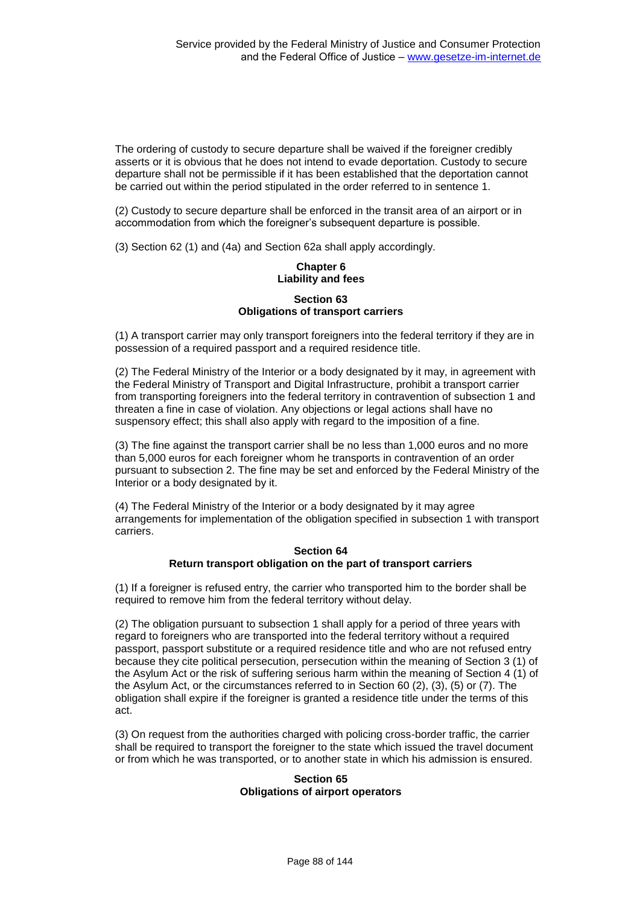The ordering of custody to secure departure shall be waived if the foreigner credibly asserts or it is obvious that he does not intend to evade deportation. Custody to secure departure shall not be permissible if it has been established that the deportation cannot be carried out within the period stipulated in the order referred to in sentence 1.

(2) Custody to secure departure shall be enforced in the transit area of an airport or in accommodation from which the foreigner's subsequent departure is possible.

(3) Section 62 (1) and (4a) and Section 62a shall apply accordingly.

## **Chapter 6 Liability and fees**

#### **Section 63 Obligations of transport carriers**

(1) A transport carrier may only transport foreigners into the federal territory if they are in possession of a required passport and a required residence title.

(2) The Federal Ministry of the Interior or a body designated by it may, in agreement with the Federal Ministry of Transport and Digital Infrastructure, prohibit a transport carrier from transporting foreigners into the federal territory in contravention of subsection 1 and threaten a fine in case of violation. Any objections or legal actions shall have no suspensory effect; this shall also apply with regard to the imposition of a fine.

(3) The fine against the transport carrier shall be no less than 1,000 euros and no more than 5,000 euros for each foreigner whom he transports in contravention of an order pursuant to subsection 2. The fine may be set and enforced by the Federal Ministry of the Interior or a body designated by it.

(4) The Federal Ministry of the Interior or a body designated by it may agree arrangements for implementation of the obligation specified in subsection 1 with transport carriers.

#### **Section 64 Return transport obligation on the part of transport carriers**

(1) If a foreigner is refused entry, the carrier who transported him to the border shall be required to remove him from the federal territory without delay.

(2) The obligation pursuant to subsection 1 shall apply for a period of three years with regard to foreigners who are transported into the federal territory without a required passport, passport substitute or a required residence title and who are not refused entry because they cite political persecution, persecution within the meaning of Section 3 (1) of the Asylum Act or the risk of suffering serious harm within the meaning of Section 4 (1) of the Asylum Act, or the circumstances referred to in Section 60 (2), (3), (5) or (7). The obligation shall expire if the foreigner is granted a residence title under the terms of this act.

(3) On request from the authorities charged with policing cross-border traffic, the carrier shall be required to transport the foreigner to the state which issued the travel document or from which he was transported, or to another state in which his admission is ensured.

#### **Section 65 Obligations of airport operators**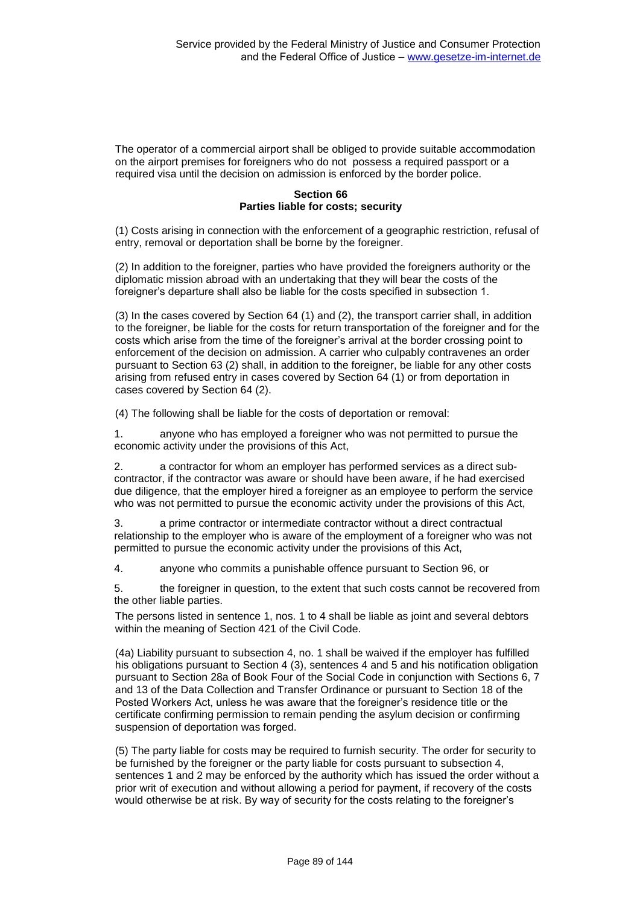The operator of a commercial airport shall be obliged to provide suitable accommodation on the airport premises for foreigners who do not possess a required passport or a required visa until the decision on admission is enforced by the border police.

#### **Section 66 Parties liable for costs; security**

(1) Costs arising in connection with the enforcement of a geographic restriction, refusal of entry, removal or deportation shall be borne by the foreigner.

(2) In addition to the foreigner, parties who have provided the foreigners authority or the diplomatic mission abroad with an undertaking that they will bear the costs of the foreigner's departure shall also be liable for the costs specified in subsection 1.

(3) In the cases covered by Section 64 (1) and (2), the transport carrier shall, in addition to the foreigner, be liable for the costs for return transportation of the foreigner and for the costs which arise from the time of the foreigner's arrival at the border crossing point to enforcement of the decision on admission. A carrier who culpably contravenes an order pursuant to Section 63 (2) shall, in addition to the foreigner, be liable for any other costs arising from refused entry in cases covered by Section 64 (1) or from deportation in cases covered by Section 64 (2).

(4) The following shall be liable for the costs of deportation or removal:

1. anyone who has employed a foreigner who was not permitted to pursue the economic activity under the provisions of this Act,

2. a contractor for whom an employer has performed services as a direct subcontractor, if the contractor was aware or should have been aware, if he had exercised due diligence, that the employer hired a foreigner as an employee to perform the service who was not permitted to pursue the economic activity under the provisions of this Act,

3. a prime contractor or intermediate contractor without a direct contractual relationship to the employer who is aware of the employment of a foreigner who was not permitted to pursue the economic activity under the provisions of this Act,

4. anyone who commits a punishable offence pursuant to Section 96, or

5. the foreigner in question, to the extent that such costs cannot be recovered from the other liable parties.

The persons listed in sentence 1, nos. 1 to 4 shall be liable as joint and several debtors within the meaning of Section 421 of the Civil Code.

(4a) Liability pursuant to subsection 4, no. 1 shall be waived if the employer has fulfilled his obligations pursuant to Section 4 (3), sentences 4 and 5 and his notification obligation pursuant to Section 28a of Book Four of the Social Code in conjunction with Sections 6, 7 and 13 of the Data Collection and Transfer Ordinance or pursuant to Section 18 of the Posted Workers Act, unless he was aware that the foreigner's residence title or the certificate confirming permission to remain pending the asylum decision or confirming suspension of deportation was forged.

(5) The party liable for costs may be required to furnish security. The order for security to be furnished by the foreigner or the party liable for costs pursuant to subsection 4, sentences 1 and 2 may be enforced by the authority which has issued the order without a prior writ of execution and without allowing a period for payment, if recovery of the costs would otherwise be at risk. By way of security for the costs relating to the foreigner's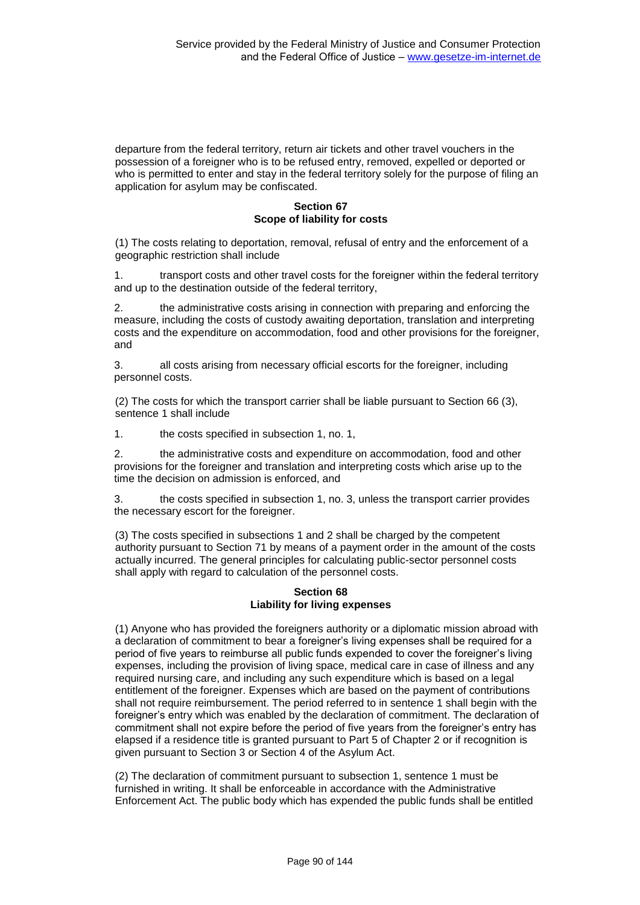departure from the federal territory, return air tickets and other travel vouchers in the possession of a foreigner who is to be refused entry, removed, expelled or deported or who is permitted to enter and stay in the federal territory solely for the purpose of filing an application for asylum may be confiscated.

### **Section 67 Scope of liability for costs**

(1) The costs relating to deportation, removal, refusal of entry and the enforcement of a geographic restriction shall include

1. transport costs and other travel costs for the foreigner within the federal territory and up to the destination outside of the federal territory,

2. the administrative costs arising in connection with preparing and enforcing the measure, including the costs of custody awaiting deportation, translation and interpreting costs and the expenditure on accommodation, food and other provisions for the foreigner, and

3. all costs arising from necessary official escorts for the foreigner, including personnel costs.

(2) The costs for which the transport carrier shall be liable pursuant to Section 66 (3), sentence 1 shall include

1. the costs specified in subsection 1, no. 1,

2. the administrative costs and expenditure on accommodation, food and other provisions for the foreigner and translation and interpreting costs which arise up to the time the decision on admission is enforced, and

3. the costs specified in subsection 1, no. 3, unless the transport carrier provides the necessary escort for the foreigner.

(3) The costs specified in subsections 1 and 2 shall be charged by the competent authority pursuant to Section 71 by means of a payment order in the amount of the costs actually incurred. The general principles for calculating public-sector personnel costs shall apply with regard to calculation of the personnel costs.

## **Section 68 Liability for living expenses**

(1) Anyone who has provided the foreigners authority or a diplomatic mission abroad with a declaration of commitment to bear a foreigner's living expenses shall be required for a period of five years to reimburse all public funds expended to cover the foreigner's living expenses, including the provision of living space, medical care in case of illness and any required nursing care, and including any such expenditure which is based on a legal entitlement of the foreigner. Expenses which are based on the payment of contributions shall not require reimbursement. The period referred to in sentence 1 shall begin with the foreigner's entry which was enabled by the declaration of commitment. The declaration of commitment shall not expire before the period of five years from the foreigner's entry has elapsed if a residence title is granted pursuant to Part 5 of Chapter 2 or if recognition is given pursuant to Section 3 or Section 4 of the Asylum Act.

(2) The declaration of commitment pursuant to subsection 1, sentence 1 must be furnished in writing. It shall be enforceable in accordance with the Administrative Enforcement Act. The public body which has expended the public funds shall be entitled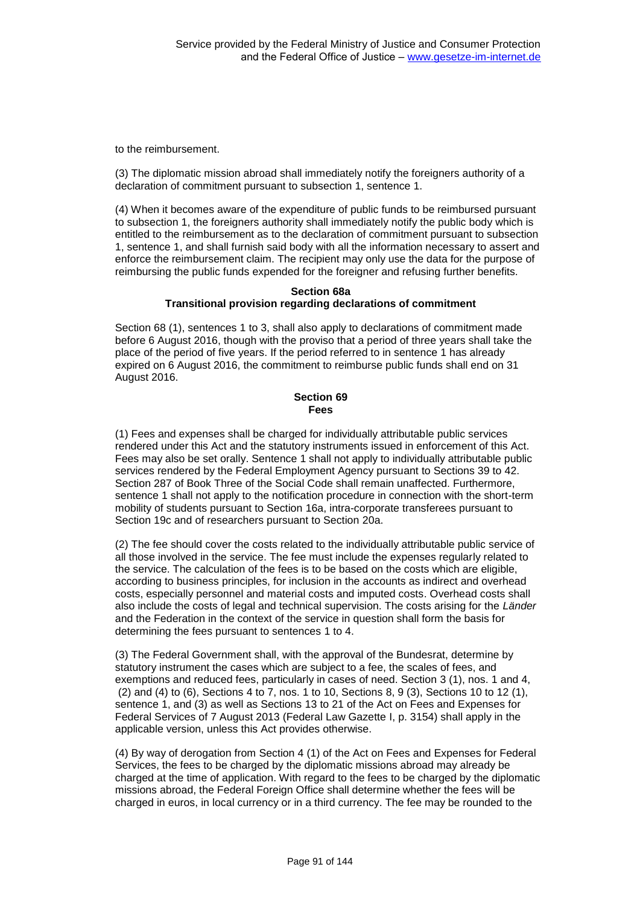to the reimbursement.

(3) The diplomatic mission abroad shall immediately notify the foreigners authority of a declaration of commitment pursuant to subsection 1, sentence 1.

(4) When it becomes aware of the expenditure of public funds to be reimbursed pursuant to subsection 1, the foreigners authority shall immediately notify the public body which is entitled to the reimbursement as to the declaration of commitment pursuant to subsection 1, sentence 1, and shall furnish said body with all the information necessary to assert and enforce the reimbursement claim. The recipient may only use the data for the purpose of reimbursing the public funds expended for the foreigner and refusing further benefits.

#### **Section 68a Transitional provision regarding declarations of commitment**

Section 68 (1), sentences 1 to 3, shall also apply to declarations of commitment made before 6 August 2016, though with the proviso that a period of three years shall take the place of the period of five years. If the period referred to in sentence 1 has already expired on 6 August 2016, the commitment to reimburse public funds shall end on 31 August 2016.

#### **Section 69 Fees**

(1) Fees and expenses shall be charged for individually attributable public services rendered under this Act and the statutory instruments issued in enforcement of this Act. Fees may also be set orally. Sentence 1 shall not apply to individually attributable public services rendered by the Federal Employment Agency pursuant to Sections 39 to 42. Section 287 of Book Three of the Social Code shall remain unaffected. Furthermore, sentence 1 shall not apply to the notification procedure in connection with the short-term mobility of students pursuant to Section 16a, intra-corporate transferees pursuant to Section 19c and of researchers pursuant to Section 20a.

(2) The fee should cover the costs related to the individually attributable public service of all those involved in the service. The fee must include the expenses regularly related to the service. The calculation of the fees is to be based on the costs which are eligible, according to business principles, for inclusion in the accounts as indirect and overhead costs, especially personnel and material costs and imputed costs. Overhead costs shall also include the costs of legal and technical supervision. The costs arising for the *Länder* and the Federation in the context of the service in question shall form the basis for determining the fees pursuant to sentences 1 to 4.

(3) The Federal Government shall, with the approval of the Bundesrat, determine by statutory instrument the cases which are subject to a fee, the scales of fees, and exemptions and reduced fees, particularly in cases of need. Section 3 (1), nos. 1 and 4, (2) and (4) to (6), Sections 4 to 7, nos. 1 to 10, Sections 8, 9 (3), Sections 10 to 12 (1), sentence 1, and (3) as well as Sections 13 to 21 of the Act on Fees and Expenses for Federal Services of 7 August 2013 (Federal Law Gazette I, p. 3154) shall apply in the applicable version, unless this Act provides otherwise.

(4) By way of derogation from Section 4 (1) of the Act on Fees and Expenses for Federal Services, the fees to be charged by the diplomatic missions abroad may already be charged at the time of application. With regard to the fees to be charged by the diplomatic missions abroad, the Federal Foreign Office shall determine whether the fees will be charged in euros, in local currency or in a third currency. The fee may be rounded to the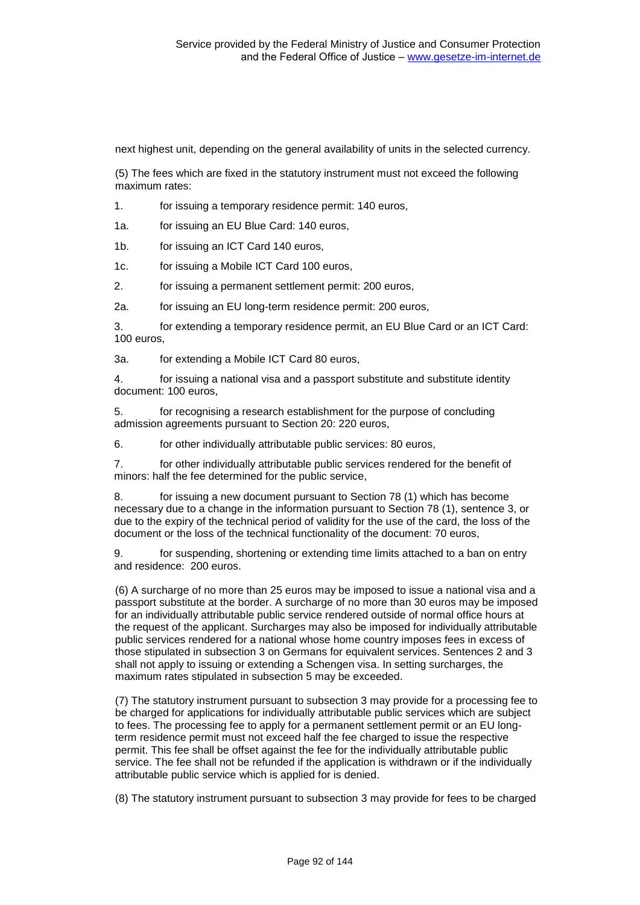next highest unit, depending on the general availability of units in the selected currency.

(5) The fees which are fixed in the statutory instrument must not exceed the following maximum rates:

1. for issuing a temporary residence permit: 140 euros,

1a. for issuing an EU Blue Card: 140 euros,

1b. for issuing an ICT Card 140 euros,

1c. for issuing a Mobile ICT Card 100 euros,

2. for issuing a permanent settlement permit: 200 euros,

2a. for issuing an EU long-term residence permit: 200 euros,

3. for extending a temporary residence permit, an EU Blue Card or an ICT Card: 100 euros,

3a. for extending a Mobile ICT Card 80 euros,

4. for issuing a national visa and a passport substitute and substitute identity document: 100 euros,

5. for recognising a research establishment for the purpose of concluding admission agreements pursuant to Section 20: 220 euros,

6. for other individually attributable public services: 80 euros,

7. for other individually attributable public services rendered for the benefit of minors: half the fee determined for the public service,

8. for issuing a new document pursuant to Section 78 (1) which has become necessary due to a change in the information pursuant to Section 78 (1), sentence 3, or due to the expiry of the technical period of validity for the use of the card, the loss of the document or the loss of the technical functionality of the document: 70 euros,

9. for suspending, shortening or extending time limits attached to a ban on entry and residence: 200 euros.

(6) A surcharge of no more than 25 euros may be imposed to issue a national visa and a passport substitute at the border. A surcharge of no more than 30 euros may be imposed for an individually attributable public service rendered outside of normal office hours at the request of the applicant. Surcharges may also be imposed for individually attributable public services rendered for a national whose home country imposes fees in excess of those stipulated in subsection 3 on Germans for equivalent services. Sentences 2 and 3 shall not apply to issuing or extending a Schengen visa. In setting surcharges, the maximum rates stipulated in subsection 5 may be exceeded.

(7) The statutory instrument pursuant to subsection 3 may provide for a processing fee to be charged for applications for individually attributable public services which are subject to fees. The processing fee to apply for a permanent settlement permit or an EU longterm residence permit must not exceed half the fee charged to issue the respective permit. This fee shall be offset against the fee for the individually attributable public service. The fee shall not be refunded if the application is withdrawn or if the individually attributable public service which is applied for is denied.

(8) The statutory instrument pursuant to subsection 3 may provide for fees to be charged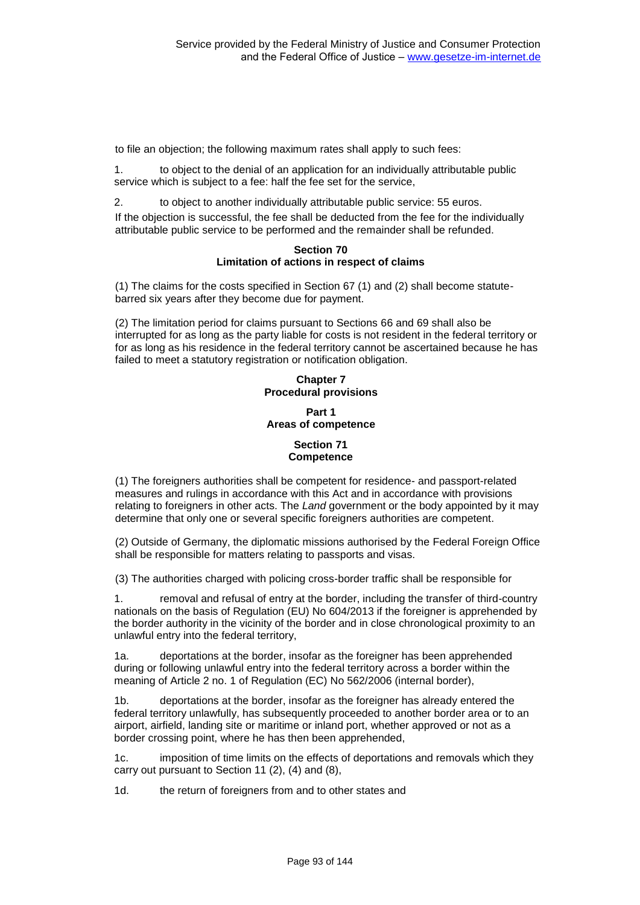to file an objection; the following maximum rates shall apply to such fees:

1. to object to the denial of an application for an individually attributable public service which is subject to a fee: half the fee set for the service,

2. to object to another individually attributable public service: 55 euros.

If the objection is successful, the fee shall be deducted from the fee for the individually attributable public service to be performed and the remainder shall be refunded.

#### **Section 70 Limitation of actions in respect of claims**

(1) The claims for the costs specified in Section 67 (1) and (2) shall become statutebarred six years after they become due for payment.

(2) The limitation period for claims pursuant to Sections 66 and 69 shall also be interrupted for as long as the party liable for costs is not resident in the federal territory or for as long as his residence in the federal territory cannot be ascertained because he has failed to meet a statutory registration or notification obligation.

# **Chapter 7 Procedural provisions**

#### **Part 1 Areas of competence**

### **Section 71 Competence**

(1) The foreigners authorities shall be competent for residence- and passport-related measures and rulings in accordance with this Act and in accordance with provisions relating to foreigners in other acts. The *Land* government or the body appointed by it may determine that only one or several specific foreigners authorities are competent.

(2) Outside of Germany, the diplomatic missions authorised by the Federal Foreign Office shall be responsible for matters relating to passports and visas.

(3) The authorities charged with policing cross-border traffic shall be responsible for

1. removal and refusal of entry at the border, including the transfer of third-country nationals on the basis of Regulation (EU) No 604/2013 if the foreigner is apprehended by the border authority in the vicinity of the border and in close chronological proximity to an unlawful entry into the federal territory,

1a. deportations at the border, insofar as the foreigner has been apprehended during or following unlawful entry into the federal territory across a border within the meaning of Article 2 no. 1 of Regulation (EC) No 562/2006 (internal border),

1b. deportations at the border, insofar as the foreigner has already entered the federal territory unlawfully, has subsequently proceeded to another border area or to an airport, airfield, landing site or maritime or inland port, whether approved or not as a border crossing point, where he has then been apprehended,

1c. imposition of time limits on the effects of deportations and removals which they carry out pursuant to Section 11 (2), (4) and (8),

1d. the return of foreigners from and to other states and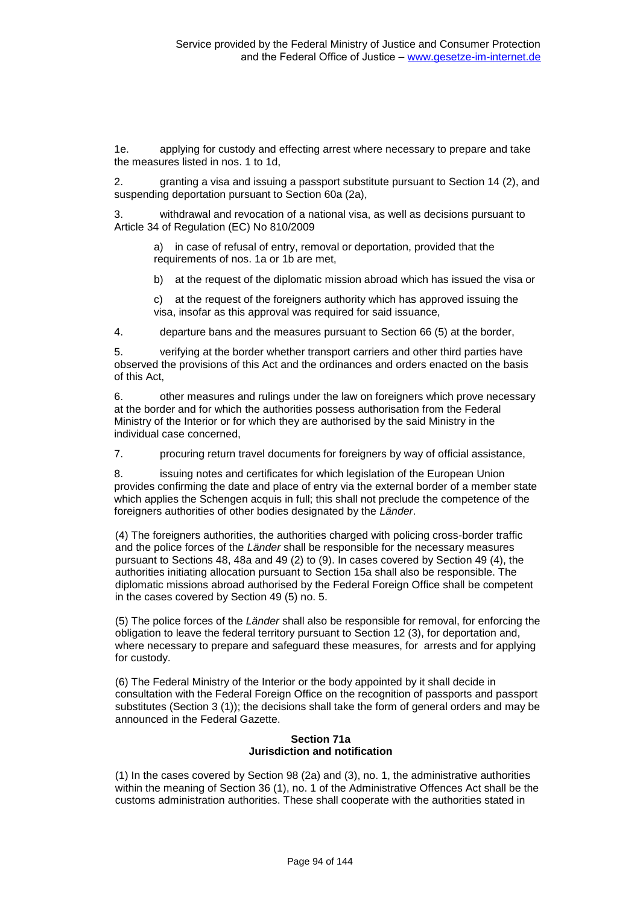1e. applying for custody and effecting arrest where necessary to prepare and take the measures listed in nos. 1 to 1d,

2. granting a visa and issuing a passport substitute pursuant to Section 14 (2), and suspending deportation pursuant to Section 60a (2a),

3. withdrawal and revocation of a national visa, as well as decisions pursuant to Article 34 of Regulation (EC) No 810/2009

a) in case of refusal of entry, removal or deportation, provided that the requirements of nos. 1a or 1b are met,

b) at the request of the diplomatic mission abroad which has issued the visa or

c) at the request of the foreigners authority which has approved issuing the visa, insofar as this approval was required for said issuance,

4. departure bans and the measures pursuant to Section 66 (5) at the border,

5. verifying at the border whether transport carriers and other third parties have observed the provisions of this Act and the ordinances and orders enacted on the basis of this Act,

6. other measures and rulings under the law on foreigners which prove necessary at the border and for which the authorities possess authorisation from the Federal Ministry of the Interior or for which they are authorised by the said Ministry in the individual case concerned,

7. procuring return travel documents for foreigners by way of official assistance,

8. issuing notes and certificates for which legislation of the European Union provides confirming the date and place of entry via the external border of a member state which applies the Schengen acquis in full; this shall not preclude the competence of the foreigners authorities of other bodies designated by the *Länder*.

(4) The foreigners authorities, the authorities charged with policing cross-border traffic and the police forces of the *Länder* shall be responsible for the necessary measures pursuant to Sections 48, 48a and 49 (2) to (9). In cases covered by Section 49 (4), the authorities initiating allocation pursuant to Section 15a shall also be responsible. The diplomatic missions abroad authorised by the Federal Foreign Office shall be competent in the cases covered by Section 49 (5) no. 5.

(5) The police forces of the *Länder* shall also be responsible for removal, for enforcing the obligation to leave the federal territory pursuant to Section 12 (3), for deportation and, where necessary to prepare and safeguard these measures, for arrests and for applying for custody.

(6) The Federal Ministry of the Interior or the body appointed by it shall decide in consultation with the Federal Foreign Office on the recognition of passports and passport substitutes (Section 3 (1)); the decisions shall take the form of general orders and may be announced in the Federal Gazette.

#### **Section 71a Jurisdiction and notification**

(1) In the cases covered by Section 98 (2a) and (3), no. 1, the administrative authorities within the meaning of Section 36 (1), no. 1 of the Administrative Offences Act shall be the customs administration authorities. These shall cooperate with the authorities stated in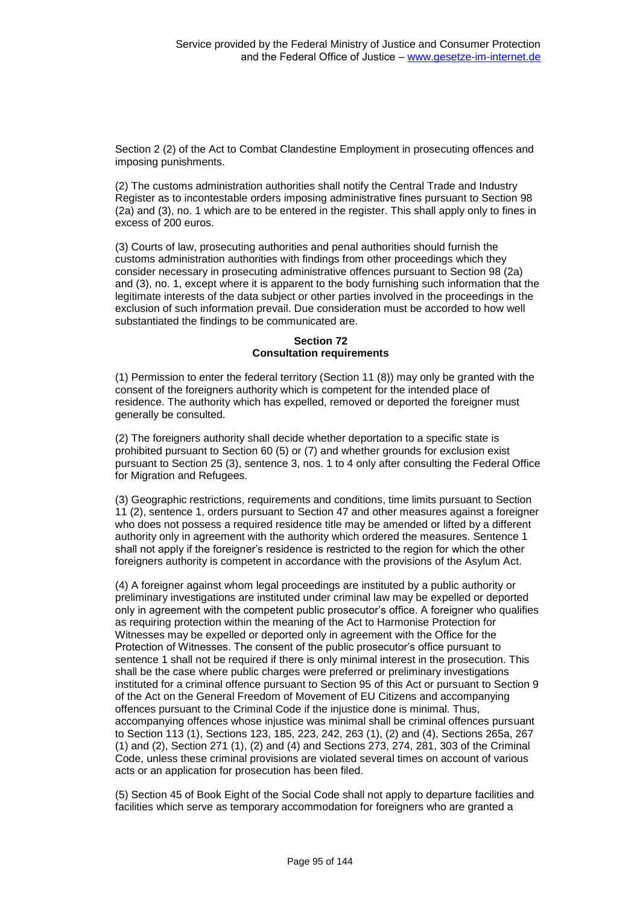Section 2 (2) of the Act to Combat Clandestine Employment in prosecuting offences and imposing punishments.

(2) The customs administration authorities shall notify the Central Trade and Industry Register as to incontestable orders imposing administrative fines pursuant to Section 98 (2a) and (3), no. 1 which are to be entered in the register. This shall apply only to fines in excess of 200 euros.

(3) Courts of law, prosecuting authorities and penal authorities should furnish the customs administration authorities with findings from other proceedings which they consider necessary in prosecuting administrative offences pursuant to Section 98 (2a) and (3), no. 1, except where it is apparent to the body furnishing such information that the legitimate interests of the data subject or other parties involved in the proceedings in the exclusion of such information prevail. Due consideration must be accorded to how well substantiated the findings to be communicated are.

## **Section 72 Consultation requirements**

(1) Permission to enter the federal territory (Section 11 (8)) may only be granted with the consent of the foreigners authority which is competent for the intended place of residence. The authority which has expelled, removed or deported the foreigner must generally be consulted.

(2) The foreigners authority shall decide whether deportation to a specific state is prohibited pursuant to Section 60 (5) or (7) and whether grounds for exclusion exist pursuant to Section 25 (3), sentence 3, nos. 1 to 4 only after consulting the Federal Office for Migration and Refugees.

(3) Geographic restrictions, requirements and conditions, time limits pursuant to Section 11 (2), sentence 1, orders pursuant to Section 47 and other measures against a foreigner who does not possess a required residence title may be amended or lifted by a different authority only in agreement with the authority which ordered the measures. Sentence 1 shall not apply if the foreigner's residence is restricted to the region for which the other foreigners authority is competent in accordance with the provisions of the Asylum Act.

(4) A foreigner against whom legal proceedings are instituted by a public authority or preliminary investigations are instituted under criminal law may be expelled or deported only in agreement with the competent public prosecutor's office. A foreigner who qualifies as requiring protection within the meaning of the Act to Harmonise Protection for Witnesses may be expelled or deported only in agreement with the Office for the Protection of Witnesses. The consent of the public prosecutor's office pursuant to sentence 1 shall not be required if there is only minimal interest in the prosecution. This shall be the case where public charges were preferred or preliminary investigations instituted for a criminal offence pursuant to Section 95 of this Act or pursuant to Section 9 of the Act on the General Freedom of Movement of EU Citizens and accompanying offences pursuant to the Criminal Code if the injustice done is minimal. Thus, accompanying offences whose injustice was minimal shall be criminal offences pursuant to Section 113 (1), Sections 123, 185, 223, 242, 263 (1), (2) and (4), Sections 265a, 267 (1) and (2), Section 271 (1), (2) and (4) and Sections 273, 274, 281, 303 of the Criminal Code, unless these criminal provisions are violated several times on account of various acts or an application for prosecution has been filed.

(5) Section 45 of Book Eight of the Social Code shall not apply to departure facilities and facilities which serve as temporary accommodation for foreigners who are granted a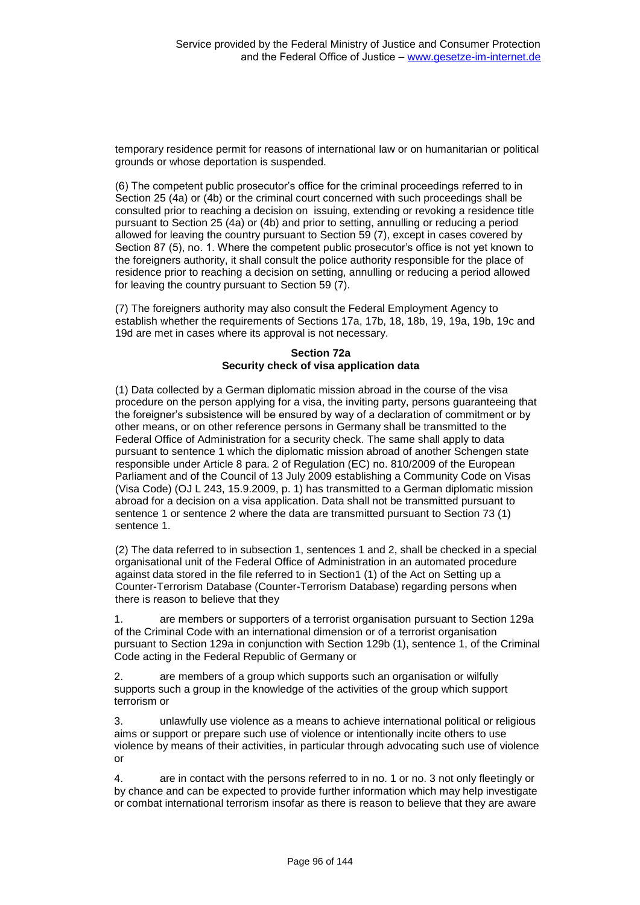temporary residence permit for reasons of international law or on humanitarian or political grounds or whose deportation is suspended.

(6) The competent public prosecutor's office for the criminal proceedings referred to in Section 25 (4a) or (4b) or the criminal court concerned with such proceedings shall be consulted prior to reaching a decision on issuing, extending or revoking a residence title pursuant to Section 25 (4a) or (4b) and prior to setting, annulling or reducing a period allowed for leaving the country pursuant to Section 59 (7), except in cases covered by Section 87 (5), no. 1. Where the competent public prosecutor's office is not yet known to the foreigners authority, it shall consult the police authority responsible for the place of residence prior to reaching a decision on setting, annulling or reducing a period allowed for leaving the country pursuant to Section 59 (7).

(7) The foreigners authority may also consult the Federal Employment Agency to establish whether the requirements of Sections 17a, 17b, 18, 18b, 19, 19a, 19b, 19c and 19d are met in cases where its approval is not necessary.

#### **Section 72a Security check of visa application data**

(1) Data collected by a German diplomatic mission abroad in the course of the visa procedure on the person applying for a visa, the inviting party, persons guaranteeing that the foreigner's subsistence will be ensured by way of a declaration of commitment or by other means, or on other reference persons in Germany shall be transmitted to the Federal Office of Administration for a security check. The same shall apply to data pursuant to sentence 1 which the diplomatic mission abroad of another Schengen state responsible under Article 8 para. 2 of Regulation (EC) no. 810/2009 of the European Parliament and of the Council of 13 July 2009 establishing a Community Code on Visas (Visa Code) (OJ L 243, 15.9.2009, p. 1) has transmitted to a German diplomatic mission abroad for a decision on a visa application. Data shall not be transmitted pursuant to sentence 1 or sentence 2 where the data are transmitted pursuant to Section 73 (1) sentence 1.

(2) The data referred to in subsection 1, sentences 1 and 2, shall be checked in a special organisational unit of the Federal Office of Administration in an automated procedure against data stored in the file referred to in Section1 (1) of the Act on Setting up a Counter-Terrorism Database (Counter-Terrorism Database) regarding persons when there is reason to believe that they

1. are members or supporters of a terrorist organisation pursuant to Section 129a of the Criminal Code with an international dimension or of a terrorist organisation pursuant to Section 129a in conjunction with Section 129b (1), sentence 1, of the Criminal Code acting in the Federal Republic of Germany or

2. are members of a group which supports such an organisation or wilfully supports such a group in the knowledge of the activities of the group which support terrorism or

3. unlawfully use violence as a means to achieve international political or religious aims or support or prepare such use of violence or intentionally incite others to use violence by means of their activities, in particular through advocating such use of violence or

4. are in contact with the persons referred to in no. 1 or no. 3 not only fleetingly or by chance and can be expected to provide further information which may help investigate or combat international terrorism insofar as there is reason to believe that they are aware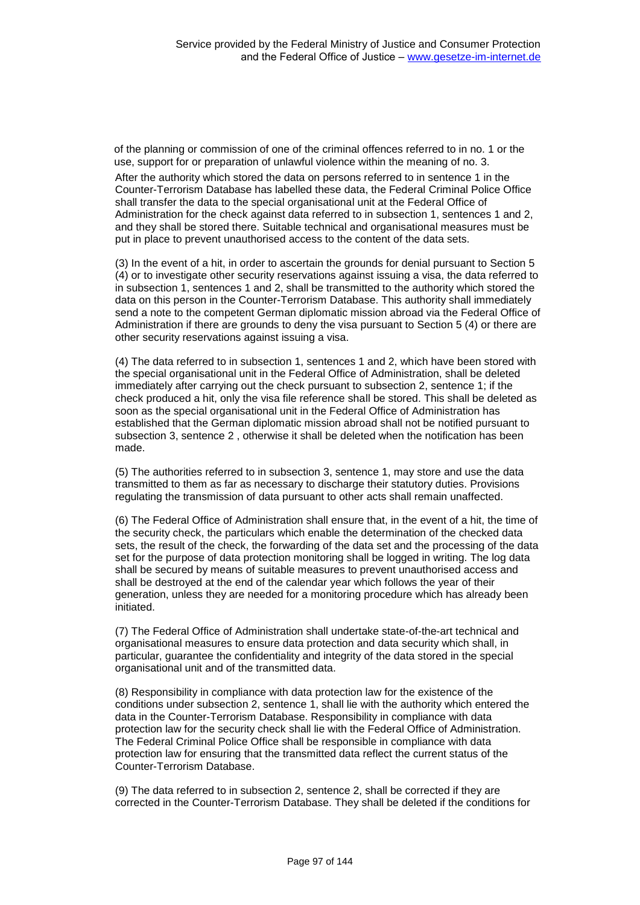of the planning or commission of one of the criminal offences referred to in no. 1 or the use, support for or preparation of unlawful violence within the meaning of no. 3.

After the authority which stored the data on persons referred to in sentence 1 in the Counter-Terrorism Database has labelled these data, the Federal Criminal Police Office shall transfer the data to the special organisational unit at the Federal Office of Administration for the check against data referred to in subsection 1, sentences 1 and 2, and they shall be stored there. Suitable technical and organisational measures must be put in place to prevent unauthorised access to the content of the data sets.

(3) In the event of a hit, in order to ascertain the grounds for denial pursuant to Section 5 (4) or to investigate other security reservations against issuing a visa, the data referred to in subsection 1, sentences 1 and 2, shall be transmitted to the authority which stored the data on this person in the Counter-Terrorism Database. This authority shall immediately send a note to the competent German diplomatic mission abroad via the Federal Office of Administration if there are grounds to deny the visa pursuant to Section 5 (4) or there are other security reservations against issuing a visa.

(4) The data referred to in subsection 1, sentences 1 and 2, which have been stored with the special organisational unit in the Federal Office of Administration, shall be deleted immediately after carrying out the check pursuant to subsection 2, sentence 1; if the check produced a hit, only the visa file reference shall be stored. This shall be deleted as soon as the special organisational unit in the Federal Office of Administration has established that the German diplomatic mission abroad shall not be notified pursuant to subsection 3, sentence 2 , otherwise it shall be deleted when the notification has been made.

(5) The authorities referred to in subsection 3, sentence 1, may store and use the data transmitted to them as far as necessary to discharge their statutory duties. Provisions regulating the transmission of data pursuant to other acts shall remain unaffected.

(6) The Federal Office of Administration shall ensure that, in the event of a hit, the time of the security check, the particulars which enable the determination of the checked data sets, the result of the check, the forwarding of the data set and the processing of the data set for the purpose of data protection monitoring shall be logged in writing. The log data shall be secured by means of suitable measures to prevent unauthorised access and shall be destroyed at the end of the calendar year which follows the year of their generation, unless they are needed for a monitoring procedure which has already been initiated.

(7) The Federal Office of Administration shall undertake state-of-the-art technical and organisational measures to ensure data protection and data security which shall, in particular, guarantee the confidentiality and integrity of the data stored in the special organisational unit and of the transmitted data.

(8) Responsibility in compliance with data protection law for the existence of the conditions under subsection 2, sentence 1, shall lie with the authority which entered the data in the Counter-Terrorism Database. Responsibility in compliance with data protection law for the security check shall lie with the Federal Office of Administration. The Federal Criminal Police Office shall be responsible in compliance with data protection law for ensuring that the transmitted data reflect the current status of the Counter-Terrorism Database.

(9) The data referred to in subsection 2, sentence 2, shall be corrected if they are corrected in the Counter-Terrorism Database. They shall be deleted if the conditions for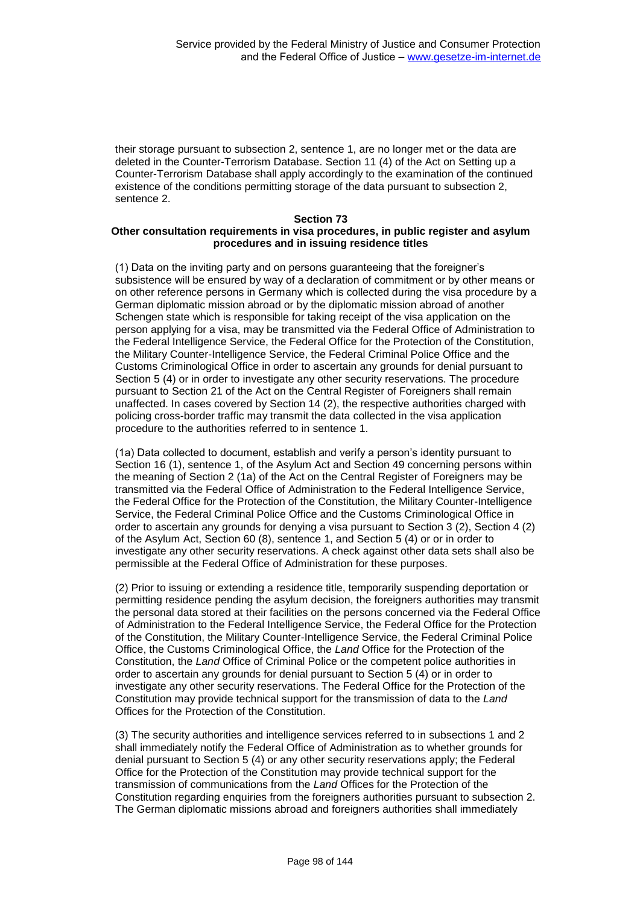their storage pursuant to subsection 2, sentence 1, are no longer met or the data are deleted in the Counter-Terrorism Database. Section 11 (4) of the Act on Setting up a Counter-Terrorism Database shall apply accordingly to the examination of the continued existence of the conditions permitting storage of the data pursuant to subsection 2, sentence 2.

#### **Section 73**

### **Other consultation requirements in visa procedures, in public register and asylum procedures and in issuing residence titles**

(1) Data on the inviting party and on persons guaranteeing that the foreigner's subsistence will be ensured by way of a declaration of commitment or by other means or on other reference persons in Germany which is collected during the visa procedure by a German diplomatic mission abroad or by the diplomatic mission abroad of another Schengen state which is responsible for taking receipt of the visa application on the person applying for a visa, may be transmitted via the Federal Office of Administration to the Federal Intelligence Service, the Federal Office for the Protection of the Constitution, the Military Counter-Intelligence Service, the Federal Criminal Police Office and the Customs Criminological Office in order to ascertain any grounds for denial pursuant to Section 5 (4) or in order to investigate any other security reservations. The procedure pursuant to Section 21 of the Act on the Central Register of Foreigners shall remain unaffected. In cases covered by Section 14 (2), the respective authorities charged with policing cross-border traffic may transmit the data collected in the visa application procedure to the authorities referred to in sentence 1.

(1a) Data collected to document, establish and verify a person's identity pursuant to Section 16 (1), sentence 1, of the Asylum Act and Section 49 concerning persons within the meaning of Section 2 (1a) of the Act on the Central Register of Foreigners may be transmitted via the Federal Office of Administration to the Federal Intelligence Service, the Federal Office for the Protection of the Constitution, the Military Counter-Intelligence Service, the Federal Criminal Police Office and the Customs Criminological Office in order to ascertain any grounds for denying a visa pursuant to Section  $3(2)$ , Section 4 (2) of the Asylum Act, Section 60 (8), sentence 1, and Section 5 (4) or or in order to investigate any other security reservations. A check against other data sets shall also be permissible at the Federal Office of Administration for these purposes.

(2) Prior to issuing or extending a residence title, temporarily suspending deportation or permitting residence pending the asylum decision, the foreigners authorities may transmit the personal data stored at their facilities on the persons concerned via the Federal Office of Administration to the Federal Intelligence Service, the Federal Office for the Protection of the Constitution, the Military Counter-Intelligence Service, the Federal Criminal Police Office, the Customs Criminological Office, the *Land* Office for the Protection of the Constitution, the *Land* Office of Criminal Police or the competent police authorities in order to ascertain any grounds for denial pursuant to Section 5 (4) or in order to investigate any other security reservations. The Federal Office for the Protection of the Constitution may provide technical support for the transmission of data to the *Land* Offices for the Protection of the Constitution.

(3) The security authorities and intelligence services referred to in subsections 1 and 2 shall immediately notify the Federal Office of Administration as to whether grounds for denial pursuant to Section 5 (4) or any other security reservations apply; the Federal Office for the Protection of the Constitution may provide technical support for the transmission of communications from the *Land* Offices for the Protection of the Constitution regarding enquiries from the foreigners authorities pursuant to subsection 2. The German diplomatic missions abroad and foreigners authorities shall immediately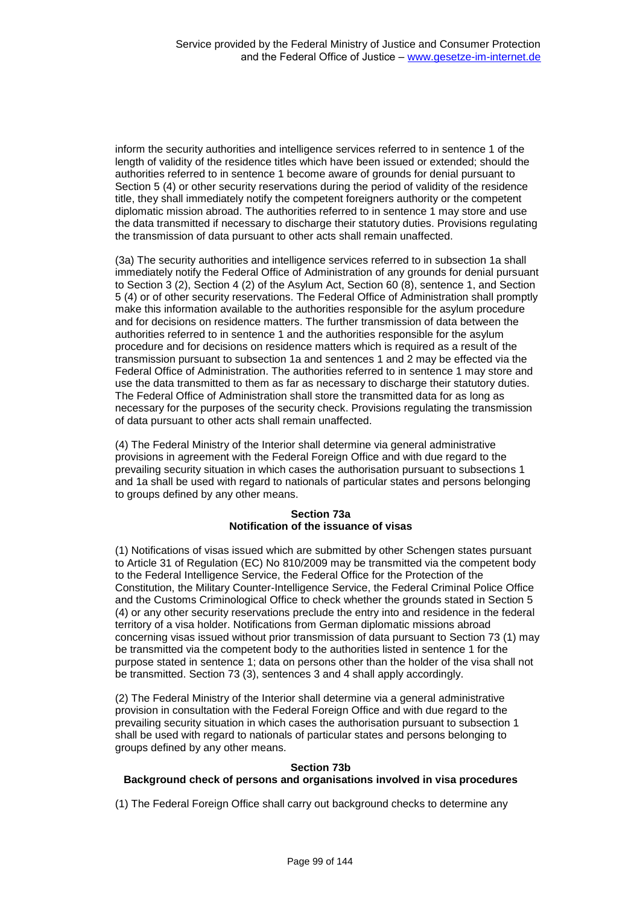inform the security authorities and intelligence services referred to in sentence 1 of the length of validity of the residence titles which have been issued or extended; should the authorities referred to in sentence 1 become aware of grounds for denial pursuant to Section 5 (4) or other security reservations during the period of validity of the residence title, they shall immediately notify the competent foreigners authority or the competent diplomatic mission abroad. The authorities referred to in sentence 1 may store and use the data transmitted if necessary to discharge their statutory duties. Provisions regulating the transmission of data pursuant to other acts shall remain unaffected.

(3a) The security authorities and intelligence services referred to in subsection 1a shall immediately notify the Federal Office of Administration of any grounds for denial pursuant to Section 3 (2), Section 4 (2) of the Asylum Act, Section 60 (8), sentence 1, and Section 5 (4) or of other security reservations. The Federal Office of Administration shall promptly make this information available to the authorities responsible for the asylum procedure and for decisions on residence matters. The further transmission of data between the authorities referred to in sentence 1 and the authorities responsible for the asylum procedure and for decisions on residence matters which is required as a result of the transmission pursuant to subsection 1a and sentences 1 and 2 may be effected via the Federal Office of Administration. The authorities referred to in sentence 1 may store and use the data transmitted to them as far as necessary to discharge their statutory duties. The Federal Office of Administration shall store the transmitted data for as long as necessary for the purposes of the security check. Provisions regulating the transmission of data pursuant to other acts shall remain unaffected.

(4) The Federal Ministry of the Interior shall determine via general administrative provisions in agreement with the Federal Foreign Office and with due regard to the prevailing security situation in which cases the authorisation pursuant to subsections 1 and 1a shall be used with regard to nationals of particular states and persons belonging to groups defined by any other means.

## **Section 73a Notification of the issuance of visas**

(1) Notifications of visas issued which are submitted by other Schengen states pursuant to Article 31 of Regulation (EC) No 810/2009 may be transmitted via the competent body to the Federal Intelligence Service, the Federal Office for the Protection of the Constitution, the Military Counter-Intelligence Service, the Federal Criminal Police Office and the Customs Criminological Office to check whether the grounds stated in Section 5 (4) or any other security reservations preclude the entry into and residence in the federal territory of a visa holder. Notifications from German diplomatic missions abroad concerning visas issued without prior transmission of data pursuant to Section 73 (1) may be transmitted via the competent body to the authorities listed in sentence 1 for the purpose stated in sentence 1; data on persons other than the holder of the visa shall not be transmitted. Section 73 (3), sentences 3 and 4 shall apply accordingly.

(2) The Federal Ministry of the Interior shall determine via a general administrative provision in consultation with the Federal Foreign Office and with due regard to the prevailing security situation in which cases the authorisation pursuant to subsection 1 shall be used with regard to nationals of particular states and persons belonging to groups defined by any other means.

#### **Section 73b**

# **Background check of persons and organisations involved in visa procedures**

(1) The Federal Foreign Office shall carry out background checks to determine any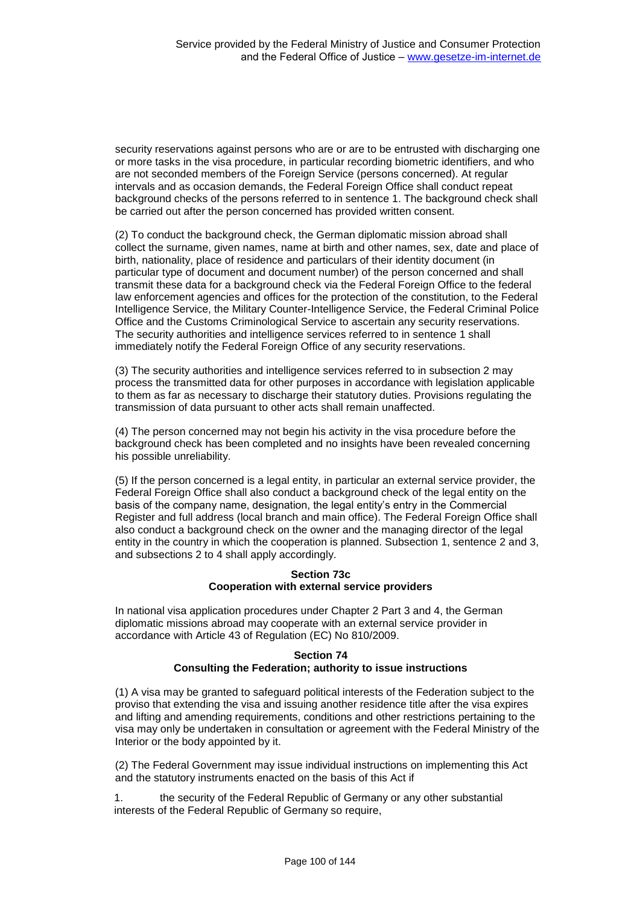security reservations against persons who are or are to be entrusted with discharging one or more tasks in the visa procedure, in particular recording biometric identifiers, and who are not seconded members of the Foreign Service (persons concerned). At regular intervals and as occasion demands, the Federal Foreign Office shall conduct repeat background checks of the persons referred to in sentence 1. The background check shall be carried out after the person concerned has provided written consent.

(2) To conduct the background check, the German diplomatic mission abroad shall collect the surname, given names, name at birth and other names, sex, date and place of birth, nationality, place of residence and particulars of their identity document (in particular type of document and document number) of the person concerned and shall transmit these data for a background check via the Federal Foreign Office to the federal law enforcement agencies and offices for the protection of the constitution, to the Federal Intelligence Service, the Military Counter-Intelligence Service, the Federal Criminal Police Office and the Customs Criminological Service to ascertain any security reservations. The security authorities and intelligence services referred to in sentence 1 shall immediately notify the Federal Foreign Office of any security reservations.

(3) The security authorities and intelligence services referred to in subsection 2 may process the transmitted data for other purposes in accordance with legislation applicable to them as far as necessary to discharge their statutory duties. Provisions regulating the transmission of data pursuant to other acts shall remain unaffected.

(4) The person concerned may not begin his activity in the visa procedure before the background check has been completed and no insights have been revealed concerning his possible unreliability.

(5) If the person concerned is a legal entity, in particular an external service provider, the Federal Foreign Office shall also conduct a background check of the legal entity on the basis of the company name, designation, the legal entity's entry in the Commercial Register and full address (local branch and main office). The Federal Foreign Office shall also conduct a background check on the owner and the managing director of the legal entity in the country in which the cooperation is planned. Subsection 1, sentence 2 and 3, and subsections 2 to 4 shall apply accordingly.

#### **Section 73c Cooperation with external service providers**

In national visa application procedures under Chapter 2 Part 3 and 4, the German diplomatic missions abroad may cooperate with an external service provider in accordance with Article 43 of Regulation (EC) No 810/2009.

#### **Section 74 Consulting the Federation; authority to issue instructions**

(1) A visa may be granted to safeguard political interests of the Federation subject to the proviso that extending the visa and issuing another residence title after the visa expires and lifting and amending requirements, conditions and other restrictions pertaining to the visa may only be undertaken in consultation or agreement with the Federal Ministry of the Interior or the body appointed by it.

(2) The Federal Government may issue individual instructions on implementing this Act and the statutory instruments enacted on the basis of this Act if

1. the security of the Federal Republic of Germany or any other substantial interests of the Federal Republic of Germany so require,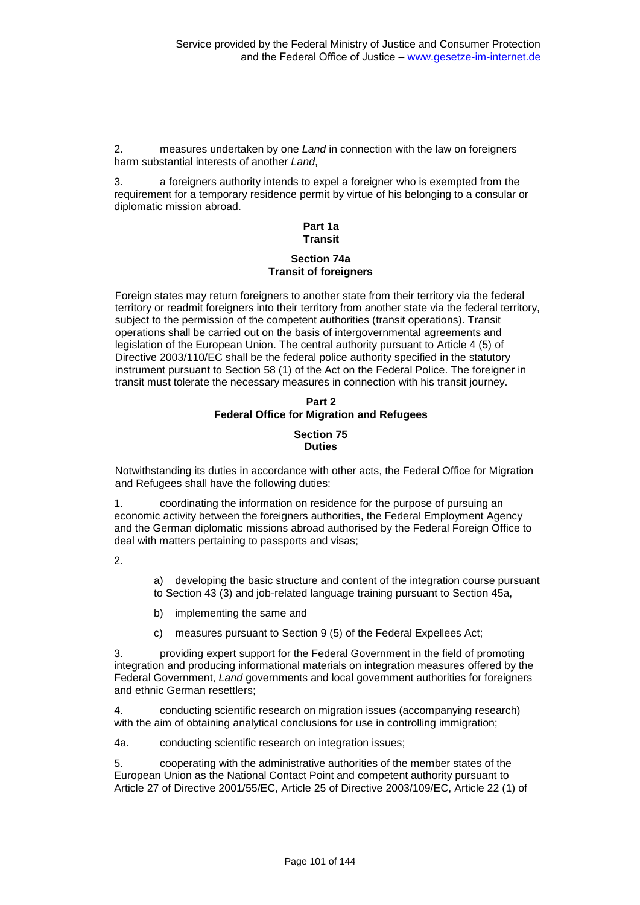2. measures undertaken by one *Land* in connection with the law on foreigners harm substantial interests of another *Land*,

3. a foreigners authority intends to expel a foreigner who is exempted from the requirement for a temporary residence permit by virtue of his belonging to a consular or diplomatic mission abroad.

#### **Part 1a Transit**

#### **Section 74a Transit of foreigners**

Foreign states may return foreigners to another state from their territory via the federal territory or readmit foreigners into their territory from another state via the federal territory, subject to the permission of the competent authorities (transit operations). Transit operations shall be carried out on the basis of intergovernmental agreements and legislation of the European Union. The central authority pursuant to Article 4 (5) of Directive 2003/110/EC shall be the federal police authority specified in the statutory instrument pursuant to Section 58 (1) of the Act on the Federal Police. The foreigner in transit must tolerate the necessary measures in connection with his transit journey.

# **Part 2 Federal Office for Migration and Refugees**

#### **Section 75 Duties**

Notwithstanding its duties in accordance with other acts, the Federal Office for Migration and Refugees shall have the following duties:

1. coordinating the information on residence for the purpose of pursuing an economic activity between the foreigners authorities, the Federal Employment Agency and the German diplomatic missions abroad authorised by the Federal Foreign Office to deal with matters pertaining to passports and visas;

2.

a) developing the basic structure and content of the integration course pursuant to Section 43 (3) and job-related language training pursuant to Section 45a,

- b) implementing the same and
- c) measures pursuant to Section 9 (5) of the Federal Expellees Act;

3. providing expert support for the Federal Government in the field of promoting integration and producing informational materials on integration measures offered by the Federal Government, *Land* governments and local government authorities for foreigners and ethnic German resettlers;

4. conducting scientific research on migration issues (accompanying research) with the aim of obtaining analytical conclusions for use in controlling immigration;

4a. conducting scientific research on integration issues;

5. cooperating with the administrative authorities of the member states of the European Union as the National Contact Point and competent authority pursuant to Article 27 of Directive 2001/55/EC, Article 25 of Directive 2003/109/EC, Article 22 (1) of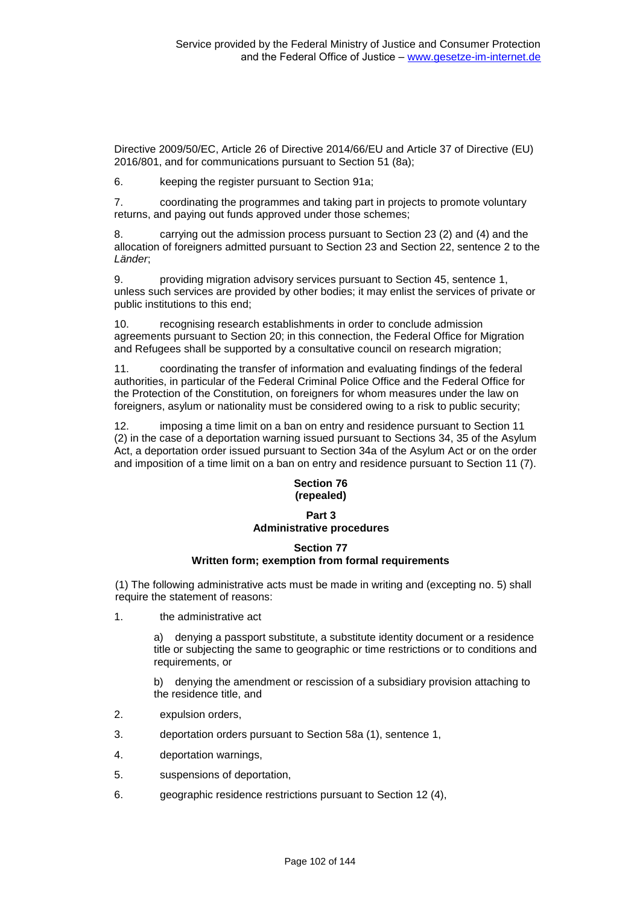Directive 2009/50/EC, Article 26 of Directive 2014/66/EU and Article 37 of Directive (EU) 2016/801, and for communications pursuant to Section 51 (8a);

6. keeping the register pursuant to Section 91a;

7. coordinating the programmes and taking part in projects to promote voluntary returns, and paying out funds approved under those schemes;

carrying out the admission process pursuant to Section 23 (2) and (4) and the allocation of foreigners admitted pursuant to Section 23 and Section 22, sentence 2 to the *Länder*;

9. providing migration advisory services pursuant to Section 45, sentence 1, unless such services are provided by other bodies; it may enlist the services of private or public institutions to this end;

10. recognising research establishments in order to conclude admission agreements pursuant to Section 20; in this connection, the Federal Office for Migration and Refugees shall be supported by a consultative council on research migration;

11. coordinating the transfer of information and evaluating findings of the federal authorities, in particular of the Federal Criminal Police Office and the Federal Office for the Protection of the Constitution, on foreigners for whom measures under the law on foreigners, asylum or nationality must be considered owing to a risk to public security;

12. imposing a time limit on a ban on entry and residence pursuant to Section 11 (2) in the case of a deportation warning issued pursuant to Sections 34, 35 of the Asylum Act, a deportation order issued pursuant to Section 34a of the Asylum Act or on the order and imposition of a time limit on a ban on entry and residence pursuant to Section 11 (7).

#### **Section 76 (repealed)**

# **Part 3 Administrative procedures**

# **Section 77 Written form; exemption from formal requirements**

(1) The following administrative acts must be made in writing and (excepting no. 5) shall require the statement of reasons:

1. the administrative act

a) denying a passport substitute, a substitute identity document or a residence title or subjecting the same to geographic or time restrictions or to conditions and requirements, or

b) denying the amendment or rescission of a subsidiary provision attaching to the residence title, and

- 2. expulsion orders,
- 3. deportation orders pursuant to Section 58a (1), sentence 1,
- 4. deportation warnings,
- 5. suspensions of deportation,
- 6. geographic residence restrictions pursuant to Section 12 (4),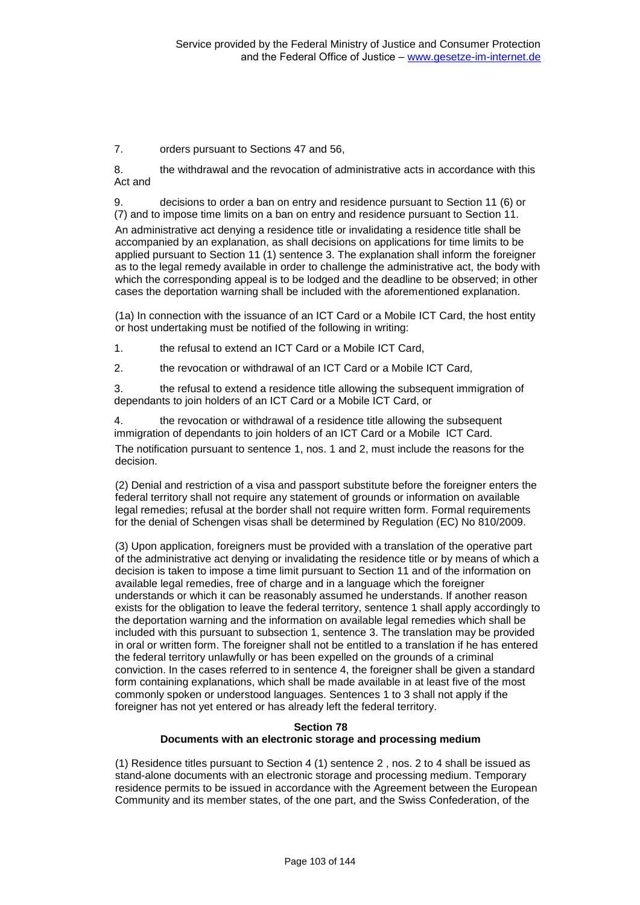7. orders pursuant to Sections 47 and 56,

8. the withdrawal and the revocation of administrative acts in accordance with this Act and

9. decisions to order a ban on entry and residence pursuant to Section 11 (6) or (7) and to impose time limits on a ban on entry and residence pursuant to Section 11. An administrative act denying a residence title or invalidating a residence title shall be accompanied by an explanation, as shall decisions on applications for time limits to be applied pursuant to Section 11 (1) sentence 3. The explanation shall inform the foreigner as to the legal remedy available in order to challenge the administrative act, the body with which the corresponding appeal is to be lodged and the deadline to be observed; in other cases the deportation warning shall be included with the aforementioned explanation.

(1a) In connection with the issuance of an ICT Card or a Mobile ICT Card, the host entity or host undertaking must be notified of the following in writing:

1. the refusal to extend an ICT Card or a Mobile ICT Card,

2. the revocation or withdrawal of an ICT Card or a Mobile ICT Card,

3. the refusal to extend a residence title allowing the subsequent immigration of dependants to join holders of an ICT Card or a Mobile ICT Card, or

4. the revocation or withdrawal of a residence title allowing the subsequent immigration of dependants to join holders of an ICT Card or a Mobile ICT Card.

The notification pursuant to sentence 1, nos. 1 and 2, must include the reasons for the decision.

(2) Denial and restriction of a visa and passport substitute before the foreigner enters the federal territory shall not require any statement of grounds or information on available legal remedies; refusal at the border shall not require written form. Formal requirements for the denial of Schengen visas shall be determined by Regulation (EC) No 810/2009.

(3) Upon application, foreigners must be provided with a translation of the operative part of the administrative act denying or invalidating the residence title or by means of which a decision is taken to impose a time limit pursuant to Section 11 and of the information on available legal remedies, free of charge and in a language which the foreigner understands or which it can be reasonably assumed he understands. If another reason exists for the obligation to leave the federal territory, sentence 1 shall apply accordingly to the deportation warning and the information on available legal remedies which shall be included with this pursuant to subsection 1, sentence 3. The translation may be provided in oral or written form. The foreigner shall not be entitled to a translation if he has entered the federal territory unlawfully or has been expelled on the grounds of a criminal conviction. In the cases referred to in sentence 4, the foreigner shall be given a standard form containing explanations, which shall be made available in at least five of the most commonly spoken or understood languages. Sentences 1 to 3 shall not apply if the foreigner has not yet entered or has already left the federal territory.

#### **Section 78**

### **Documents with an electronic storage and processing medium**

(1) Residence titles pursuant to Section 4 (1) sentence 2 , nos. 2 to 4 shall be issued as stand-alone documents with an electronic storage and processing medium. Temporary residence permits to be issued in accordance with the Agreement between the European Community and its member states, of the one part, and the Swiss Confederation, of the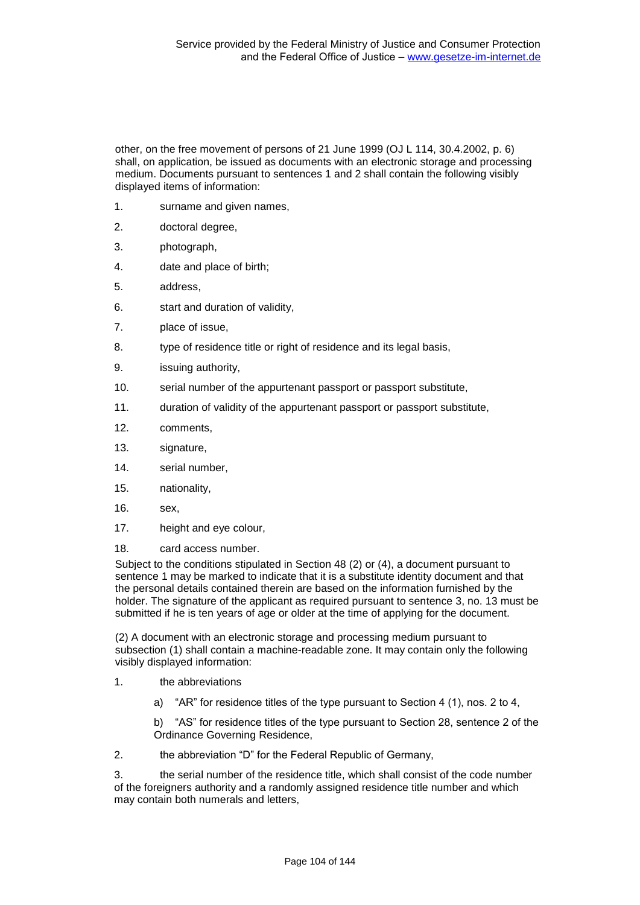other, on the free movement of persons of 21 June 1999 (OJ L 114, 30.4.2002, p. 6) shall, on application, be issued as documents with an electronic storage and processing medium. Documents pursuant to sentences 1 and 2 shall contain the following visibly displayed items of information:

- 1. surname and given names,
- 2. doctoral degree,
- 3. photograph,
- 4. date and place of birth;
- 5. address,
- 6. start and duration of validity,
- 7. place of issue,
- 8. type of residence title or right of residence and its legal basis,
- 9. issuing authority,
- 10. serial number of the appurtenant passport or passport substitute,
- 11. duration of validity of the appurtenant passport or passport substitute,
- 12. comments,
- 13. signature,
- 14. serial number,
- 15. nationality,
- 16. sex,
- 17. height and eye colour,
- 18. card access number.

Subject to the conditions stipulated in Section 48 (2) or (4), a document pursuant to sentence 1 may be marked to indicate that it is a substitute identity document and that the personal details contained therein are based on the information furnished by the holder. The signature of the applicant as required pursuant to sentence 3, no. 13 must be submitted if he is ten years of age or older at the time of applying for the document.

(2) A document with an electronic storage and processing medium pursuant to subsection (1) shall contain a machine-readable zone. It may contain only the following visibly displayed information:

- 1. the abbreviations
	- a) "AR" for residence titles of the type pursuant to Section 4 (1), nos. 2 to 4,

b) "AS" for residence titles of the type pursuant to Section 28, sentence 2 of the Ordinance Governing Residence,

2. the abbreviation "D" for the Federal Republic of Germany,

3. the serial number of the residence title, which shall consist of the code number of the foreigners authority and a randomly assigned residence title number and which may contain both numerals and letters,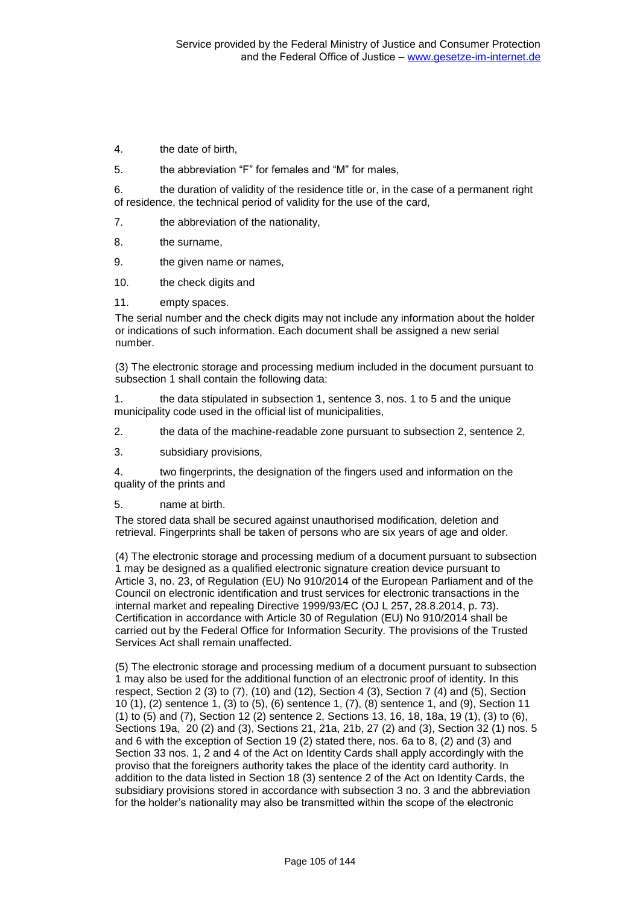- 4. the date of birth,
- 5. the abbreviation "F" for females and "M" for males,

6. the duration of validity of the residence title or, in the case of a permanent right of residence, the technical period of validity for the use of the card,

- 7. the abbreviation of the nationality,
- 8. the surname,
- 9. the given name or names,
- 10. the check digits and
- 11. empty spaces.

The serial number and the check digits may not include any information about the holder or indications of such information. Each document shall be assigned a new serial number.

(3) The electronic storage and processing medium included in the document pursuant to subsection 1 shall contain the following data:

1. the data stipulated in subsection 1, sentence 3, nos. 1 to 5 and the unique municipality code used in the official list of municipalities,

- 2. the data of the machine-readable zone pursuant to subsection 2, sentence 2,
- 3. subsidiary provisions,

4. two fingerprints, the designation of the fingers used and information on the quality of the prints and

5. name at birth.

The stored data shall be secured against unauthorised modification, deletion and retrieval. Fingerprints shall be taken of persons who are six years of age and older.

(4) The electronic storage and processing medium of a document pursuant to subsection 1 may be designed as a qualified electronic signature creation device pursuant to Article 3, no. 23, of Regulation (EU) No 910/2014 of the European Parliament and of the Council on electronic identification and trust services for electronic transactions in the internal market and repealing Directive 1999/93/EC (OJ L 257, 28.8.2014, p. 73). Certification in accordance with Article 30 of Regulation (EU) No 910/2014 shall be carried out by the Federal Office for Information Security. The provisions of the Trusted Services Act shall remain unaffected.

(5) The electronic storage and processing medium of a document pursuant to subsection 1 may also be used for the additional function of an electronic proof of identity. In this respect, Section 2 (3) to (7), (10) and (12), Section 4 (3), Section 7 (4) and (5), Section 10 (1), (2) sentence 1, (3) to (5), (6) sentence 1, (7), (8) sentence 1, and (9), Section 11 (1) to (5) and (7), Section 12 (2) sentence 2, Sections 13, 16, 18, 18a, 19 (1), (3) to (6), Sections 19a, 20 (2) and (3), Sections 21, 21a, 21b, 27 (2) and (3), Section 32 (1) nos. 5 and 6 with the exception of Section 19 (2) stated there, nos. 6a to 8, (2) and (3) and Section 33 nos. 1, 2 and 4 of the Act on Identity Cards shall apply accordingly with the proviso that the foreigners authority takes the place of the identity card authority. In addition to the data listed in Section 18 (3) sentence 2 of the Act on Identity Cards, the subsidiary provisions stored in accordance with subsection 3 no. 3 and the abbreviation for the holder's nationality may also be transmitted within the scope of the electronic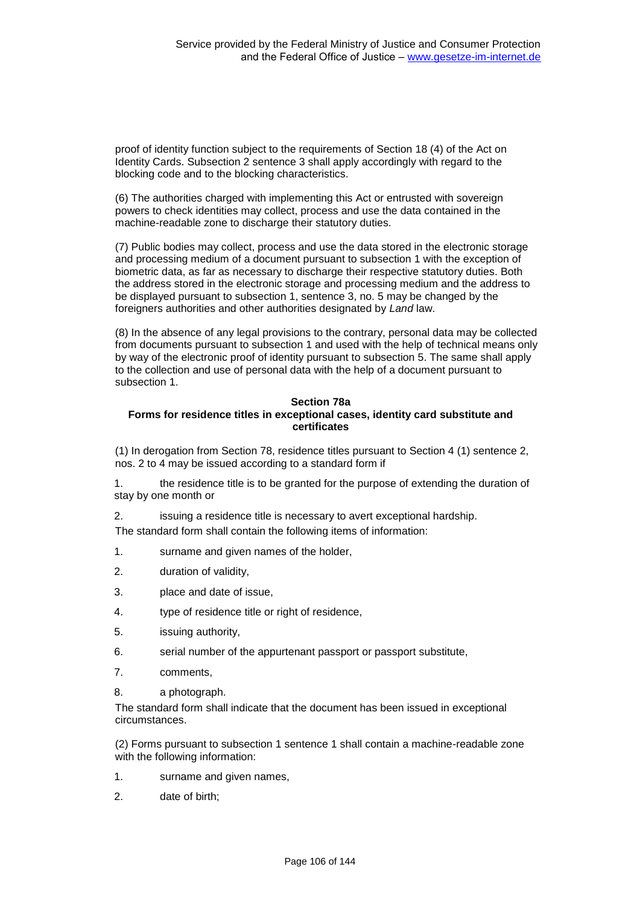proof of identity function subject to the requirements of Section 18 (4) of the Act on Identity Cards. Subsection 2 sentence 3 shall apply accordingly with regard to the blocking code and to the blocking characteristics.

(6) The authorities charged with implementing this Act or entrusted with sovereign powers to check identities may collect, process and use the data contained in the machine-readable zone to discharge their statutory duties.

(7) Public bodies may collect, process and use the data stored in the electronic storage and processing medium of a document pursuant to subsection 1 with the exception of biometric data, as far as necessary to discharge their respective statutory duties. Both the address stored in the electronic storage and processing medium and the address to be displayed pursuant to subsection 1, sentence 3, no. 5 may be changed by the foreigners authorities and other authorities designated by *Land* law.

(8) In the absence of any legal provisions to the contrary, personal data may be collected from documents pursuant to subsection 1 and used with the help of technical means only by way of the electronic proof of identity pursuant to subsection 5. The same shall apply to the collection and use of personal data with the help of a document pursuant to subsection 1.

### **Section 78a Forms for residence titles in exceptional cases, identity card substitute and certificates**

(1) In derogation from Section 78, residence titles pursuant to Section 4 (1) sentence 2, nos. 2 to 4 may be issued according to a standard form if

1. the residence title is to be granted for the purpose of extending the duration of stay by one month or

2. issuing a residence title is necessary to avert exceptional hardship.

The standard form shall contain the following items of information:

- 1. surname and given names of the holder,
- 2. duration of validity,
- 3. place and date of issue,
- 4. type of residence title or right of residence,
- 5. issuing authority,
- 6. serial number of the appurtenant passport or passport substitute,
- 7. comments,
- 8. a photograph.

The standard form shall indicate that the document has been issued in exceptional circumstances.

(2) Forms pursuant to subsection 1 sentence 1 shall contain a machine-readable zone with the following information:

- 1. surname and given names,
- 2. date of birth;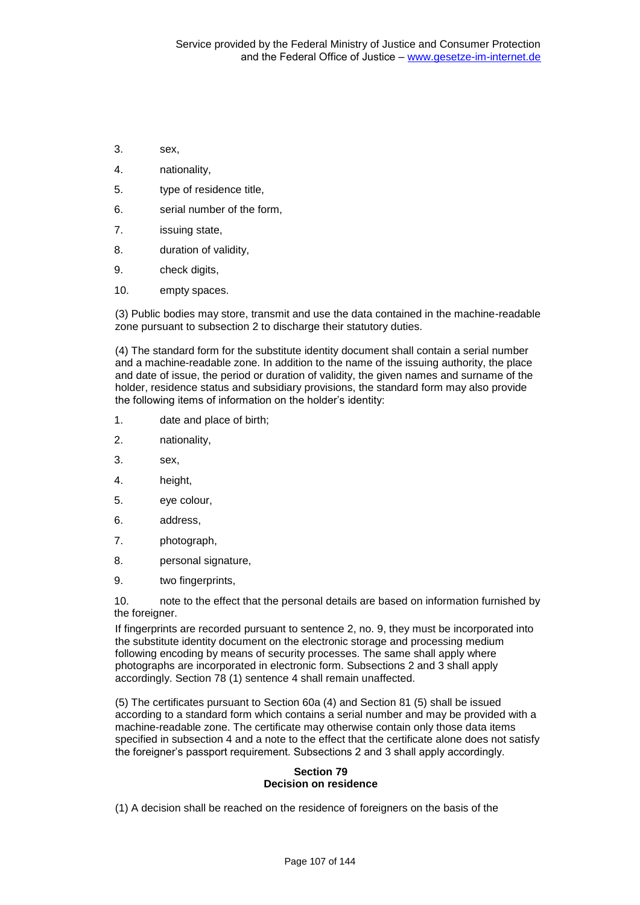- 3. sex,
- 4. nationality,
- 5. type of residence title,
- 6. serial number of the form,
- 7. issuing state,
- 8. duration of validity,
- 9. check digits,
- 10. empty spaces.

(3) Public bodies may store, transmit and use the data contained in the machine-readable zone pursuant to subsection 2 to discharge their statutory duties.

(4) The standard form for the substitute identity document shall contain a serial number and a machine-readable zone. In addition to the name of the issuing authority, the place and date of issue, the period or duration of validity, the given names and surname of the holder, residence status and subsidiary provisions, the standard form may also provide the following items of information on the holder's identity:

- 1. date and place of birth;
- 2. nationality,
- 3. sex,
- 4. height,
- 5. eye colour,
- 6. address,
- 7. photograph,
- 8. personal signature,
- 9. two fingerprints,

10. note to the effect that the personal details are based on information furnished by the foreigner.

If fingerprints are recorded pursuant to sentence 2, no. 9, they must be incorporated into the substitute identity document on the electronic storage and processing medium following encoding by means of security processes. The same shall apply where photographs are incorporated in electronic form. Subsections 2 and 3 shall apply accordingly. Section 78 (1) sentence 4 shall remain unaffected.

(5) The certificates pursuant to Section 60a (4) and Section 81 (5) shall be issued according to a standard form which contains a serial number and may be provided with a machine-readable zone. The certificate may otherwise contain only those data items specified in subsection 4 and a note to the effect that the certificate alone does not satisfy the foreigner's passport requirement. Subsections 2 and 3 shall apply accordingly.

## **Section 79 Decision on residence**

(1) A decision shall be reached on the residence of foreigners on the basis of the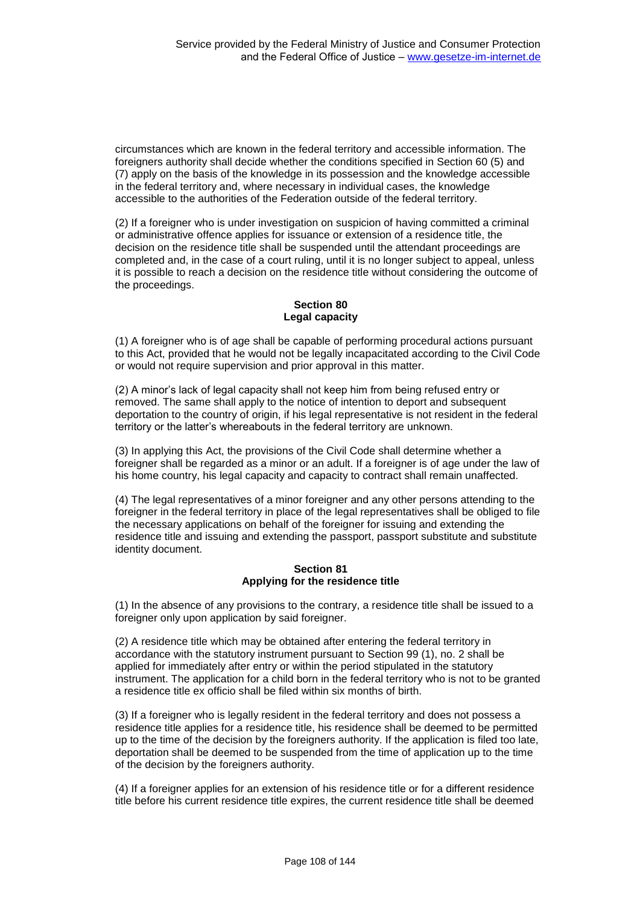circumstances which are known in the federal territory and accessible information. The foreigners authority shall decide whether the conditions specified in Section 60 (5) and (7) apply on the basis of the knowledge in its possession and the knowledge accessible in the federal territory and, where necessary in individual cases, the knowledge accessible to the authorities of the Federation outside of the federal territory.

(2) If a foreigner who is under investigation on suspicion of having committed a criminal or administrative offence applies for issuance or extension of a residence title, the decision on the residence title shall be suspended until the attendant proceedings are completed and, in the case of a court ruling, until it is no longer subject to appeal, unless it is possible to reach a decision on the residence title without considering the outcome of the proceedings.

## **Section 80 Legal capacity**

(1) A foreigner who is of age shall be capable of performing procedural actions pursuant to this Act, provided that he would not be legally incapacitated according to the Civil Code or would not require supervision and prior approval in this matter.

(2) A minor's lack of legal capacity shall not keep him from being refused entry or removed. The same shall apply to the notice of intention to deport and subsequent deportation to the country of origin, if his legal representative is not resident in the federal territory or the latter's whereabouts in the federal territory are unknown.

(3) In applying this Act, the provisions of the Civil Code shall determine whether a foreigner shall be regarded as a minor or an adult. If a foreigner is of age under the law of his home country, his legal capacity and capacity to contract shall remain unaffected.

(4) The legal representatives of a minor foreigner and any other persons attending to the foreigner in the federal territory in place of the legal representatives shall be obliged to file the necessary applications on behalf of the foreigner for issuing and extending the residence title and issuing and extending the passport, passport substitute and substitute identity document.

#### **Section 81 Applying for the residence title**

(1) In the absence of any provisions to the contrary, a residence title shall be issued to a foreigner only upon application by said foreigner.

(2) A residence title which may be obtained after entering the federal territory in accordance with the statutory instrument pursuant to Section 99 (1), no. 2 shall be applied for immediately after entry or within the period stipulated in the statutory instrument. The application for a child born in the federal territory who is not to be granted a residence title ex officio shall be filed within six months of birth.

(3) If a foreigner who is legally resident in the federal territory and does not possess a residence title applies for a residence title, his residence shall be deemed to be permitted up to the time of the decision by the foreigners authority. If the application is filed too late, deportation shall be deemed to be suspended from the time of application up to the time of the decision by the foreigners authority.

(4) If a foreigner applies for an extension of his residence title or for a different residence title before his current residence title expires, the current residence title shall be deemed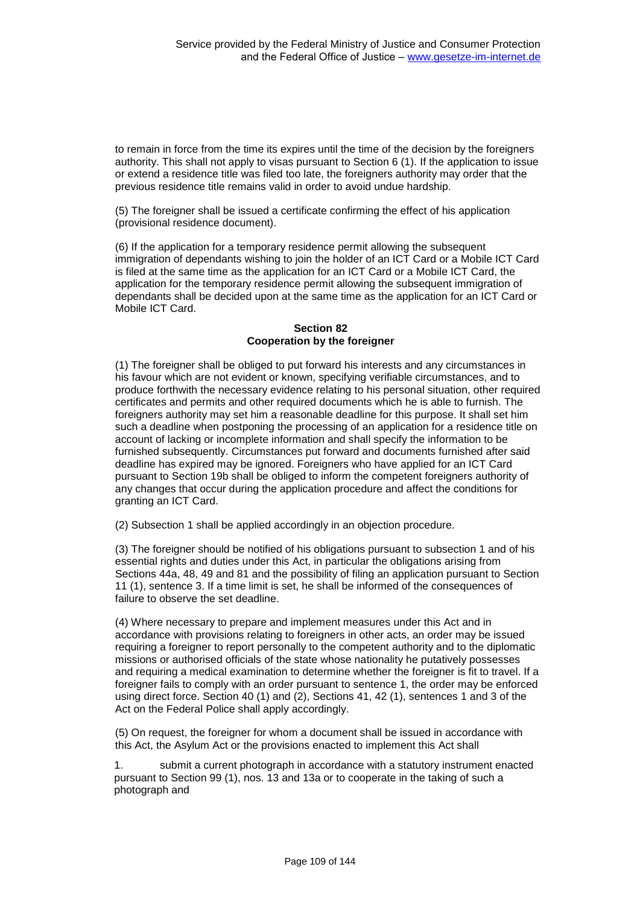to remain in force from the time its expires until the time of the decision by the foreigners authority. This shall not apply to visas pursuant to Section 6 (1). If the application to issue or extend a residence title was filed too late, the foreigners authority may order that the previous residence title remains valid in order to avoid undue hardship.

(5) The foreigner shall be issued a certificate confirming the effect of his application (provisional residence document).

(6) If the application for a temporary residence permit allowing the subsequent immigration of dependants wishing to join the holder of an ICT Card or a Mobile ICT Card is filed at the same time as the application for an ICT Card or a Mobile ICT Card, the application for the temporary residence permit allowing the subsequent immigration of dependants shall be decided upon at the same time as the application for an ICT Card or Mobile ICT Card.

#### **Section 82 Cooperation by the foreigner**

(1) The foreigner shall be obliged to put forward his interests and any circumstances in his favour which are not evident or known, specifying verifiable circumstances, and to produce forthwith the necessary evidence relating to his personal situation, other required certificates and permits and other required documents which he is able to furnish. The foreigners authority may set him a reasonable deadline for this purpose. It shall set him such a deadline when postponing the processing of an application for a residence title on account of lacking or incomplete information and shall specify the information to be furnished subsequently. Circumstances put forward and documents furnished after said deadline has expired may be ignored. Foreigners who have applied for an ICT Card pursuant to Section 19b shall be obliged to inform the competent foreigners authority of any changes that occur during the application procedure and affect the conditions for granting an ICT Card.

(2) Subsection 1 shall be applied accordingly in an objection procedure.

(3) The foreigner should be notified of his obligations pursuant to subsection 1 and of his essential rights and duties under this Act, in particular the obligations arising from Sections 44a, 48, 49 and 81 and the possibility of filing an application pursuant to Section 11 (1), sentence 3. If a time limit is set, he shall be informed of the consequences of failure to observe the set deadline.

(4) Where necessary to prepare and implement measures under this Act and in accordance with provisions relating to foreigners in other acts, an order may be issued requiring a foreigner to report personally to the competent authority and to the diplomatic missions or authorised officials of the state whose nationality he putatively possesses and requiring a medical examination to determine whether the foreigner is fit to travel. If a foreigner fails to comply with an order pursuant to sentence 1, the order may be enforced using direct force. Section 40 (1) and (2), Sections 41, 42 (1), sentences 1 and 3 of the Act on the Federal Police shall apply accordingly.

(5) On request, the foreigner for whom a document shall be issued in accordance with this Act, the Asylum Act or the provisions enacted to implement this Act shall

submit a current photograph in accordance with a statutory instrument enacted pursuant to Section 99 (1), nos. 13 and 13a or to cooperate in the taking of such a photograph and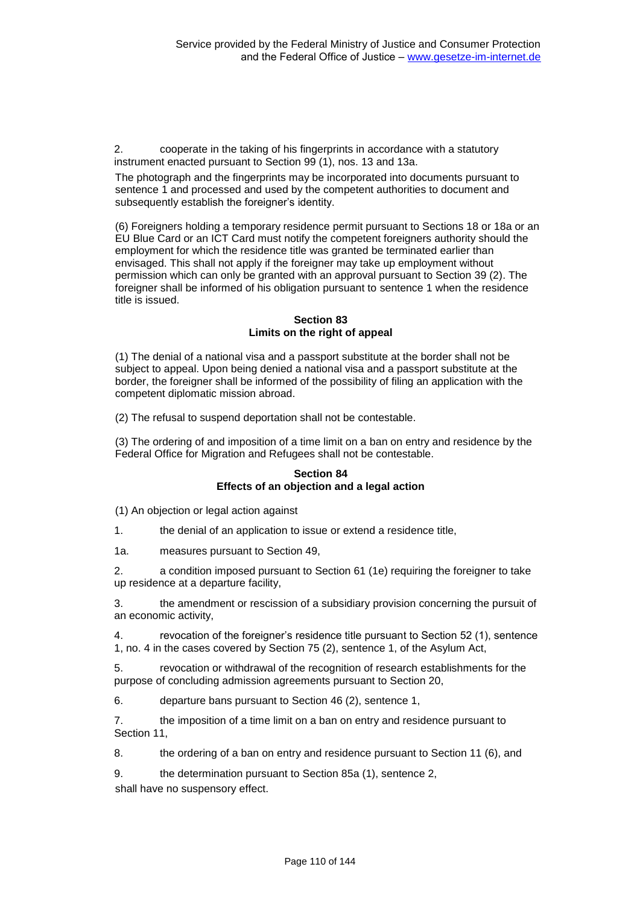2. cooperate in the taking of his fingerprints in accordance with a statutory instrument enacted pursuant to Section 99 (1), nos. 13 and 13a.

The photograph and the fingerprints may be incorporated into documents pursuant to sentence 1 and processed and used by the competent authorities to document and subsequently establish the foreigner's identity.

(6) Foreigners holding a temporary residence permit pursuant to Sections 18 or 18a or an EU Blue Card or an ICT Card must notify the competent foreigners authority should the employment for which the residence title was granted be terminated earlier than envisaged. This shall not apply if the foreigner may take up employment without permission which can only be granted with an approval pursuant to Section 39 (2). The foreigner shall be informed of his obligation pursuant to sentence 1 when the residence title is issued.

**Section 83 Limits on the right of appeal**

(1) The denial of a national visa and a passport substitute at the border shall not be subject to appeal. Upon being denied a national visa and a passport substitute at the border, the foreigner shall be informed of the possibility of filing an application with the competent diplomatic mission abroad.

(2) The refusal to suspend deportation shall not be contestable.

(3) The ordering of and imposition of a time limit on a ban on entry and residence by the Federal Office for Migration and Refugees shall not be contestable.

# **Section 84 Effects of an objection and a legal action**

(1) An objection or legal action against

1. the denial of an application to issue or extend a residence title,

1a. measures pursuant to Section 49,

2. a condition imposed pursuant to Section 61 (1e) requiring the foreigner to take up residence at a departure facility,

3. the amendment or rescission of a subsidiary provision concerning the pursuit of an economic activity,

4. revocation of the foreigner's residence title pursuant to Section 52 (1), sentence 1, no. 4 in the cases covered by Section 75 (2), sentence 1, of the Asylum Act,

5. revocation or withdrawal of the recognition of research establishments for the purpose of concluding admission agreements pursuant to Section 20,

6. departure bans pursuant to Section 46 (2), sentence 1,

7. the imposition of a time limit on a ban on entry and residence pursuant to Section 11,

8. the ordering of a ban on entry and residence pursuant to Section 11 (6), and

9. the determination pursuant to Section 85a (1), sentence 2,

shall have no suspensory effect.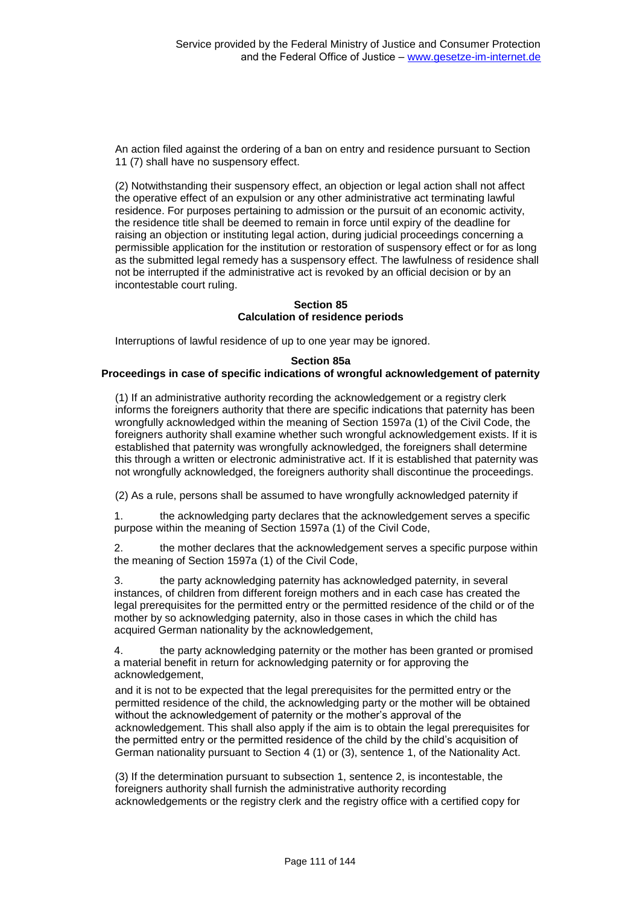An action filed against the ordering of a ban on entry and residence pursuant to Section 11 (7) shall have no suspensory effect.

(2) Notwithstanding their suspensory effect, an objection or legal action shall not affect the operative effect of an expulsion or any other administrative act terminating lawful residence. For purposes pertaining to admission or the pursuit of an economic activity, the residence title shall be deemed to remain in force until expiry of the deadline for raising an objection or instituting legal action, during judicial proceedings concerning a permissible application for the institution or restoration of suspensory effect or for as long as the submitted legal remedy has a suspensory effect. The lawfulness of residence shall not be interrupted if the administrative act is revoked by an official decision or by an incontestable court ruling.

#### **Section 85 Calculation of residence periods**

Interruptions of lawful residence of up to one year may be ignored.

#### **Section 85a**

## **Proceedings in case of specific indications of wrongful acknowledgement of paternity**

(1) If an administrative authority recording the acknowledgement or a registry clerk informs the foreigners authority that there are specific indications that paternity has been wrongfully acknowledged within the meaning of Section 1597a (1) of the Civil Code, the foreigners authority shall examine whether such wrongful acknowledgement exists. If it is established that paternity was wrongfully acknowledged, the foreigners shall determine this through a written or electronic administrative act. If it is established that paternity was not wrongfully acknowledged, the foreigners authority shall discontinue the proceedings.

(2) As a rule, persons shall be assumed to have wrongfully acknowledged paternity if

1. the acknowledging party declares that the acknowledgement serves a specific purpose within the meaning of Section 1597a (1) of the Civil Code,

2. the mother declares that the acknowledgement serves a specific purpose within the meaning of Section 1597a (1) of the Civil Code,

3. the party acknowledging paternity has acknowledged paternity, in several instances, of children from different foreign mothers and in each case has created the legal prerequisites for the permitted entry or the permitted residence of the child or of the mother by so acknowledging paternity, also in those cases in which the child has acquired German nationality by the acknowledgement,

4. the party acknowledging paternity or the mother has been granted or promised a material benefit in return for acknowledging paternity or for approving the acknowledgement,

and it is not to be expected that the legal prerequisites for the permitted entry or the permitted residence of the child, the acknowledging party or the mother will be obtained without the acknowledgement of paternity or the mother's approval of the acknowledgement. This shall also apply if the aim is to obtain the legal prerequisites for the permitted entry or the permitted residence of the child by the child's acquisition of German nationality pursuant to Section 4 (1) or (3), sentence 1, of the Nationality Act.

(3) If the determination pursuant to subsection 1, sentence 2, is incontestable, the foreigners authority shall furnish the administrative authority recording acknowledgements or the registry clerk and the registry office with a certified copy for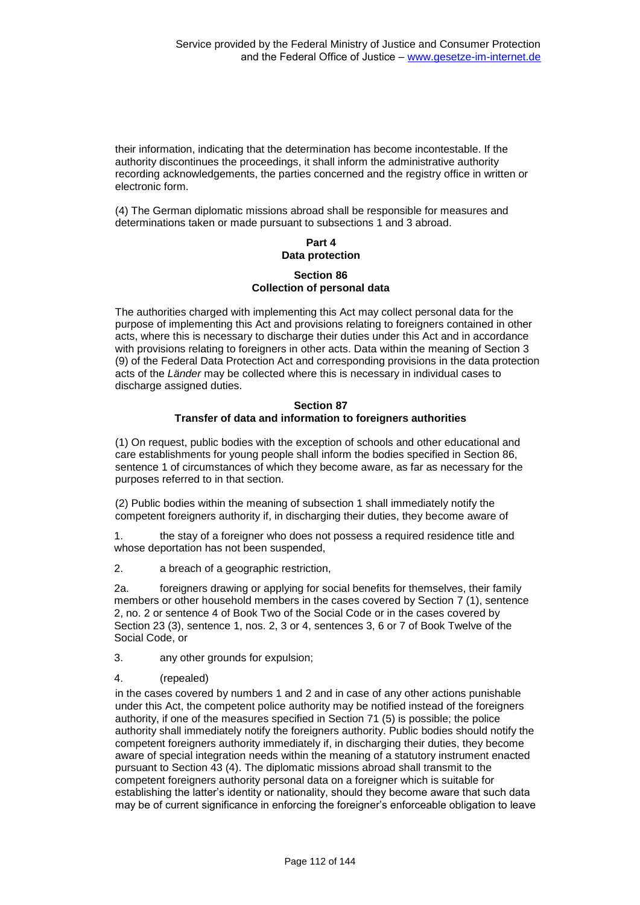their information, indicating that the determination has become incontestable. If the authority discontinues the proceedings, it shall inform the administrative authority recording acknowledgements, the parties concerned and the registry office in written or electronic form.

(4) The German diplomatic missions abroad shall be responsible for measures and determinations taken or made pursuant to subsections 1 and 3 abroad.

## **Part 4 Data protection**

## **Section 86 Collection of personal data**

The authorities charged with implementing this Act may collect personal data for the purpose of implementing this Act and provisions relating to foreigners contained in other acts, where this is necessary to discharge their duties under this Act and in accordance with provisions relating to foreigners in other acts. Data within the meaning of Section 3 (9) of the Federal Data Protection Act and corresponding provisions in the data protection acts of the *Länder* may be collected where this is necessary in individual cases to discharge assigned duties.

#### **Section 87 Transfer of data and information to foreigners authorities**

(1) On request, public bodies with the exception of schools and other educational and care establishments for young people shall inform the bodies specified in Section 86, sentence 1 of circumstances of which they become aware, as far as necessary for the purposes referred to in that section.

(2) Public bodies within the meaning of subsection 1 shall immediately notify the competent foreigners authority if, in discharging their duties, they become aware of

1. the stay of a foreigner who does not possess a required residence title and whose deportation has not been suspended,

2. a breach of a geographic restriction,

2a. foreigners drawing or applying for social benefits for themselves, their family members or other household members in the cases covered by Section 7 (1), sentence 2, no. 2 or sentence 4 of Book Two of the Social Code or in the cases covered by Section 23 (3), sentence 1, nos. 2, 3 or 4, sentences 3, 6 or 7 of Book Twelve of the Social Code, or

3. any other grounds for expulsion;

4. (repealed)

in the cases covered by numbers 1 and 2 and in case of any other actions punishable under this Act, the competent police authority may be notified instead of the foreigners authority, if one of the measures specified in Section 71 (5) is possible; the police authority shall immediately notify the foreigners authority. Public bodies should notify the competent foreigners authority immediately if, in discharging their duties, they become aware of special integration needs within the meaning of a statutory instrument enacted pursuant to Section 43 (4). The diplomatic missions abroad shall transmit to the competent foreigners authority personal data on a foreigner which is suitable for establishing the latter's identity or nationality, should they become aware that such data may be of current significance in enforcing the foreigner's enforceable obligation to leave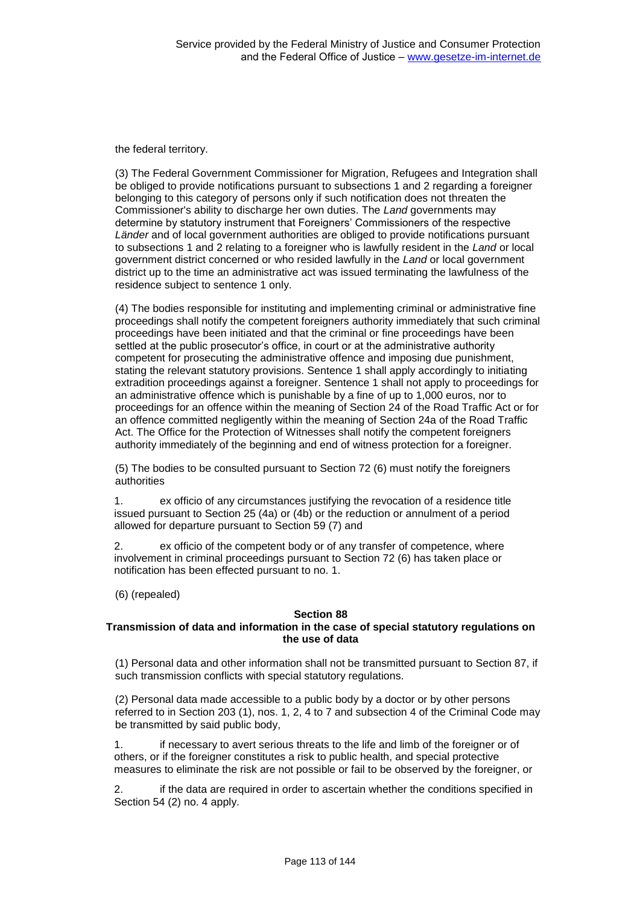the federal territory.

(3) The Federal Government Commissioner for Migration, Refugees and Integration shall be obliged to provide notifications pursuant to subsections 1 and 2 regarding a foreigner belonging to this category of persons only if such notification does not threaten the Commissioner's ability to discharge her own duties. The *Land* governments may determine by statutory instrument that Foreigners' Commissioners of the respective *Länder* and of local government authorities are obliged to provide notifications pursuant to subsections 1 and 2 relating to a foreigner who is lawfully resident in the *Land* or local government district concerned or who resided lawfully in the *Land* or local government district up to the time an administrative act was issued terminating the lawfulness of the residence subject to sentence 1 only.

(4) The bodies responsible for instituting and implementing criminal or administrative fine proceedings shall notify the competent foreigners authority immediately that such criminal proceedings have been initiated and that the criminal or fine proceedings have been settled at the public prosecutor's office, in court or at the administrative authority competent for prosecuting the administrative offence and imposing due punishment, stating the relevant statutory provisions. Sentence 1 shall apply accordingly to initiating extradition proceedings against a foreigner. Sentence 1 shall not apply to proceedings for an administrative offence which is punishable by a fine of up to 1,000 euros, nor to proceedings for an offence within the meaning of Section 24 of the Road Traffic Act or for an offence committed negligently within the meaning of Section 24a of the Road Traffic Act. The Office for the Protection of Witnesses shall notify the competent foreigners authority immediately of the beginning and end of witness protection for a foreigner.

(5) The bodies to be consulted pursuant to Section 72 (6) must notify the foreigners authorities

1. ex officio of any circumstances justifying the revocation of a residence title issued pursuant to Section 25 (4a) or (4b) or the reduction or annulment of a period allowed for departure pursuant to Section 59 (7) and

ex officio of the competent body or of any transfer of competence, where involvement in criminal proceedings pursuant to Section 72 (6) has taken place or notification has been effected pursuant to no. 1.

(6) (repealed)

#### **Section 88**

## **Transmission of data and information in the case of special statutory regulations on the use of data**

(1) Personal data and other information shall not be transmitted pursuant to Section 87, if such transmission conflicts with special statutory regulations.

(2) Personal data made accessible to a public body by a doctor or by other persons referred to in Section 203 (1), nos. 1, 2, 4 to 7 and subsection 4 of the Criminal Code may be transmitted by said public body,

1. if necessary to avert serious threats to the life and limb of the foreigner or of others, or if the foreigner constitutes a risk to public health, and special protective measures to eliminate the risk are not possible or fail to be observed by the foreigner, or

2. if the data are required in order to ascertain whether the conditions specified in Section 54 (2) no. 4 apply.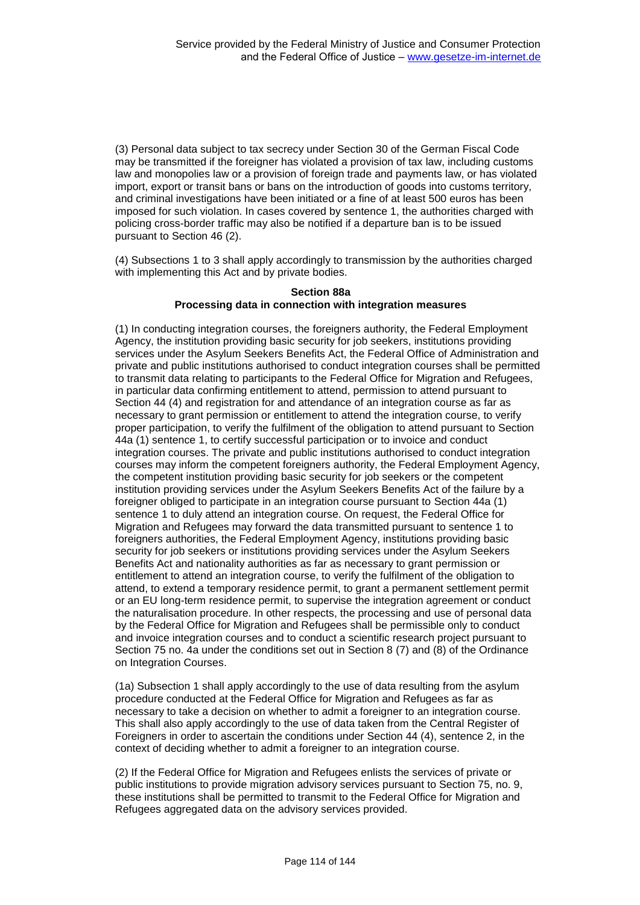(3) Personal data subject to tax secrecy under Section 30 of the German Fiscal Code may be transmitted if the foreigner has violated a provision of tax law, including customs law and monopolies law or a provision of foreign trade and payments law, or has violated import, export or transit bans or bans on the introduction of goods into customs territory, and criminal investigations have been initiated or a fine of at least 500 euros has been imposed for such violation. In cases covered by sentence 1, the authorities charged with policing cross-border traffic may also be notified if a departure ban is to be issued pursuant to Section 46 (2).

(4) Subsections 1 to 3 shall apply accordingly to transmission by the authorities charged with implementing this Act and by private bodies.

#### **Section 88a Processing data in connection with integration measures**

(1) In conducting integration courses, the foreigners authority, the Federal Employment Agency, the institution providing basic security for job seekers, institutions providing services under the Asylum Seekers Benefits Act, the Federal Office of Administration and private and public institutions authorised to conduct integration courses shall be permitted to transmit data relating to participants to the Federal Office for Migration and Refugees, in particular data confirming entitlement to attend, permission to attend pursuant to Section 44 (4) and registration for and attendance of an integration course as far as necessary to grant permission or entitlement to attend the integration course, to verify proper participation, to verify the fulfilment of the obligation to attend pursuant to Section 44a (1) sentence 1, to certify successful participation or to invoice and conduct integration courses. The private and public institutions authorised to conduct integration courses may inform the competent foreigners authority, the Federal Employment Agency, the competent institution providing basic security for job seekers or the competent institution providing services under the Asylum Seekers Benefits Act of the failure by a foreigner obliged to participate in an integration course pursuant to Section 44a (1) sentence 1 to duly attend an integration course. On request, the Federal Office for Migration and Refugees may forward the data transmitted pursuant to sentence 1 to foreigners authorities, the Federal Employment Agency, institutions providing basic security for job seekers or institutions providing services under the Asylum Seekers Benefits Act and nationality authorities as far as necessary to grant permission or entitlement to attend an integration course, to verify the fulfilment of the obligation to attend, to extend a temporary residence permit, to grant a permanent settlement permit or an EU long-term residence permit, to supervise the integration agreement or conduct the naturalisation procedure. In other respects, the processing and use of personal data by the Federal Office for Migration and Refugees shall be permissible only to conduct and invoice integration courses and to conduct a scientific research project pursuant to Section 75 no. 4a under the conditions set out in Section 8 (7) and (8) of the Ordinance on Integration Courses.

(1a) Subsection 1 shall apply accordingly to the use of data resulting from the asylum procedure conducted at the Federal Office for Migration and Refugees as far as necessary to take a decision on whether to admit a foreigner to an integration course. This shall also apply accordingly to the use of data taken from the Central Register of Foreigners in order to ascertain the conditions under Section 44 (4), sentence 2, in the context of deciding whether to admit a foreigner to an integration course.

(2) If the Federal Office for Migration and Refugees enlists the services of private or public institutions to provide migration advisory services pursuant to Section 75, no. 9, these institutions shall be permitted to transmit to the Federal Office for Migration and Refugees aggregated data on the advisory services provided.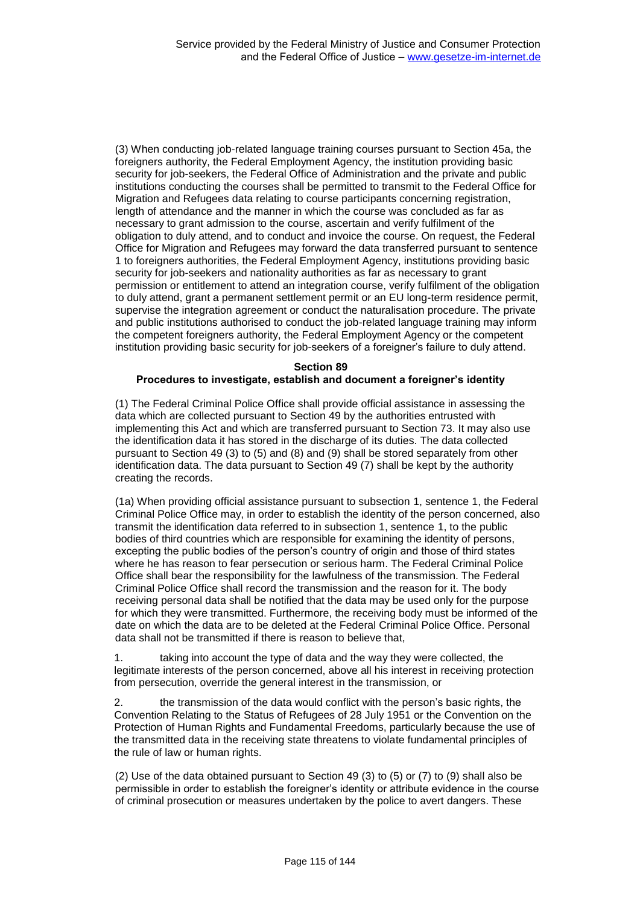(3) When conducting job-related language training courses pursuant to Section 45a, the foreigners authority, the Federal Employment Agency, the institution providing basic security for job-seekers, the Federal Office of Administration and the private and public institutions conducting the courses shall be permitted to transmit to the Federal Office for Migration and Refugees data relating to course participants concerning registration, length of attendance and the manner in which the course was concluded as far as necessary to grant admission to the course, ascertain and verify fulfilment of the obligation to duly attend, and to conduct and invoice the course. On request, the Federal Office for Migration and Refugees may forward the data transferred pursuant to sentence 1 to foreigners authorities, the Federal Employment Agency, institutions providing basic security for job-seekers and nationality authorities as far as necessary to grant permission or entitlement to attend an integration course, verify fulfilment of the obligation to duly attend, grant a permanent settlement permit or an EU long-term residence permit, supervise the integration agreement or conduct the naturalisation procedure. The private and public institutions authorised to conduct the job-related language training may inform the competent foreigners authority, the Federal Employment Agency or the competent institution providing basic security for job-seekers of a foreigner's failure to duly attend.

## **Section 89**

## **Procedures to investigate, establish and document a foreigner's identity**

(1) The Federal Criminal Police Office shall provide official assistance in assessing the data which are collected pursuant to Section 49 by the authorities entrusted with implementing this Act and which are transferred pursuant to Section 73. It may also use the identification data it has stored in the discharge of its duties. The data collected pursuant to Section 49 (3) to (5) and (8) and (9) shall be stored separately from other identification data. The data pursuant to Section 49 (7) shall be kept by the authority creating the records.

(1a) When providing official assistance pursuant to subsection 1, sentence 1, the Federal Criminal Police Office may, in order to establish the identity of the person concerned, also transmit the identification data referred to in subsection 1, sentence 1, to the public bodies of third countries which are responsible for examining the identity of persons, excepting the public bodies of the person's country of origin and those of third states where he has reason to fear persecution or serious harm. The Federal Criminal Police Office shall bear the responsibility for the lawfulness of the transmission. The Federal Criminal Police Office shall record the transmission and the reason for it. The body receiving personal data shall be notified that the data may be used only for the purpose for which they were transmitted. Furthermore, the receiving body must be informed of the date on which the data are to be deleted at the Federal Criminal Police Office. Personal data shall not be transmitted if there is reason to believe that,

1. taking into account the type of data and the way they were collected, the legitimate interests of the person concerned, above all his interest in receiving protection from persecution, override the general interest in the transmission, or

2. the transmission of the data would conflict with the person's basic rights, the Convention Relating to the Status of Refugees of 28 July 1951 or the Convention on the Protection of Human Rights and Fundamental Freedoms, particularly because the use of the transmitted data in the receiving state threatens to violate fundamental principles of the rule of law or human rights.

(2) Use of the data obtained pursuant to Section 49 (3) to (5) or (7) to (9) shall also be permissible in order to establish the foreigner's identity or attribute evidence in the course of criminal prosecution or measures undertaken by the police to avert dangers. These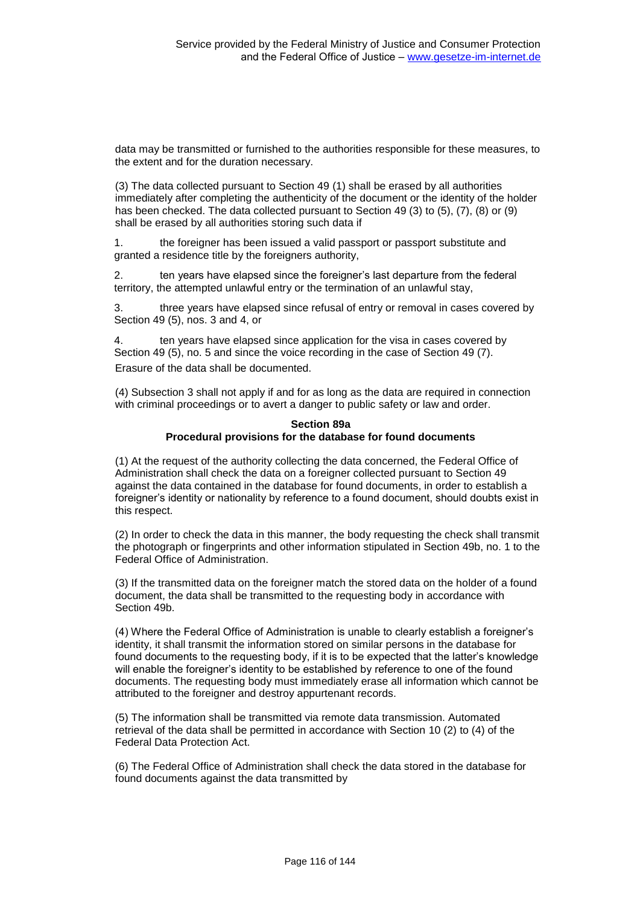data may be transmitted or furnished to the authorities responsible for these measures, to the extent and for the duration necessary.

(3) The data collected pursuant to Section 49 (1) shall be erased by all authorities immediately after completing the authenticity of the document or the identity of the holder has been checked. The data collected pursuant to Section 49 (3) to (5), (7), (8) or (9) shall be erased by all authorities storing such data if

1. the foreigner has been issued a valid passport or passport substitute and granted a residence title by the foreigners authority,

2. ten years have elapsed since the foreigner's last departure from the federal territory, the attempted unlawful entry or the termination of an unlawful stay,

3. three years have elapsed since refusal of entry or removal in cases covered by Section 49 (5), nos. 3 and 4, or

4. ten years have elapsed since application for the visa in cases covered by Section 49 (5), no. 5 and since the voice recording in the case of Section 49 (7). Erasure of the data shall be documented.

(4) Subsection 3 shall not apply if and for as long as the data are required in connection with criminal proceedings or to avert a danger to public safety or law and order.

#### **Section 89a Procedural provisions for the database for found documents**

(1) At the request of the authority collecting the data concerned, the Federal Office of Administration shall check the data on a foreigner collected pursuant to Section 49 against the data contained in the database for found documents, in order to establish a foreigner's identity or nationality by reference to a found document, should doubts exist in this respect.

(2) In order to check the data in this manner, the body requesting the check shall transmit the photograph or fingerprints and other information stipulated in Section 49b, no. 1 to the Federal Office of Administration.

(3) If the transmitted data on the foreigner match the stored data on the holder of a found document, the data shall be transmitted to the requesting body in accordance with Section 49b.

(4) Where the Federal Office of Administration is unable to clearly establish a foreigner's identity, it shall transmit the information stored on similar persons in the database for found documents to the requesting body, if it is to be expected that the latter's knowledge will enable the foreigner's identity to be established by reference to one of the found documents. The requesting body must immediately erase all information which cannot be attributed to the foreigner and destroy appurtenant records.

(5) The information shall be transmitted via remote data transmission. Automated retrieval of the data shall be permitted in accordance with Section 10 (2) to (4) of the Federal Data Protection Act.

(6) The Federal Office of Administration shall check the data stored in the database for found documents against the data transmitted by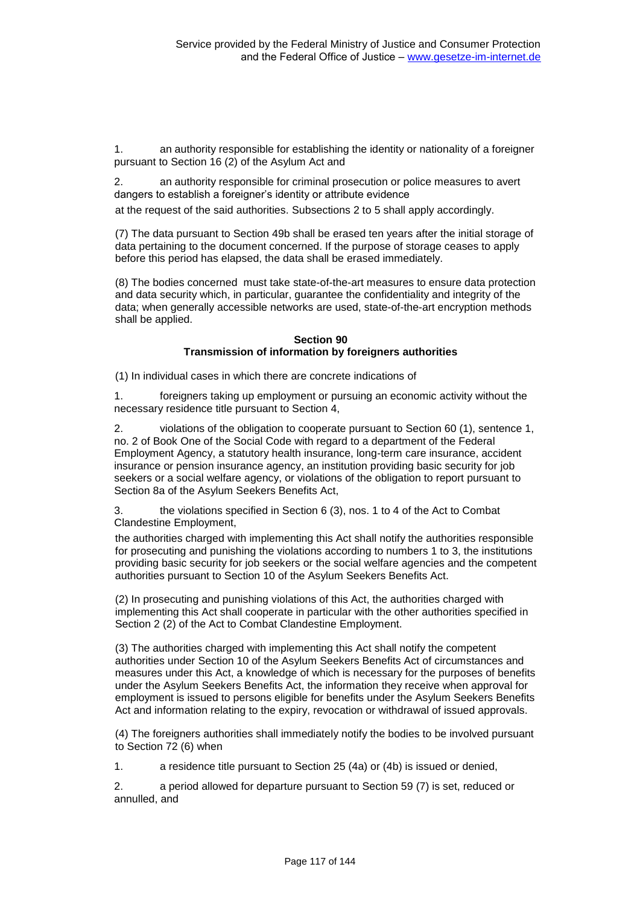1. an authority responsible for establishing the identity or nationality of a foreigner pursuant to Section 16 (2) of the Asylum Act and

2. an authority responsible for criminal prosecution or police measures to avert dangers to establish a foreigner's identity or attribute evidence

at the request of the said authorities. Subsections 2 to 5 shall apply accordingly.

(7) The data pursuant to Section 49b shall be erased ten years after the initial storage of data pertaining to the document concerned. If the purpose of storage ceases to apply before this period has elapsed, the data shall be erased immediately.

(8) The bodies concerned must take state-of-the-art measures to ensure data protection and data security which, in particular, guarantee the confidentiality and integrity of the data; when generally accessible networks are used, state-of-the-art encryption methods shall be applied.

#### **Section 90 Transmission of information by foreigners authorities**

(1) In individual cases in which there are concrete indications of

1. foreigners taking up employment or pursuing an economic activity without the necessary residence title pursuant to Section 4,

2. violations of the obligation to cooperate pursuant to Section 60 (1), sentence 1, no. 2 of Book One of the Social Code with regard to a department of the Federal Employment Agency, a statutory health insurance, long-term care insurance, accident insurance or pension insurance agency, an institution providing basic security for job seekers or a social welfare agency, or violations of the obligation to report pursuant to Section 8a of the Asylum Seekers Benefits Act,

3. the violations specified in Section 6 (3), nos. 1 to 4 of the Act to Combat Clandestine Employment,

the authorities charged with implementing this Act shall notify the authorities responsible for prosecuting and punishing the violations according to numbers 1 to 3, the institutions providing basic security for job seekers or the social welfare agencies and the competent authorities pursuant to Section 10 of the Asylum Seekers Benefits Act.

(2) In prosecuting and punishing violations of this Act, the authorities charged with implementing this Act shall cooperate in particular with the other authorities specified in Section 2 (2) of the Act to Combat Clandestine Employment.

(3) The authorities charged with implementing this Act shall notify the competent authorities under Section 10 of the Asylum Seekers Benefits Act of circumstances and measures under this Act, a knowledge of which is necessary for the purposes of benefits under the Asylum Seekers Benefits Act, the information they receive when approval for employment is issued to persons eligible for benefits under the Asylum Seekers Benefits Act and information relating to the expiry, revocation or withdrawal of issued approvals.

(4) The foreigners authorities shall immediately notify the bodies to be involved pursuant to Section 72 (6) when

1. a residence title pursuant to Section 25 (4a) or (4b) is issued or denied,

2. a period allowed for departure pursuant to Section 59 (7) is set, reduced or annulled, and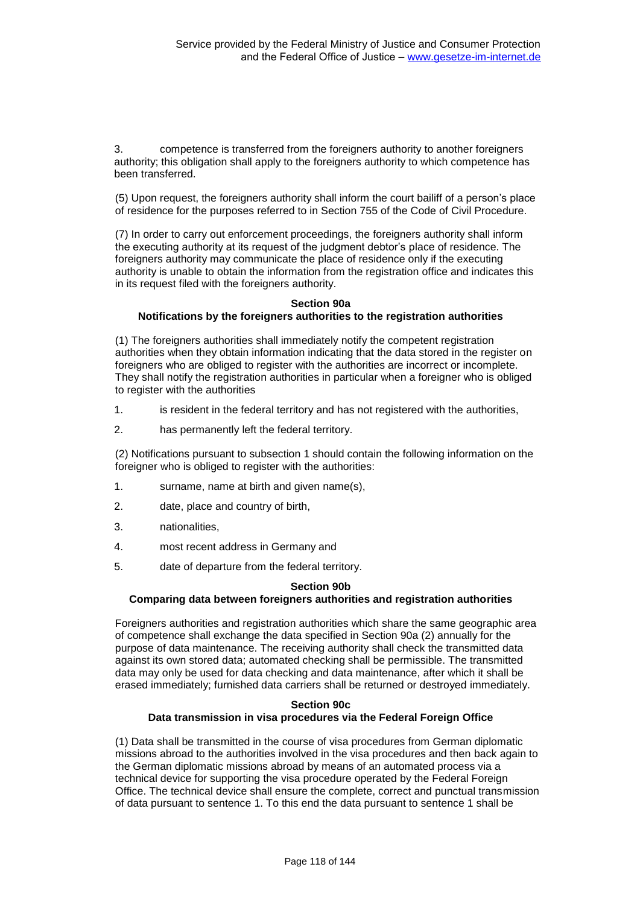3. competence is transferred from the foreigners authority to another foreigners authority; this obligation shall apply to the foreigners authority to which competence has been transferred.

(5) Upon request, the foreigners authority shall inform the court bailiff of a person's place of residence for the purposes referred to in Section 755 of the Code of Civil Procedure.

(7) In order to carry out enforcement proceedings, the foreigners authority shall inform the executing authority at its request of the judgment debtor's place of residence. The foreigners authority may communicate the place of residence only if the executing authority is unable to obtain the information from the registration office and indicates this in its request filed with the foreigners authority.

#### **Section 90a Notifications by the foreigners authorities to the registration authorities**

(1) The foreigners authorities shall immediately notify the competent registration authorities when they obtain information indicating that the data stored in the register on foreigners who are obliged to register with the authorities are incorrect or incomplete. They shall notify the registration authorities in particular when a foreigner who is obliged to register with the authorities

- 1. is resident in the federal territory and has not registered with the authorities,
- 2. has permanently left the federal territory.

(2) Notifications pursuant to subsection 1 should contain the following information on the foreigner who is obliged to register with the authorities:

- 1. surname, name at birth and given name(s),
- 2. date, place and country of birth,
- 3. nationalities,
- 4. most recent address in Germany and
- 5. date of departure from the federal territory.

# **Section 90b**

# **Comparing data between foreigners authorities and registration authorities**

Foreigners authorities and registration authorities which share the same geographic area of competence shall exchange the data specified in Section 90a (2) annually for the purpose of data maintenance. The receiving authority shall check the transmitted data against its own stored data; automated checking shall be permissible. The transmitted data may only be used for data checking and data maintenance, after which it shall be erased immediately; furnished data carriers shall be returned or destroyed immediately.

#### **Section 90c Data transmission in visa procedures via the Federal Foreign Office**

(1) Data shall be transmitted in the course of visa procedures from German diplomatic missions abroad to the authorities involved in the visa procedures and then back again to the German diplomatic missions abroad by means of an automated process via a technical device for supporting the visa procedure operated by the Federal Foreign Office. The technical device shall ensure the complete, correct and punctual transmission of data pursuant to sentence 1. To this end the data pursuant to sentence 1 shall be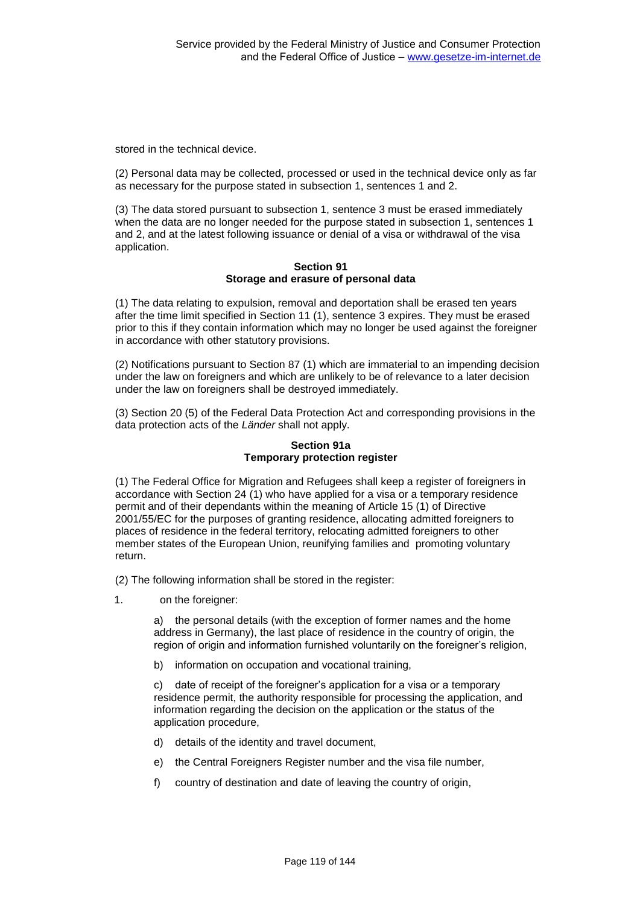stored in the technical device.

(2) Personal data may be collected, processed or used in the technical device only as far as necessary for the purpose stated in subsection 1, sentences 1 and 2.

(3) The data stored pursuant to subsection 1, sentence 3 must be erased immediately when the data are no longer needed for the purpose stated in subsection 1, sentences 1 and 2, and at the latest following issuance or denial of a visa or withdrawal of the visa application.

#### **Section 91 Storage and erasure of personal data**

(1) The data relating to expulsion, removal and deportation shall be erased ten years after the time limit specified in Section 11 (1), sentence 3 expires. They must be erased prior to this if they contain information which may no longer be used against the foreigner in accordance with other statutory provisions.

(2) Notifications pursuant to Section 87 (1) which are immaterial to an impending decision under the law on foreigners and which are unlikely to be of relevance to a later decision under the law on foreigners shall be destroyed immediately.

(3) Section 20 (5) of the Federal Data Protection Act and corresponding provisions in the data protection acts of the *Länder* shall not apply.

# **Section 91a Temporary protection register**

(1) The Federal Office for Migration and Refugees shall keep a register of foreigners in accordance with Section 24 (1) who have applied for a visa or a temporary residence permit and of their dependants within the meaning of Article 15 (1) of Directive 2001/55/EC for the purposes of granting residence, allocating admitted foreigners to places of residence in the federal territory, relocating admitted foreigners to other member states of the European Union, reunifying families and promoting voluntary return.

(2) The following information shall be stored in the register:

1. on the foreigner:

a) the personal details (with the exception of former names and the home address in Germany), the last place of residence in the country of origin, the region of origin and information furnished voluntarily on the foreigner's religion,

b) information on occupation and vocational training,

c) date of receipt of the foreigner's application for a visa or a temporary residence permit, the authority responsible for processing the application, and information regarding the decision on the application or the status of the application procedure,

- d) details of the identity and travel document,
- e) the Central Foreigners Register number and the visa file number,
- f) country of destination and date of leaving the country of origin,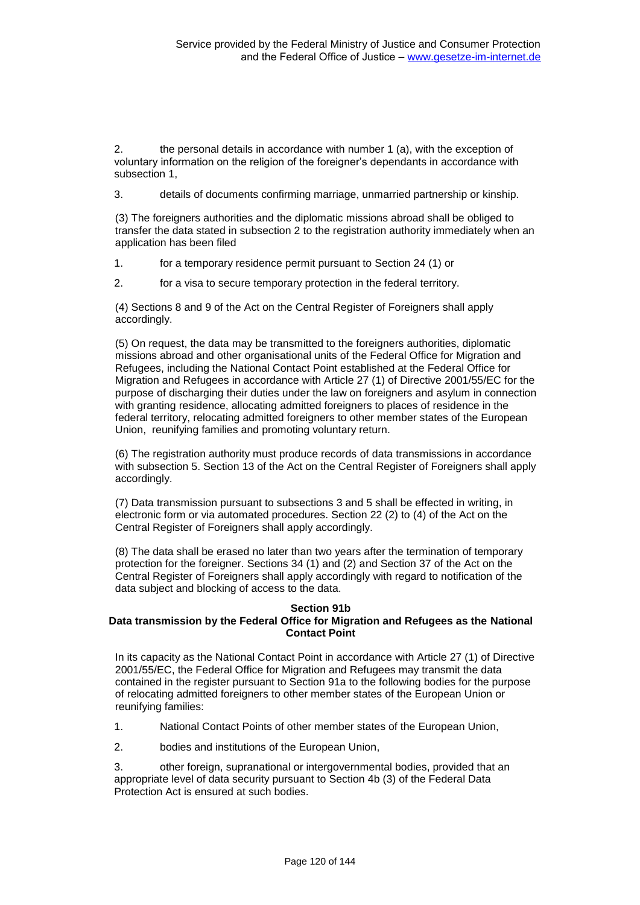2. the personal details in accordance with number 1 (a), with the exception of voluntary information on the religion of the foreigner's dependants in accordance with subsection 1,

3. details of documents confirming marriage, unmarried partnership or kinship.

(3) The foreigners authorities and the diplomatic missions abroad shall be obliged to transfer the data stated in subsection 2 to the registration authority immediately when an application has been filed

- 1. for a temporary residence permit pursuant to Section 24 (1) or
- 2. for a visa to secure temporary protection in the federal territory.

(4) Sections 8 and 9 of the Act on the Central Register of Foreigners shall apply accordingly.

(5) On request, the data may be transmitted to the foreigners authorities, diplomatic missions abroad and other organisational units of the Federal Office for Migration and Refugees, including the National Contact Point established at the Federal Office for Migration and Refugees in accordance with Article 27 (1) of Directive 2001/55/EC for the purpose of discharging their duties under the law on foreigners and asylum in connection with granting residence, allocating admitted foreigners to places of residence in the federal territory, relocating admitted foreigners to other member states of the European Union, reunifying families and promoting voluntary return.

(6) The registration authority must produce records of data transmissions in accordance with subsection 5. Section 13 of the Act on the Central Register of Foreigners shall apply accordingly.

(7) Data transmission pursuant to subsections 3 and 5 shall be effected in writing, in electronic form or via automated procedures. Section 22 (2) to (4) of the Act on the Central Register of Foreigners shall apply accordingly.

(8) The data shall be erased no later than two years after the termination of temporary protection for the foreigner. Sections 34 (1) and (2) and Section 37 of the Act on the Central Register of Foreigners shall apply accordingly with regard to notification of the data subject and blocking of access to the data.

# **Section 91b**

## **Data transmission by the Federal Office for Migration and Refugees as the National Contact Point**

In its capacity as the National Contact Point in accordance with Article 27 (1) of Directive 2001/55/EC, the Federal Office for Migration and Refugees may transmit the data contained in the register pursuant to Section 91a to the following bodies for the purpose of relocating admitted foreigners to other member states of the European Union or reunifying families:

- 1. National Contact Points of other member states of the European Union,
- 2. bodies and institutions of the European Union,

3. other foreign, supranational or intergovernmental bodies, provided that an appropriate level of data security pursuant to Section 4b (3) of the Federal Data Protection Act is ensured at such bodies.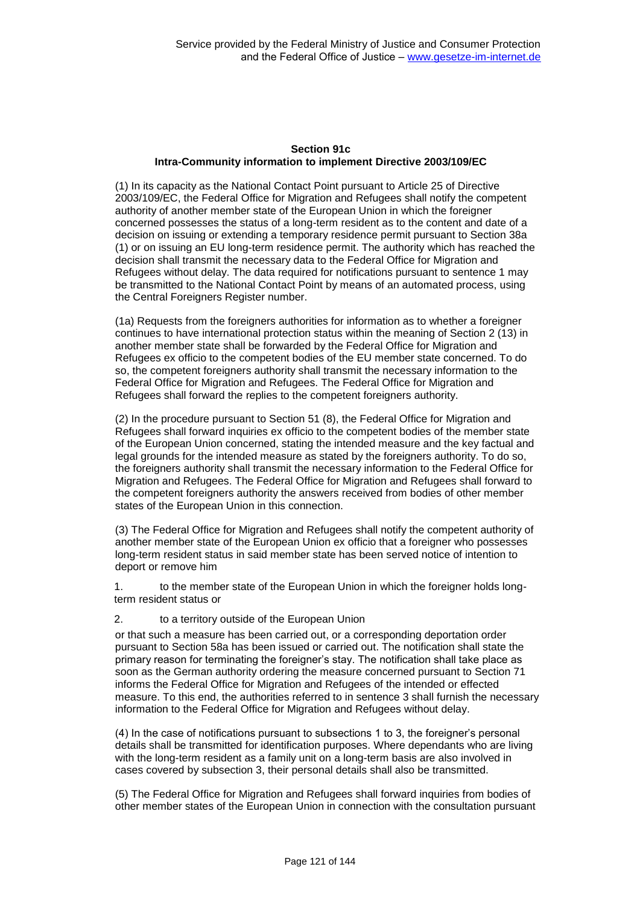#### **Section 91c Intra-Community information to implement Directive 2003/109/EC**

(1) In its capacity as the National Contact Point pursuant to Article 25 of Directive 2003/109/EC, the Federal Office for Migration and Refugees shall notify the competent authority of another member state of the European Union in which the foreigner concerned possesses the status of a long-term resident as to the content and date of a decision on issuing or extending a temporary residence permit pursuant to Section 38a (1) or on issuing an EU long-term residence permit. The authority which has reached the decision shall transmit the necessary data to the Federal Office for Migration and Refugees without delay. The data required for notifications pursuant to sentence 1 may be transmitted to the National Contact Point by means of an automated process, using the Central Foreigners Register number.

(1a) Requests from the foreigners authorities for information as to whether a foreigner continues to have international protection status within the meaning of Section 2 (13) in another member state shall be forwarded by the Federal Office for Migration and Refugees ex officio to the competent bodies of the EU member state concerned. To do so, the competent foreigners authority shall transmit the necessary information to the Federal Office for Migration and Refugees. The Federal Office for Migration and Refugees shall forward the replies to the competent foreigners authority.

(2) In the procedure pursuant to Section 51 (8), the Federal Office for Migration and Refugees shall forward inquiries ex officio to the competent bodies of the member state of the European Union concerned, stating the intended measure and the key factual and legal grounds for the intended measure as stated by the foreigners authority. To do so, the foreigners authority shall transmit the necessary information to the Federal Office for Migration and Refugees. The Federal Office for Migration and Refugees shall forward to the competent foreigners authority the answers received from bodies of other member states of the European Union in this connection.

(3) The Federal Office for Migration and Refugees shall notify the competent authority of another member state of the European Union ex officio that a foreigner who possesses long-term resident status in said member state has been served notice of intention to deport or remove him

1. to the member state of the European Union in which the foreigner holds longterm resident status or

#### 2. to a territory outside of the European Union

or that such a measure has been carried out, or a corresponding deportation order pursuant to Section 58a has been issued or carried out. The notification shall state the primary reason for terminating the foreigner's stay. The notification shall take place as soon as the German authority ordering the measure concerned pursuant to Section 71 informs the Federal Office for Migration and Refugees of the intended or effected measure. To this end, the authorities referred to in sentence 3 shall furnish the necessary information to the Federal Office for Migration and Refugees without delay.

(4) In the case of notifications pursuant to subsections 1 to 3, the foreigner's personal details shall be transmitted for identification purposes. Where dependants who are living with the long-term resident as a family unit on a long-term basis are also involved in cases covered by subsection 3, their personal details shall also be transmitted.

(5) The Federal Office for Migration and Refugees shall forward inquiries from bodies of other member states of the European Union in connection with the consultation pursuant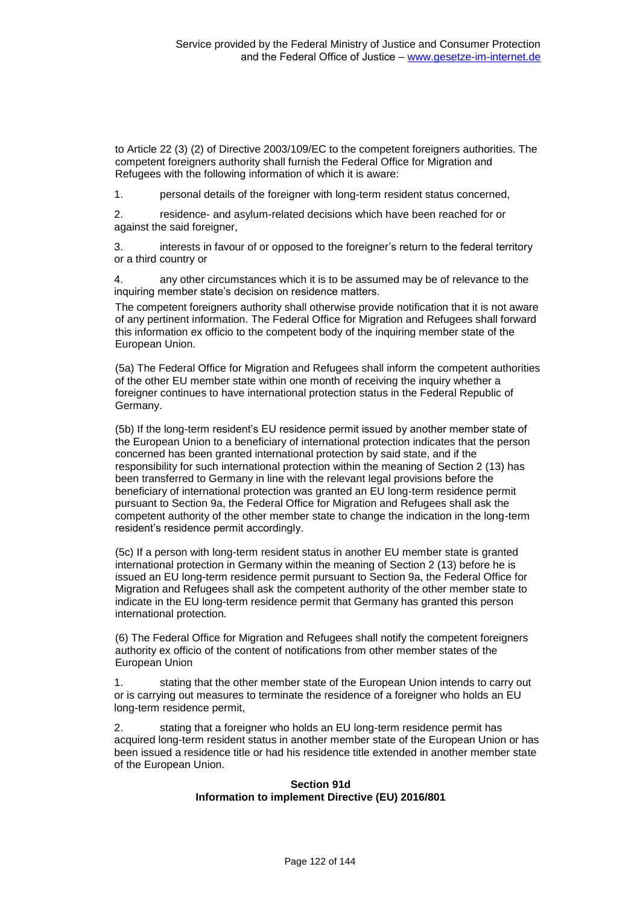to Article 22 (3) (2) of Directive 2003/109/EC to the competent foreigners authorities. The competent foreigners authority shall furnish the Federal Office for Migration and Refugees with the following information of which it is aware:

1. personal details of the foreigner with long-term resident status concerned,

2. residence- and asylum-related decisions which have been reached for or against the said foreigner,

3. interests in favour of or opposed to the foreigner's return to the federal territory or a third country or

4. any other circumstances which it is to be assumed may be of relevance to the inquiring member state's decision on residence matters.

The competent foreigners authority shall otherwise provide notification that it is not aware of any pertinent information. The Federal Office for Migration and Refugees shall forward this information ex officio to the competent body of the inquiring member state of the European Union.

(5a) The Federal Office for Migration and Refugees shall inform the competent authorities of the other EU member state within one month of receiving the inquiry whether a foreigner continues to have international protection status in the Federal Republic of Germany.

(5b) If the long-term resident's EU residence permit issued by another member state of the European Union to a beneficiary of international protection indicates that the person concerned has been granted international protection by said state, and if the responsibility for such international protection within the meaning of Section 2 (13) has been transferred to Germany in line with the relevant legal provisions before the beneficiary of international protection was granted an EU long-term residence permit pursuant to Section 9a, the Federal Office for Migration and Refugees shall ask the competent authority of the other member state to change the indication in the long-term resident's residence permit accordingly.

(5c) If a person with long-term resident status in another EU member state is granted international protection in Germany within the meaning of Section 2 (13) before he is issued an EU long-term residence permit pursuant to Section 9a, the Federal Office for Migration and Refugees shall ask the competent authority of the other member state to indicate in the EU long-term residence permit that Germany has granted this person international protection.

(6) The Federal Office for Migration and Refugees shall notify the competent foreigners authority ex officio of the content of notifications from other member states of the European Union

1. stating that the other member state of the European Union intends to carry out or is carrying out measures to terminate the residence of a foreigner who holds an EU long-term residence permit,

2. stating that a foreigner who holds an EU long-term residence permit has acquired long-term resident status in another member state of the European Union or has been issued a residence title or had his residence title extended in another member state of the European Union.

#### **Section 91d Information to implement Directive (EU) 2016/801**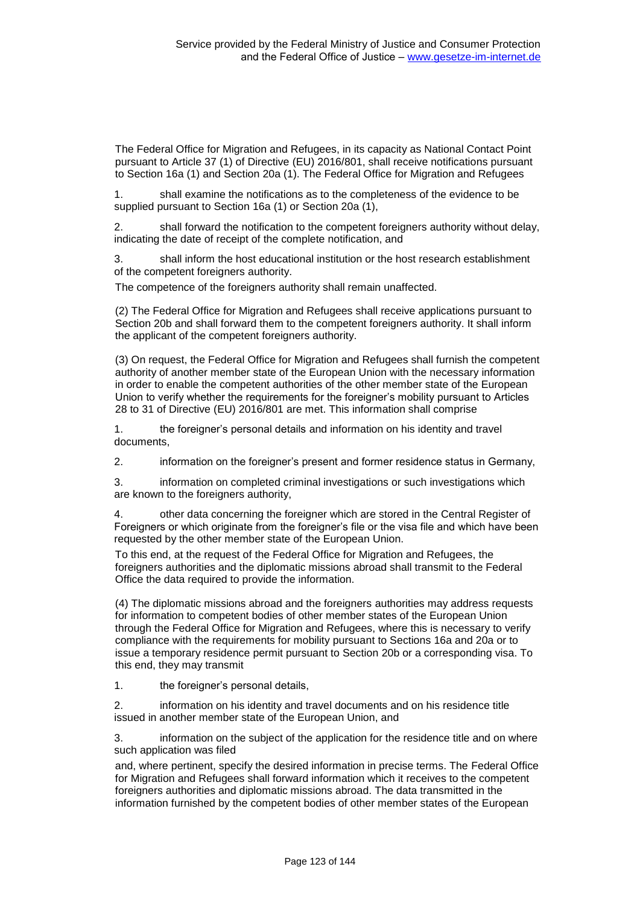The Federal Office for Migration and Refugees, in its capacity as National Contact Point pursuant to Article 37 (1) of Directive (EU) 2016/801, shall receive notifications pursuant to Section 16a (1) and Section 20a (1). The Federal Office for Migration and Refugees

1. shall examine the notifications as to the completeness of the evidence to be supplied pursuant to Section 16a (1) or Section 20a (1),

2. shall forward the notification to the competent foreigners authority without delay, indicating the date of receipt of the complete notification, and

shall inform the host educational institution or the host research establishment of the competent foreigners authority.

The competence of the foreigners authority shall remain unaffected.

(2) The Federal Office for Migration and Refugees shall receive applications pursuant to Section 20b and shall forward them to the competent foreigners authority. It shall inform the applicant of the competent foreigners authority.

(3) On request, the Federal Office for Migration and Refugees shall furnish the competent authority of another member state of the European Union with the necessary information in order to enable the competent authorities of the other member state of the European Union to verify whether the requirements for the foreigner's mobility pursuant to Articles 28 to 31 of Directive (EU) 2016/801 are met. This information shall comprise

1. the foreigner's personal details and information on his identity and travel documents,

2. information on the foreigner's present and former residence status in Germany,

3. information on completed criminal investigations or such investigations which are known to the foreigners authority,

4. other data concerning the foreigner which are stored in the Central Register of Foreigners or which originate from the foreigner's file or the visa file and which have been requested by the other member state of the European Union.

To this end, at the request of the Federal Office for Migration and Refugees, the foreigners authorities and the diplomatic missions abroad shall transmit to the Federal Office the data required to provide the information.

(4) The diplomatic missions abroad and the foreigners authorities may address requests for information to competent bodies of other member states of the European Union through the Federal Office for Migration and Refugees, where this is necessary to verify compliance with the requirements for mobility pursuant to Sections 16a and 20a or to issue a temporary residence permit pursuant to Section 20b or a corresponding visa. To this end, they may transmit

1. the foreigner's personal details,

2. information on his identity and travel documents and on his residence title issued in another member state of the European Union, and

3. information on the subject of the application for the residence title and on where such application was filed

and, where pertinent, specify the desired information in precise terms. The Federal Office for Migration and Refugees shall forward information which it receives to the competent foreigners authorities and diplomatic missions abroad. The data transmitted in the information furnished by the competent bodies of other member states of the European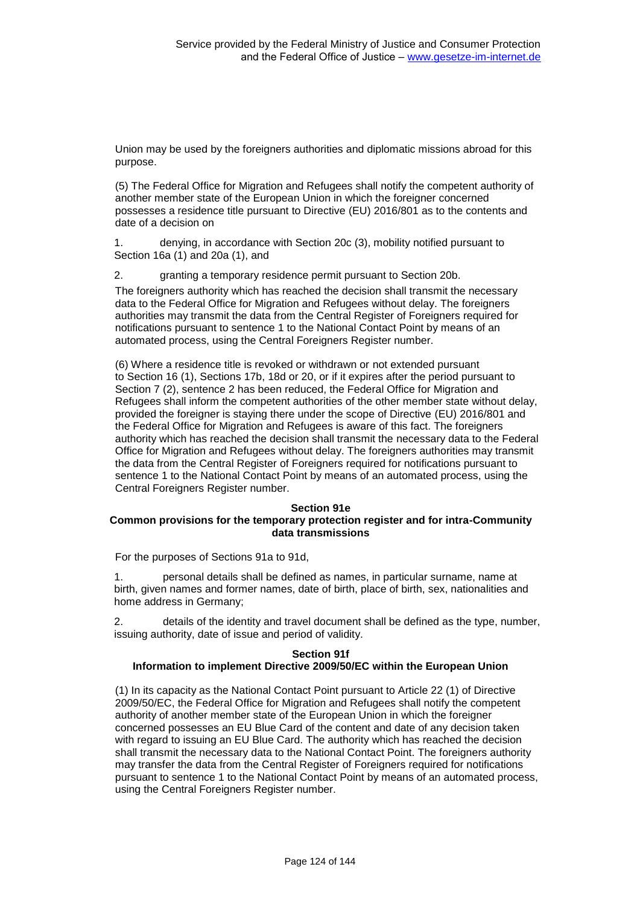Union may be used by the foreigners authorities and diplomatic missions abroad for this purpose.

(5) The Federal Office for Migration and Refugees shall notify the competent authority of another member state of the European Union in which the foreigner concerned possesses a residence title pursuant to Directive (EU) 2016/801 as to the contents and date of a decision on

1. denying, in accordance with Section 20c (3), mobility notified pursuant to Section 16a (1) and 20a (1), and

2. granting a temporary residence permit pursuant to Section 20b.

The foreigners authority which has reached the decision shall transmit the necessary data to the Federal Office for Migration and Refugees without delay. The foreigners authorities may transmit the data from the Central Register of Foreigners required for notifications pursuant to sentence 1 to the National Contact Point by means of an automated process, using the Central Foreigners Register number.

(6) Where a residence title is revoked or withdrawn or not extended pursuant to Section 16 (1), Sections 17b, 18d or 20, or if it expires after the period pursuant to Section 7 (2), sentence 2 has been reduced, the Federal Office for Migration and Refugees shall inform the competent authorities of the other member state without delay, provided the foreigner is staying there under the scope of Directive (EU) 2016/801 and the Federal Office for Migration and Refugees is aware of this fact. The foreigners authority which has reached the decision shall transmit the necessary data to the Federal Office for Migration and Refugees without delay. The foreigners authorities may transmit the data from the Central Register of Foreigners required for notifications pursuant to sentence 1 to the National Contact Point by means of an automated process, using the Central Foreigners Register number.

# **Section 91e**

#### **Common provisions for the temporary protection register and for intra-Community data transmissions**

For the purposes of Sections 91a to 91d,

1. personal details shall be defined as names, in particular surname, name at birth, given names and former names, date of birth, place of birth, sex, nationalities and home address in Germany;

2. details of the identity and travel document shall be defined as the type, number, issuing authority, date of issue and period of validity.

#### **Section 91f Information to implement Directive 2009/50/EC within the European Union**

(1) In its capacity as the National Contact Point pursuant to Article 22 (1) of Directive 2009/50/EC, the Federal Office for Migration and Refugees shall notify the competent authority of another member state of the European Union in which the foreigner concerned possesses an EU Blue Card of the content and date of any decision taken with regard to issuing an EU Blue Card. The authority which has reached the decision shall transmit the necessary data to the National Contact Point. The foreigners authority may transfer the data from the Central Register of Foreigners required for notifications pursuant to sentence 1 to the National Contact Point by means of an automated process, using the Central Foreigners Register number.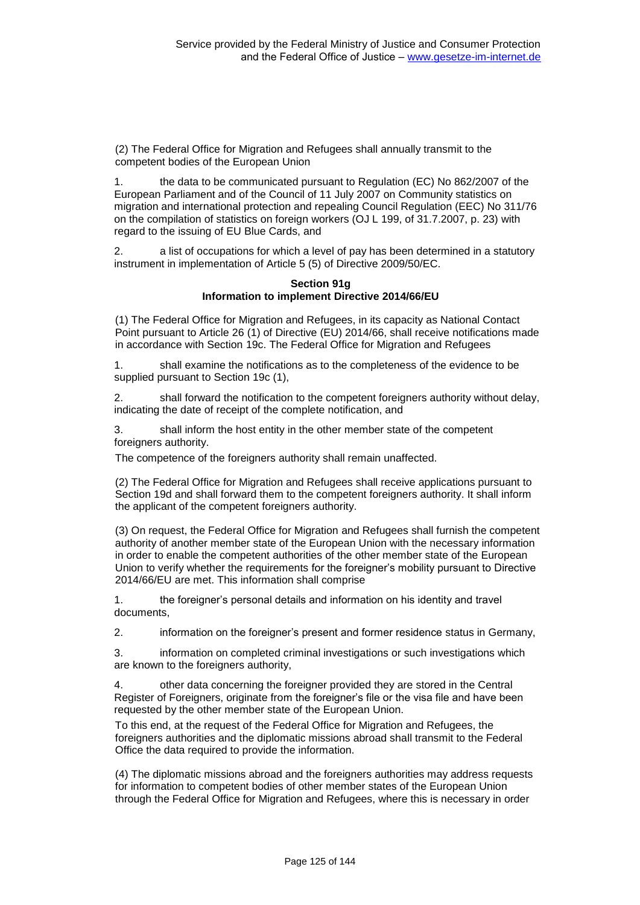(2) The Federal Office for Migration and Refugees shall annually transmit to the competent bodies of the European Union

1. the data to be communicated pursuant to Regulation (EC) No 862/2007 of the European Parliament and of the Council of 11 July 2007 on Community statistics on migration and international protection and repealing Council Regulation (EEC) No 311/76 on the compilation of statistics on foreign workers (OJ L 199, of 31.7.2007, p. 23) with regard to the issuing of EU Blue Cards, and

2. a list of occupations for which a level of pay has been determined in a statutory instrument in implementation of Article 5 (5) of Directive 2009/50/EC.

#### **Section 91g Information to implement Directive 2014/66/EU**

(1) The Federal Office for Migration and Refugees, in its capacity as National Contact Point pursuant to Article 26 (1) of Directive (EU) 2014/66, shall receive notifications made in accordance with Section 19c. The Federal Office for Migration and Refugees

1. shall examine the notifications as to the completeness of the evidence to be supplied pursuant to Section 19c (1),

2. shall forward the notification to the competent foreigners authority without delay, indicating the date of receipt of the complete notification, and

3. shall inform the host entity in the other member state of the competent foreigners authority.

The competence of the foreigners authority shall remain unaffected.

(2) The Federal Office for Migration and Refugees shall receive applications pursuant to Section 19d and shall forward them to the competent foreigners authority. It shall inform the applicant of the competent foreigners authority.

(3) On request, the Federal Office for Migration and Refugees shall furnish the competent authority of another member state of the European Union with the necessary information in order to enable the competent authorities of the other member state of the European Union to verify whether the requirements for the foreigner's mobility pursuant to Directive 2014/66/EU are met. This information shall comprise

1. the foreigner's personal details and information on his identity and travel documents,

2. information on the foreigner's present and former residence status in Germany,

3. information on completed criminal investigations or such investigations which are known to the foreigners authority,

4. other data concerning the foreigner provided they are stored in the Central Register of Foreigners, originate from the foreigner's file or the visa file and have been requested by the other member state of the European Union.

To this end, at the request of the Federal Office for Migration and Refugees, the foreigners authorities and the diplomatic missions abroad shall transmit to the Federal Office the data required to provide the information.

(4) The diplomatic missions abroad and the foreigners authorities may address requests for information to competent bodies of other member states of the European Union through the Federal Office for Migration and Refugees, where this is necessary in order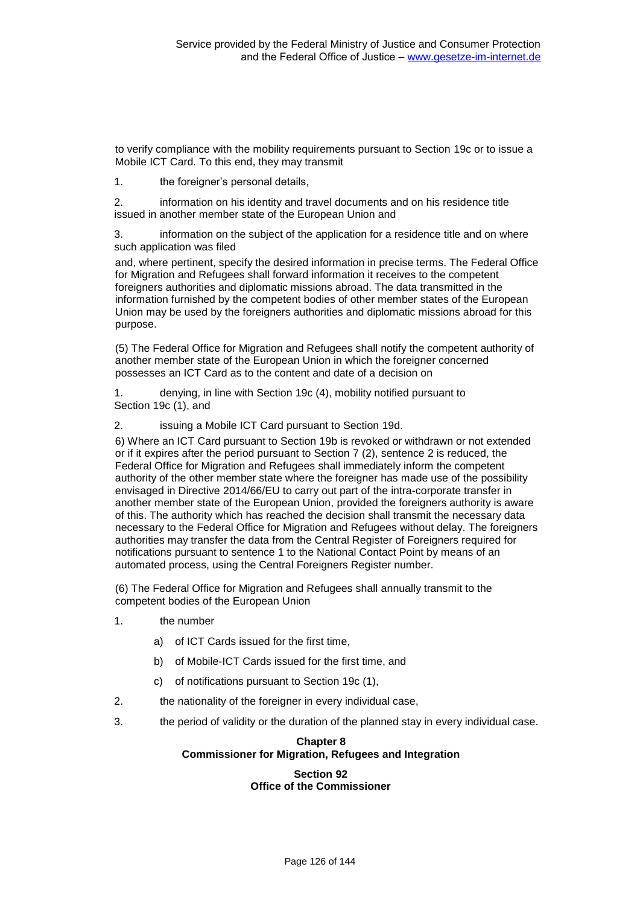to verify compliance with the mobility requirements pursuant to Section 19c or to issue a Mobile ICT Card. To this end, they may transmit

1. the foreigner's personal details,

2. information on his identity and travel documents and on his residence title issued in another member state of the European Union and

3. information on the subject of the application for a residence title and on where such application was filed

and, where pertinent, specify the desired information in precise terms. The Federal Office for Migration and Refugees shall forward information it receives to the competent foreigners authorities and diplomatic missions abroad. The data transmitted in the information furnished by the competent bodies of other member states of the European Union may be used by the foreigners authorities and diplomatic missions abroad for this purpose.

(5) The Federal Office for Migration and Refugees shall notify the competent authority of another member state of the European Union in which the foreigner concerned possesses an ICT Card as to the content and date of a decision on

1. denying, in line with Section 19c (4), mobility notified pursuant to Section 19c (1), and

2. issuing a Mobile ICT Card pursuant to Section 19d.

6) Where an ICT Card pursuant to Section 19b is revoked or withdrawn or not extended or if it expires after the period pursuant to Section 7 (2), sentence 2 is reduced, the Federal Office for Migration and Refugees shall immediately inform the competent authority of the other member state where the foreigner has made use of the possibility envisaged in Directive 2014/66/EU to carry out part of the intra-corporate transfer in another member state of the European Union, provided the foreigners authority is aware of this. The authority which has reached the decision shall transmit the necessary data necessary to the Federal Office for Migration and Refugees without delay. The foreigners authorities may transfer the data from the Central Register of Foreigners required for notifications pursuant to sentence 1 to the National Contact Point by means of an automated process, using the Central Foreigners Register number.

(6) The Federal Office for Migration and Refugees shall annually transmit to the competent bodies of the European Union

- 1. the number
	- a) of ICT Cards issued for the first time,
	- b) of Mobile-ICT Cards issued for the first time, and
	- c) of notifications pursuant to Section 19c (1),
- 2. the nationality of the foreigner in every individual case,
- 3. the period of validity or the duration of the planned stay in every individual case.

# **Chapter 8 Commissioner for Migration, Refugees and Integration**

## **Section 92 Office of the Commissioner**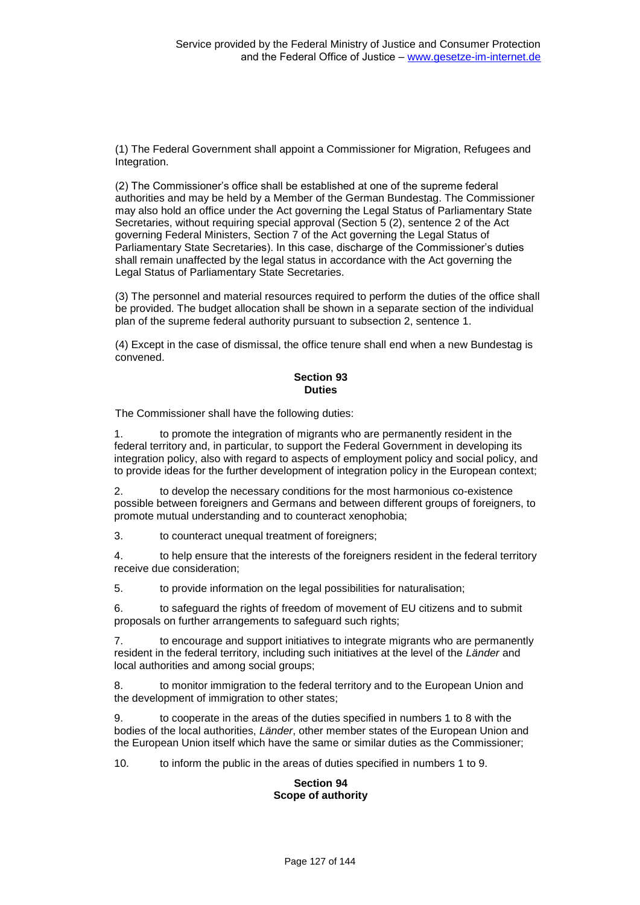(1) The Federal Government shall appoint a Commissioner for Migration, Refugees and Integration.

(2) The Commissioner's office shall be established at one of the supreme federal authorities and may be held by a Member of the German Bundestag. The Commissioner may also hold an office under the Act governing the Legal Status of Parliamentary State Secretaries, without requiring special approval (Section 5 (2), sentence 2 of the Act governing Federal Ministers, Section 7 of the Act governing the Legal Status of Parliamentary State Secretaries). In this case, discharge of the Commissioner's duties shall remain unaffected by the legal status in accordance with the Act governing the Legal Status of Parliamentary State Secretaries.

(3) The personnel and material resources required to perform the duties of the office shall be provided. The budget allocation shall be shown in a separate section of the individual plan of the supreme federal authority pursuant to subsection 2, sentence 1.

(4) Except in the case of dismissal, the office tenure shall end when a new Bundestag is convened.

# **Section 93 Duties**

The Commissioner shall have the following duties:

1. to promote the integration of migrants who are permanently resident in the federal territory and, in particular, to support the Federal Government in developing its integration policy, also with regard to aspects of employment policy and social policy, and to provide ideas for the further development of integration policy in the European context;

2. to develop the necessary conditions for the most harmonious co-existence possible between foreigners and Germans and between different groups of foreigners, to promote mutual understanding and to counteract xenophobia;

3. to counteract unequal treatment of foreigners;

4. to help ensure that the interests of the foreigners resident in the federal territory receive due consideration;

5. to provide information on the legal possibilities for naturalisation;

6. to safeguard the rights of freedom of movement of EU citizens and to submit proposals on further arrangements to safeguard such rights;

7. to encourage and support initiatives to integrate migrants who are permanently resident in the federal territory, including such initiatives at the level of the *Länder* and local authorities and among social groups;

8. to monitor immigration to the federal territory and to the European Union and the development of immigration to other states;

9. to cooperate in the areas of the duties specified in numbers 1 to 8 with the bodies of the local authorities, *Länder*, other member states of the European Union and the European Union itself which have the same or similar duties as the Commissioner;

10. to inform the public in the areas of duties specified in numbers 1 to 9.

# **Section 94 Scope of authority**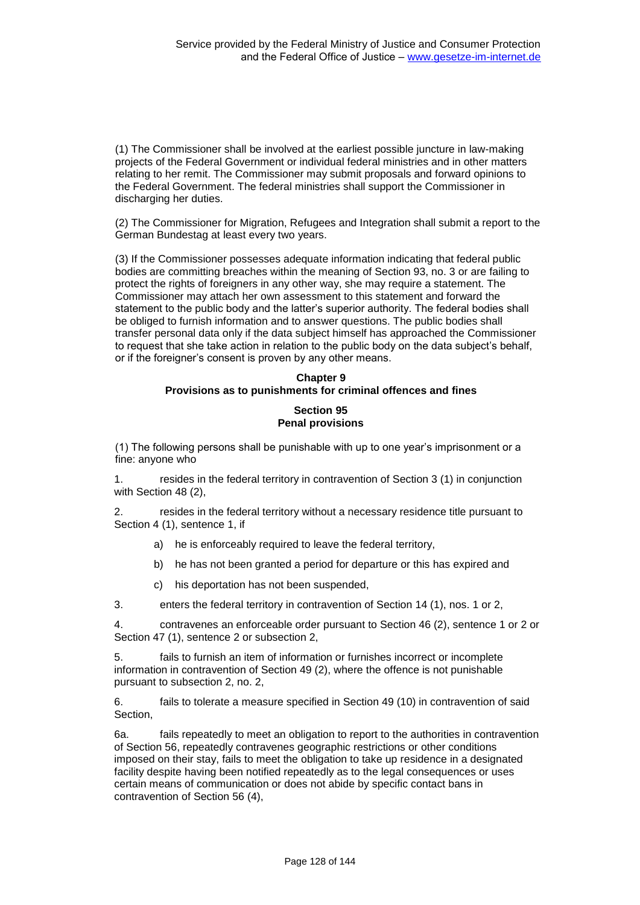(1) The Commissioner shall be involved at the earliest possible juncture in law-making projects of the Federal Government or individual federal ministries and in other matters relating to her remit. The Commissioner may submit proposals and forward opinions to the Federal Government. The federal ministries shall support the Commissioner in discharging her duties.

(2) The Commissioner for Migration, Refugees and Integration shall submit a report to the German Bundestag at least every two years.

(3) If the Commissioner possesses adequate information indicating that federal public bodies are committing breaches within the meaning of Section 93, no. 3 or are failing to protect the rights of foreigners in any other way, she may require a statement. The Commissioner may attach her own assessment to this statement and forward the statement to the public body and the latter's superior authority. The federal bodies shall be obliged to furnish information and to answer questions. The public bodies shall transfer personal data only if the data subject himself has approached the Commissioner to request that she take action in relation to the public body on the data subject's behalf, or if the foreigner's consent is proven by any other means.

#### **Chapter 9 Provisions as to punishments for criminal offences and fines**

#### **Section 95 Penal provisions**

(1) The following persons shall be punishable with up to one year's imprisonment or a fine: anyone who

1. resides in the federal territory in contravention of Section 3 (1) in conjunction with Section 48 (2),

2. resides in the federal territory without a necessary residence title pursuant to Section 4 (1), sentence 1, if

- a) he is enforceably required to leave the federal territory,
- b) he has not been granted a period for departure or this has expired and
- c) his deportation has not been suspended,
- 3. enters the federal territory in contravention of Section 14 (1), nos. 1 or 2,

4. contravenes an enforceable order pursuant to Section 46 (2), sentence 1 or 2 or Section 47 (1), sentence 2 or subsection 2.

5. fails to furnish an item of information or furnishes incorrect or incomplete information in contravention of Section 49 (2), where the offence is not punishable pursuant to subsection 2, no. 2,

6. fails to tolerate a measure specified in Section 49 (10) in contravention of said Section,

6a. fails repeatedly to meet an obligation to report to the authorities in contravention of Section 56, repeatedly contravenes geographic restrictions or other conditions imposed on their stay, fails to meet the obligation to take up residence in a designated facility despite having been notified repeatedly as to the legal consequences or uses certain means of communication or does not abide by specific contact bans in contravention of Section 56 (4),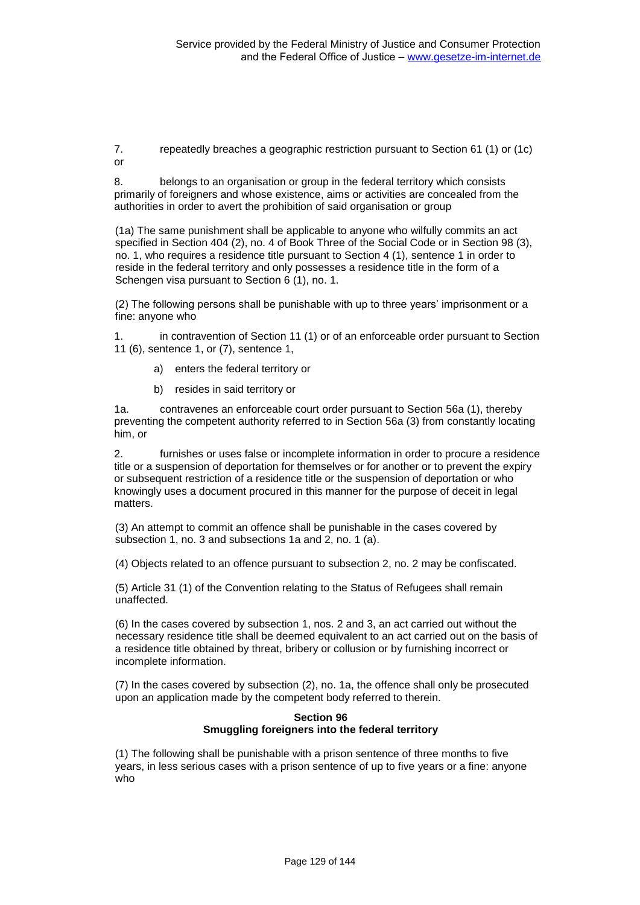7. repeatedly breaches a geographic restriction pursuant to Section 61 (1) or (1c) or

8. belongs to an organisation or group in the federal territory which consists primarily of foreigners and whose existence, aims or activities are concealed from the authorities in order to avert the prohibition of said organisation or group

(1a) The same punishment shall be applicable to anyone who wilfully commits an act specified in Section 404 (2), no. 4 of Book Three of the Social Code or in Section 98 (3), no. 1, who requires a residence title pursuant to Section 4 (1), sentence 1 in order to reside in the federal territory and only possesses a residence title in the form of a Schengen visa pursuant to Section 6 (1), no. 1.

(2) The following persons shall be punishable with up to three years' imprisonment or a fine: anyone who

1. in contravention of Section 11 (1) or of an enforceable order pursuant to Section 11 (6), sentence 1, or (7), sentence 1,

a) enters the federal territory or

b) resides in said territory or

1a. contravenes an enforceable court order pursuant to Section 56a (1), thereby preventing the competent authority referred to in Section 56a (3) from constantly locating him, or

2. furnishes or uses false or incomplete information in order to procure a residence title or a suspension of deportation for themselves or for another or to prevent the expiry or subsequent restriction of a residence title or the suspension of deportation or who knowingly uses a document procured in this manner for the purpose of deceit in legal matters.

(3) An attempt to commit an offence shall be punishable in the cases covered by subsection 1, no. 3 and subsections 1a and 2, no. 1 (a).

(4) Objects related to an offence pursuant to subsection 2, no. 2 may be confiscated.

(5) Article 31 (1) of the Convention relating to the Status of Refugees shall remain unaffected.

(6) In the cases covered by subsection 1, nos. 2 and 3, an act carried out without the necessary residence title shall be deemed equivalent to an act carried out on the basis of a residence title obtained by threat, bribery or collusion or by furnishing incorrect or incomplete information.

(7) In the cases covered by subsection (2), no. 1a, the offence shall only be prosecuted upon an application made by the competent body referred to therein.

## **Section 96 Smuggling foreigners into the federal territory**

(1) The following shall be punishable with a prison sentence of three months to five years, in less serious cases with a prison sentence of up to five years or a fine: anyone who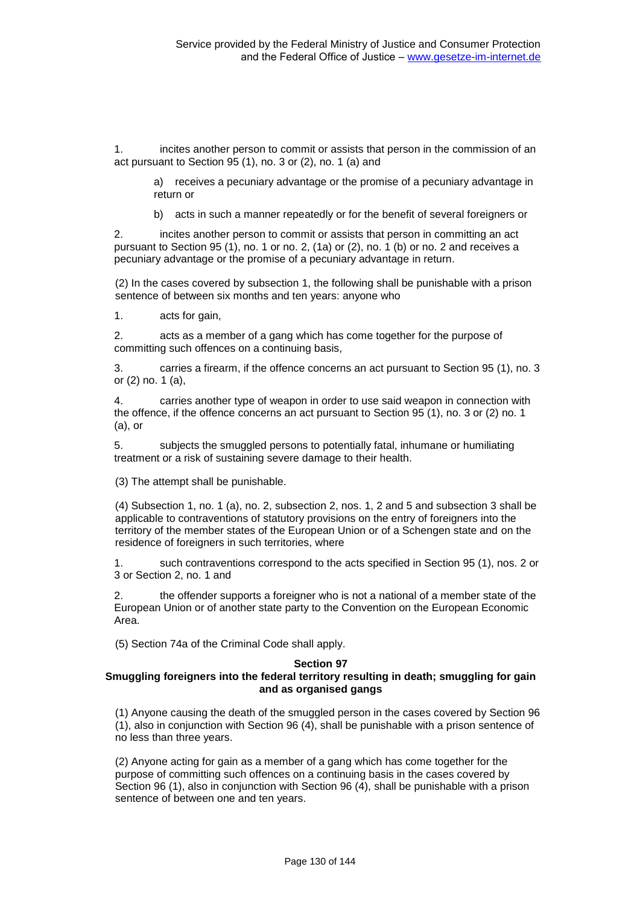1. incites another person to commit or assists that person in the commission of an act pursuant to Section 95 (1), no. 3 or (2), no. 1 (a) and

a) receives a pecuniary advantage or the promise of a pecuniary advantage in return or

b) acts in such a manner repeatedly or for the benefit of several foreigners or

2. incites another person to commit or assists that person in committing an act pursuant to Section 95 (1), no. 1 or no. 2, (1a) or (2), no. 1 (b) or no. 2 and receives a pecuniary advantage or the promise of a pecuniary advantage in return.

(2) In the cases covered by subsection 1, the following shall be punishable with a prison sentence of between six months and ten years: anyone who

1. acts for gain,

2. acts as a member of a gang which has come together for the purpose of committing such offences on a continuing basis,

3. carries a firearm, if the offence concerns an act pursuant to Section 95 (1), no. 3 or (2) no. 1 (a),

4. carries another type of weapon in order to use said weapon in connection with the offence, if the offence concerns an act pursuant to Section 95 (1), no. 3 or (2) no. 1 (a), or

5. subjects the smuggled persons to potentially fatal, inhumane or humiliating treatment or a risk of sustaining severe damage to their health.

(3) The attempt shall be punishable.

(4) Subsection 1, no. 1 (a), no. 2, subsection 2, nos. 1, 2 and 5 and subsection 3 shall be applicable to contraventions of statutory provisions on the entry of foreigners into the territory of the member states of the European Union or of a Schengen state and on the residence of foreigners in such territories, where

1. such contraventions correspond to the acts specified in Section 95 (1), nos. 2 or 3 or Section 2, no. 1 and

2. the offender supports a foreigner who is not a national of a member state of the European Union or of another state party to the Convention on the European Economic Area.

(5) Section 74a of the Criminal Code shall apply.

# **Section 97**

# **Smuggling foreigners into the federal territory resulting in death; smuggling for gain and as organised gangs**

(1) Anyone causing the death of the smuggled person in the cases covered by Section 96 (1), also in conjunction with Section 96 (4), shall be punishable with a prison sentence of no less than three years.

(2) Anyone acting for gain as a member of a gang which has come together for the purpose of committing such offences on a continuing basis in the cases covered by Section 96 (1), also in conjunction with Section 96 (4), shall be punishable with a prison sentence of between one and ten years.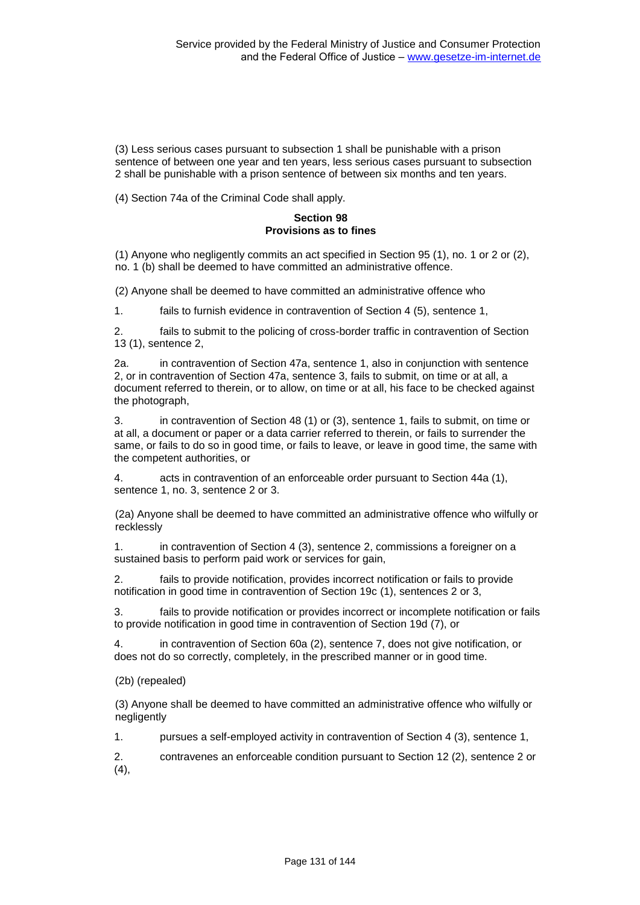(3) Less serious cases pursuant to subsection 1 shall be punishable with a prison sentence of between one year and ten years, less serious cases pursuant to subsection 2 shall be punishable with a prison sentence of between six months and ten years.

(4) Section 74a of the Criminal Code shall apply.

#### **Section 98 Provisions as to fines**

(1) Anyone who negligently commits an act specified in Section 95 (1), no. 1 or 2 or (2), no. 1 (b) shall be deemed to have committed an administrative offence.

(2) Anyone shall be deemed to have committed an administrative offence who

1. fails to furnish evidence in contravention of Section 4 (5), sentence 1,

2. fails to submit to the policing of cross-border traffic in contravention of Section 13 (1), sentence 2,

2a. in contravention of Section 47a, sentence 1, also in conjunction with sentence 2, or in contravention of Section 47a, sentence 3, fails to submit, on time or at all, a document referred to therein, or to allow, on time or at all, his face to be checked against the photograph,

3. in contravention of Section 48 (1) or (3), sentence 1, fails to submit, on time or at all, a document or paper or a data carrier referred to therein, or fails to surrender the same, or fails to do so in good time, or fails to leave, or leave in good time, the same with the competent authorities, or

4. acts in contravention of an enforceable order pursuant to Section 44a (1), sentence 1, no. 3, sentence 2 or 3.

(2a) Anyone shall be deemed to have committed an administrative offence who wilfully or recklessly

1. in contravention of Section 4 (3), sentence 2, commissions a foreigner on a sustained basis to perform paid work or services for gain,

2. fails to provide notification, provides incorrect notification or fails to provide notification in good time in contravention of Section 19c (1), sentences 2 or 3,

3. fails to provide notification or provides incorrect or incomplete notification or fails to provide notification in good time in contravention of Section 19d (7), or

4. in contravention of Section 60a (2), sentence 7, does not give notification, or does not do so correctly, completely, in the prescribed manner or in good time.

(2b) (repealed)

(3) Anyone shall be deemed to have committed an administrative offence who wilfully or negligently

1. pursues a self-employed activity in contravention of Section 4 (3), sentence 1,

2. contravenes an enforceable condition pursuant to Section 12 (2), sentence 2 or  $(4)$ .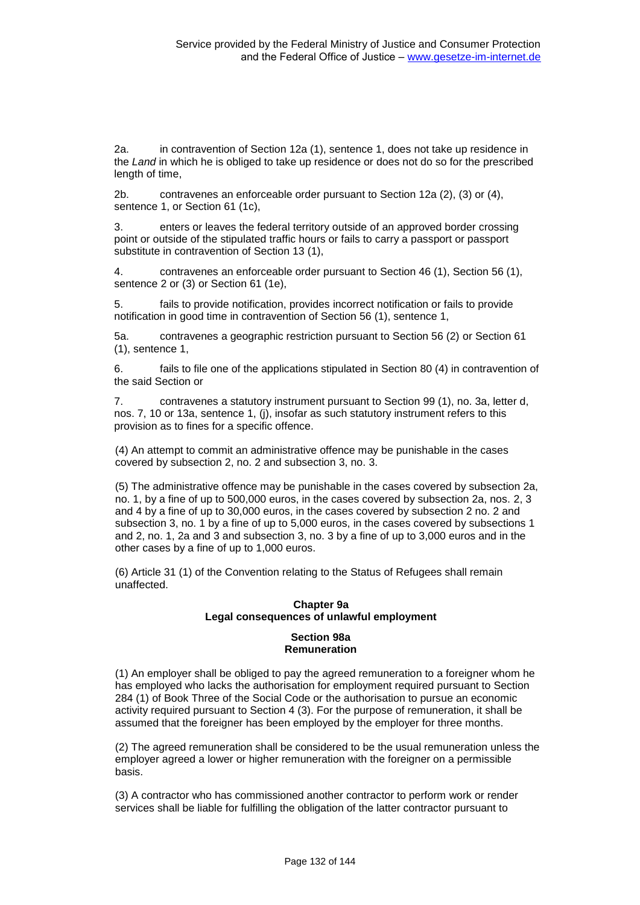2a. in contravention of Section 12a (1), sentence 1, does not take up residence in the *Land* in which he is obliged to take up residence or does not do so for the prescribed length of time,

2b. contravenes an enforceable order pursuant to Section 12a (2), (3) or (4), sentence 1, or Section 61 (1c),

3. enters or leaves the federal territory outside of an approved border crossing point or outside of the stipulated traffic hours or fails to carry a passport or passport substitute in contravention of Section 13 (1),

4. contravenes an enforceable order pursuant to Section 46 (1), Section 56 (1), sentence 2 or (3) or Section 61 (1e),

5. fails to provide notification, provides incorrect notification or fails to provide notification in good time in contravention of Section 56 (1), sentence 1,

5a. contravenes a geographic restriction pursuant to Section 56 (2) or Section 61 (1), sentence 1,

6. fails to file one of the applications stipulated in Section 80 (4) in contravention of the said Section or

7. contravenes a statutory instrument pursuant to Section 99 (1), no. 3a, letter d, nos. 7, 10 or 13a, sentence 1, (j), insofar as such statutory instrument refers to this provision as to fines for a specific offence.

(4) An attempt to commit an administrative offence may be punishable in the cases covered by subsection 2, no. 2 and subsection 3, no. 3.

(5) The administrative offence may be punishable in the cases covered by subsection 2a, no. 1, by a fine of up to 500,000 euros, in the cases covered by subsection 2a, nos. 2, 3 and 4 by a fine of up to 30,000 euros, in the cases covered by subsection 2 no. 2 and subsection 3, no. 1 by a fine of up to 5,000 euros, in the cases covered by subsections 1 and 2, no. 1, 2a and 3 and subsection 3, no. 3 by a fine of up to 3,000 euros and in the other cases by a fine of up to 1,000 euros.

(6) Article 31 (1) of the Convention relating to the Status of Refugees shall remain unaffected.

# **Chapter 9a Legal consequences of unlawful employment**

#### **Section 98a Remuneration**

(1) An employer shall be obliged to pay the agreed remuneration to a foreigner whom he has employed who lacks the authorisation for employment required pursuant to Section 284 (1) of Book Three of the Social Code or the authorisation to pursue an economic activity required pursuant to Section 4 (3). For the purpose of remuneration, it shall be assumed that the foreigner has been employed by the employer for three months.

(2) The agreed remuneration shall be considered to be the usual remuneration unless the employer agreed a lower or higher remuneration with the foreigner on a permissible basis.

(3) A contractor who has commissioned another contractor to perform work or render services shall be liable for fulfilling the obligation of the latter contractor pursuant to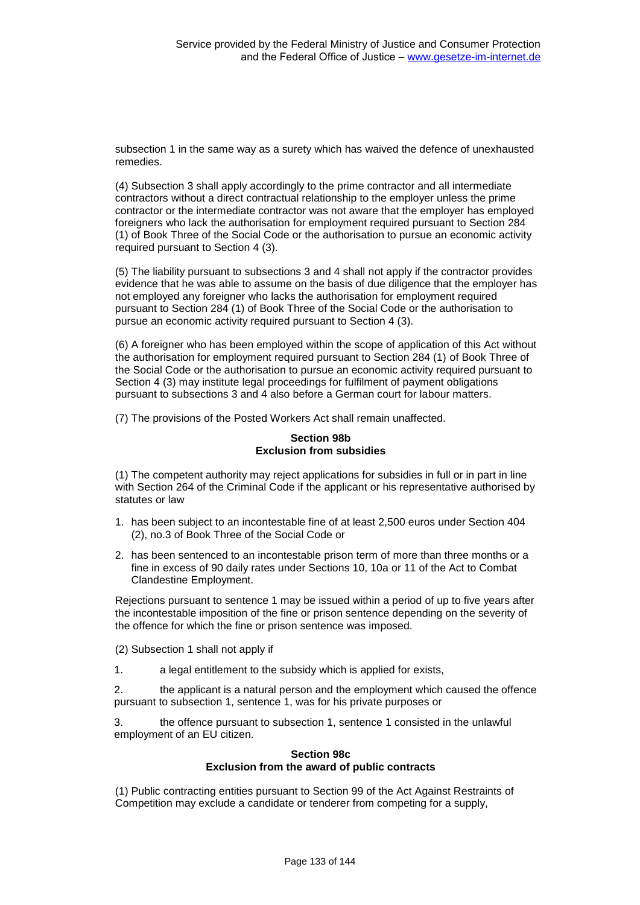subsection 1 in the same way as a surety which has waived the defence of unexhausted remedies.

(4) Subsection 3 shall apply accordingly to the prime contractor and all intermediate contractors without a direct contractual relationship to the employer unless the prime contractor or the intermediate contractor was not aware that the employer has employed foreigners who lack the authorisation for employment required pursuant to Section 284 (1) of Book Three of the Social Code or the authorisation to pursue an economic activity required pursuant to Section 4 (3).

(5) The liability pursuant to subsections 3 and 4 shall not apply if the contractor provides evidence that he was able to assume on the basis of due diligence that the employer has not employed any foreigner who lacks the authorisation for employment required pursuant to Section 284 (1) of Book Three of the Social Code or the authorisation to pursue an economic activity required pursuant to Section 4 (3).

(6) A foreigner who has been employed within the scope of application of this Act without the authorisation for employment required pursuant to Section 284 (1) of Book Three of the Social Code or the authorisation to pursue an economic activity required pursuant to Section 4 (3) may institute legal proceedings for fulfilment of payment obligations pursuant to subsections 3 and 4 also before a German court for labour matters.

(7) The provisions of the Posted Workers Act shall remain unaffected.

#### **Section 98b Exclusion from subsidies**

(1) The competent authority may reject applications for subsidies in full or in part in line with Section 264 of the Criminal Code if the applicant or his representative authorised by statutes or law

- 1. has been subject to an incontestable fine of at least 2,500 euros under Section 404 (2), no.3 of Book Three of the Social Code or
- 2. has been sentenced to an incontestable prison term of more than three months or a fine in excess of 90 daily rates under Sections 10, 10a or 11 of the Act to Combat Clandestine Employment.

Rejections pursuant to sentence 1 may be issued within a period of up to five years after the incontestable imposition of the fine or prison sentence depending on the severity of the offence for which the fine or prison sentence was imposed.

- (2) Subsection 1 shall not apply if
- 1. a legal entitlement to the subsidy which is applied for exists,

2. the applicant is a natural person and the employment which caused the offence pursuant to subsection 1, sentence 1, was for his private purposes or

3. the offence pursuant to subsection 1, sentence 1 consisted in the unlawful employment of an EU citizen.

#### **Section 98c Exclusion from the award of public contracts**

(1) Public contracting entities pursuant to Section 99 of the Act Against Restraints of Competition may exclude a candidate or tenderer from competing for a supply,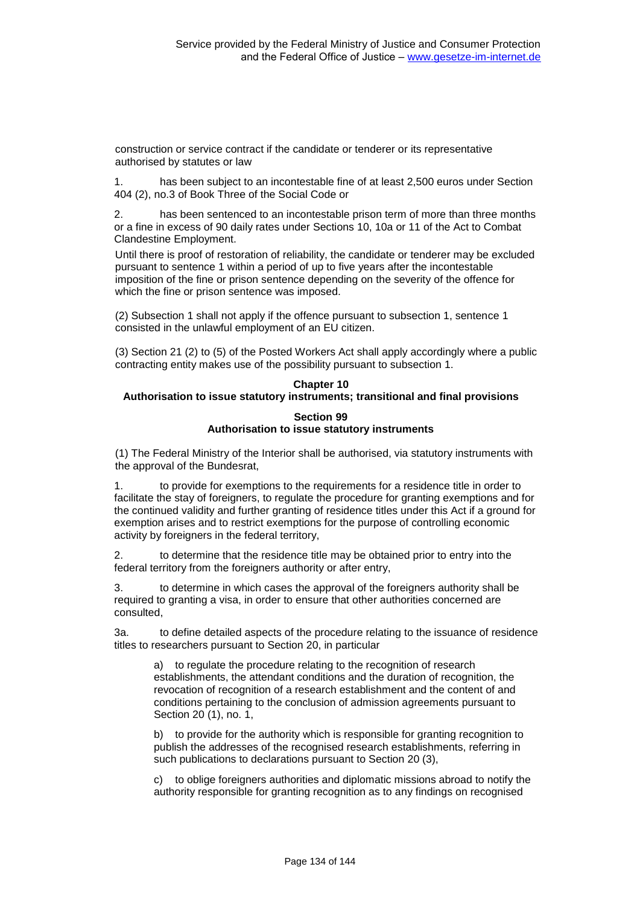construction or service contract if the candidate or tenderer or its representative authorised by statutes or law

1. has been subject to an incontestable fine of at least 2,500 euros under Section 404 (2), no.3 of Book Three of the Social Code or

2. has been sentenced to an incontestable prison term of more than three months or a fine in excess of 90 daily rates under Sections 10, 10a or 11 of the Act to Combat Clandestine Employment.

Until there is proof of restoration of reliability, the candidate or tenderer may be excluded pursuant to sentence 1 within a period of up to five years after the incontestable imposition of the fine or prison sentence depending on the severity of the offence for which the fine or prison sentence was imposed.

(2) Subsection 1 shall not apply if the offence pursuant to subsection 1, sentence 1 consisted in the unlawful employment of an EU citizen.

(3) Section 21 (2) to (5) of the Posted Workers Act shall apply accordingly where a public contracting entity makes use of the possibility pursuant to subsection 1.

# **Chapter 10 Authorisation to issue statutory instruments; transitional and final provisions**

#### **Section 99 Authorisation to issue statutory instruments**

(1) The Federal Ministry of the Interior shall be authorised, via statutory instruments with the approval of the Bundesrat,

1. to provide for exemptions to the requirements for a residence title in order to facilitate the stay of foreigners, to regulate the procedure for granting exemptions and for the continued validity and further granting of residence titles under this Act if a ground for exemption arises and to restrict exemptions for the purpose of controlling economic activity by foreigners in the federal territory,

2. to determine that the residence title may be obtained prior to entry into the federal territory from the foreigners authority or after entry,

3. to determine in which cases the approval of the foreigners authority shall be required to granting a visa, in order to ensure that other authorities concerned are consulted,

3a. to define detailed aspects of the procedure relating to the issuance of residence titles to researchers pursuant to Section 20, in particular

a) to regulate the procedure relating to the recognition of research establishments, the attendant conditions and the duration of recognition, the revocation of recognition of a research establishment and the content of and conditions pertaining to the conclusion of admission agreements pursuant to Section 20 (1), no. 1,

b) to provide for the authority which is responsible for granting recognition to publish the addresses of the recognised research establishments, referring in such publications to declarations pursuant to Section 20 (3),

c) to oblige foreigners authorities and diplomatic missions abroad to notify the authority responsible for granting recognition as to any findings on recognised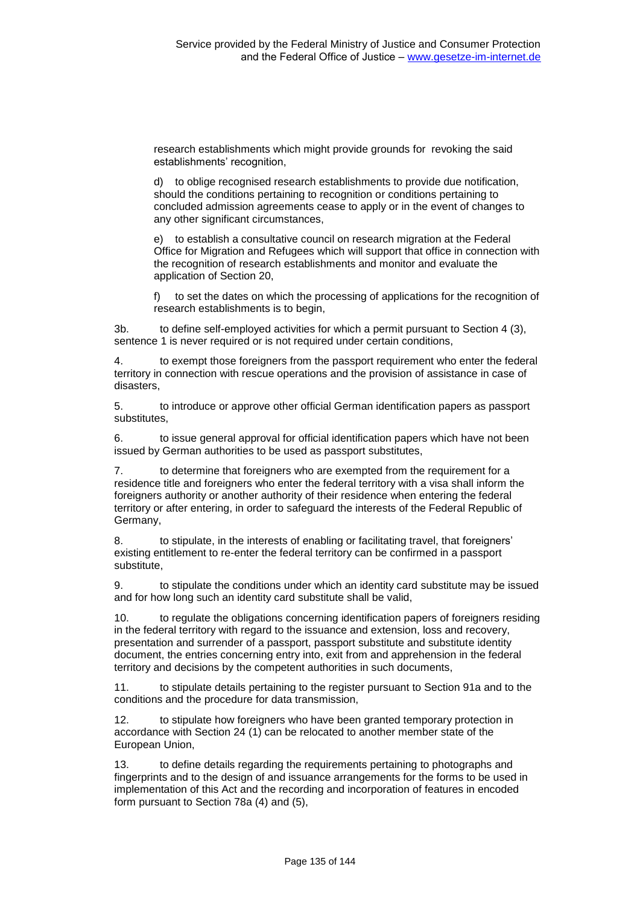research establishments which might provide grounds for revoking the said establishments' recognition,

d) to oblige recognised research establishments to provide due notification, should the conditions pertaining to recognition or conditions pertaining to concluded admission agreements cease to apply or in the event of changes to any other significant circumstances.

e) to establish a consultative council on research migration at the Federal Office for Migration and Refugees which will support that office in connection with the recognition of research establishments and monitor and evaluate the application of Section 20,

f) to set the dates on which the processing of applications for the recognition of research establishments is to begin,

3b. to define self-employed activities for which a permit pursuant to Section 4 (3), sentence 1 is never required or is not required under certain conditions,

to exempt those foreigners from the passport requirement who enter the federal territory in connection with rescue operations and the provision of assistance in case of disasters,

5. to introduce or approve other official German identification papers as passport substitutes,

6. to issue general approval for official identification papers which have not been issued by German authorities to be used as passport substitutes,

7. to determine that foreigners who are exempted from the requirement for a residence title and foreigners who enter the federal territory with a visa shall inform the foreigners authority or another authority of their residence when entering the federal territory or after entering, in order to safeguard the interests of the Federal Republic of Germany,

8. to stipulate, in the interests of enabling or facilitating travel, that foreigners' existing entitlement to re-enter the federal territory can be confirmed in a passport substitute,

9. to stipulate the conditions under which an identity card substitute may be issued and for how long such an identity card substitute shall be valid,

10. to regulate the obligations concerning identification papers of foreigners residing in the federal territory with regard to the issuance and extension, loss and recovery, presentation and surrender of a passport, passport substitute and substitute identity document, the entries concerning entry into, exit from and apprehension in the federal territory and decisions by the competent authorities in such documents,

11. to stipulate details pertaining to the register pursuant to Section 91a and to the conditions and the procedure for data transmission,

12. to stipulate how foreigners who have been granted temporary protection in accordance with Section 24 (1) can be relocated to another member state of the European Union,

13. to define details regarding the requirements pertaining to photographs and fingerprints and to the design of and issuance arrangements for the forms to be used in implementation of this Act and the recording and incorporation of features in encoded form pursuant to Section 78a (4) and (5),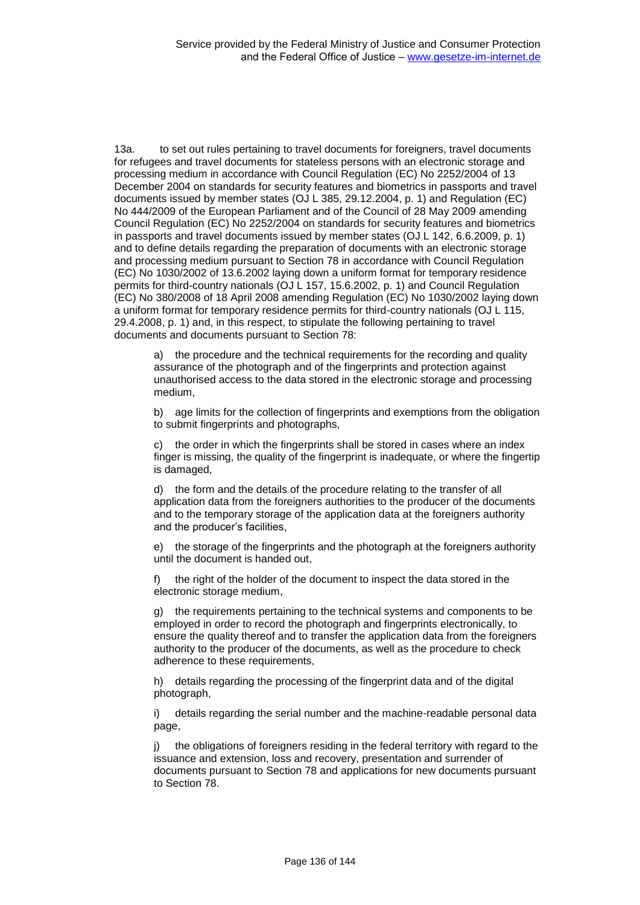13a. to set out rules pertaining to travel documents for foreigners, travel documents for refugees and travel documents for stateless persons with an electronic storage and processing medium in accordance with Council Regulation (EC) No 2252/2004 of 13 December 2004 on standards for security features and biometrics in passports and travel documents issued by member states (OJ L 385, 29.12.2004, p. 1) and Regulation (EC) No 444/2009 of the European Parliament and of the Council of 28 May 2009 amending Council Regulation (EC) No 2252/2004 on standards for security features and biometrics in passports and travel documents issued by member states (OJ L 142, 6.6.2009, p. 1) and to define details regarding the preparation of documents with an electronic storage and processing medium pursuant to Section 78 in accordance with Council Regulation (EC) No 1030/2002 of 13.6.2002 laying down a uniform format for temporary residence permits for third-country nationals (OJ L 157, 15.6.2002, p. 1) and Council Regulation (EC) No 380/2008 of 18 April 2008 amending Regulation (EC) No 1030/2002 laying down a uniform format for temporary residence permits for third-country nationals (OJ L 115, 29.4.2008, p. 1) and, in this respect, to stipulate the following pertaining to travel documents and documents pursuant to Section 78:

a) the procedure and the technical requirements for the recording and quality assurance of the photograph and of the fingerprints and protection against unauthorised access to the data stored in the electronic storage and processing medium,

b) age limits for the collection of fingerprints and exemptions from the obligation to submit fingerprints and photographs,

c) the order in which the fingerprints shall be stored in cases where an index finger is missing, the quality of the fingerprint is inadequate, or where the fingertip is damaged,

d) the form and the details of the procedure relating to the transfer of all application data from the foreigners authorities to the producer of the documents and to the temporary storage of the application data at the foreigners authority and the producer's facilities,

e) the storage of the fingerprints and the photograph at the foreigners authority until the document is handed out,

f) the right of the holder of the document to inspect the data stored in the electronic storage medium,

g) the requirements pertaining to the technical systems and components to be employed in order to record the photograph and fingerprints electronically, to ensure the quality thereof and to transfer the application data from the foreigners authority to the producer of the documents, as well as the procedure to check adherence to these requirements,

h) details regarding the processing of the fingerprint data and of the digital photograph,

i) details regarding the serial number and the machine-readable personal data page,

j) the obligations of foreigners residing in the federal territory with regard to the issuance and extension, loss and recovery, presentation and surrender of documents pursuant to Section 78 and applications for new documents pursuant to Section 78.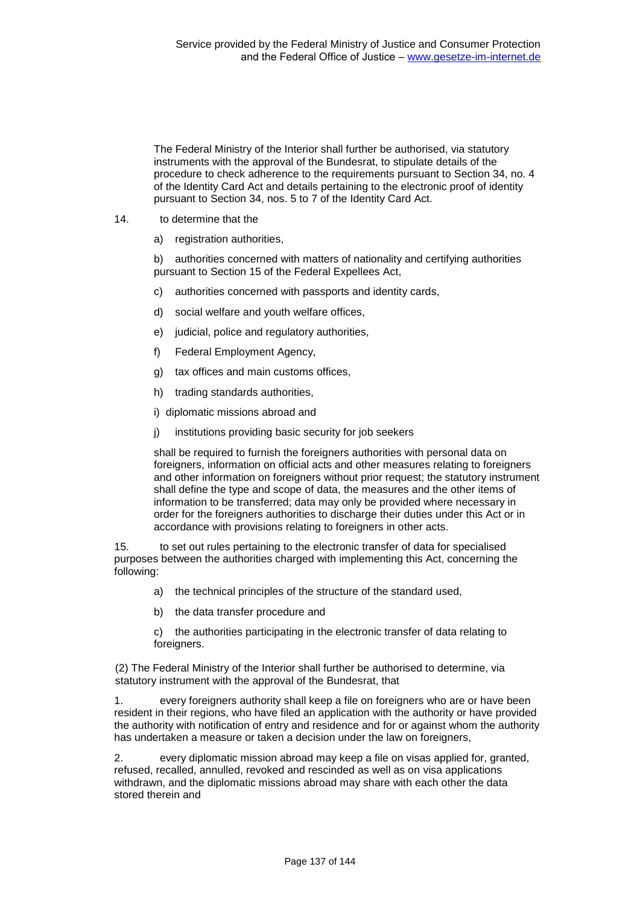The Federal Ministry of the Interior shall further be authorised, via statutory instruments with the approval of the Bundesrat, to stipulate details of the procedure to check adherence to the requirements pursuant to Section 34, no. 4 of the Identity Card Act and details pertaining to the electronic proof of identity pursuant to Section 34, nos. 5 to 7 of the Identity Card Act.

14. to determine that the

a) registration authorities,

b) authorities concerned with matters of nationality and certifying authorities pursuant to Section 15 of the Federal Expellees Act,

- c) authorities concerned with passports and identity cards,
- d) social welfare and youth welfare offices,
- e) judicial, police and regulatory authorities,
- f) Federal Employment Agency,
- g) tax offices and main customs offices,
- h) trading standards authorities,

i) diplomatic missions abroad and

j) institutions providing basic security for job seekers

shall be required to furnish the foreigners authorities with personal data on foreigners, information on official acts and other measures relating to foreigners and other information on foreigners without prior request; the statutory instrument shall define the type and scope of data, the measures and the other items of information to be transferred; data may only be provided where necessary in order for the foreigners authorities to discharge their duties under this Act or in accordance with provisions relating to foreigners in other acts.

15. to set out rules pertaining to the electronic transfer of data for specialised purposes between the authorities charged with implementing this Act, concerning the following:

- a) the technical principles of the structure of the standard used,
- b) the data transfer procedure and

c) the authorities participating in the electronic transfer of data relating to foreigners.

(2) The Federal Ministry of the Interior shall further be authorised to determine, via statutory instrument with the approval of the Bundesrat, that

1. every foreigners authority shall keep a file on foreigners who are or have been resident in their regions, who have filed an application with the authority or have provided the authority with notification of entry and residence and for or against whom the authority has undertaken a measure or taken a decision under the law on foreigners,

2. every diplomatic mission abroad may keep a file on visas applied for, granted, refused, recalled, annulled, revoked and rescinded as well as on visa applications withdrawn, and the diplomatic missions abroad may share with each other the data stored therein and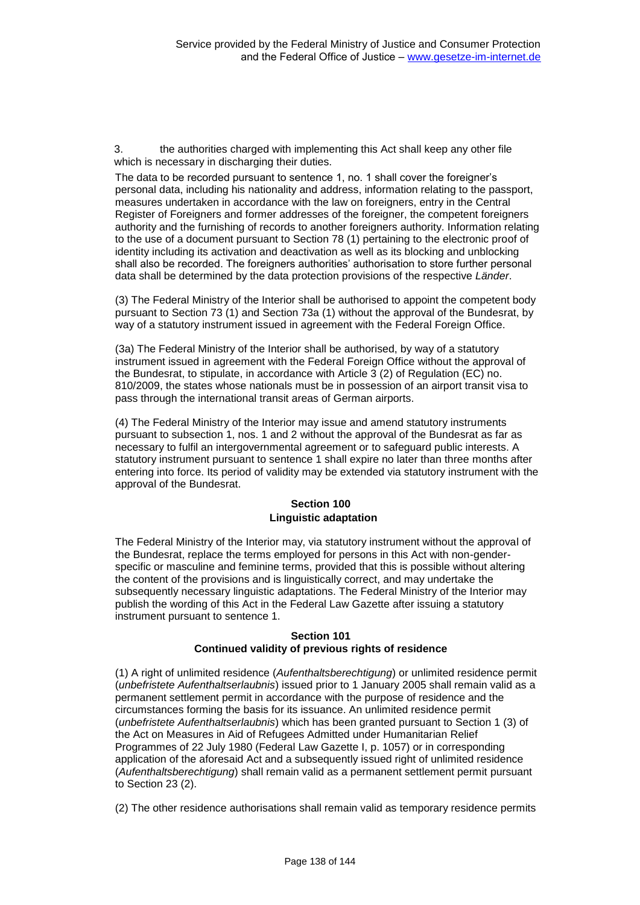3. the authorities charged with implementing this Act shall keep any other file which is necessary in discharging their duties.

The data to be recorded pursuant to sentence 1, no. 1 shall cover the foreigner's personal data, including his nationality and address, information relating to the passport, measures undertaken in accordance with the law on foreigners, entry in the Central Register of Foreigners and former addresses of the foreigner, the competent foreigners authority and the furnishing of records to another foreigners authority. Information relating to the use of a document pursuant to Section 78 (1) pertaining to the electronic proof of identity including its activation and deactivation as well as its blocking and unblocking shall also be recorded. The foreigners authorities' authorisation to store further personal data shall be determined by the data protection provisions of the respective *Länder*.

(3) The Federal Ministry of the Interior shall be authorised to appoint the competent body pursuant to Section 73 (1) and Section 73a (1) without the approval of the Bundesrat, by way of a statutory instrument issued in agreement with the Federal Foreign Office.

(3a) The Federal Ministry of the Interior shall be authorised, by way of a statutory instrument issued in agreement with the Federal Foreign Office without the approval of the Bundesrat, to stipulate, in accordance with Article 3 (2) of Regulation (EC) no. 810/2009, the states whose nationals must be in possession of an airport transit visa to pass through the international transit areas of German airports.

(4) The Federal Ministry of the Interior may issue and amend statutory instruments pursuant to subsection 1, nos. 1 and 2 without the approval of the Bundesrat as far as necessary to fulfil an intergovernmental agreement or to safeguard public interests. A statutory instrument pursuant to sentence 1 shall expire no later than three months after entering into force. Its period of validity may be extended via statutory instrument with the approval of the Bundesrat.

#### **Section 100 Linguistic adaptation**

The Federal Ministry of the Interior may, via statutory instrument without the approval of the Bundesrat, replace the terms employed for persons in this Act with non-genderspecific or masculine and feminine terms, provided that this is possible without altering the content of the provisions and is linguistically correct, and may undertake the subsequently necessary linguistic adaptations. The Federal Ministry of the Interior may publish the wording of this Act in the Federal Law Gazette after issuing a statutory instrument pursuant to sentence 1.

#### **Section 101 Continued validity of previous rights of residence**

(1) A right of unlimited residence (*Aufenthaltsberechtigung*) or unlimited residence permit (*unbefristete Aufenthaltserlaubnis*) issued prior to 1 January 2005 shall remain valid as a permanent settlement permit in accordance with the purpose of residence and the circumstances forming the basis for its issuance. An unlimited residence permit (*unbefristete Aufenthaltserlaubnis*) which has been granted pursuant to Section 1 (3) of the Act on Measures in Aid of Refugees Admitted under Humanitarian Relief Programmes of 22 July 1980 (Federal Law Gazette I, p. 1057) or in corresponding application of the aforesaid Act and a subsequently issued right of unlimited residence (*Aufenthaltsberechtigung*) shall remain valid as a permanent settlement permit pursuant to Section 23 (2).

(2) The other residence authorisations shall remain valid as temporary residence permits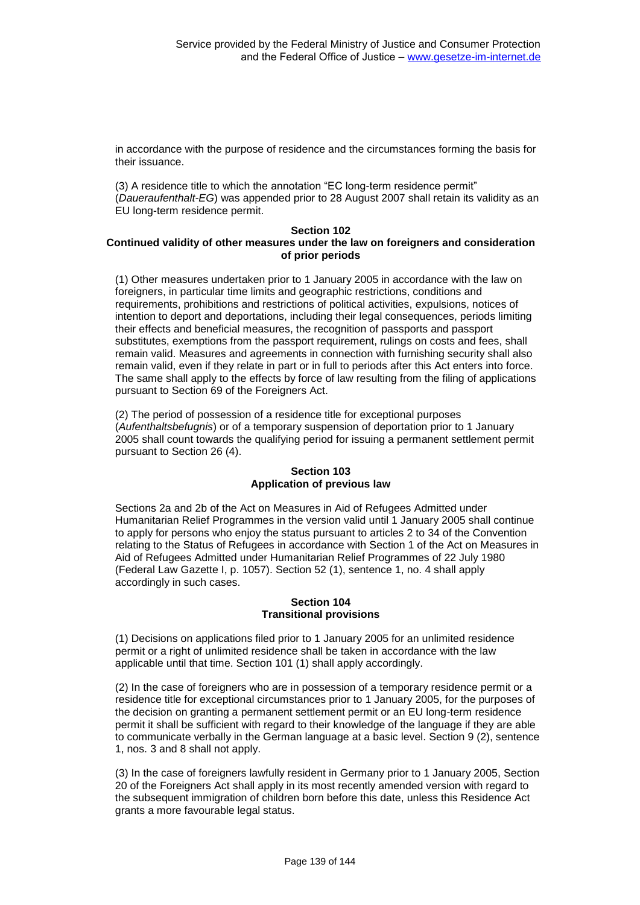in accordance with the purpose of residence and the circumstances forming the basis for their issuance.

(3) A residence title to which the annotation "EC long-term residence permit" (*Daueraufenthalt-EG*) was appended prior to 28 August 2007 shall retain its validity as an EU long-term residence permit.

#### **Section 102**

## **Continued validity of other measures under the law on foreigners and consideration of prior periods**

(1) Other measures undertaken prior to 1 January 2005 in accordance with the law on foreigners, in particular time limits and geographic restrictions, conditions and requirements, prohibitions and restrictions of political activities, expulsions, notices of intention to deport and deportations, including their legal consequences, periods limiting their effects and beneficial measures, the recognition of passports and passport substitutes, exemptions from the passport requirement, rulings on costs and fees, shall remain valid. Measures and agreements in connection with furnishing security shall also remain valid, even if they relate in part or in full to periods after this Act enters into force. The same shall apply to the effects by force of law resulting from the filing of applications pursuant to Section 69 of the Foreigners Act.

(2) The period of possession of a residence title for exceptional purposes (*Aufenthaltsbefugnis*) or of a temporary suspension of deportation prior to 1 January 2005 shall count towards the qualifying period for issuing a permanent settlement permit pursuant to Section 26 (4).

## **Section 103 Application of previous law**

Sections 2a and 2b of the Act on Measures in Aid of Refugees Admitted under Humanitarian Relief Programmes in the version valid until 1 January 2005 shall continue to apply for persons who enjoy the status pursuant to articles 2 to 34 of the Convention relating to the Status of Refugees in accordance with Section 1 of the Act on Measures in Aid of Refugees Admitted under Humanitarian Relief Programmes of 22 July 1980 (Federal Law Gazette I, p. 1057). Section 52 (1), sentence 1, no. 4 shall apply accordingly in such cases.

#### **Section 104 Transitional provisions**

(1) Decisions on applications filed prior to 1 January 2005 for an unlimited residence permit or a right of unlimited residence shall be taken in accordance with the law applicable until that time. Section 101 (1) shall apply accordingly.

(2) In the case of foreigners who are in possession of a temporary residence permit or a residence title for exceptional circumstances prior to 1 January 2005, for the purposes of the decision on granting a permanent settlement permit or an EU long-term residence permit it shall be sufficient with regard to their knowledge of the language if they are able to communicate verbally in the German language at a basic level. Section 9 (2), sentence 1, nos. 3 and 8 shall not apply.

(3) In the case of foreigners lawfully resident in Germany prior to 1 January 2005, Section 20 of the Foreigners Act shall apply in its most recently amended version with regard to the subsequent immigration of children born before this date, unless this Residence Act grants a more favourable legal status.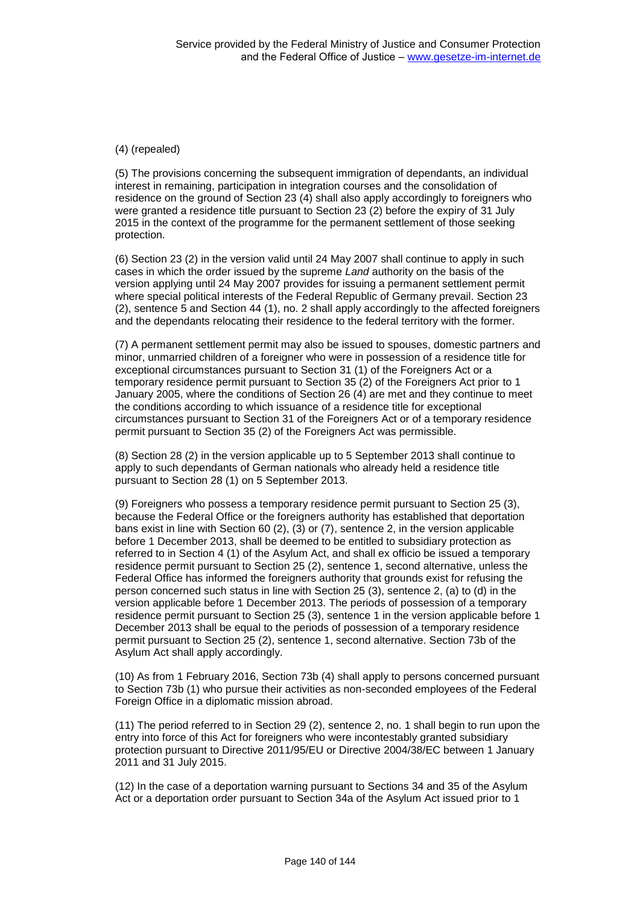# (4) (repealed)

(5) The provisions concerning the subsequent immigration of dependants, an individual interest in remaining, participation in integration courses and the consolidation of residence on the ground of Section 23 (4) shall also apply accordingly to foreigners who were granted a residence title pursuant to Section 23 (2) before the expiry of 31 July 2015 in the context of the programme for the permanent settlement of those seeking protection.

(6) Section 23 (2) in the version valid until 24 May 2007 shall continue to apply in such cases in which the order issued by the supreme *Land* authority on the basis of the version applying until 24 May 2007 provides for issuing a permanent settlement permit where special political interests of the Federal Republic of Germany prevail. Section 23 (2), sentence 5 and Section 44 (1), no. 2 shall apply accordingly to the affected foreigners and the dependants relocating their residence to the federal territory with the former.

(7) A permanent settlement permit may also be issued to spouses, domestic partners and minor, unmarried children of a foreigner who were in possession of a residence title for exceptional circumstances pursuant to Section 31 (1) of the Foreigners Act or a temporary residence permit pursuant to Section 35 (2) of the Foreigners Act prior to 1 January 2005, where the conditions of Section 26 (4) are met and they continue to meet the conditions according to which issuance of a residence title for exceptional circumstances pursuant to Section 31 of the Foreigners Act or of a temporary residence permit pursuant to Section 35 (2) of the Foreigners Act was permissible.

(8) Section 28 (2) in the version applicable up to 5 September 2013 shall continue to apply to such dependants of German nationals who already held a residence title pursuant to Section 28 (1) on 5 September 2013.

(9) Foreigners who possess a temporary residence permit pursuant to Section 25 (3), because the Federal Office or the foreigners authority has established that deportation bans exist in line with Section 60 (2), (3) or (7), sentence 2, in the version applicable before 1 December 2013, shall be deemed to be entitled to subsidiary protection as referred to in Section 4 (1) of the Asylum Act, and shall ex officio be issued a temporary residence permit pursuant to Section 25 (2), sentence 1, second alternative, unless the Federal Office has informed the foreigners authority that grounds exist for refusing the person concerned such status in line with Section 25 (3), sentence 2, (a) to (d) in the version applicable before 1 December 2013. The periods of possession of a temporary residence permit pursuant to Section 25 (3), sentence 1 in the version applicable before 1 December 2013 shall be equal to the periods of possession of a temporary residence permit pursuant to Section 25 (2), sentence 1, second alternative. Section 73b of the Asylum Act shall apply accordingly.

(10) As from 1 February 2016, Section 73b (4) shall apply to persons concerned pursuant to Section 73b (1) who pursue their activities as non-seconded employees of the Federal Foreign Office in a diplomatic mission abroad.

(11) The period referred to in Section 29 (2), sentence 2, no. 1 shall begin to run upon the entry into force of this Act for foreigners who were incontestably granted subsidiary protection pursuant to Directive 2011/95/EU or Directive 2004/38/EC between 1 January 2011 and 31 July 2015.

(12) In the case of a deportation warning pursuant to Sections 34 and 35 of the Asylum Act or a deportation order pursuant to Section 34a of the Asylum Act issued prior to 1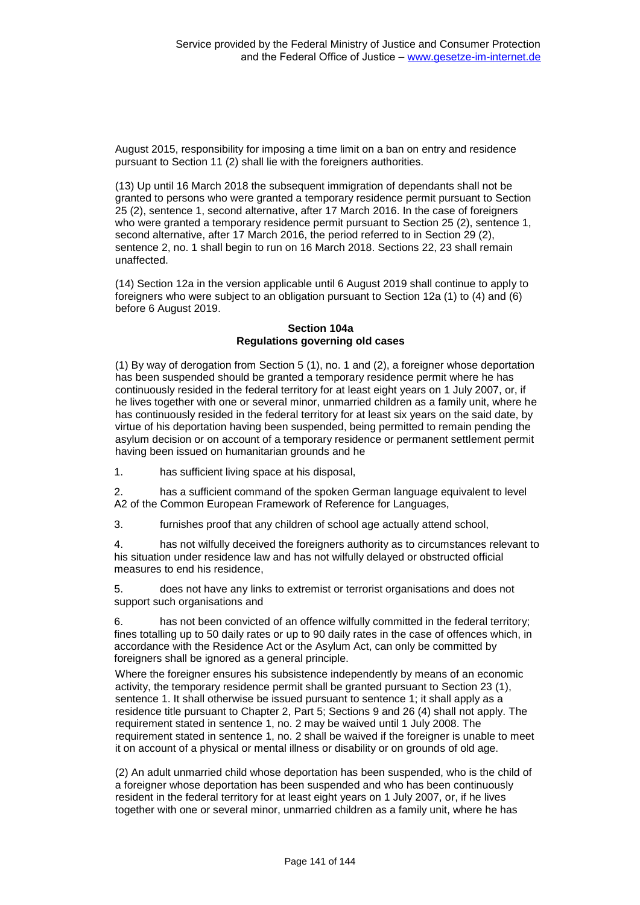August 2015, responsibility for imposing a time limit on a ban on entry and residence pursuant to Section 11 (2) shall lie with the foreigners authorities.

(13) Up until 16 March 2018 the subsequent immigration of dependants shall not be granted to persons who were granted a temporary residence permit pursuant to Section 25 (2), sentence 1, second alternative, after 17 March 2016. In the case of foreigners who were granted a temporary residence permit pursuant to Section 25 (2), sentence 1, second alternative, after 17 March 2016, the period referred to in Section 29 (2), sentence 2, no. 1 shall begin to run on 16 March 2018. Sections 22, 23 shall remain unaffected.

(14) Section 12a in the version applicable until 6 August 2019 shall continue to apply to foreigners who were subject to an obligation pursuant to Section 12a (1) to (4) and (6) before 6 August 2019.

#### **Section 104a Regulations governing old cases**

(1) By way of derogation from Section 5 (1), no. 1 and (2), a foreigner whose deportation has been suspended should be granted a temporary residence permit where he has continuously resided in the federal territory for at least eight years on 1 July 2007, or, if he lives together with one or several minor, unmarried children as a family unit, where he has continuously resided in the federal territory for at least six years on the said date, by virtue of his deportation having been suspended, being permitted to remain pending the asylum decision or on account of a temporary residence or permanent settlement permit having been issued on humanitarian grounds and he

1. has sufficient living space at his disposal,

2. has a sufficient command of the spoken German language equivalent to level A2 of the Common European Framework of Reference for Languages,

3. furnishes proof that any children of school age actually attend school,

4. has not wilfully deceived the foreigners authority as to circumstances relevant to his situation under residence law and has not wilfully delayed or obstructed official measures to end his residence,

5. does not have any links to extremist or terrorist organisations and does not support such organisations and

6. has not been convicted of an offence wilfully committed in the federal territory; fines totalling up to 50 daily rates or up to 90 daily rates in the case of offences which, in accordance with the Residence Act or the Asylum Act, can only be committed by foreigners shall be ignored as a general principle.

Where the foreigner ensures his subsistence independently by means of an economic activity, the temporary residence permit shall be granted pursuant to Section 23 (1), sentence 1. It shall otherwise be issued pursuant to sentence 1; it shall apply as a residence title pursuant to Chapter 2, Part 5; Sections 9 and 26 (4) shall not apply. The requirement stated in sentence 1, no. 2 may be waived until 1 July 2008. The requirement stated in sentence 1, no. 2 shall be waived if the foreigner is unable to meet it on account of a physical or mental illness or disability or on grounds of old age.

(2) An adult unmarried child whose deportation has been suspended, who is the child of a foreigner whose deportation has been suspended and who has been continuously resident in the federal territory for at least eight years on 1 July 2007, or, if he lives together with one or several minor, unmarried children as a family unit, where he has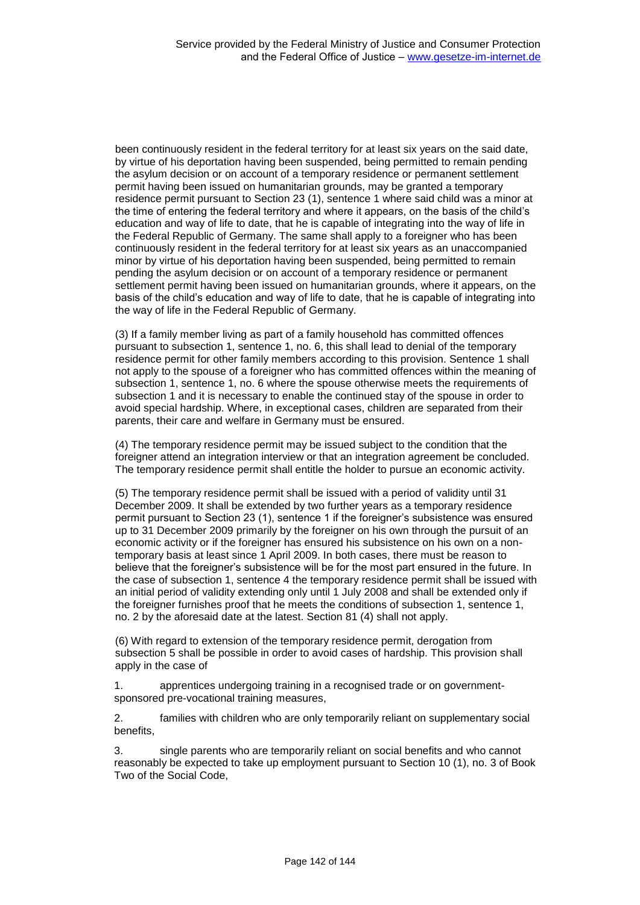been continuously resident in the federal territory for at least six years on the said date, by virtue of his deportation having been suspended, being permitted to remain pending the asylum decision or on account of a temporary residence or permanent settlement permit having been issued on humanitarian grounds, may be granted a temporary residence permit pursuant to Section 23 (1), sentence 1 where said child was a minor at the time of entering the federal territory and where it appears, on the basis of the child's education and way of life to date, that he is capable of integrating into the way of life in the Federal Republic of Germany. The same shall apply to a foreigner who has been continuously resident in the federal territory for at least six years as an unaccompanied minor by virtue of his deportation having been suspended, being permitted to remain pending the asylum decision or on account of a temporary residence or permanent settlement permit having been issued on humanitarian grounds, where it appears, on the basis of the child's education and way of life to date, that he is capable of integrating into the way of life in the Federal Republic of Germany.

(3) If a family member living as part of a family household has committed offences pursuant to subsection 1, sentence 1, no. 6, this shall lead to denial of the temporary residence permit for other family members according to this provision. Sentence 1 shall not apply to the spouse of a foreigner who has committed offences within the meaning of subsection 1, sentence 1, no. 6 where the spouse otherwise meets the requirements of subsection 1 and it is necessary to enable the continued stay of the spouse in order to avoid special hardship. Where, in exceptional cases, children are separated from their parents, their care and welfare in Germany must be ensured.

(4) The temporary residence permit may be issued subject to the condition that the foreigner attend an integration interview or that an integration agreement be concluded. The temporary residence permit shall entitle the holder to pursue an economic activity.

(5) The temporary residence permit shall be issued with a period of validity until 31 December 2009. It shall be extended by two further years as a temporary residence permit pursuant to Section 23 (1), sentence 1 if the foreigner's subsistence was ensured up to 31 December 2009 primarily by the foreigner on his own through the pursuit of an economic activity or if the foreigner has ensured his subsistence on his own on a nontemporary basis at least since 1 April 2009. In both cases, there must be reason to believe that the foreigner's subsistence will be for the most part ensured in the future. In the case of subsection 1, sentence 4 the temporary residence permit shall be issued with an initial period of validity extending only until 1 July 2008 and shall be extended only if the foreigner furnishes proof that he meets the conditions of subsection 1, sentence 1, no. 2 by the aforesaid date at the latest. Section 81 (4) shall not apply.

(6) With regard to extension of the temporary residence permit, derogation from subsection 5 shall be possible in order to avoid cases of hardship. This provision shall apply in the case of

1. apprentices undergoing training in a recognised trade or on governmentsponsored pre-vocational training measures,

2. families with children who are only temporarily reliant on supplementary social benefits,

3. single parents who are temporarily reliant on social benefits and who cannot reasonably be expected to take up employment pursuant to Section 10 (1), no. 3 of Book Two of the Social Code,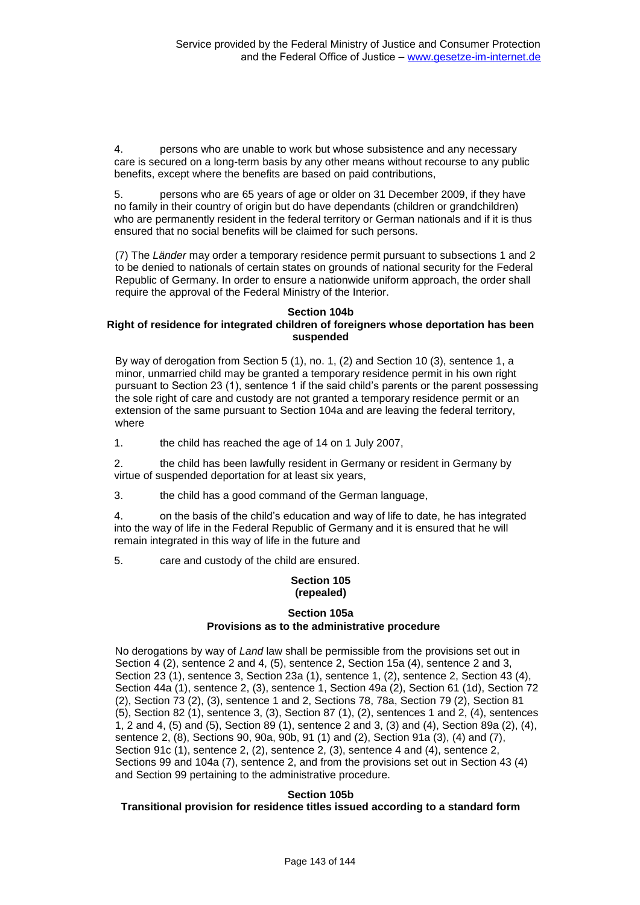4. persons who are unable to work but whose subsistence and any necessary care is secured on a long-term basis by any other means without recourse to any public benefits, except where the benefits are based on paid contributions,

5. persons who are 65 years of age or older on 31 December 2009, if they have no family in their country of origin but do have dependants (children or grandchildren) who are permanently resident in the federal territory or German nationals and if it is thus ensured that no social benefits will be claimed for such persons.

(7) The *Länder* may order a temporary residence permit pursuant to subsections 1 and 2 to be denied to nationals of certain states on grounds of national security for the Federal Republic of Germany. In order to ensure a nationwide uniform approach, the order shall require the approval of the Federal Ministry of the Interior.

#### **Section 104b**

# **Right of residence for integrated children of foreigners whose deportation has been suspended**

By way of derogation from Section 5 (1), no. 1, (2) and Section 10 (3), sentence 1, a minor, unmarried child may be granted a temporary residence permit in his own right pursuant to Section 23 (1), sentence 1 if the said child's parents or the parent possessing the sole right of care and custody are not granted a temporary residence permit or an extension of the same pursuant to Section 104a and are leaving the federal territory, where

1. the child has reached the age of 14 on 1 July 2007,

2. the child has been lawfully resident in Germany or resident in Germany by virtue of suspended deportation for at least six years,

3. the child has a good command of the German language,

4. on the basis of the child's education and way of life to date, he has integrated into the way of life in the Federal Republic of Germany and it is ensured that he will remain integrated in this way of life in the future and

5. care and custody of the child are ensured.

# **Section 105 (repealed)**

## **Section 105a Provisions as to the administrative procedure**

No derogations by way of *Land* law shall be permissible from the provisions set out in Section 4 (2), sentence 2 and 4, (5), sentence 2, Section 15a (4), sentence 2 and 3, Section 23 (1), sentence 3, Section 23a (1), sentence 1, (2), sentence 2, Section 43 (4), Section 44a (1), sentence 2, (3), sentence 1, Section 49a (2), Section 61 (1d), Section 72 (2), Section 73 (2), (3), sentence 1 and 2, Sections 78, 78a, Section 79 (2), Section 81 (5), Section 82 (1), sentence 3, (3), Section 87 (1), (2), sentences 1 and 2, (4), sentences 1, 2 and 4, (5) and (5), Section 89 (1), sentence 2 and 3, (3) and (4), Section 89a (2), (4), sentence 2, (8), Sections 90, 90a, 90b, 91 (1) and (2), Section 91a (3), (4) and (7), Section 91c (1), sentence 2, (2), sentence 2, (3), sentence 4 and (4), sentence 2, Sections 99 and 104a (7), sentence 2, and from the provisions set out in Section 43 (4) and Section 99 pertaining to the administrative procedure.

#### **Section 105b**

# **Transitional provision for residence titles issued according to a standard form**